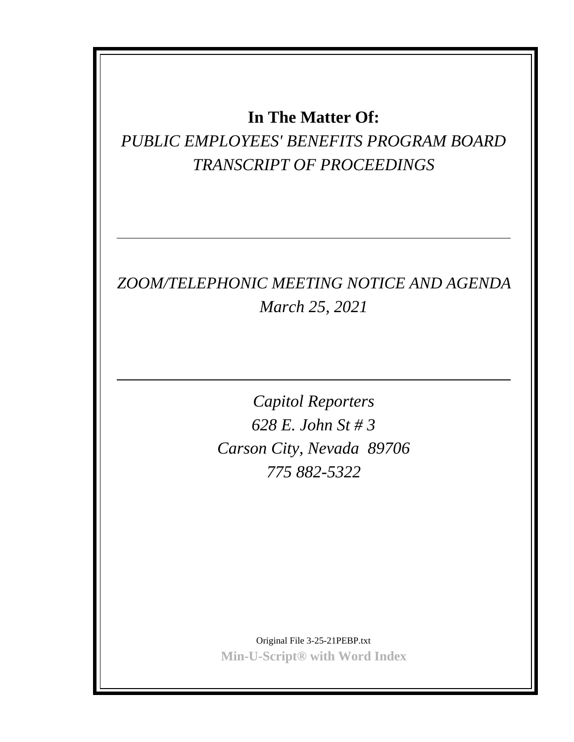## **In The Matter Of:**

*PUBLIC EMPLOYEES' BENEFITS PROGRAM BOARD TRANSCRIPT OF PROCEEDINGS*

## *ZOOM/TELEPHONIC MEETING NOTICE AND AGENDA March 25, 2021*

*Capitol Reporters 628 E. John St # 3 Carson City, Nevada 89706 775 882-5322*

Original File 3-25-21PEBP.txt **Min-U-Script® with Word Index**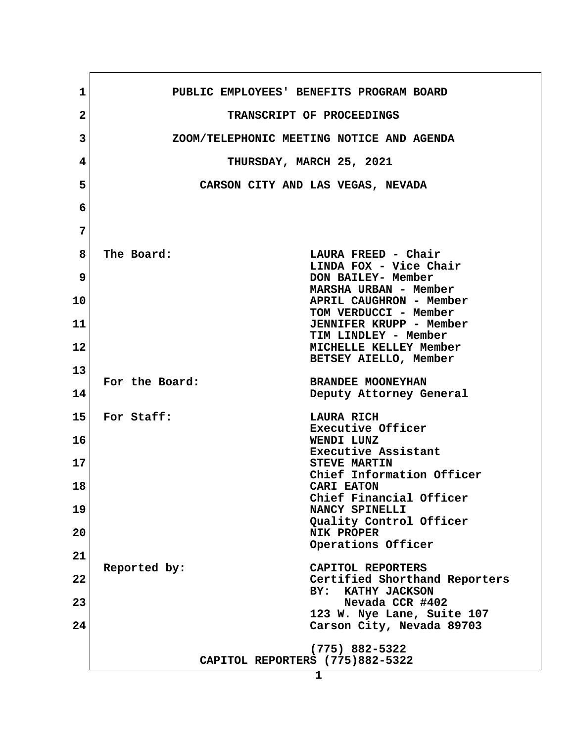| $\mathbf 1$  | PUBLIC EMPLOYEES' BENEFITS PROGRAM BOARD                |
|--------------|---------------------------------------------------------|
| $\mathbf{2}$ | TRANSCRIPT OF PROCEEDINGS                               |
| 3            | ZOOM/TELEPHONIC MEETING NOTICE AND AGENDA               |
| 4            | THURSDAY, MARCH 25, 2021                                |
| 5            | CARSON CITY AND LAS VEGAS, NEVADA                       |
| 6            |                                                         |
| 7            |                                                         |
| 8            | The Board:<br>LAURA FREED - Chair                       |
|              | LINDA FOX - Vice Chair                                  |
| 9            | DON BAILEY- Member<br>MARSHA URBAN - Member             |
| 10           | APRIL CAUGHRON - Member<br>TOM VERDUCCI - Member        |
| 11           | <b>JENNIFER KRUPP - Member</b>                          |
| 12           | TIM LINDLEY - Member<br>MICHELLE KELLEY Member          |
| 13           | BETSEY AIELLO, Member                                   |
| 14           | For the Board:<br><b>BRANDEE MOONEYHAN</b>              |
|              | Deputy Attorney General                                 |
| 15           | For Staff:<br>LAURA RICH<br>Executive Officer           |
| 16           | WENDI LUNZ<br>Executive Assistant                       |
| 17           | STEVE MARTIN                                            |
| 18           | Chief Information Officer<br><b>CARI EATON</b>          |
| 19           | Chief Financial Officer<br>NANCY SPINELLI               |
| 20           | Quality Control Officer<br><b>NIK PROPER</b>            |
|              | Operations Officer                                      |
| 21           | Reported by:<br>CAPITOL REPORTERS                       |
| 22           | Certified Shorthand Reporters<br>KATHY JACKSON<br>BY:   |
| 23           | Nevada CCR #402                                         |
| 24           | 123 W. Nye Lane, Suite 107<br>Carson City, Nevada 89703 |
|              | $(775)$ 882-5322                                        |
|              | CAPITOL REPORTERS (775)882-5322                         |
|              | $\mathbf{1}$                                            |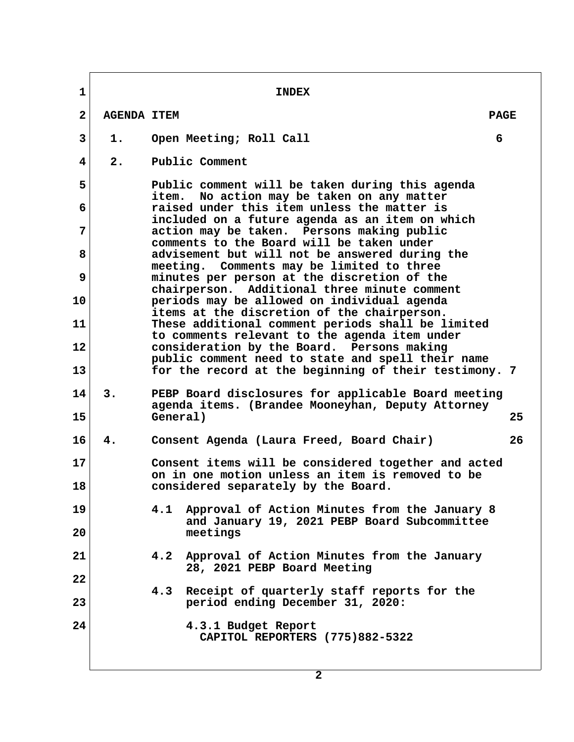**1 INDEX 2 AGENDA ITEM PAGE 1.** Open Meeting; Roll Call 6  **4 2. Public Comment 5 Public comment will be taken during this agenda item. No action may be taken on any matter 6 raised under this item unless the matter is included on a future agenda as an item on which 7 action may be taken. Persons making public comments to the Board will be taken under 8 advisement but will not be answered during the meeting. Comments may be limited to three 9 minutes per person at the discretion of the chairperson. Additional three minute comment 10 periods may be allowed on individual agenda items at the discretion of the chairperson. 11 These additional comment periods shall be limited to comments relevant to the agenda item under 12 consideration by the Board. Persons making public comment need to state and spell their name 13 for the record at the beginning of their testimony. 7 14 3. PEBP Board disclosures for applicable Board meeting agenda items. (Brandee Mooneyhan, Deputy Attorney 15 General) 25 16 4. Consent Agenda (Laura Freed, Board Chair) 26 17 Consent items will be considered together and acted on in one motion unless an item is removed to be 18 considered separately by the Board. 19 4.1 Approval of Action Minutes from the January 8 and January 19, 2021 PEBP Board Subcommittee 20 meetings 21 4.2 Approval of Action Minutes from the January 28, 2021 PEBP Board Meeting 22 4.3 Receipt of quarterly staff reports for the 23 period ending December 31, 2020: 24 4.3.1 Budget Report CAPITOL REPORTERS (775)882-5322**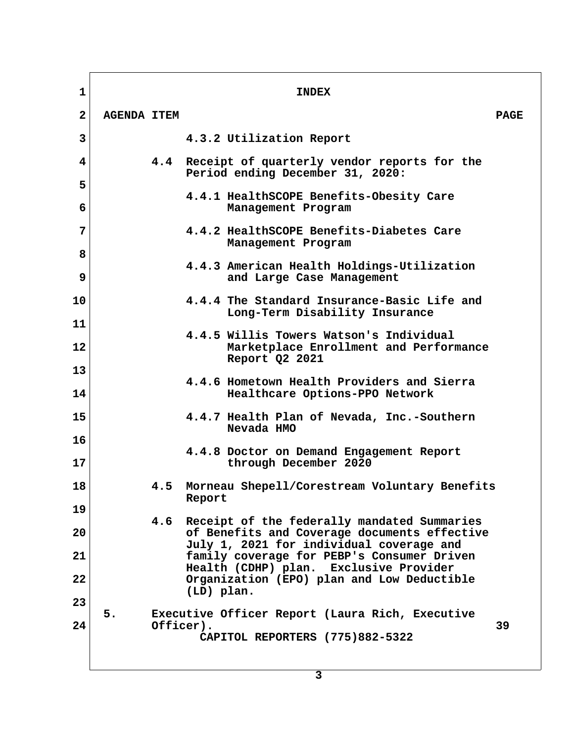**1** INDEX  **2 AGENDA ITEM PAGE 3 4.3.2 Utilization Report 4 4.4 Receipt of quarterly vendor reports for the Period ending December 31, 2020: 5 4.4.1 HealthSCOPE Benefits-Obesity Care 6 Management Program 7 4.4.2 HealthSCOPE Benefits-Diabetes Care Management Program 8 4.4.3 American Health Holdings-Utilization 9 and Large Case Management 10 4.4.4 The Standard Insurance-Basic Life and Long-Term Disability Insurance 11 4.4.5 Willis Towers Watson's Individual 12 Marketplace Enrollment and Performance Report Q2 2021 13 4.4.6 Hometown Health Providers and Sierra 14 Healthcare Options-PPO Network 15 4.4.7 Health Plan of Nevada, Inc.-Southern Nevada HMO 16 4.4.8 Doctor on Demand Engagement Report 17 through December 2020 18 4.5 Morneau Shepell/Corestream Voluntary Benefits Report 19 4.6 Receipt of the federally mandated Summaries 20 of Benefits and Coverage documents effective July 1, 2021 for individual coverage and 21 family coverage for PEBP's Consumer Driven Health (CDHP) plan. Exclusive Provider 22 Organization (EPO) plan and Low Deductible (LD) plan. 23 5. Executive Officer Report (Laura Rich, Executive 24 Officer). 39 CAPITOL REPORTERS (775)882-5322**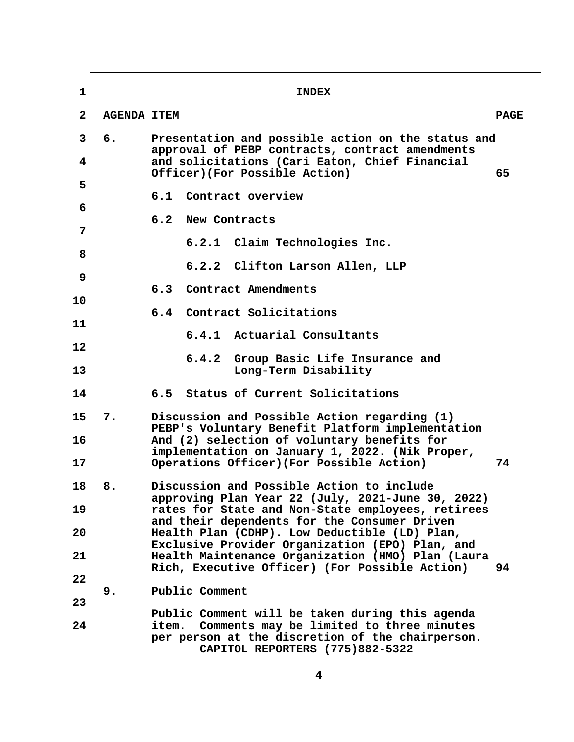| $\mathbf 1$  |                    | <b>INDEX</b>                                                                                                                                                                                |             |
|--------------|--------------------|---------------------------------------------------------------------------------------------------------------------------------------------------------------------------------------------|-------------|
| $\mathbf{2}$ | <b>AGENDA ITEM</b> |                                                                                                                                                                                             | <b>PAGE</b> |
| 3<br>4       | б.                 | Presentation and possible action on the status and<br>approval of PEBP contracts, contract amendments<br>and solicitations (Cari Eaton, Chief Financial                                     |             |
| 5            |                    | Officer)(For Possible Action)                                                                                                                                                               | 65          |
| 6            |                    | 6.1 Contract overview                                                                                                                                                                       |             |
| 7            |                    | 6.2<br>New Contracts                                                                                                                                                                        |             |
| 8            |                    | 6.2.1 Claim Technologies Inc.                                                                                                                                                               |             |
| 9            |                    | 6.2.2 Clifton Larson Allen, LLP                                                                                                                                                             |             |
| 10           |                    | 6.3<br>Contract Amendments                                                                                                                                                                  |             |
| 11           |                    | 6.4 Contract Solicitations                                                                                                                                                                  |             |
| 12           |                    | 6.4.1 Actuarial Consultants                                                                                                                                                                 |             |
| 13           |                    | 6.4.2<br>Group Basic Life Insurance and<br>Long-Term Disability                                                                                                                             |             |
| 14           |                    | 6.5 Status of Current Solicitations                                                                                                                                                         |             |
| 15<br>16     | 7.                 | Discussion and Possible Action regarding (1)<br>PEBP's Voluntary Benefit Platform implementation                                                                                            |             |
| 17           |                    | And (2) selection of voluntary benefits for<br>implementation on January 1, 2022. (Nik Proper,<br>Operations Officer) (For Possible Action)                                                 | 74          |
| 18           | 8.                 | Discussion and Possible Action to include<br>approving Plan Year 22 (July, 2021-June 30, 2022)                                                                                              |             |
| 19<br>20     |                    | rates for State and Non-State employees, retirees<br>and their dependents for the Consumer Driven<br>Health Plan (CDHP). Low Deductible (LD) Plan,                                          |             |
| 21           |                    | Exclusive Provider Organization (EPO) Plan, and<br>Health Maintenance Organization (HMO) Plan (Laura                                                                                        |             |
| 22           |                    | Rich, Executive Officer) (For Possible Action)                                                                                                                                              | 94          |
| 23           | 9.                 | Public Comment                                                                                                                                                                              |             |
| 24           |                    | Public Comment will be taken during this agenda<br>Comments may be limited to three minutes<br>item.<br>per person at the discretion of the chairperson.<br>CAPITOL REPORTERS (775)882-5322 |             |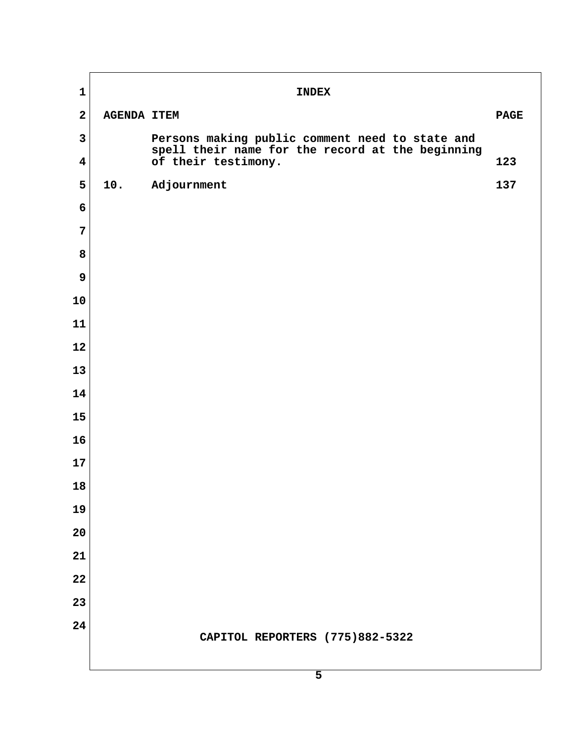| $\mathbf 1$             |                    | <b>INDEX</b>                                                            |             |  |
|-------------------------|--------------------|-------------------------------------------------------------------------|-------------|--|
| $\overline{2}$          | <b>AGENDA ITEM</b> |                                                                         | <b>PAGE</b> |  |
| $\mathbf{3}$            |                    | Persons making public comment need to state and                         |             |  |
| $\overline{\mathbf{4}}$ |                    | spell their name for the record at the beginning<br>of their testimony. | 123         |  |
| 5                       | 10.                | Adjournment                                                             | 137         |  |
| 6                       |                    |                                                                         |             |  |
| $\overline{7}$          |                    |                                                                         |             |  |
| 8                       |                    |                                                                         |             |  |
| 9                       |                    |                                                                         |             |  |
| 10                      |                    |                                                                         |             |  |
| 11                      |                    |                                                                         |             |  |
| 12                      |                    |                                                                         |             |  |
| 13                      |                    |                                                                         |             |  |
| 14                      |                    |                                                                         |             |  |
| 15                      |                    |                                                                         |             |  |
| 16                      |                    |                                                                         |             |  |
| 17                      |                    |                                                                         |             |  |
| 18                      |                    |                                                                         |             |  |
| 19                      |                    |                                                                         |             |  |
| 20                      |                    |                                                                         |             |  |
| 21                      |                    |                                                                         |             |  |
| 22                      |                    |                                                                         |             |  |
| 23                      |                    |                                                                         |             |  |
| 24                      |                    | CAPITOL REPORTERS (775)882-5322                                         |             |  |
|                         |                    |                                                                         |             |  |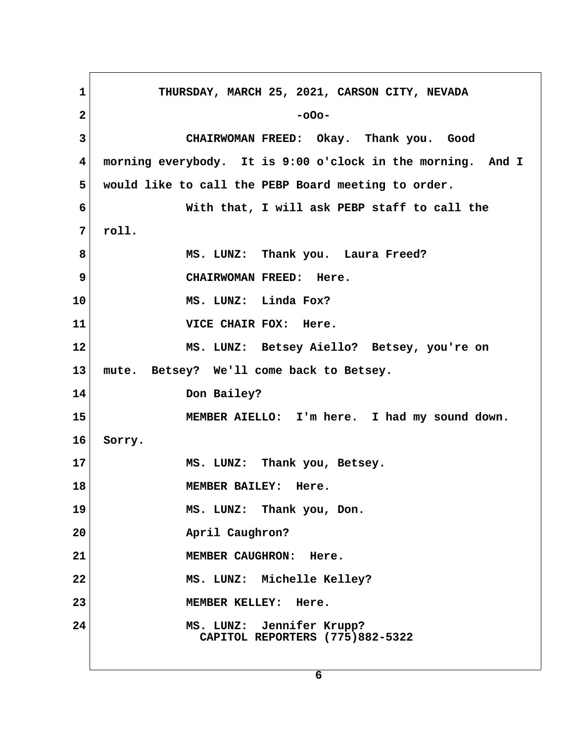1 THURSDAY, MARCH 25, 2021, CARSON CITY, NEVADA **2** -oOo- **3 CHAIRWOMAN FREED: Okay. Thank you. Good 4 morning everybody. It is 9:00 o'clock in the morning. And I 5 would like to call the PEBP Board meeting to order. 6 With that, I will ask PEBP staff to call the 7 roll. 8 MS. LUNZ: Thank you. Laura Freed? 9 CHAIRWOMAN FREED: Here. 10 MS. LUNZ: Linda Fox? 11 VICE CHAIR FOX: Here. 12 MS. LUNZ: Betsey Aiello? Betsey, you're on 13 mute. Betsey? We'll come back to Betsey. 14 Don Bailey? 15 MEMBER AIELLO: I'm here. I had my sound down. 16 Sorry. 17 MS. LUNZ: Thank you, Betsey. 18 MEMBER BAILEY: Here. 19 MS. LUNZ: Thank you, Don.** 20 **April Caughron? 21 MEMBER CAUGHRON: Here. 22 MS. LUNZ: Michelle Kelley? 23 MEMBER KELLEY: Here. 24 MS. LUNZ: Jennifer Krupp? CAPITOL REPORTERS (775)882-5322**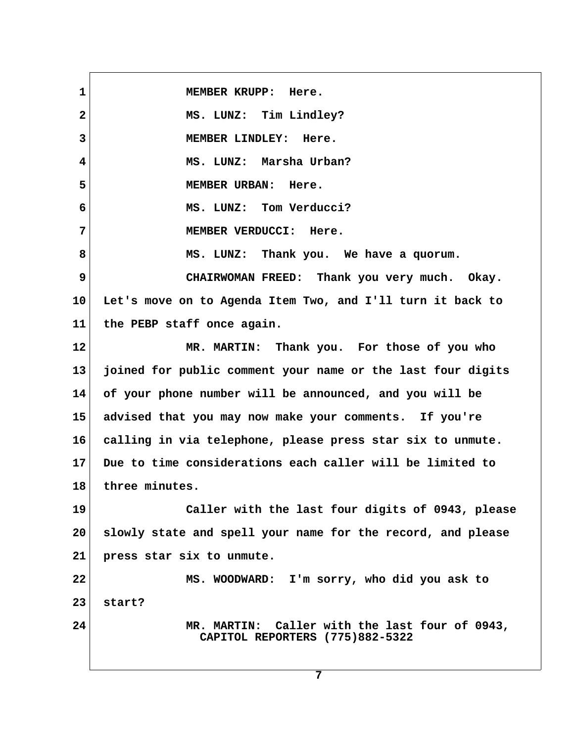1 MEMBER KRUPP: Here.  **2 MS. LUNZ: Tim Lindley? 3 MEMBER LINDLEY: Here. 4 MS. LUNZ: Marsha Urban? 5 MEMBER URBAN: Here. 6 MS. LUNZ: Tom Verducci? 7 MEMBER VERDUCCI: Here. 8 MS. LUNZ: Thank you. We have a quorum. 9 CHAIRWOMAN FREED: Thank you very much. Okay. 10 Let's move on to Agenda Item Two, and I'll turn it back to 11 the PEBP staff once again. 12 MR. MARTIN: Thank you. For those of you who 13 joined for public comment your name or the last four digits 14 of your phone number will be announced, and you will be 15 advised that you may now make your comments. If you're 16 calling in via telephone, please press star six to unmute. 17 Due to time considerations each caller will be limited to 18 three minutes. 19 Caller with the last four digits of 0943, please 20 slowly state and spell your name for the record, and please 21 press star six to unmute. 22 MS. WOODWARD: I'm sorry, who did you ask to 23 start? 24 MR. MARTIN: Caller with the last four of 0943, CAPITOL REPORTERS (775)882-5322**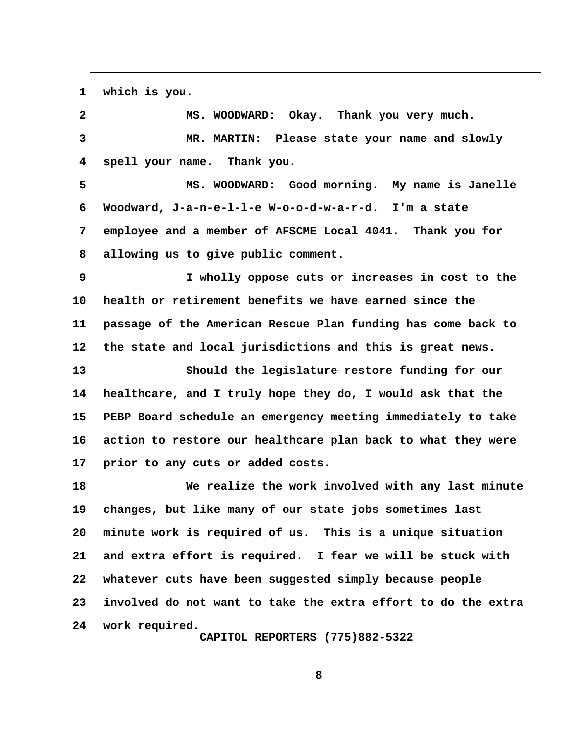**1 which is you.**

 **2 MS. WOODWARD: Okay. Thank you very much. 3 MR. MARTIN: Please state your name and slowly 4 spell your name. Thank you. 5 MS. WOODWARD: Good morning. My name is Janelle 6 Woodward, J-a-n-e-l-l-e W-o-o-d-w-a-r-d. I'm a state 7 employee and a member of AFSCME Local 4041. Thank you for 8 allowing us to give public comment. 9 I wholly oppose cuts or increases in cost to the 10 health or retirement benefits we have earned since the 11 passage of the American Rescue Plan funding has come back to 12 the state and local jurisdictions and this is great news. 13 Should the legislature restore funding for our 14 healthcare, and I truly hope they do, I would ask that the 15 PEBP Board schedule an emergency meeting immediately to take 16 action to restore our healthcare plan back to what they were 17 prior to any cuts or added costs. 18 We realize the work involved with any last minute 19 changes, but like many of our state jobs sometimes last 20 minute work is required of us. This is a unique situation 21 and extra effort is required. I fear we will be stuck with 22 whatever cuts have been suggested simply because people 23 involved do not want to take the extra effort to do the extra**

**24 work required.**

 **CAPITOL REPORTERS (775)882-5322**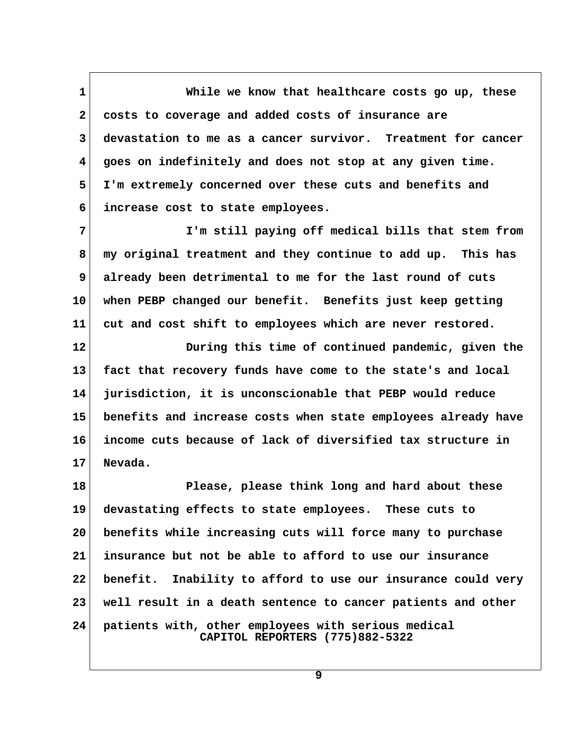**1 While we know that healthcare costs go up, these 2 costs to coverage and added costs of insurance are 3 devastation to me as a cancer survivor. Treatment for cancer 4 goes on indefinitely and does not stop at any given time. 5 I'm extremely concerned over these cuts and benefits and 6 increase cost to state employees.**

 **7 I'm still paying off medical bills that stem from 8 my original treatment and they continue to add up. This has 9 already been detrimental to me for the last round of cuts 10 when PEBP changed our benefit. Benefits just keep getting 11 cut and cost shift to employees which are never restored.**

**12 During this time of continued pandemic, given the 13 fact that recovery funds have come to the state's and local 14 jurisdiction, it is unconscionable that PEBP would reduce 15 benefits and increase costs when state employees already have 16 income cuts because of lack of diversified tax structure in 17 Nevada.**

**18 Please, please think long and hard about these 19 devastating effects to state employees. These cuts to 20 benefits while increasing cuts will force many to purchase 21 insurance but not be able to afford to use our insurance 22 benefit. Inability to afford to use our insurance could very 23 well result in a death sentence to cancer patients and other 24 patients with, other employees with serious medical CAPITOL REPORTERS (775)882-5322**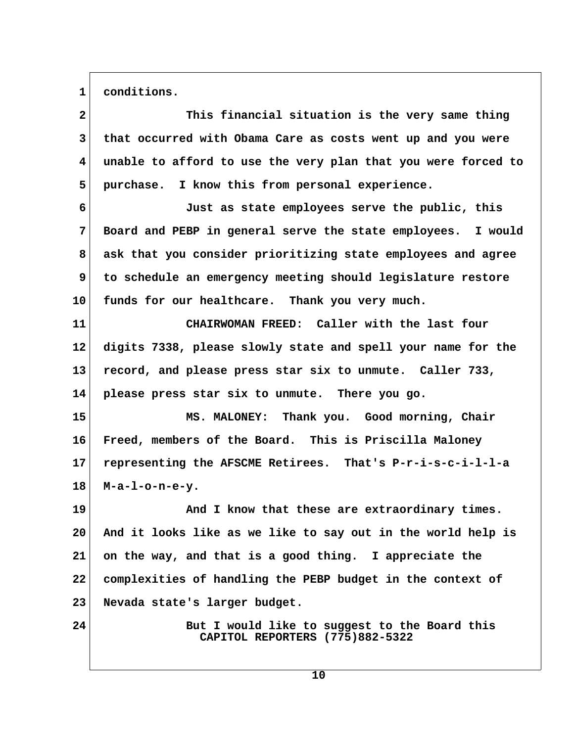1 conditions.

| $\mathbf{2}$            | This financial situation is the very same thing                                  |  |
|-------------------------|----------------------------------------------------------------------------------|--|
| $\mathbf{3}$            | that occurred with Obama Care as costs went up and you were                      |  |
| $\overline{\mathbf{4}}$ | unable to afford to use the very plan that you were forced to                    |  |
| 5                       | purchase. I know this from personal experience.                                  |  |
| 6                       | Just as state employees serve the public, this                                   |  |
| 7                       | Board and PEBP in general serve the state employees. I would                     |  |
| 8                       | ask that you consider prioritizing state employees and agree                     |  |
| 9                       | to schedule an emergency meeting should legislature restore                      |  |
| 10                      | funds for our healthcare. Thank you very much.                                   |  |
| 11                      | CHAIRWOMAN FREED: Caller with the last four                                      |  |
| $12 \,$                 | digits 7338, please slowly state and spell your name for the                     |  |
| 13                      | record, and please press star six to unmute. Caller 733,                         |  |
| 14                      | please press star six to unmute. There you go.                                   |  |
| 15                      | MS. MALONEY: Thank you. Good morning, Chair                                      |  |
| 16                      | Freed, members of the Board. This is Priscilla Maloney                           |  |
| 17                      | representing the AFSCME Retirees. That's P-r-i-s-c-i-l-l-a                       |  |
| 18                      | $M-a-1-o-n-e-y.$                                                                 |  |
| 19                      | And I know that these are extraordinary times.                                   |  |
| 20                      | And it looks like as we like to say out in the world help is                     |  |
| 21                      | on the way, and that is a good thing. I appreciate the                           |  |
| 22                      | complexities of handling the PEBP budget in the context of                       |  |
| 23                      | Nevada state's larger budget.                                                    |  |
| 24                      | But I would like to suggest to the Board this<br>CAPITOL REPORTERS (775)882-5322 |  |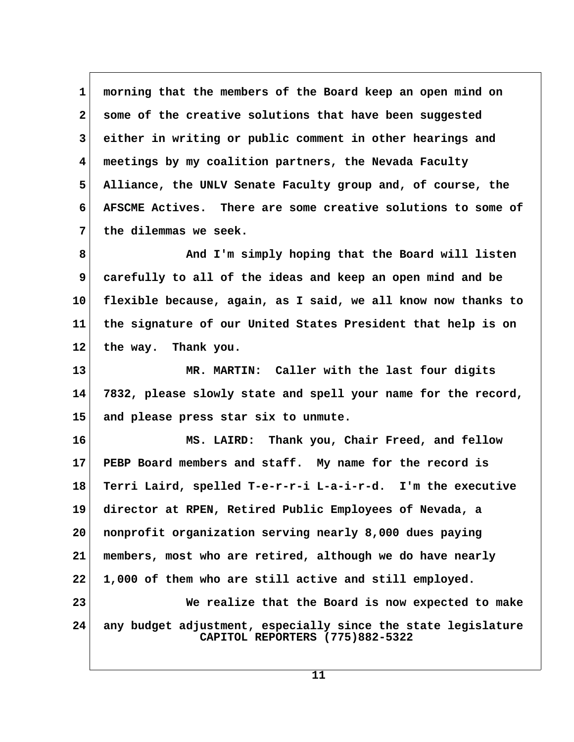**1 morning that the members of the Board keep an open mind on 2 some of the creative solutions that have been suggested 3 either in writing or public comment in other hearings and 4 meetings by my coalition partners, the Nevada Faculty 5 Alliance, the UNLV Senate Faculty group and, of course, the 6 AFSCME Actives. There are some creative solutions to some of 7 the dilemmas we seek. 8 And I'm simply hoping that the Board will listen 9 carefully to all of the ideas and keep an open mind and be 10 flexible because, again, as I said, we all know now thanks to 11 the signature of our United States President that help is on**

**13 MR. MARTIN: Caller with the last four digits 14 7832, please slowly state and spell your name for the record, 15 and please press star six to unmute.**

**12 the way. Thank you.**

**16 MS. LAIRD: Thank you, Chair Freed, and fellow 17 PEBP Board members and staff. My name for the record is 18 Terri Laird, spelled T-e-r-r-i L-a-i-r-d. I'm the executive 19 director at RPEN, Retired Public Employees of Nevada, a 20 nonprofit organization serving nearly 8,000 dues paying 21 members, most who are retired, although we do have nearly 22 1,000 of them who are still active and still employed. 23 We realize that the Board is now expected to make 24 any budget adjustment, especially since the state legislature CAPITOL REPORTERS (775)882-5322**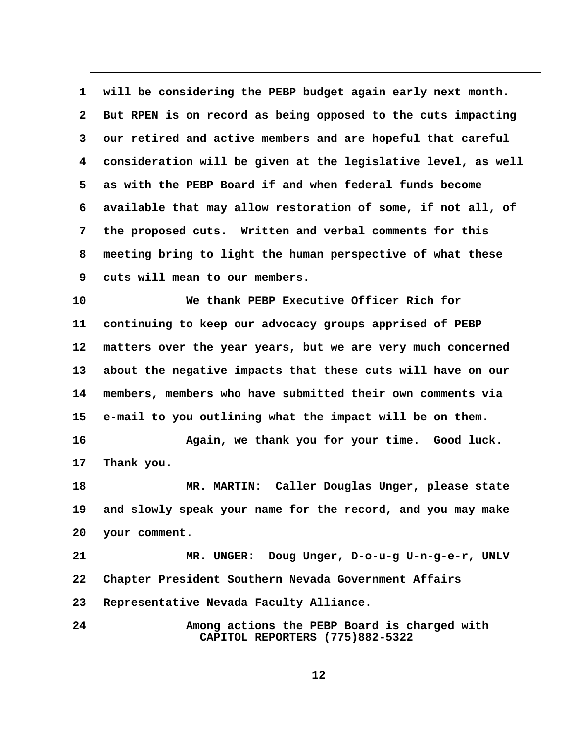**1 will be considering the PEBP budget again early next month.** 2 But RPEN is on record as being opposed to the cuts impacting  **3 our retired and active members and are hopeful that careful 4 consideration will be given at the legislative level, as well 5 as with the PEBP Board if and when federal funds become 6 available that may allow restoration of some, if not all, of 7 the proposed cuts. Written and verbal comments for this 8 meeting bring to light the human perspective of what these 9 cuts will mean to our members.**

**10 We thank PEBP Executive Officer Rich for 11 continuing to keep our advocacy groups apprised of PEBP 12 matters over the year years, but we are very much concerned 13 about the negative impacts that these cuts will have on our 14 members, members who have submitted their own comments via 15 e-mail to you outlining what the impact will be on them.**

16 **Again, we thank you for your time.** Good luck. **17 Thank you.**

**18 MR. MARTIN: Caller Douglas Unger, please state 19 and slowly speak your name for the record, and you may make 20 your comment.**

21 MR. UNGER: Doug Unger, D-o-u-g U-n-g-e-r, UNLV **22 Chapter President Southern Nevada Government Affairs 23 Representative Nevada Faculty Alliance.**

**24 Among actions the PEBP Board is charged with CAPITOL REPORTERS (775)882-5322**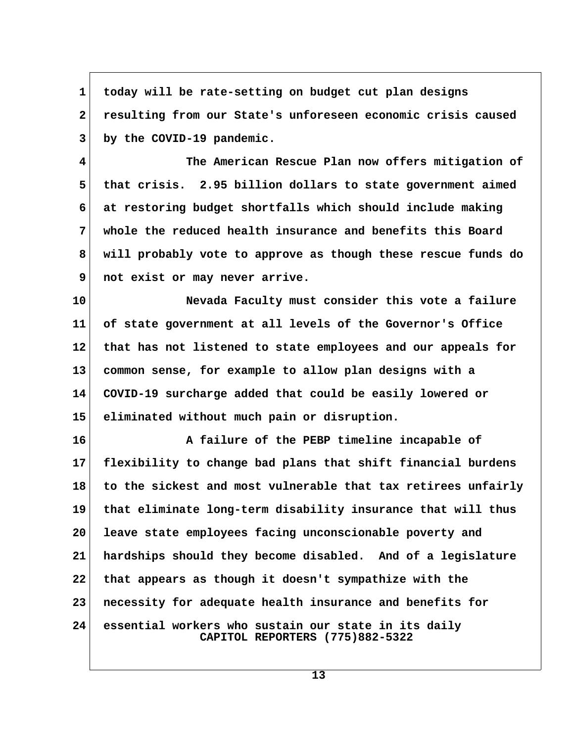**1 today will be rate-setting on budget cut plan designs 2 resulting from our State's unforeseen economic crisis caused 3 by the COVID-19 pandemic.**

 **4 The American Rescue Plan now offers mitigation of 5 that crisis. 2.95 billion dollars to state government aimed 6 at restoring budget shortfalls which should include making 7 whole the reduced health insurance and benefits this Board 8 will probably vote to approve as though these rescue funds do 9 not exist or may never arrive.**

**10 Nevada Faculty must consider this vote a failure 11 of state government at all levels of the Governor's Office 12 that has not listened to state employees and our appeals for 13 common sense, for example to allow plan designs with a 14 COVID-19 surcharge added that could be easily lowered or 15 eliminated without much pain or disruption.**

**16 A failure of the PEBP timeline incapable of 17 flexibility to change bad plans that shift financial burdens 18 to the sickest and most vulnerable that tax retirees unfairly 19 that eliminate long-term disability insurance that will thus 20 leave state employees facing unconscionable poverty and 21 hardships should they become disabled. And of a legislature 22 that appears as though it doesn't sympathize with the 23 necessity for adequate health insurance and benefits for 24 essential workers who sustain our state in its daily CAPITOL REPORTERS (775)882-5322**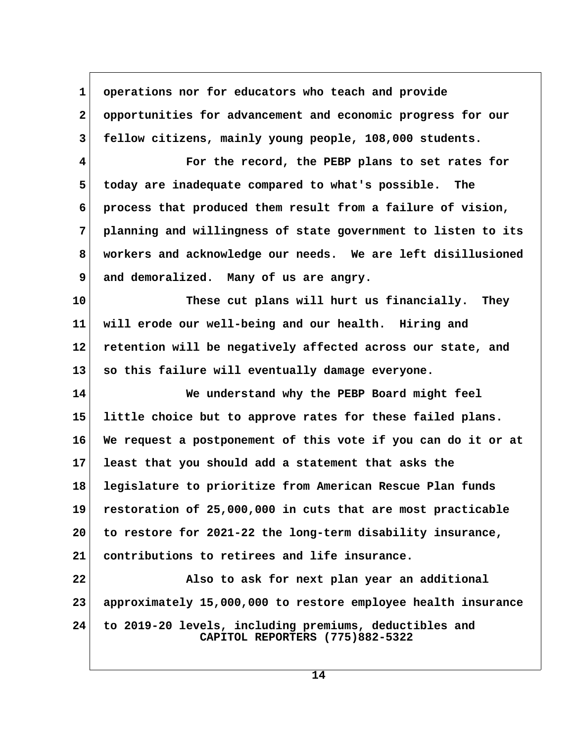1 operations nor for educators who teach and provide  **2 opportunities for advancement and economic progress for our 3 fellow citizens, mainly young people, 108,000 students. 4 For the record, the PEBP plans to set rates for 5 today are inadequate compared to what's possible. The 6 process that produced them result from a failure of vision, 7 planning and willingness of state government to listen to its 8 workers and acknowledge our needs. We are left disillusioned** 9 and demoralized. Many of us are angry. **10 These cut plans will hurt us financially. They 11 will erode our well-being and our health. Hiring and 12 retention will be negatively affected across our state, and 13 so this failure will eventually damage everyone. 14 We understand why the PEBP Board might feel 15 little choice but to approve rates for these failed plans. 16 We request a postponement of this vote if you can do it or at 17 least that you should add a statement that asks the 18 legislature to prioritize from American Rescue Plan funds 19 restoration of 25,000,000 in cuts that are most practicable 20 to restore for 2021-22 the long-term disability insurance, 21 contributions to retirees and life insurance. 22 Also to ask for next plan year an additional 23 approximately 15,000,000 to restore employee health insurance 24 to 2019-20 levels, including premiums, deductibles and CAPITOL REPORTERS (775)882-5322**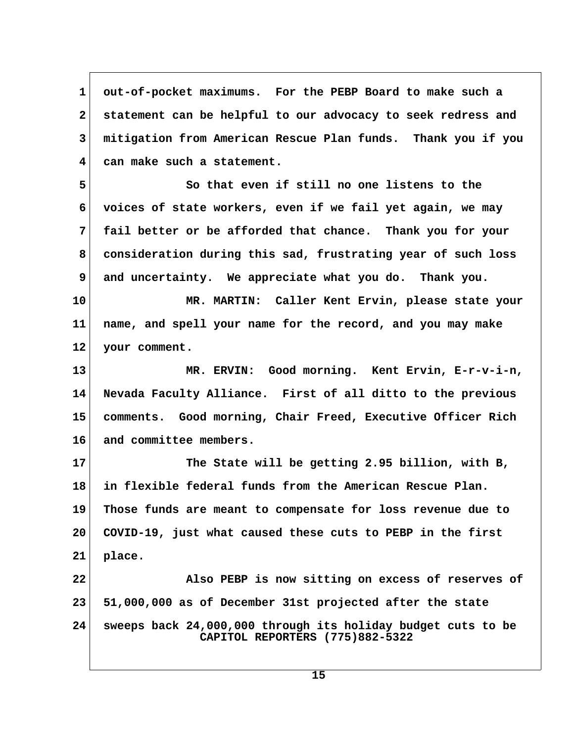**1 out-of-pocket maximums. For the PEBP Board to make such a 2 statement can be helpful to our advocacy to seek redress and 3 mitigation from American Rescue Plan funds. Thank you if you 4 can make such a statement.**

 **5 So that even if still no one listens to the 6 voices of state workers, even if we fail yet again, we may 7 fail better or be afforded that chance. Thank you for your 8 consideration during this sad, frustrating year of such loss 9 and uncertainty. We appreciate what you do. Thank you.**

**10 MR. MARTIN: Caller Kent Ervin, please state your 11 name, and spell your name for the record, and you may make 12 your comment.**

**13 MR. ERVIN: Good morning. Kent Ervin, E-r-v-i-n, 14 Nevada Faculty Alliance. First of all ditto to the previous 15 comments. Good morning, Chair Freed, Executive Officer Rich 16 and committee members.**

**17 The State will be getting 2.95 billion, with B, 18 in flexible federal funds from the American Rescue Plan. 19 Those funds are meant to compensate for loss revenue due to 20 COVID-19, just what caused these cuts to PEBP in the first 21 place. 22 Also PEBP is now sitting on excess of reserves of**

**23 51,000,000 as of December 31st projected after the state 24 sweeps back 24,000,000 through its holiday budget cuts to be CAPITOL REPORTERS (775)882-5322**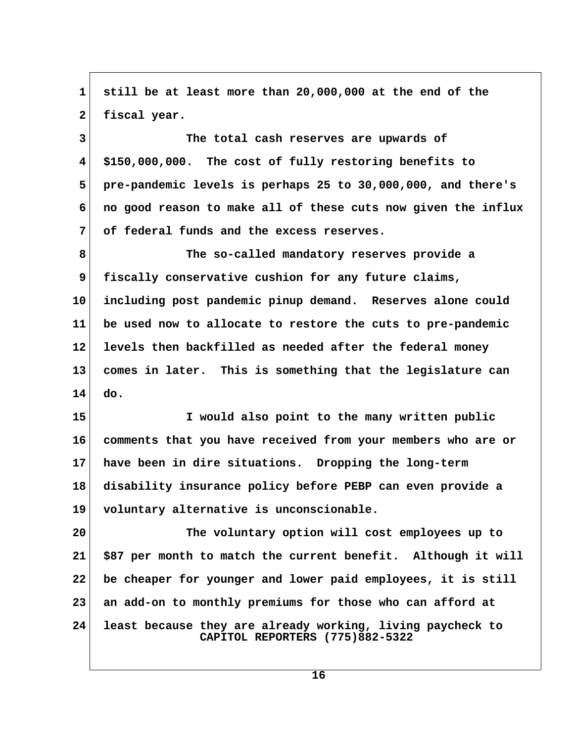**1 still be at least more than 20,000,000 at the end of the** 2 fiscal year.  **3 The total cash reserves are upwards of 4 \$150,000,000. The cost of fully restoring benefits to 5 pre-pandemic levels is perhaps 25 to 30,000,000, and there's 6 no good reason to make all of these cuts now given the influx 7 of federal funds and the excess reserves. 8 The so-called mandatory reserves provide a 9 fiscally conservative cushion for any future claims, 10 including post pandemic pinup demand. Reserves alone could 11 be used now to allocate to restore the cuts to pre-pandemic 12 levels then backfilled as needed after the federal money 13 comes in later. This is something that the legislature can 14 do. 15 I would also point to the many written public 16 comments that you have received from your members who are or 17 have been in dire situations. Dropping the long-term 18 disability insurance policy before PEBP can even provide a 19 voluntary alternative is unconscionable. 20 The voluntary option will cost employees up to 21 \$87 per month to match the current benefit. Although it will 22 be cheaper for younger and lower paid employees, it is still 23 an add-on to monthly premiums for those who can afford at 24 least because they are already working, living paycheck to CAPITOL REPORTERS (775)882-5322**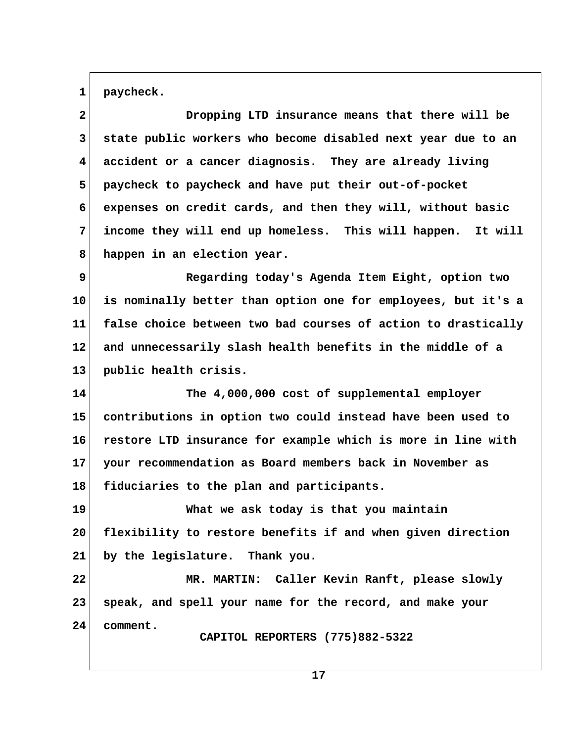1 paycheck.

| $\mathbf{2}$ | Dropping LTD insurance means that there will be               |
|--------------|---------------------------------------------------------------|
| 3            | state public workers who become disabled next year due to an  |
| 4            | accident or a cancer diagnosis. They are already living       |
| 5            | paycheck to paycheck and have put their out-of-pocket         |
| 6            | expenses on credit cards, and then they will, without basic   |
| 7            | income they will end up homeless. This will happen. It will   |
| 8            | happen in an election year.                                   |
| 9            | Regarding today's Agenda Item Eight, option two               |
| 10           | is nominally better than option one for employees, but it's a |
| 11           | false choice between two bad courses of action to drastically |
| 12           | and unnecessarily slash health benefits in the middle of a    |
| 13           | public health crisis.                                         |
| 14           | The 4,000,000 cost of supplemental employer                   |
| 15           | contributions in option two could instead have been used to   |
| 16           | restore LTD insurance for example which is more in line with  |
| 17           | your recommendation as Board members back in November as      |
| 18           | fiduciaries to the plan and participants.                     |
| 19           | What we ask today is that you maintain                        |
| 20           | flexibility to restore benefits if and when given direction   |
| 21           | by the legislature. Thank you.                                |
| 22           | MR. MARTIN: Caller Kevin Ranft, please slowly                 |
| 23           | speak, and spell your name for the record, and make your      |
| 24           | comment.<br>CAPITOL REPORTERS (775)882-5322                   |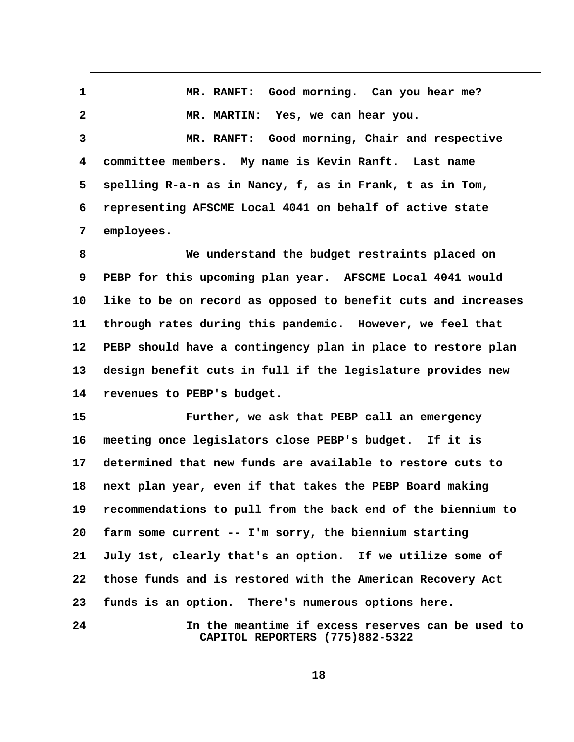**1 MR. RANFT: Good morning. Can you hear me? 2 MR. MARTIN: Yes, we can hear you. 3 MR. RANFT: Good morning, Chair and respective 4 committee members. My name is Kevin Ranft. Last name 5 spelling R-a-n as in Nancy, f, as in Frank, t as in Tom, 6 representing AFSCME Local 4041 on behalf of active state 7 employees. 8 We understand the budget restraints placed on 9 PEBP for this upcoming plan year. AFSCME Local 4041 would 10 like to be on record as opposed to benefit cuts and increases 11 through rates during this pandemic. However, we feel that 12 PEBP should have a contingency plan in place to restore plan 13 design benefit cuts in full if the legislature provides new 14 revenues to PEBP's budget. 15 Further, we ask that PEBP call an emergency 16 meeting once legislators close PEBP's budget. If it is 17 determined that new funds are available to restore cuts to 18 next plan year, even if that takes the PEBP Board making 19 recommendations to pull from the back end of the biennium to 20 farm some current -- I'm sorry, the biennium starting 21 July 1st, clearly that's an option. If we utilize some of 22 those funds and is restored with the American Recovery Act 23 funds is an option. There's numerous options here. 24 In the meantime if excess reserves can be used to CAPITOL REPORTERS (775)882-5322**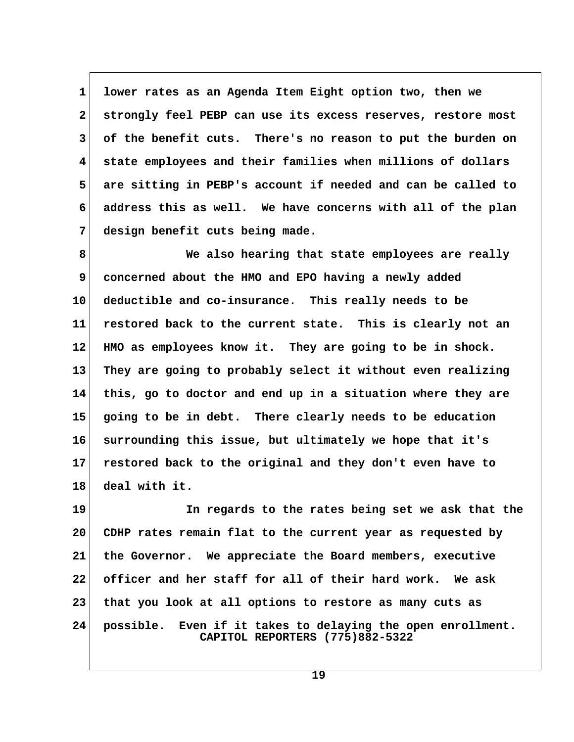**1 lower rates as an Agenda Item Eight option two, then we 2 strongly feel PEBP can use its excess reserves, restore most 3 of the benefit cuts. There's no reason to put the burden on 4 state employees and their families when millions of dollars 5 are sitting in PEBP's account if needed and can be called to 6 address this as well. We have concerns with all of the plan 7 design benefit cuts being made.**

 **8 We also hearing that state employees are really 9 concerned about the HMO and EPO having a newly added 10 deductible and co-insurance. This really needs to be 11 restored back to the current state. This is clearly not an 12 HMO as employees know it. They are going to be in shock. 13 They are going to probably select it without even realizing 14 this, go to doctor and end up in a situation where they are 15 going to be in debt. There clearly needs to be education 16 surrounding this issue, but ultimately we hope that it's 17 restored back to the original and they don't even have to 18 deal with it.**

**19 In regards to the rates being set we ask that the 20 CDHP rates remain flat to the current year as requested by 21 the Governor. We appreciate the Board members, executive 22 officer and her staff for all of their hard work. We ask 23 that you look at all options to restore as many cuts as 24 possible. Even if it takes to delaying the open enrollment. CAPITOL REPORTERS (775)882-5322**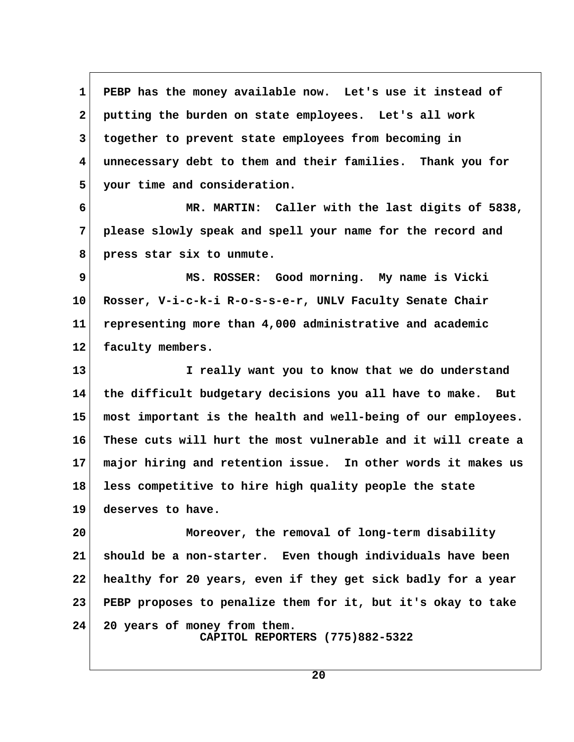1 PEBP has the money available now. Let's use it instead of  **2 putting the burden on state employees. Let's all work 3 together to prevent state employees from becoming in 4 unnecessary debt to them and their families. Thank you for 5 your time and consideration. 6 MR. MARTIN: Caller with the last digits of 5838, 7 please slowly speak and spell your name for the record and 8 press star six to unmute. 9 MS. ROSSER: Good morning. My name is Vicki 10 Rosser, V-i-c-k-i R-o-s-s-e-r, UNLV Faculty Senate Chair 11 representing more than 4,000 administrative and academic 12 faculty members. 13 I really want you to know that we do understand 14 the difficult budgetary decisions you all have to make. But 15 most important is the health and well-being of our employees. 16 These cuts will hurt the most vulnerable and it will create a 17 major hiring and retention issue. In other words it makes us 18 less competitive to hire high quality people the state 19 deserves to have. 20 Moreover, the removal of long-term disability 21 should be a non-starter. Even though individuals have been 22 healthy for 20 years, even if they get sick badly for a year**

**24 20 years of money from them. CAPITOL REPORTERS (775)882-5322**

**20**

**23 PEBP proposes to penalize them for it, but it's okay to take**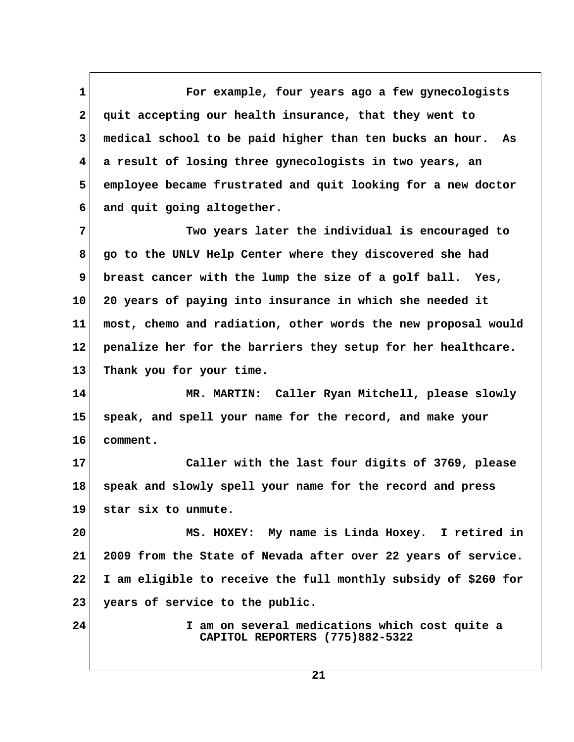**1 For example, four years ago a few gynecologists 2 quit accepting our health insurance, that they went to 3 medical school to be paid higher than ten bucks an hour. As 4 a result of losing three gynecologists in two years, an 5 employee became frustrated and quit looking for a new doctor 6 and quit going altogether.**

 **7 Two years later the individual is encouraged to 8 go to the UNLV Help Center where they discovered she had 9 breast cancer with the lump the size of a golf ball. Yes, 10 20 years of paying into insurance in which she needed it 11 most, chemo and radiation, other words the new proposal would 12 penalize her for the barriers they setup for her healthcare. 13 Thank you for your time.**

**14 MR. MARTIN: Caller Ryan Mitchell, please slowly 15 speak, and spell your name for the record, and make your 16 comment.**

**17 Caller with the last four digits of 3769, please 18 speak and slowly spell your name for the record and press 19 star six to unmute.**

**20 MS. HOXEY: My name is Linda Hoxey. I retired in 21 2009 from the State of Nevada after over 22 years of service. 22 I am eligible to receive the full monthly subsidy of \$260 for 23 years of service to the public.**

**24 I am on several medications which cost quite a CAPITOL REPORTERS (775)882-5322**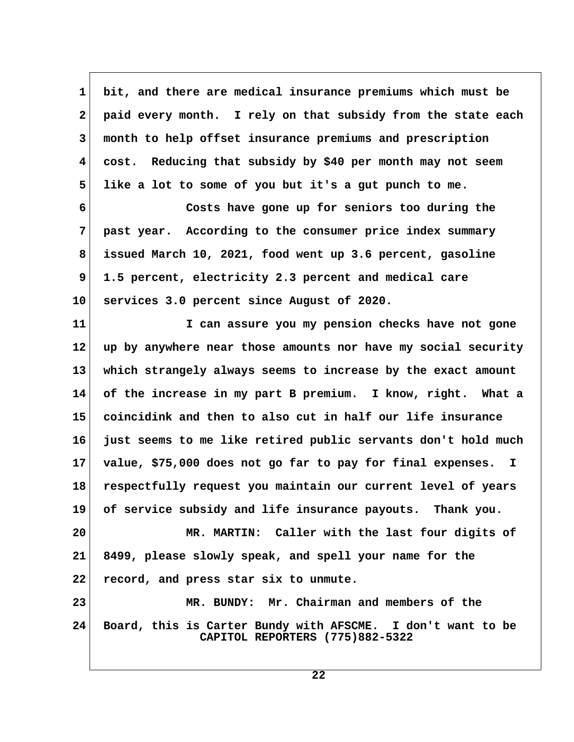**1 bit, and there are medical insurance premiums which must be 2 paid every month. I rely on that subsidy from the state each 3 month to help offset insurance premiums and prescription 4 cost. Reducing that subsidy by \$40 per month may not seem 5 like a lot to some of you but it's a gut punch to me.**

 **6 Costs have gone up for seniors too during the 7 past year. According to the consumer price index summary 8 issued March 10, 2021, food went up 3.6 percent, gasoline 9 1.5 percent, electricity 2.3 percent and medical care 10 services 3.0 percent since August of 2020.**

**11 I can assure you my pension checks have not gone 12 up by anywhere near those amounts nor have my social security 13 which strangely always seems to increase by the exact amount 14 of the increase in my part B premium. I know, right. What a 15 coincidink and then to also cut in half our life insurance 16 just seems to me like retired public servants don't hold much 17 value, \$75,000 does not go far to pay for final expenses. I 18 respectfully request you maintain our current level of years 19 of service subsidy and life insurance payouts. Thank you. 20 MR. MARTIN: Caller with the last four digits of 21 8499, please slowly speak, and spell your name for the 22 record, and press star six to unmute.**

**23 MR. BUNDY: Mr. Chairman and members of the 24 Board, this is Carter Bundy with AFSCME. I don't want to be CAPITOL REPORTERS (775)882-5322**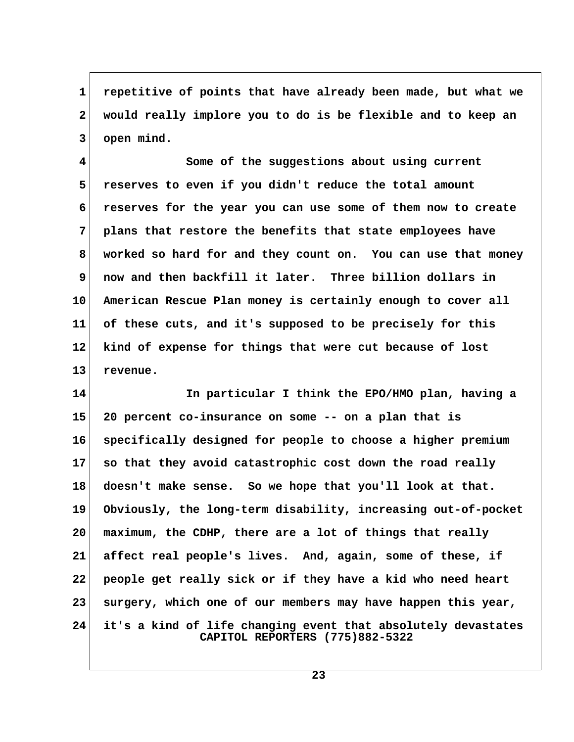**1 repetitive of points that have already been made, but what we 2 would really implore you to do is be flexible and to keep an 3 open mind.**

 **4 Some of the suggestions about using current 5 reserves to even if you didn't reduce the total amount 6 reserves for the year you can use some of them now to create 7 plans that restore the benefits that state employees have 8 worked so hard for and they count on. You can use that money 9 now and then backfill it later. Three billion dollars in 10 American Rescue Plan money is certainly enough to cover all 11 of these cuts, and it's supposed to be precisely for this 12 kind of expense for things that were cut because of lost 13 revenue.**

**14 In particular I think the EPO/HMO plan, having a 15 20 percent co-insurance on some -- on a plan that is 16 specifically designed for people to choose a higher premium 17 so that they avoid catastrophic cost down the road really 18 doesn't make sense. So we hope that you'll look at that. 19 Obviously, the long-term disability, increasing out-of-pocket 20 maximum, the CDHP, there are a lot of things that really 21 affect real people's lives. And, again, some of these, if 22 people get really sick or if they have a kid who need heart 23 surgery, which one of our members may have happen this year, 24 it's a kind of life changing event that absolutely devastates CAPITOL REPORTERS (775)882-5322**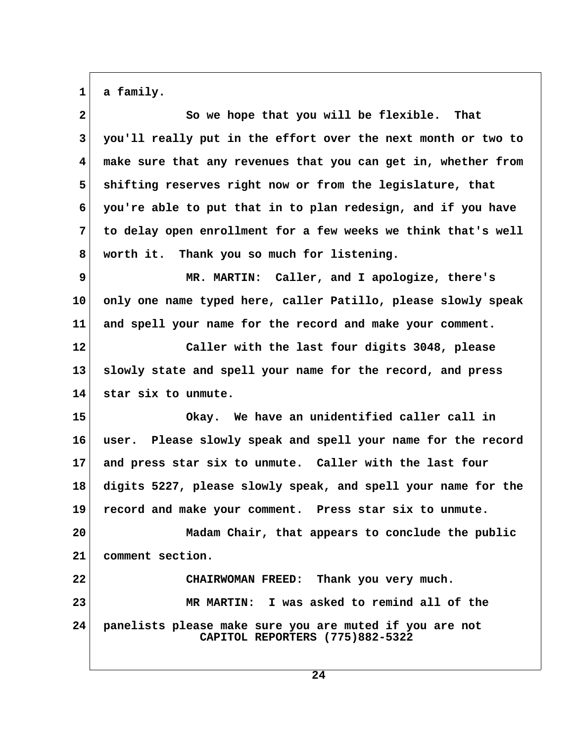$1$  a family.

| $\mathbf{2}$ | So we hope that you will be flexible. That                                                 |  |
|--------------|--------------------------------------------------------------------------------------------|--|
| 3            | you'll really put in the effort over the next month or two to                              |  |
| 4            | make sure that any revenues that you can get in, whether from                              |  |
| 5            | shifting reserves right now or from the legislature, that                                  |  |
| 6            | you're able to put that in to plan redesign, and if you have                               |  |
| 7            | to delay open enrollment for a few weeks we think that's well                              |  |
| 8            | worth it. Thank you so much for listening.                                                 |  |
| 9            | MR. MARTIN: Caller, and I apologize, there's                                               |  |
| 10           | only one name typed here, caller Patillo, please slowly speak                              |  |
| 11           | and spell your name for the record and make your comment.                                  |  |
| 12           | Caller with the last four digits 3048, please                                              |  |
| 13           | slowly state and spell your name for the record, and press                                 |  |
| 14           | star six to unmute.                                                                        |  |
| 15           | Okay. We have an unidentified caller call in                                               |  |
| 16           | user. Please slowly speak and spell your name for the record                               |  |
| 17           | and press star six to unmute. Caller with the last four                                    |  |
| 18           | digits 5227, please slowly speak, and spell your name for the                              |  |
| 19           | record and make your comment. Press star six to unmute.                                    |  |
| 20           | Madam Chair, that appears to conclude the public                                           |  |
| 21           | comment section.                                                                           |  |
| 22           | CHAIRWOMAN FREED: Thank you very much.                                                     |  |
| 23           | MR MARTIN: I was asked to remind all of the                                                |  |
| 24           | panelists please make sure you are muted if you are not<br>CAPITOL REPORTERS (775)882-5322 |  |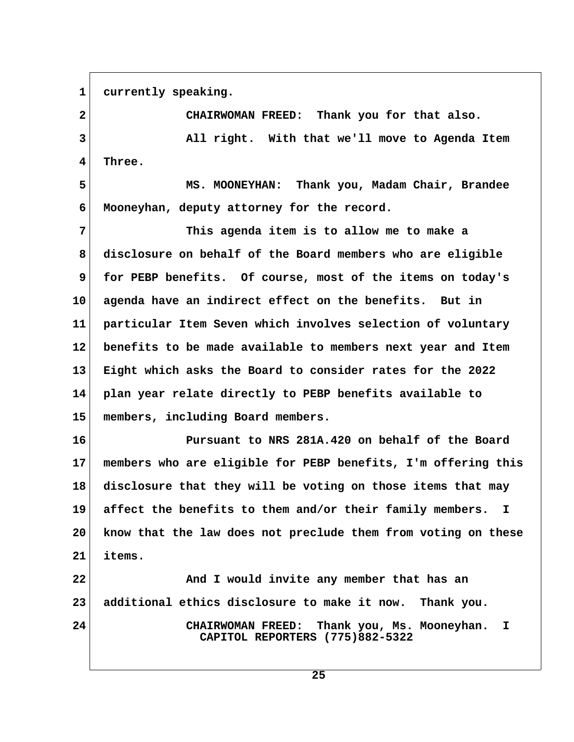1 currently speaking.

 **2 CHAIRWOMAN FREED: Thank you for that also. 3 All right. With that we'll move to Agenda Item 4 Three. 5 MS. MOONEYHAN: Thank you, Madam Chair, Brandee 6 Mooneyhan, deputy attorney for the record. 7 This agenda item is to allow me to make a 8 disclosure on behalf of the Board members who are eligible 9 for PEBP benefits. Of course, most of the items on today's 10 agenda have an indirect effect on the benefits. But in 11 particular Item Seven which involves selection of voluntary 12 benefits to be made available to members next year and Item 13 Eight which asks the Board to consider rates for the 2022 14 plan year relate directly to PEBP benefits available to 15 members, including Board members. 16 Pursuant to NRS 281A.420 on behalf of the Board 17 members who are eligible for PEBP benefits, I'm offering this 18 disclosure that they will be voting on those items that may 19 affect the benefits to them and/or their family members. I 20 know that the law does not preclude them from voting on these 21 items. 22 And I would invite any member that has an 23 additional ethics disclosure to make it now. Thank you. 24 CHAIRWOMAN FREED: Thank you, Ms. Mooneyhan. I CAPITOL REPORTERS (775)882-5322**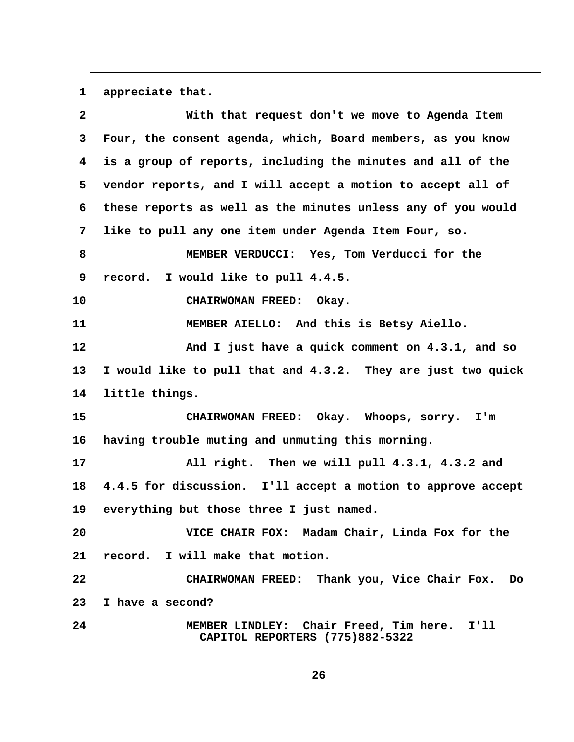1 appreciate that.

| $\mathbf{2}$ | With that request don't we move to Agenda Item                                 |  |
|--------------|--------------------------------------------------------------------------------|--|
| 3            | Four, the consent agenda, which, Board members, as you know                    |  |
| 4            | is a group of reports, including the minutes and all of the                    |  |
| 5            | vendor reports, and I will accept a motion to accept all of                    |  |
| 6            | these reports as well as the minutes unless any of you would                   |  |
| 7            | like to pull any one item under Agenda Item Four, so.                          |  |
| 8            | MEMBER VERDUCCI: Yes, Tom Verducci for the                                     |  |
| 9            | I would like to pull 4.4.5.<br>record.                                         |  |
| 10           | CHAIRWOMAN FREED: Okay.                                                        |  |
| 11           | MEMBER AIELLO: And this is Betsy Aiello.                                       |  |
| 12           | And I just have a quick comment on 4.3.1, and so                               |  |
| 13           | I would like to pull that and 4.3.2. They are just two quick                   |  |
| 14           | little things.                                                                 |  |
| 15           | CHAIRWOMAN FREED: Okay. Whoops, sorry. I'm                                     |  |
| 16           | having trouble muting and unmuting this morning.                               |  |
| 17           | All right. Then we will pull 4.3.1, 4.3.2 and                                  |  |
| 18           | 4.4.5 for discussion. I'll accept a motion to approve accept                   |  |
| 19           | everything but those three I just named.                                       |  |
| 20           | VICE CHAIR FOX: Madam Chair, Linda Fox for the                                 |  |
| 21           | record. I will make that motion.                                               |  |
| 22           | CHAIRWOMAN FREED: Thank you, Vice Chair Fox. Do                                |  |
| 23           | I have a second?                                                               |  |
| 24           | MEMBER LINDLEY: Chair Freed, Tim here. I'll<br>CAPITOL REPORTERS (775)882-5322 |  |
|              |                                                                                |  |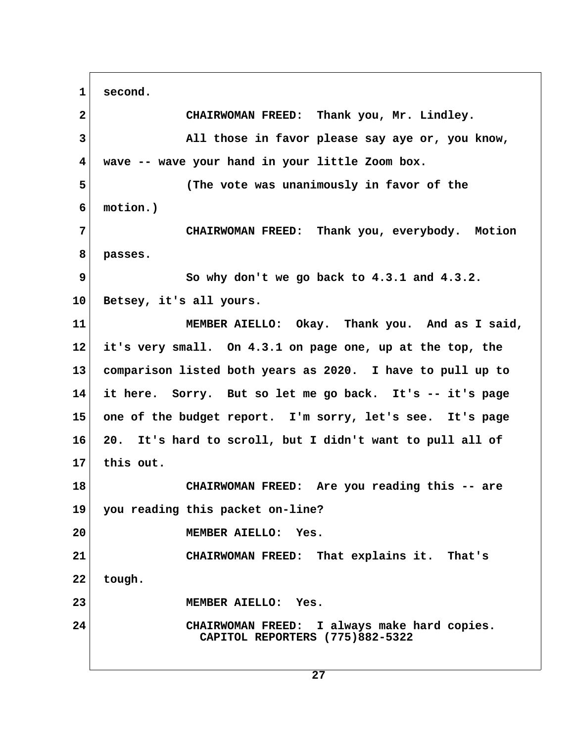**1 second. 2 CHAIRWOMAN FREED: Thank you, Mr. Lindley. 3 All those in favor please say aye or, you know, 4 wave -- wave your hand in your little Zoom box. 5 (The vote was unanimously in favor of the 6 motion.) 7 CHAIRWOMAN FREED: Thank you, everybody. Motion 8 passes. 9 So why don't we go back to 4.3.1 and 4.3.2. 10 Betsey, it's all yours. 11 MEMBER AIELLO: Okay. Thank you. And as I said, 12 it's very small. On 4.3.1 on page one, up at the top, the 13 comparison listed both years as 2020. I have to pull up to 14 it here. Sorry. But so let me go back. It's -- it's page 15 one of the budget report. I'm sorry, let's see. It's page 16 20. It's hard to scroll, but I didn't want to pull all of 17 this out. 18 CHAIRWOMAN FREED: Are you reading this -- are 19 you reading this packet on-line? 20 MEMBER AIELLO: Yes. 21 CHAIRWOMAN FREED: That explains it. That's 22 tough. 23 MEMBER AIELLO: Yes. 24 CHAIRWOMAN FREED: I always make hard copies. CAPITOL REPORTERS (775)882-5322**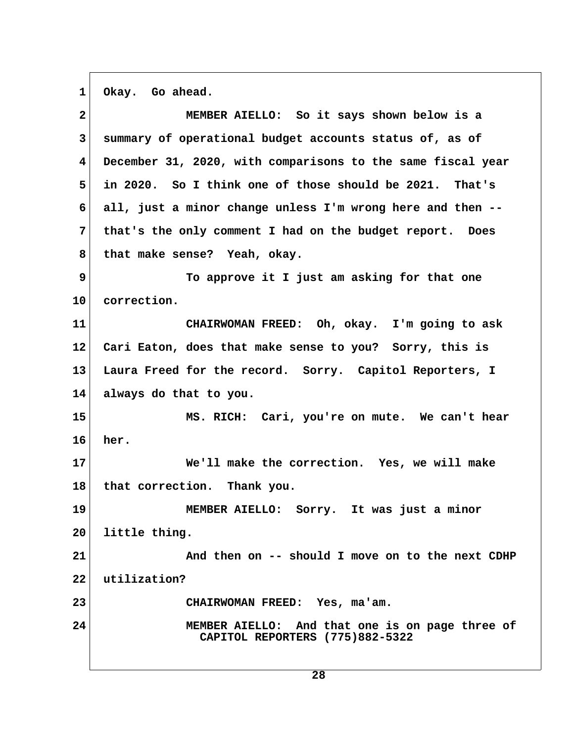1 Okay. Go ahead.

| $\mathbf{2}$            | MEMBER AIELLO: So it says shown below is a                                         |
|-------------------------|------------------------------------------------------------------------------------|
| $\mathbf{3}$            | summary of operational budget accounts status of, as of                            |
| $\overline{\mathbf{4}}$ | December 31, 2020, with comparisons to the same fiscal year                        |
| 5                       | in 2020. So I think one of those should be 2021. That's                            |
| 6                       | all, just a minor change unless I'm wrong here and then --                         |
| $7\phantom{.}$          | that's the only comment I had on the budget report. Does                           |
| 8                       | that make sense? Yeah, okay.                                                       |
| 9                       | To approve it I just am asking for that one                                        |
| 10                      | correction.                                                                        |
| 11                      | CHAIRWOMAN FREED: Oh, okay. I'm going to ask                                       |
| $12 \,$                 | Cari Eaton, does that make sense to you? Sorry, this is                            |
| 13                      | Laura Freed for the record. Sorry. Capitol Reporters, I                            |
| 14                      | always do that to you.                                                             |
| 15                      | MS. RICH: Cari, you're on mute. We can't hear                                      |
| 16                      | her.                                                                               |
| 17                      | We'll make the correction. Yes, we will make                                       |
| 18                      | that correction. Thank you.                                                        |
| 19                      | MEMBER AIELLO: Sorry. It was just a minor                                          |
| 20                      | little thing.                                                                      |
| 21                      | And then on -- should I move on to the next CDHP                                   |
| 22                      | utilization?                                                                       |
| 23                      | CHAIRWOMAN FREED: Yes, ma'am.                                                      |
| 24                      | MEMBER AIELLO: And that one is on page three of<br>CAPITOL REPORTERS (775)882-5322 |
|                         |                                                                                    |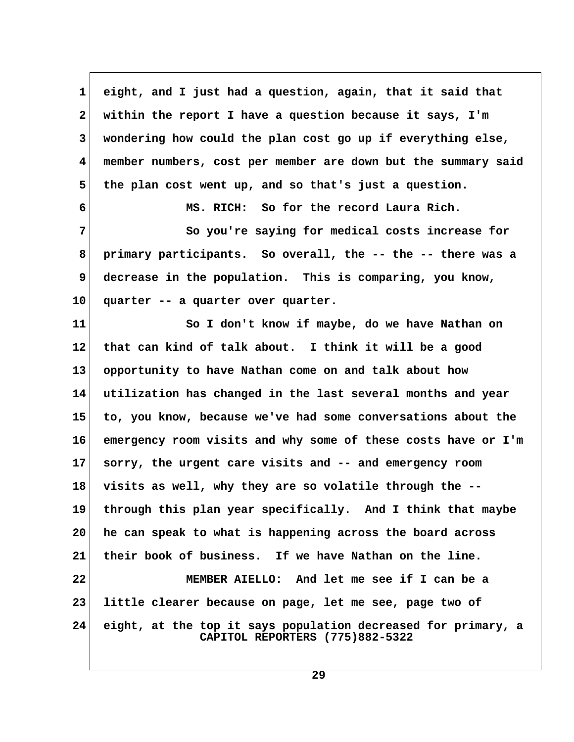**1 eight, and I just had a question, again, that it said that 2 within the report I have a question because it says, I'm 3 wondering how could the plan cost go up if everything else, 4 member numbers, cost per member are down but the summary said 5 the plan cost went up, and so that's just a question. 6 MS. RICH: So for the record Laura Rich. 7 So you're saying for medical costs increase for 8 primary participants. So overall, the -- the -- there was a 9 decrease in the population. This is comparing, you know, 10 quarter -- a quarter over quarter. 11 So I don't know if maybe, do we have Nathan on 12 that can kind of talk about. I think it will be a good 13 opportunity to have Nathan come on and talk about how 14 utilization has changed in the last several months and year 15 to, you know, because we've had some conversations about the 16 emergency room visits and why some of these costs have or I'm 17 sorry, the urgent care visits and -- and emergency room 18 visits as well, why they are so volatile through the -- 19 through this plan year specifically. And I think that maybe 20 he can speak to what is happening across the board across 21 their book of business. If we have Nathan on the line. 22 MEMBER AIELLO: And let me see if I can be a 23 little clearer because on page, let me see, page two of 24 eight, at the top it says population decreased for primary, a CAPITOL REPORTERS (775)882-5322**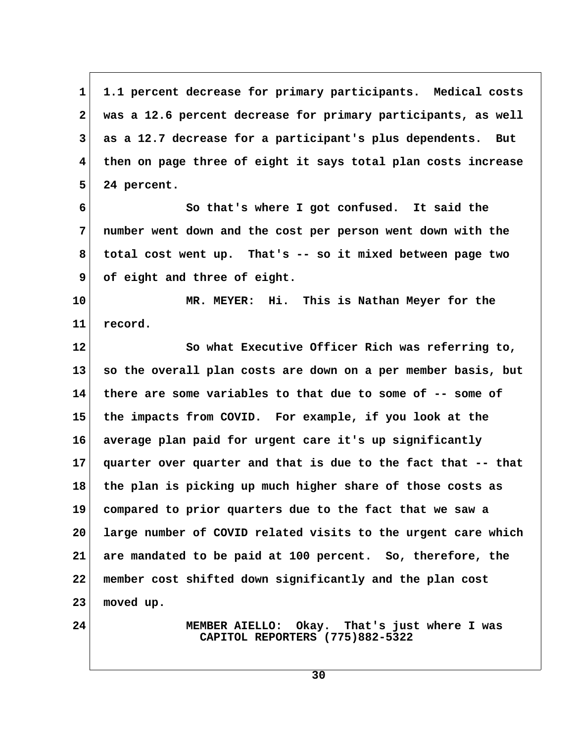**1 1.1 percent decrease for primary participants. Medical costs 2 was a 12.6 percent decrease for primary participants, as well 3 as a 12.7 decrease for a participant's plus dependents. But 4 then on page three of eight it says total plan costs increase 5 24 percent.**

 **6 So that's where I got confused. It said the 7 number went down and the cost per person went down with the 8 total cost went up. That's -- so it mixed between page two 9 of eight and three of eight.**

**10 MR. MEYER: Hi. This is Nathan Meyer for the 11 record.**

**12 So what Executive Officer Rich was referring to, 13 so the overall plan costs are down on a per member basis, but 14 there are some variables to that due to some of -- some of 15 the impacts from COVID. For example, if you look at the 16 average plan paid for urgent care it's up significantly 17 quarter over quarter and that is due to the fact that -- that 18 the plan is picking up much higher share of those costs as 19 compared to prior quarters due to the fact that we saw a 20 large number of COVID related visits to the urgent care which 21 are mandated to be paid at 100 percent. So, therefore, the 22 member cost shifted down significantly and the plan cost 23 moved up.**

**24 MEMBER AIELLO: Okay. That's just where I was CAPITOL REPORTERS (775)882-5322**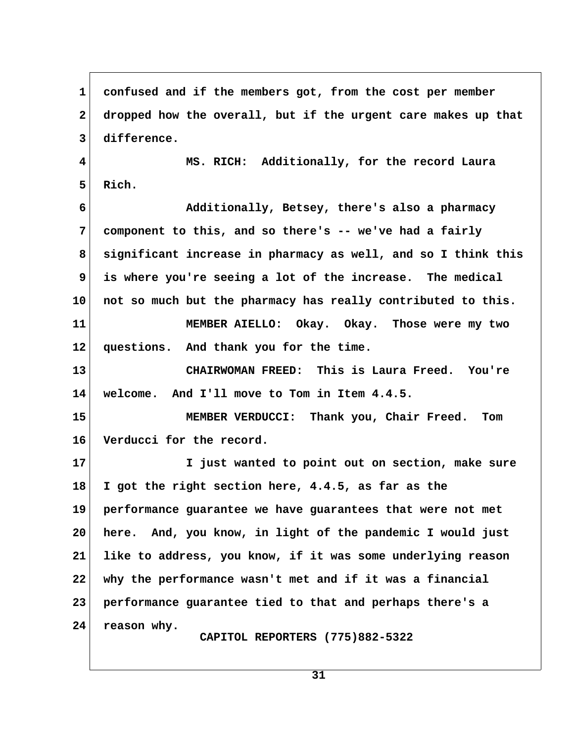**1 confused and if the members got, from the cost per member 2 dropped how the overall, but if the urgent care makes up that 3 difference. 4 MS. RICH: Additionally, for the record Laura 5 Rich. 6 Additionally, Betsey, there's also a pharmacy 7 component to this, and so there's -- we've had a fairly 8 significant increase in pharmacy as well, and so I think this 9 is where you're seeing a lot of the increase. The medical 10 not so much but the pharmacy has really contributed to this. 11 MEMBER AIELLO: Okay. Okay. Those were my two 12 questions. And thank you for the time. 13 CHAIRWOMAN FREED: This is Laura Freed. You're 14 welcome. And I'll move to Tom in Item 4.4.5. 15 MEMBER VERDUCCI: Thank you, Chair Freed. Tom 16 Verducci for the record. 17 I just wanted to point out on section, make sure 18 I got the right section here, 4.4.5, as far as the 19 performance guarantee we have guarantees that were not met 20 here. And, you know, in light of the pandemic I would just 21 like to address, you know, if it was some underlying reason 22 why the performance wasn't met and if it was a financial 23 performance guarantee tied to that and perhaps there's a 24 reason why. CAPITOL REPORTERS (775)882-5322**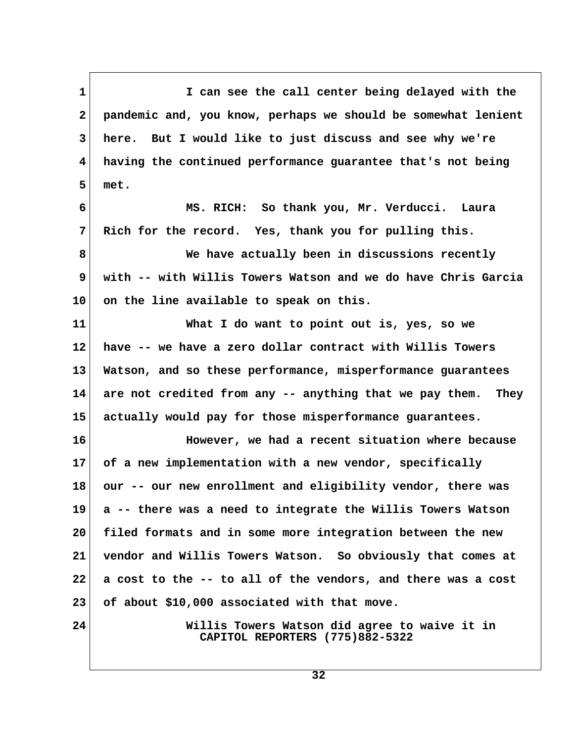1 I can see the call center being delayed with the  **2 pandemic and, you know, perhaps we should be somewhat lenient 3 here. But I would like to just discuss and see why we're 4 having the continued performance guarantee that's not being 5 met. 6 MS. RICH: So thank you, Mr. Verducci. Laura 7 Rich for the record. Yes, thank you for pulling this. 8 We have actually been in discussions recently 9 with -- with Willis Towers Watson and we do have Chris Garcia 10 on the line available to speak on this. 11 What I do want to point out is, yes, so we 12 have -- we have a zero dollar contract with Willis Towers 13 Watson, and so these performance, misperformance guarantees 14 are not credited from any -- anything that we pay them. They 15 actually would pay for those misperformance guarantees. 16 However, we had a recent situation where because 17 of a new implementation with a new vendor, specifically 18 our -- our new enrollment and eligibility vendor, there was 19 a -- there was a need to integrate the Willis Towers Watson 20 filed formats and in some more integration between the new 21 vendor and Willis Towers Watson. So obviously that comes at 22 a cost to the -- to all of the vendors, and there was a cost 23 of about \$10,000 associated with that move. 24 Willis Towers Watson did agree to waive it in CAPITOL REPORTERS (775)882-5322**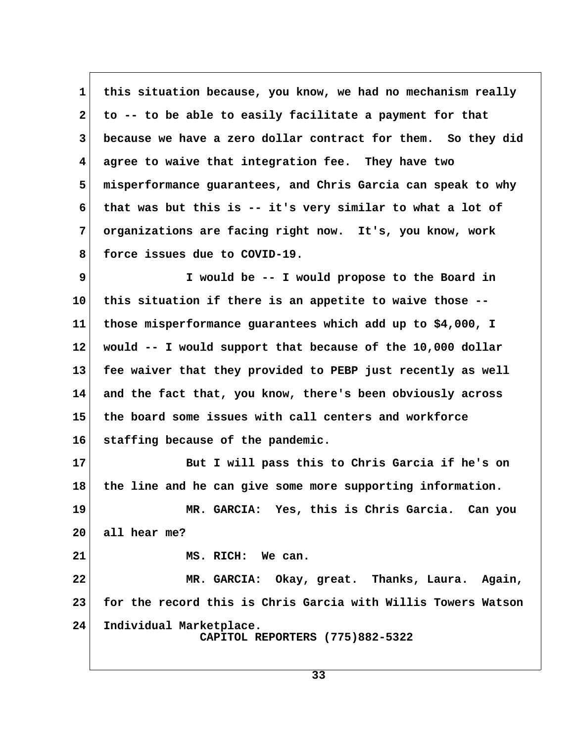1 this situation because, you know, we had no mechanism really  **2 to -- to be able to easily facilitate a payment for that 3 because we have a zero dollar contract for them. So they did 4 agree to waive that integration fee. They have two 5 misperformance guarantees, and Chris Garcia can speak to why 6 that was but this is -- it's very similar to what a lot of 7 organizations are facing right now. It's, you know, work 8 force issues due to COVID-19.**

 **9 I would be -- I would propose to the Board in 10 this situation if there is an appetite to waive those -- 11 those misperformance guarantees which add up to \$4,000, I 12 would -- I would support that because of the 10,000 dollar 13 fee waiver that they provided to PEBP just recently as well 14 and the fact that, you know, there's been obviously across 15 the board some issues with call centers and workforce 16 staffing because of the pandemic.**

**17 But I will pass this to Chris Garcia if he's on 18 the line and he can give some more supporting information. 19 MR. GARCIA: Yes, this is Chris Garcia. Can you 20 all hear me? 21 MS. RICH: We can.**

**22 MR. GARCIA: Okay, great. Thanks, Laura. Again, 23 for the record this is Chris Garcia with Willis Towers Watson 24 Individual Marketplace. CAPITOL REPORTERS (775)882-5322**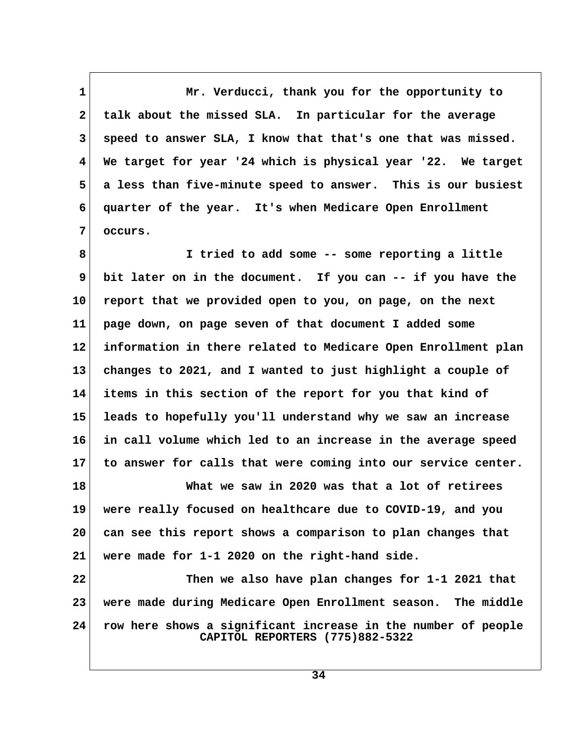**1** Mr. Verducci, thank you for the opportunity to  **2 talk about the missed SLA. In particular for the average 3 speed to answer SLA, I know that that's one that was missed. 4 We target for year '24 which is physical year '22. We target 5 a less than five-minute speed to answer. This is our busiest 6 quarter of the year. It's when Medicare Open Enrollment 7 occurs.**

 **8 I tried to add some -- some reporting a little 9 bit later on in the document. If you can -- if you have the 10 report that we provided open to you, on page, on the next 11 page down, on page seven of that document I added some 12 information in there related to Medicare Open Enrollment plan 13 changes to 2021, and I wanted to just highlight a couple of 14 items in this section of the report for you that kind of 15 leads to hopefully you'll understand why we saw an increase 16 in call volume which led to an increase in the average speed 17 to answer for calls that were coming into our service center.**

**18 What we saw in 2020 was that a lot of retirees 19 were really focused on healthcare due to COVID-19, and you 20 can see this report shows a comparison to plan changes that 21 were made for 1-1 2020 on the right-hand side.**

**22 Then we also have plan changes for 1-1 2021 that 23 were made during Medicare Open Enrollment season. The middle 24 row here shows a significant increase in the number of people CAPITOL REPORTERS (775)882-5322**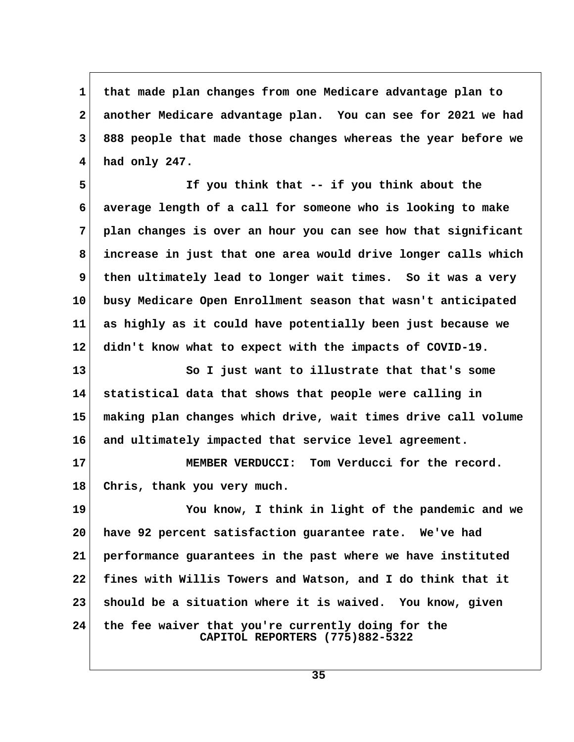**1 that made plan changes from one Medicare advantage plan to 2 another Medicare advantage plan. You can see for 2021 we had 3 888 people that made those changes whereas the year before we 4 had only 247.**

 **5 If you think that -- if you think about the 6 average length of a call for someone who is looking to make 7 plan changes is over an hour you can see how that significant 8 increase in just that one area would drive longer calls which 9 then ultimately lead to longer wait times. So it was a very 10 busy Medicare Open Enrollment season that wasn't anticipated 11 as highly as it could have potentially been just because we 12 didn't know what to expect with the impacts of COVID-19.**

**13 So I just want to illustrate that that's some 14 statistical data that shows that people were calling in 15 making plan changes which drive, wait times drive call volume 16 and ultimately impacted that service level agreement.**

**17 MEMBER VERDUCCI: Tom Verducci for the record. 18 Chris, thank you very much.**

**19 You know, I think in light of the pandemic and we 20 have 92 percent satisfaction guarantee rate. We've had 21 performance guarantees in the past where we have instituted 22 fines with Willis Towers and Watson, and I do think that it 23 should be a situation where it is waived. You know, given 24 the fee waiver that you're currently doing for the CAPITOL REPORTERS (775)882-5322**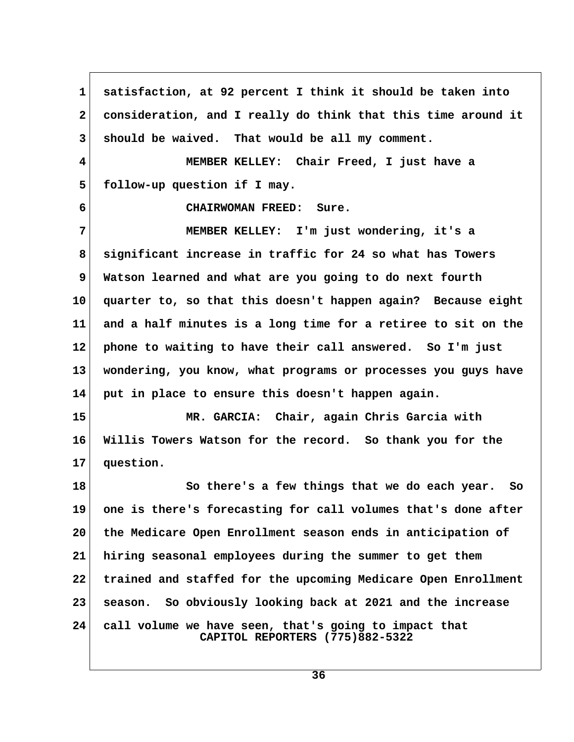**1 satisfaction, at 92 percent I think it should be taken into 2 consideration, and I really do think that this time around it 3 should be waived. That would be all my comment. 4 MEMBER KELLEY: Chair Freed, I just have a 5 follow-up question if I may. 6 CHAIRWOMAN FREED: Sure. 7 MEMBER KELLEY: I'm just wondering, it's a 8 significant increase in traffic for 24 so what has Towers 9 Watson learned and what are you going to do next fourth 10 quarter to, so that this doesn't happen again? Because eight 11 and a half minutes is a long time for a retiree to sit on the 12 phone to waiting to have their call answered. So I'm just 13 wondering, you know, what programs or processes you guys have 14 put in place to ensure this doesn't happen again. 15 MR. GARCIA: Chair, again Chris Garcia with 16 Willis Towers Watson for the record. So thank you for the 17 question. 18 So there's a few things that we do each year. So 19 one is there's forecasting for call volumes that's done after 20 the Medicare Open Enrollment season ends in anticipation of 21 hiring seasonal employees during the summer to get them 22 trained and staffed for the upcoming Medicare Open Enrollment 23 season. So obviously looking back at 2021 and the increase 24 call volume we have seen, that's going to impact that CAPITOL REPORTERS (775)882-5322**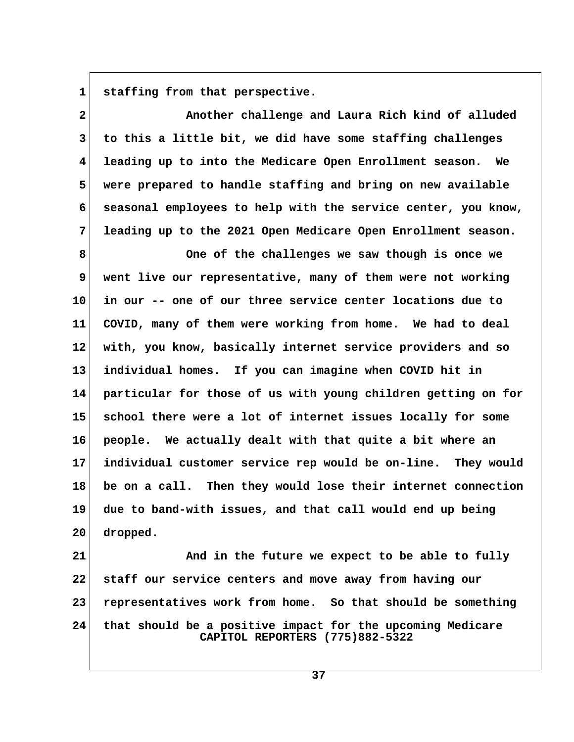**1 staffing from that perspective.**

 **2 Another challenge and Laura Rich kind of alluded 3 to this a little bit, we did have some staffing challenges 4 leading up to into the Medicare Open Enrollment season. We 5 were prepared to handle staffing and bring on new available 6 seasonal employees to help with the service center, you know, 7 leading up to the 2021 Open Medicare Open Enrollment season.**

 **8 One of the challenges we saw though is once we 9 went live our representative, many of them were not working 10 in our -- one of our three service center locations due to 11 COVID, many of them were working from home. We had to deal 12 with, you know, basically internet service providers and so 13 individual homes. If you can imagine when COVID hit in 14 particular for those of us with young children getting on for 15 school there were a lot of internet issues locally for some 16 people. We actually dealt with that quite a bit where an 17 individual customer service rep would be on-line. They would 18 be on a call. Then they would lose their internet connection 19 due to band-with issues, and that call would end up being 20 dropped.**

**21** And in the future we expect to be able to fully **22 staff our service centers and move away from having our 23 representatives work from home. So that should be something 24 that should be a positive impact for the upcoming Medicare CAPITOL REPORTERS (775)882-5322**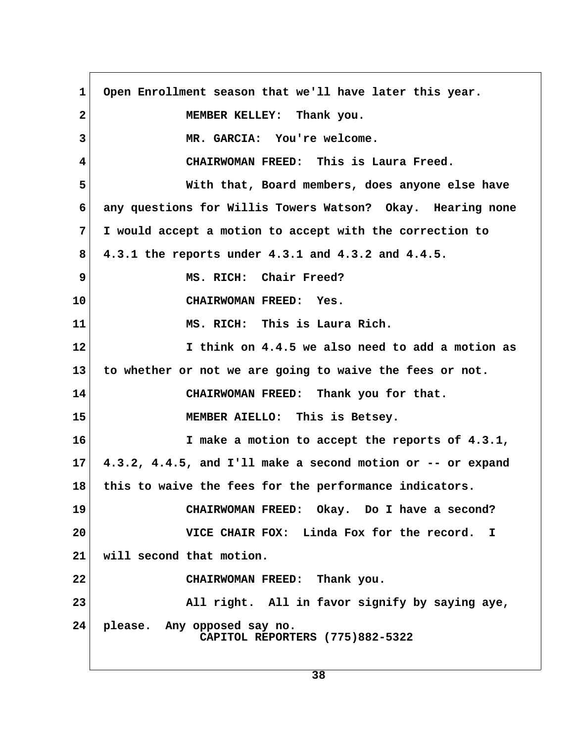1 Open Enrollment season that we'll have later this year.  **2 MEMBER KELLEY: Thank you. 3 MR. GARCIA: You're welcome. 4 CHAIRWOMAN FREED: This is Laura Freed. 5 With that, Board members, does anyone else have 6 any questions for Willis Towers Watson? Okay. Hearing none 7 I would accept a motion to accept with the correction to 8 4.3.1 the reports under 4.3.1 and 4.3.2 and 4.4.5. 9 MS. RICH: Chair Freed? 10 CHAIRWOMAN FREED: Yes. 11 MS. RICH: This is Laura Rich. 12 I think on 4.4.5 we also need to add a motion as 13 to whether or not we are going to waive the fees or not. 14 CHAIRWOMAN FREED: Thank you for that. 15 MEMBER AIELLO: This is Betsey. 16 I make a motion to accept the reports of 4.3.1, 17 4.3.2, 4.4.5, and I'll make a second motion or -- or expand 18 this to waive the fees for the performance indicators. 19 CHAIRWOMAN FREED: Okay. Do I have a second? 20 VICE CHAIR FOX: Linda Fox for the record. I 21 will second that motion. 22 CHAIRWOMAN FREED: Thank you. 23 All right. All in favor signify by saying aye, 24 please. Any opposed say no. CAPITOL REPORTERS (775)882-5322**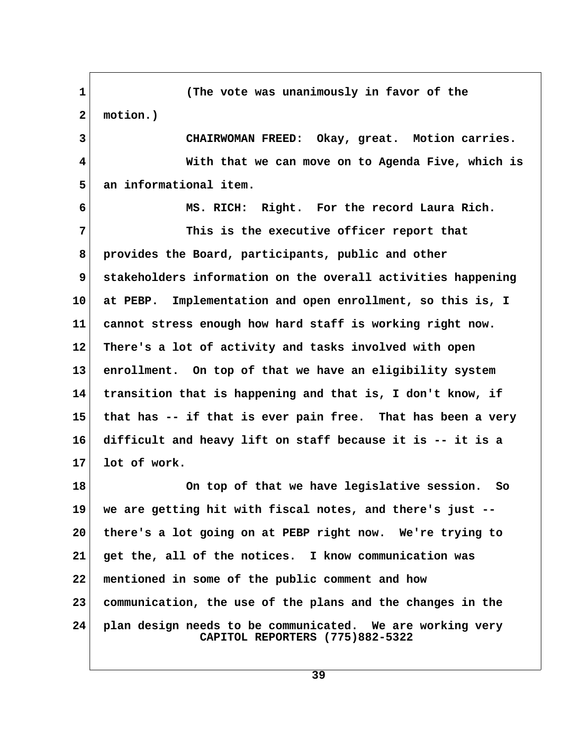**1 (The vote was unanimously in favor of the 2 motion.) 3 CHAIRWOMAN FREED: Okay, great. Motion carries. 4 With that we can move on to Agenda Five, which is 5 an informational item. 6 MS. RICH: Right. For the record Laura Rich. 7 This is the executive officer report that 8 provides the Board, participants, public and other 9 stakeholders information on the overall activities happening 10 at PEBP. Implementation and open enrollment, so this is, I 11 cannot stress enough how hard staff is working right now. 12 There's a lot of activity and tasks involved with open 13 enrollment. On top of that we have an eligibility system 14 transition that is happening and that is, I don't know, if 15 that has -- if that is ever pain free. That has been a very 16 difficult and heavy lift on staff because it is -- it is a 17 lot of work. 18 On top of that we have legislative session. So 19 we are getting hit with fiscal notes, and there's just -- 20 there's a lot going on at PEBP right now. We're trying to 21 get the, all of the notices. I know communication was 22 mentioned in some of the public comment and how 23 communication, the use of the plans and the changes in the 24 plan design needs to be communicated. We are working very CAPITOL REPORTERS (775)882-5322**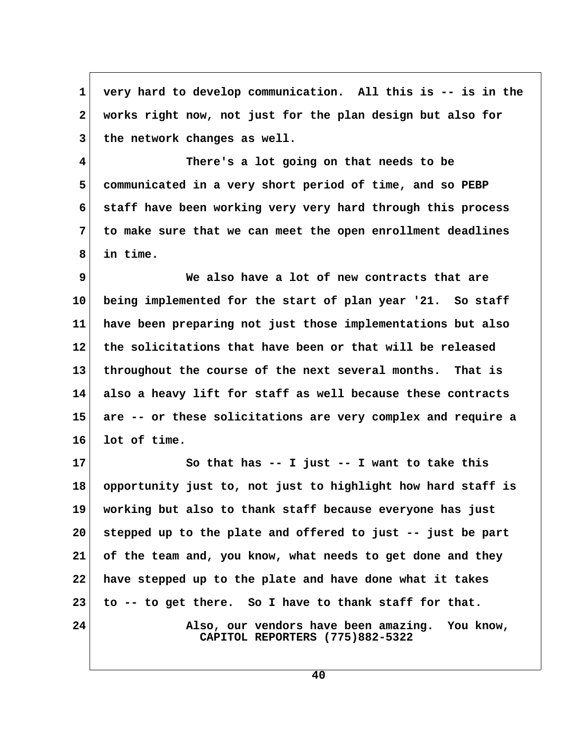**1 very hard to develop communication. All this is -- is in the 2 works right now, not just for the plan design but also for** 3 the network changes as well.

 **4 There's a lot going on that needs to be 5 communicated in a very short period of time, and so PEBP 6 staff have been working very very hard through this process 7 to make sure that we can meet the open enrollment deadlines 8 in time.**

 **9 We also have a lot of new contracts that are 10 being implemented for the start of plan year '21. So staff 11 have been preparing not just those implementations but also 12 the solicitations that have been or that will be released 13 throughout the course of the next several months. That is 14 also a heavy lift for staff as well because these contracts 15 are -- or these solicitations are very complex and require a 16 lot of time.**

**17 So that has -- I just -- I want to take this 18 opportunity just to, not just to highlight how hard staff is 19 working but also to thank staff because everyone has just 20 stepped up to the plate and offered to just -- just be part 21 of the team and, you know, what needs to get done and they 22 have stepped up to the plate and have done what it takes 23 to -- to get there. So I have to thank staff for that.** 24 Also, our vendors have been amazing. You know,  **CAPITOL REPORTERS (775)882-5322**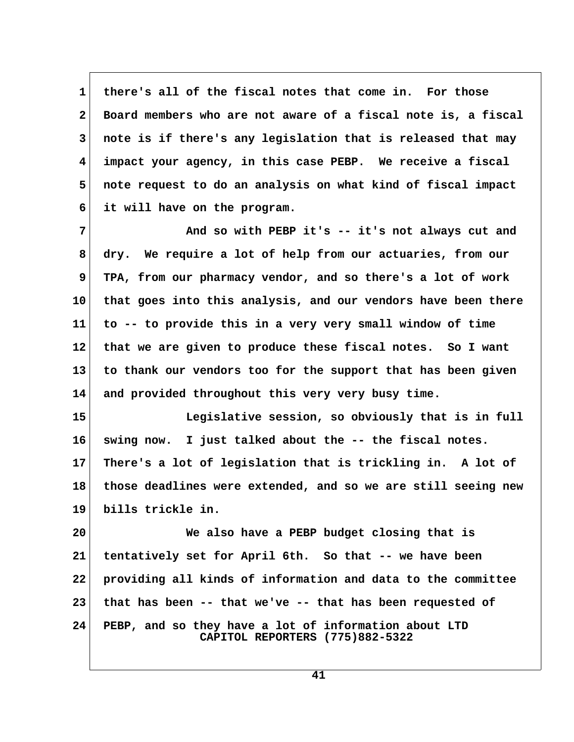**1 there's all of the fiscal notes that come in. For those 2 Board members who are not aware of a fiscal note is, a fiscal 3 note is if there's any legislation that is released that may 4 impact your agency, in this case PEBP. We receive a fiscal 5 note request to do an analysis on what kind of fiscal impact 6 it will have on the program.**

 **7 And so with PEBP it's -- it's not always cut and 8 dry. We require a lot of help from our actuaries, from our 9 TPA, from our pharmacy vendor, and so there's a lot of work 10 that goes into this analysis, and our vendors have been there 11 to -- to provide this in a very very small window of time 12 that we are given to produce these fiscal notes. So I want 13 to thank our vendors too for the support that has been given 14 and provided throughout this very very busy time.**

**15 Legislative session, so obviously that is in full 16 swing now. I just talked about the -- the fiscal notes. 17 There's a lot of legislation that is trickling in. A lot of 18 those deadlines were extended, and so we are still seeing new 19 bills trickle in.**

**20 We also have a PEBP budget closing that is 21 tentatively set for April 6th. So that -- we have been 22 providing all kinds of information and data to the committee 23 that has been -- that we've -- that has been requested of 24 PEBP, and so they have a lot of information about LTD CAPITOL REPORTERS (775)882-5322**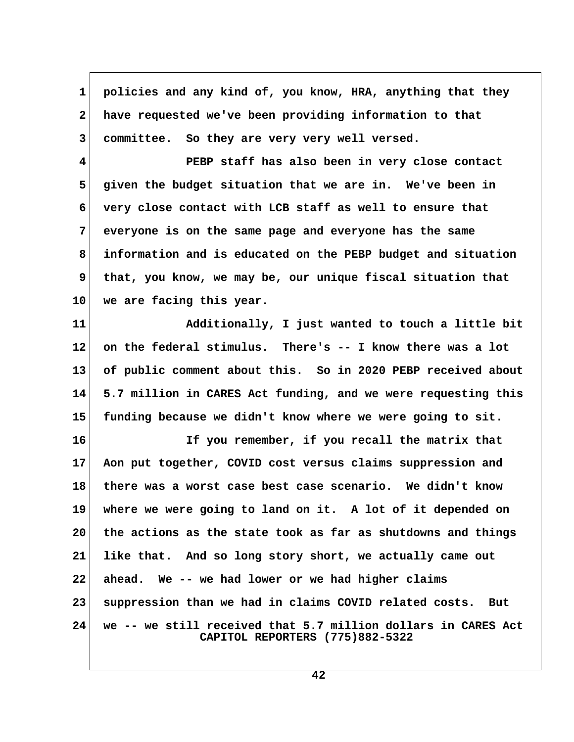**1 policies and any kind of, you know, HRA, anything that they 2 have requested we've been providing information to that 3 committee. So they are very very well versed.**

 **4 PEBP staff has also been in very close contact 5 given the budget situation that we are in. We've been in 6 very close contact with LCB staff as well to ensure that 7 everyone is on the same page and everyone has the same 8 information and is educated on the PEBP budget and situation 9 that, you know, we may be, our unique fiscal situation that 10 we are facing this year.**

**11 Additionally, I just wanted to touch a little bit 12 on the federal stimulus. There's -- I know there was a lot 13 of public comment about this. So in 2020 PEBP received about 14 5.7 million in CARES Act funding, and we were requesting this 15 funding because we didn't know where we were going to sit.**

**16 If you remember, if you recall the matrix that 17 Aon put together, COVID cost versus claims suppression and 18 there was a worst case best case scenario. We didn't know 19 where we were going to land on it. A lot of it depended on 20 the actions as the state took as far as shutdowns and things 21 like that. And so long story short, we actually came out 22 ahead. We -- we had lower or we had higher claims 23 suppression than we had in claims COVID related costs. But 24 we -- we still received that 5.7 million dollars in CARES Act CAPITOL REPORTERS (775)882-5322**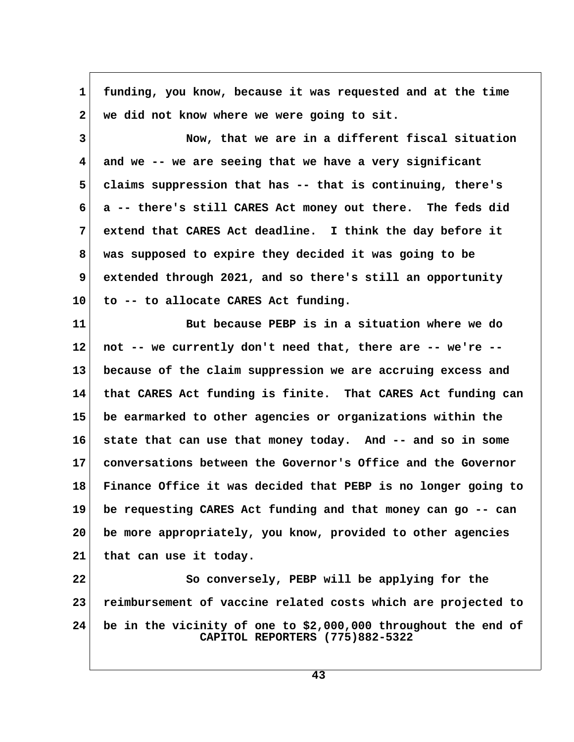| $\mathbf 1$    | funding, you know, because it was requested and at the time                                       |  |
|----------------|---------------------------------------------------------------------------------------------------|--|
| $\mathbf{2}$   | we did not know where we were going to sit.                                                       |  |
| 3              | Now, that we are in a different fiscal situation                                                  |  |
| 4              | and we -- we are seeing that we have a very significant                                           |  |
| 5              | claims suppression that has -- that is continuing, there's                                        |  |
| 6              | a -- there's still CARES Act money out there. The feds did                                        |  |
| $7\phantom{.}$ | extend that CARES Act deadline. I think the day before it                                         |  |
| 8              | was supposed to expire they decided it was going to be                                            |  |
| 9              | extended through 2021, and so there's still an opportunity                                        |  |
| 10             | to -- to allocate CARES Act funding.                                                              |  |
| 11             | But because PEBP is in a situation where we do                                                    |  |
| 12             | not -- we currently don't need that, there are -- we're --                                        |  |
| 13             | because of the claim suppression we are accruing excess and                                       |  |
| 14             | that CARES Act funding is finite. That CARES Act funding can                                      |  |
| 15             | be earmarked to other agencies or organizations within the                                        |  |
| 16             | state that can use that money today. And -- and so in some                                        |  |
| 17             | conversations between the Governor's Office and the Governor                                      |  |
| 18             | Finance Office it was decided that PEBP is no longer going to                                     |  |
| 19             | be requesting CARES Act funding and that money can go -- can                                      |  |
| 20             | be more appropriately, you know, provided to other agencies                                       |  |
| 21             | that can use it today.                                                                            |  |
| 22             | So conversely, PEBP will be applying for the                                                      |  |
| 23             | reimbursement of vaccine related costs which are projected to                                     |  |
| 24             | be in the vicinity of one to \$2,000,000 throughout the end of<br>CAPITOL REPORTERS (775)882-5322 |  |

 $\sqrt{ }$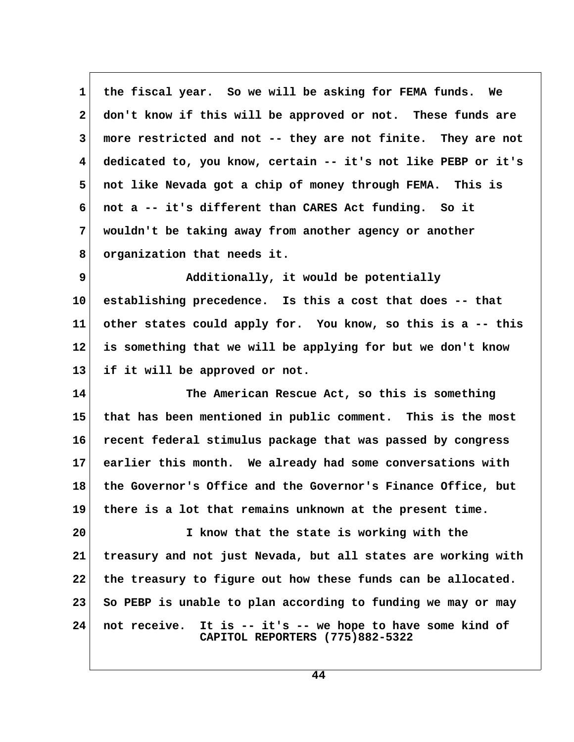**1 the fiscal year. So we will be asking for FEMA funds. We 2 don't know if this will be approved or not. These funds are 3 more restricted and not -- they are not finite. They are not 4 dedicated to, you know, certain -- it's not like PEBP or it's 5 not like Nevada got a chip of money through FEMA. This is 6 not a -- it's different than CARES Act funding. So it 7 wouldn't be taking away from another agency or another 8 organization that needs it.**

**9** Additionally, it would be potentially **10 establishing precedence. Is this a cost that does -- that 11 other states could apply for. You know, so this is a -- this 12 is something that we will be applying for but we don't know 13 if it will be approved or not.**

**14 The American Rescue Act, so this is something 15 that has been mentioned in public comment. This is the most 16 recent federal stimulus package that was passed by congress 17 earlier this month. We already had some conversations with 18 the Governor's Office and the Governor's Finance Office, but 19 there is a lot that remains unknown at the present time.**

**20 I know that the state is working with the 21 treasury and not just Nevada, but all states are working with 22 the treasury to figure out how these funds can be allocated. 23 So PEBP is unable to plan according to funding we may or may 24 not receive. It is -- it's -- we hope to have some kind of CAPITOL REPORTERS (775)882-5322**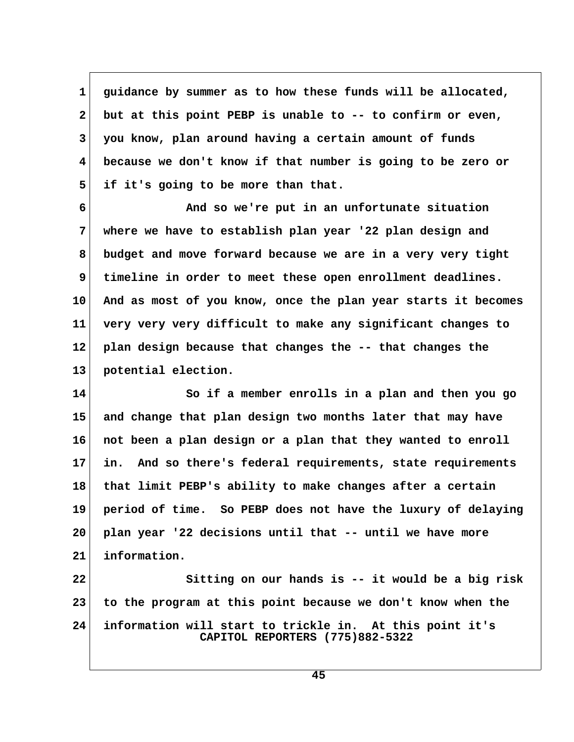**1 guidance by summer as to how these funds will be allocated, 2 but at this point PEBP is unable to -- to confirm or even, 3 you know, plan around having a certain amount of funds 4 because we don't know if that number is going to be zero or 5 if it's going to be more than that.**

 **6 And so we're put in an unfortunate situation 7 where we have to establish plan year '22 plan design and 8 budget and move forward because we are in a very very tight 9 timeline in order to meet these open enrollment deadlines. 10 And as most of you know, once the plan year starts it becomes 11 very very very difficult to make any significant changes to 12 plan design because that changes the -- that changes the 13 potential election.**

**14 So if a member enrolls in a plan and then you go 15 and change that plan design two months later that may have 16 not been a plan design or a plan that they wanted to enroll 17 in. And so there's federal requirements, state requirements 18 that limit PEBP's ability to make changes after a certain 19 period of time. So PEBP does not have the luxury of delaying 20 plan year '22 decisions until that -- until we have more 21 information.**

**22 Sitting on our hands is -- it would be a big risk 23 to the program at this point because we don't know when the 24 information will start to trickle in. At this point it's CAPITOL REPORTERS (775)882-5322**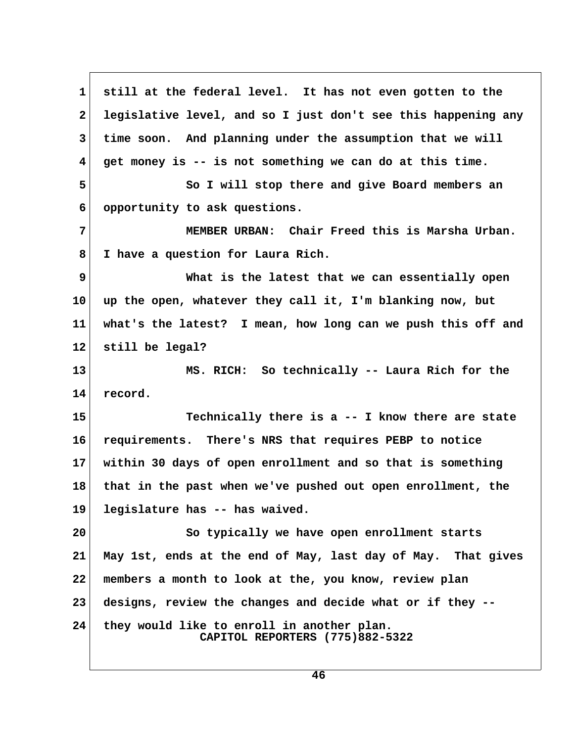**1 still at the federal level. It has not even gotten to the 2 legislative level, and so I just don't see this happening any 3 time soon. And planning under the assumption that we will 4 get money is -- is not something we can do at this time. 5 So I will stop there and give Board members an 6 opportunity to ask questions. 7 MEMBER URBAN: Chair Freed this is Marsha Urban. 8 I have a question for Laura Rich. 9** What is the latest that we can essentially open **10 up the open, whatever they call it, I'm blanking now, but 11 what's the latest? I mean, how long can we push this off and 12 still be legal? 13 MS. RICH: So technically -- Laura Rich for the 14 record. 15 Technically there is a -- I know there are state 16 requirements. There's NRS that requires PEBP to notice 17 within 30 days of open enrollment and so that is something 18 that in the past when we've pushed out open enrollment, the 19 legislature has -- has waived. 20 So typically we have open enrollment starts 21 May 1st, ends at the end of May, last day of May. That gives 22 members a month to look at the, you know, review plan 23 designs, review the changes and decide what or if they -- 24 they would like to enroll in another plan. CAPITOL REPORTERS (775)882-5322**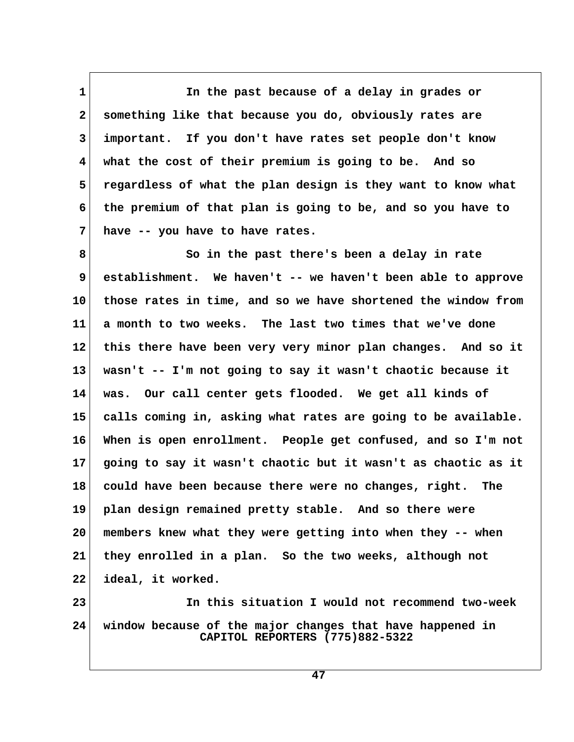**1 In the past because of a delay in grades or 2 something like that because you do, obviously rates are 3 important. If you don't have rates set people don't know 4 what the cost of their premium is going to be. And so 5 regardless of what the plan design is they want to know what 6 the premium of that plan is going to be, and so you have to 7 have -- you have to have rates.**

 **8 So in the past there's been a delay in rate 9 establishment. We haven't -- we haven't been able to approve 10 those rates in time, and so we have shortened the window from 11 a month to two weeks. The last two times that we've done 12 this there have been very very minor plan changes. And so it 13 wasn't -- I'm not going to say it wasn't chaotic because it 14 was. Our call center gets flooded. We get all kinds of 15 calls coming in, asking what rates are going to be available. 16 When is open enrollment. People get confused, and so I'm not 17 going to say it wasn't chaotic but it wasn't as chaotic as it 18 could have been because there were no changes, right. The 19 plan design remained pretty stable. And so there were 20 members knew what they were getting into when they -- when 21 they enrolled in a plan. So the two weeks, although not 22 ideal, it worked. 23 In this situation I would not recommend two-week**

**24 window because of the major changes that have happened in CAPITOL REPORTERS (775)882-5322**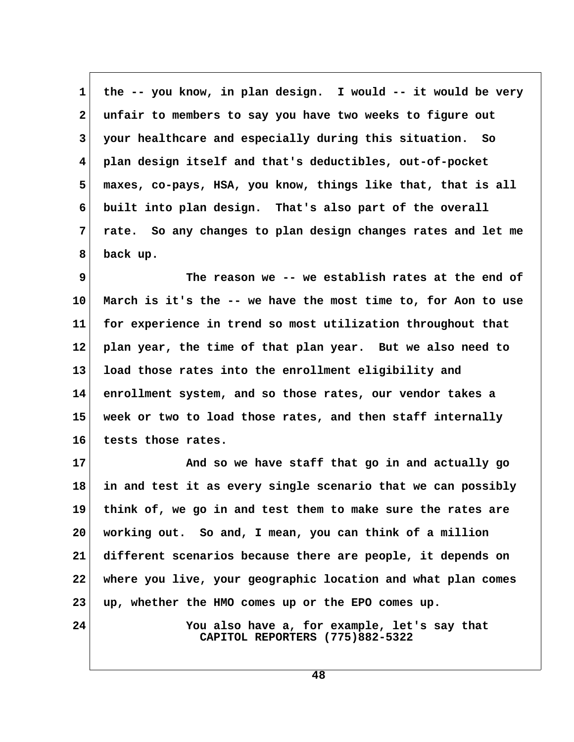**1 the -- you know, in plan design. I would -- it would be very 2 unfair to members to say you have two weeks to figure out 3 your healthcare and especially during this situation. So 4 plan design itself and that's deductibles, out-of-pocket 5 maxes, co-pays, HSA, you know, things like that, that is all 6 built into plan design. That's also part of the overall 7 rate. So any changes to plan design changes rates and let me 8 back up.**

 **9 The reason we -- we establish rates at the end of 10 March is it's the -- we have the most time to, for Aon to use 11 for experience in trend so most utilization throughout that 12 plan year, the time of that plan year. But we also need to 13 load those rates into the enrollment eligibility and 14 enrollment system, and so those rates, our vendor takes a 15 week or two to load those rates, and then staff internally 16 tests those rates.**

**17 And so we have staff that go in and actually go 18 in and test it as every single scenario that we can possibly 19 think of, we go in and test them to make sure the rates are 20 working out. So and, I mean, you can think of a million 21 different scenarios because there are people, it depends on 22 where you live, your geographic location and what plan comes 23 up, whether the HMO comes up or the EPO comes up.**

**24 You also have a, for example, let's say that CAPITOL REPORTERS (775)882-5322**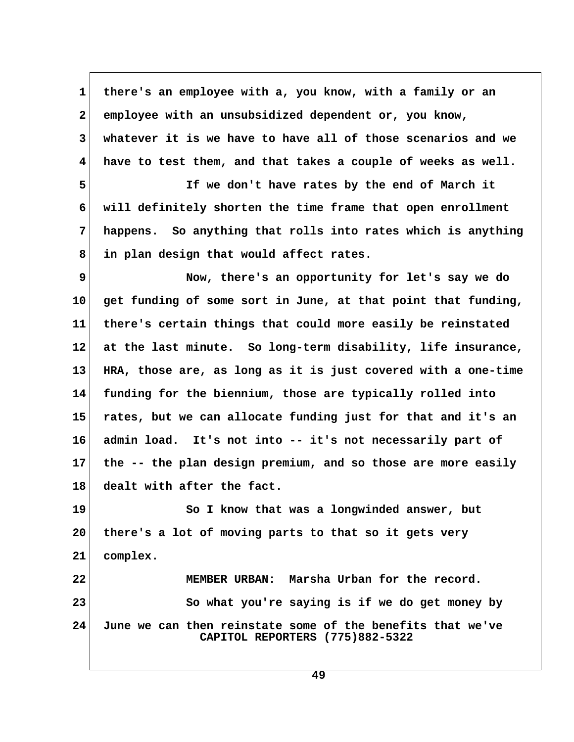**1 there's an employee with a, you know, with a family or an 2 employee with an unsubsidized dependent or, you know, 3 whatever it is we have to have all of those scenarios and we 4 have to test them, and that takes a couple of weeks as well.**

 **5 If we don't have rates by the end of March it 6 will definitely shorten the time frame that open enrollment 7 happens. So anything that rolls into rates which is anything 8 in plan design that would affect rates.**

 **9 Now, there's an opportunity for let's say we do 10 get funding of some sort in June, at that point that funding, 11 there's certain things that could more easily be reinstated 12 at the last minute. So long-term disability, life insurance, 13 HRA, those are, as long as it is just covered with a one-time 14 funding for the biennium, those are typically rolled into 15 rates, but we can allocate funding just for that and it's an 16 admin load. It's not into -- it's not necessarily part of 17 the -- the plan design premium, and so those are more easily 18 dealt with after the fact.**

**19 So I know that was a longwinded answer, but 20 there's a lot of moving parts to that so it gets very 21 complex. 22 MEMBER URBAN: Marsha Urban for the record. 23** So what you're saying is if we do get money by

**24 June we can then reinstate some of the benefits that we've CAPITOL REPORTERS (775)882-5322**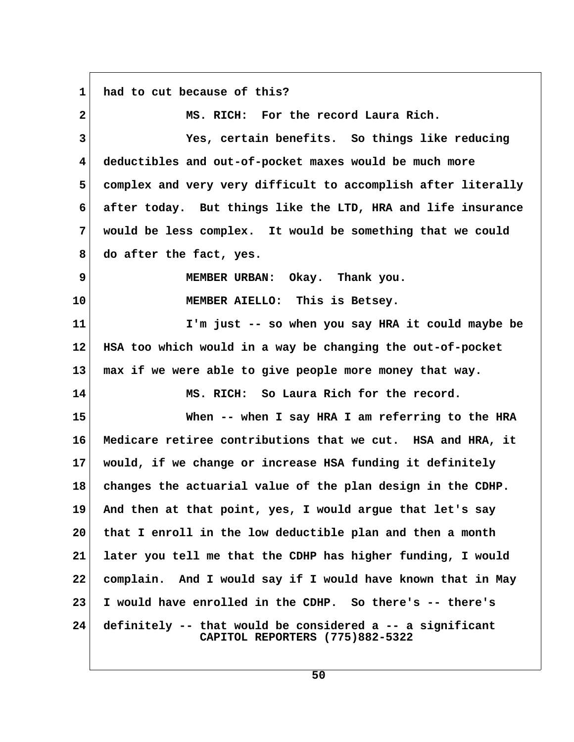**1 had to cut because of this? 2 MS. RICH: For the record Laura Rich. 3 Yes, certain benefits. So things like reducing 4 deductibles and out-of-pocket maxes would be much more 5 complex and very very difficult to accomplish after literally 6 after today. But things like the LTD, HRA and life insurance 7 would be less complex. It would be something that we could 8 do after the fact, yes. 9 MEMBER URBAN: Okay. Thank you. 10 MEMBER AIELLO: This is Betsey. 11 I'm just -- so when you say HRA it could maybe be 12 HSA too which would in a way be changing the out-of-pocket 13 max if we were able to give people more money that way. 14 MS. RICH: So Laura Rich for the record. 15 When -- when I say HRA I am referring to the HRA 16 Medicare retiree contributions that we cut. HSA and HRA, it 17 would, if we change or increase HSA funding it definitely 18 changes the actuarial value of the plan design in the CDHP. 19 And then at that point, yes, I would argue that let's say 20 that I enroll in the low deductible plan and then a month 21 later you tell me that the CDHP has higher funding, I would 22 complain. And I would say if I would have known that in May 23 I would have enrolled in the CDHP. So there's -- there's 24 definitely -- that would be considered a -- a significant CAPITOL REPORTERS (775)882-5322**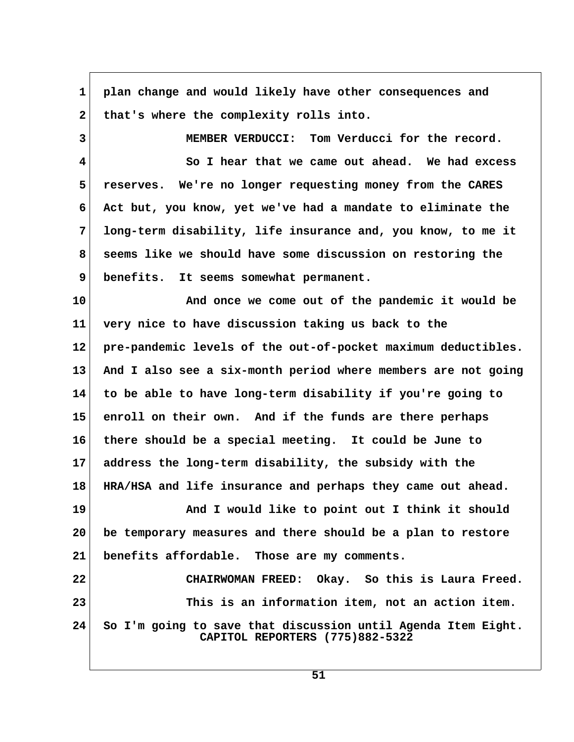| $\mathbf{1}$ | plan change and would likely have other consequences and                                         |  |
|--------------|--------------------------------------------------------------------------------------------------|--|
| $\mathbf{2}$ | that's where the complexity rolls into.                                                          |  |
| 3            | MEMBER VERDUCCI: Tom Verducci for the record.                                                    |  |
| 4            | So I hear that we came out ahead. We had excess                                                  |  |
| 5            | reserves. We're no longer requesting money from the CARES                                        |  |
| 6            | Act but, you know, yet we've had a mandate to eliminate the                                      |  |
| 7            | long-term disability, life insurance and, you know, to me it                                     |  |
| 8            | seems like we should have some discussion on restoring the                                       |  |
| 9            | benefits. It seems somewhat permanent.                                                           |  |
| 10           | And once we come out of the pandemic it would be                                                 |  |
| 11           | very nice to have discussion taking us back to the                                               |  |
| 12           | pre-pandemic levels of the out-of-pocket maximum deductibles.                                    |  |
| 13           | And I also see a six-month period where members are not going                                    |  |
| 14           | to be able to have long-term disability if you're going to                                       |  |
| 15           | enroll on their own. And if the funds are there perhaps                                          |  |
| 16           | there should be a special meeting. It could be June to                                           |  |
| 17           | address the long-term disability, the subsidy with the                                           |  |
| 18           | HRA/HSA and life insurance and perhaps they came out ahead.                                      |  |
| 19           | And I would like to point out I think it should                                                  |  |
| 20           | be temporary measures and there should be a plan to restore                                      |  |
| 21           | benefits affordable. Those are my comments.                                                      |  |
| 22           | CHAIRWOMAN FREED: Okay. So this is Laura Freed.                                                  |  |
| 23           | This is an information item, not an action item.                                                 |  |
| 24           | So I'm going to save that discussion until Agenda Item Eight.<br>CAPITOL REPORTERS (775)882-5322 |  |

 $\Gamma$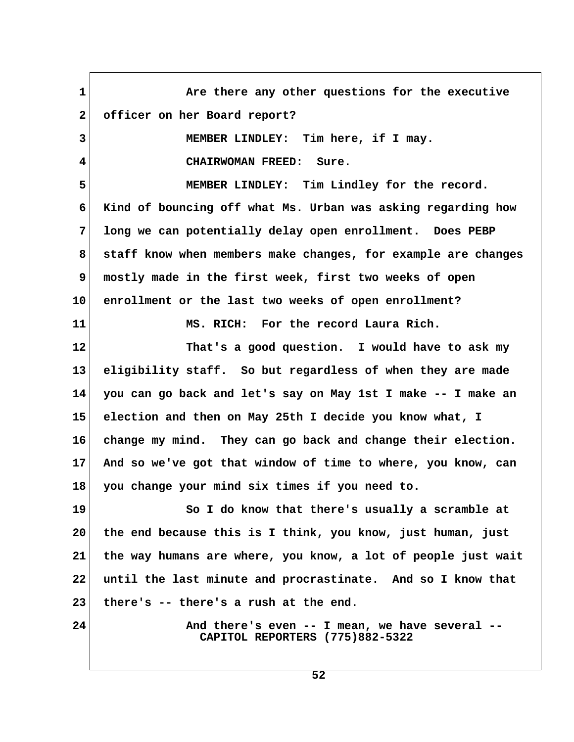1 Are there any other questions for the executive  **2 officer on her Board report? 3 MEMBER LINDLEY: Tim here, if I may. 4 CHAIRWOMAN FREED: Sure. 5 MEMBER LINDLEY: Tim Lindley for the record. 6 Kind of bouncing off what Ms. Urban was asking regarding how 7 long we can potentially delay open enrollment. Does PEBP 8 staff know when members make changes, for example are changes 9 mostly made in the first week, first two weeks of open 10 enrollment or the last two weeks of open enrollment? 11 MS. RICH: For the record Laura Rich. 12 That's a good question. I would have to ask my 13 eligibility staff. So but regardless of when they are made 14 you can go back and let's say on May 1st I make -- I make an 15 election and then on May 25th I decide you know what, I 16 change my mind. They can go back and change their election. 17 And so we've got that window of time to where, you know, can 18 you change your mind six times if you need to. 19 So I do know that there's usually a scramble at 20 the end because this is I think, you know, just human, just 21 the way humans are where, you know, a lot of people just wait 22 until the last minute and procrastinate. And so I know that 23 there's -- there's a rush at the end.** 24 And there's even -- I mean, we have several -- **CAPITOL REPORTERS (775)882-5322**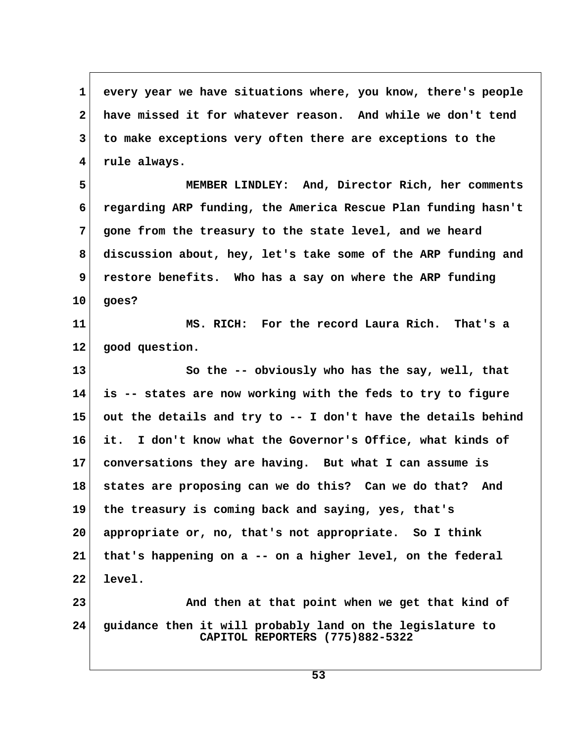**1 every year we have situations where, you know, there's people 2 have missed it for whatever reason. And while we don't tend 3 to make exceptions very often there are exceptions to the 4 rule always.**

 **5 MEMBER LINDLEY: And, Director Rich, her comments 6 regarding ARP funding, the America Rescue Plan funding hasn't 7 gone from the treasury to the state level, and we heard 8 discussion about, hey, let's take some of the ARP funding and 9 restore benefits. Who has a say on where the ARP funding 10 goes?**

**11 MS. RICH: For the record Laura Rich. That's a 12 good question.**

**13 So the -- obviously who has the say, well, that 14 is -- states are now working with the feds to try to figure 15 out the details and try to -- I don't have the details behind 16 it. I don't know what the Governor's Office, what kinds of 17 conversations they are having. But what I can assume is 18 states are proposing can we do this? Can we do that? And 19 the treasury is coming back and saying, yes, that's 20 appropriate or, no, that's not appropriate. So I think 21 that's happening on a -- on a higher level, on the federal 22 level.**

**23 And then at that point when we get that kind of 24 guidance then it will probably land on the legislature to CAPITOL REPORTERS (775)882-5322**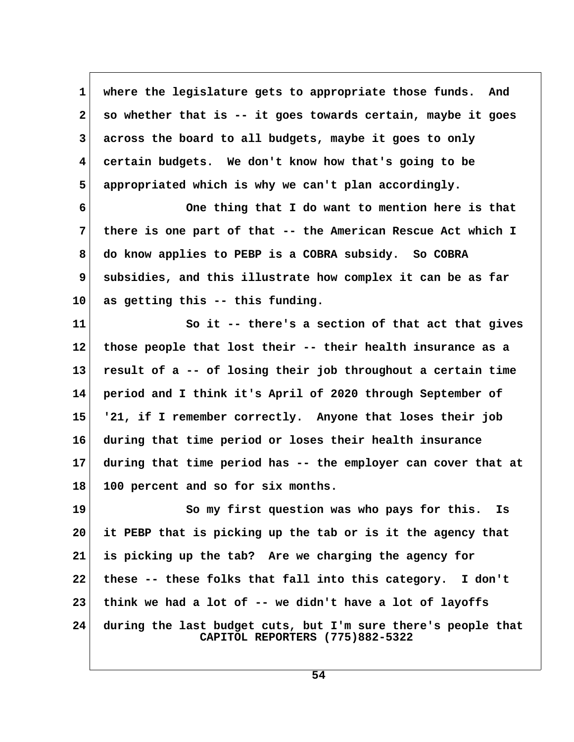**1 where the legislature gets to appropriate those funds. And 2 so whether that is -- it goes towards certain, maybe it goes 3 across the board to all budgets, maybe it goes to only 4 certain budgets. We don't know how that's going to be 5 appropriated which is why we can't plan accordingly.**

 **6 One thing that I do want to mention here is that 7 there is one part of that -- the American Rescue Act which I 8 do know applies to PEBP is a COBRA subsidy. So COBRA 9 subsidies, and this illustrate how complex it can be as far 10 as getting this -- this funding.**

**11 So it -- there's a section of that act that gives 12 those people that lost their -- their health insurance as a 13 result of a -- of losing their job throughout a certain time 14 period and I think it's April of 2020 through September of 15 '21, if I remember correctly. Anyone that loses their job 16 during that time period or loses their health insurance 17 during that time period has -- the employer can cover that at 18 100 percent and so for six months.**

**19 So my first question was who pays for this. Is 20 it PEBP that is picking up the tab or is it the agency that 21 is picking up the tab? Are we charging the agency for 22 these -- these folks that fall into this category. I don't 23 think we had a lot of -- we didn't have a lot of layoffs 24 during the last budget cuts, but I'm sure there's people that CAPITOL REPORTERS (775)882-5322**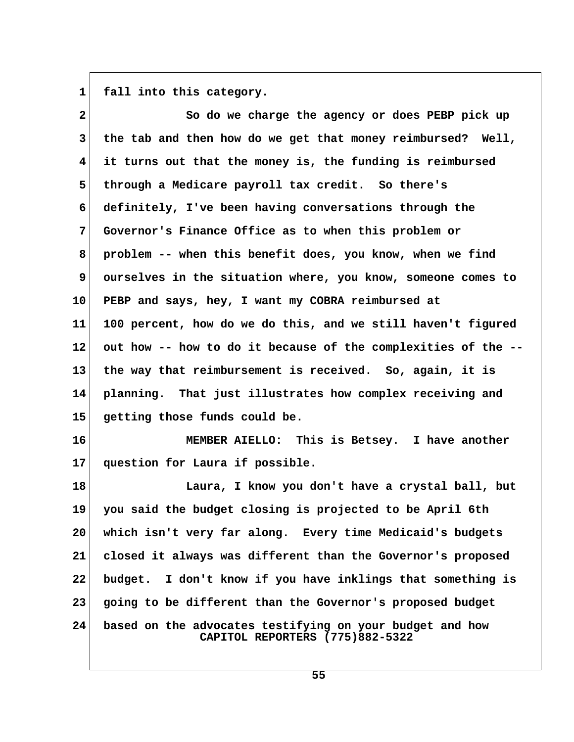1 fall into this category.

| $\overline{2}$  | So do we charge the agency or does PEBP pick up                                             |
|-----------------|---------------------------------------------------------------------------------------------|
| $\mathbf{3}$    | the tab and then how do we get that money reimbursed? Well,                                 |
| 4               | it turns out that the money is, the funding is reimbursed                                   |
| 5               | through a Medicare payroll tax credit. So there's                                           |
| 6               | definitely, I've been having conversations through the                                      |
| $7\phantom{.}$  | Governor's Finance Office as to when this problem or                                        |
| 8               | problem -- when this benefit does, you know, when we find                                   |
| 9               | ourselves in the situation where, you know, someone comes to                                |
| 10 <sub>1</sub> | PEBP and says, hey, I want my COBRA reimbursed at                                           |
| 11              | 100 percent, how do we do this, and we still haven't figured                                |
| $12 \,$         | out how -- how to do it because of the complexities of the --                               |
| 13              | the way that reimbursement is received. So, again, it is                                    |
| 14              | planning. That just illustrates how complex receiving and                                   |
| 15              | getting those funds could be.                                                               |
| 16              | MEMBER AIELLO: This is Betsey. I have another                                               |
| 17              | question for Laura if possible.                                                             |
| 18              | Laura, I know you don't have a crystal ball, but                                            |
| 19              | you said the budget closing is projected to be April 6th                                    |
| 20              | which isn't very far along. Every time Medicaid's budgets                                   |
| 21              | closed it always was different than the Governor's proposed                                 |
| 22              | I don't know if you have inklings that something is<br>budget.                              |
| 23              | going to be different than the Governor's proposed budget                                   |
| 24              | based on the advocates testifying on your budget and how<br>CAPITOL REPORTERS (775)882-5322 |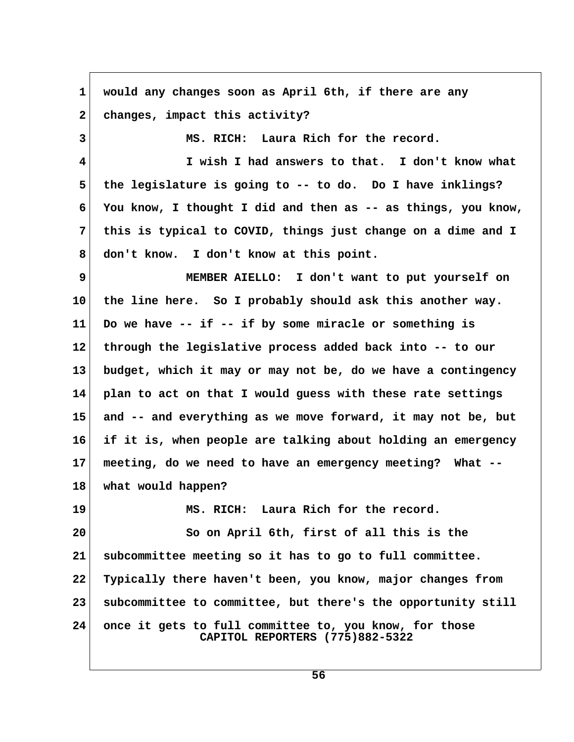| $\mathbf 1$             | would any changes soon as April 6th, if there are any                                     |  |
|-------------------------|-------------------------------------------------------------------------------------------|--|
| $\mathbf{2}$            | changes, impact this activity?                                                            |  |
| 3                       | MS. RICH: Laura Rich for the record.                                                      |  |
| $\overline{\mathbf{4}}$ | I wish I had answers to that. I don't know what                                           |  |
| 5                       | the legislature is going to -- to do. Do I have inklings?                                 |  |
| 6                       | You know, I thought I did and then as -- as things, you know,                             |  |
| 7                       | this is typical to COVID, things just change on a dime and I                              |  |
| 8                       | don't know. I don't know at this point.                                                   |  |
| 9                       | MEMBER AIELLO: I don't want to put yourself on                                            |  |
| 10                      | the line here. So I probably should ask this another way.                                 |  |
| 11                      | Do we have -- if -- if by some miracle or something is                                    |  |
| 12                      | through the legislative process added back into -- to our                                 |  |
| 13                      | budget, which it may or may not be, do we have a contingency                              |  |
| 14                      | plan to act on that I would guess with these rate settings                                |  |
| 15                      | and -- and everything as we move forward, it may not be, but                              |  |
| 16                      | if it is, when people are talking about holding an emergency                              |  |
| 17                      | meeting, do we need to have an emergency meeting? What --                                 |  |
| 18                      | what would happen?                                                                        |  |
| 19                      | MS. RICH: Laura Rich for the record.                                                      |  |
| 20                      | So on April 6th, first of all this is the                                                 |  |
| 21                      | subcommittee meeting so it has to go to full committee.                                   |  |
| 22                      | Typically there haven't been, you know, major changes from                                |  |
| 23                      | subcommittee to committee, but there's the opportunity still                              |  |
| 24                      | once it gets to full committee to, you know, for those<br>CAPITOL REPORTERS (775)882-5322 |  |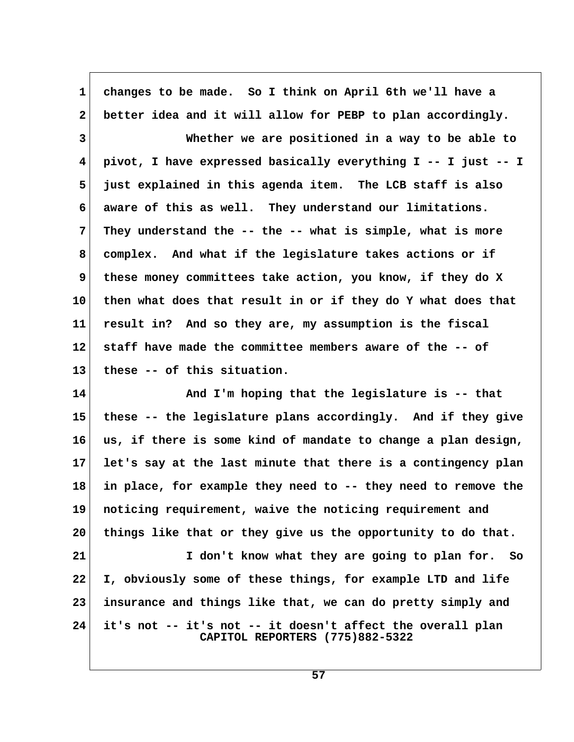| $\mathbf 1$     | changes to be made. So I think on April 6th we'll have a                                      |  |
|-----------------|-----------------------------------------------------------------------------------------------|--|
| $\mathbf{2}$    | better idea and it will allow for PEBP to plan accordingly.                                   |  |
| 3               | Whether we are positioned in a way to be able to                                              |  |
| 4               | pivot, I have expressed basically everything I -- I just -- I                                 |  |
| 5               | just explained in this agenda item. The LCB staff is also                                     |  |
| 6               | aware of this as well. They understand our limitations.                                       |  |
| 7               | They understand the -- the -- what is simple, what is more                                    |  |
| 8               | complex. And what if the legislature takes actions or if                                      |  |
| 9               | these money committees take action, you know, if they do X                                    |  |
| 10              | then what does that result in or if they do Y what does that                                  |  |
| 11              | result in? And so they are, my assumption is the fiscal                                       |  |
| 12              | staff have made the committee members aware of the -- of                                      |  |
| 13              | these -- of this situation.                                                                   |  |
| 14              | And I'm hoping that the legislature is -- that                                                |  |
| 15              | these -- the legislature plans accordingly. And if they give                                  |  |
| 16              | us, if there is some kind of mandate to change a plan design,                                 |  |
| 17 <sub>2</sub> | let's say at the last minute that there is a contingency plan                                 |  |
| 18              | in place, for example they need to -- they need to remove the                                 |  |
| 19              | noticing requirement, waive the noticing requirement and                                      |  |
| 20              | things like that or they give us the opportunity to do that.                                  |  |
| 21              | I don't know what they are going to plan for. So                                              |  |
| 22              | I, obviously some of these things, for example LTD and life                                   |  |
| 23              | insurance and things like that, we can do pretty simply and                                   |  |
| 24              | it's not -- it's not -- it doesn't affect the overall plan<br>CAPITOL REPORTERS (775)882-5322 |  |

 $\overline{\phantom{a}}$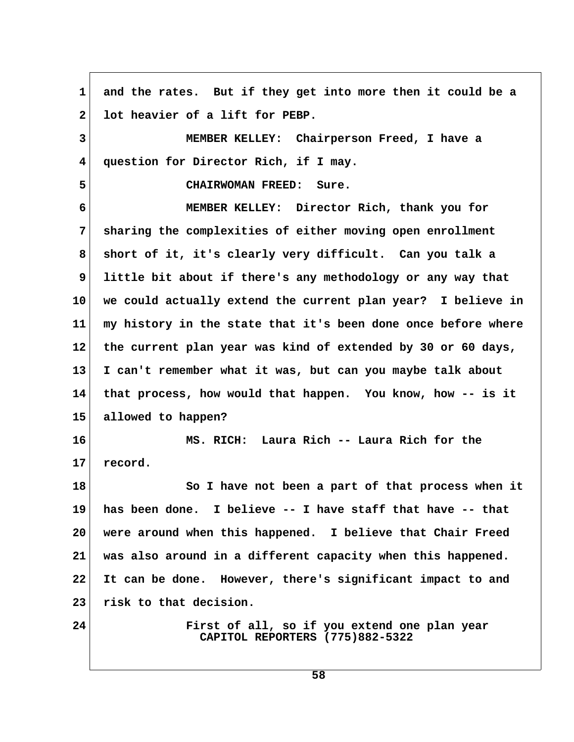**1 and the rates. But if they get into more then it could be a** 2 lot heavier of a lift for PEBP.  **3 MEMBER KELLEY: Chairperson Freed, I have a 4 question for Director Rich, if I may. 5 CHAIRWOMAN FREED: Sure. 6 MEMBER KELLEY: Director Rich, thank you for 7 sharing the complexities of either moving open enrollment 8 short of it, it's clearly very difficult. Can you talk a 9 little bit about if there's any methodology or any way that 10 we could actually extend the current plan year? I believe in 11 my history in the state that it's been done once before where 12 the current plan year was kind of extended by 30 or 60 days, 13 I can't remember what it was, but can you maybe talk about 14 that process, how would that happen. You know, how -- is it 15 allowed to happen? 16 MS. RICH: Laura Rich -- Laura Rich for the 17 record. 18 So I have not been a part of that process when it 19 has been done. I believe -- I have staff that have -- that 20 were around when this happened. I believe that Chair Freed 21 was also around in a different capacity when this happened. 22 It can be done. However, there's significant impact to and 23 risk to that decision. 24 First of all, so if you extend one plan year CAPITOL REPORTERS (775)882-5322**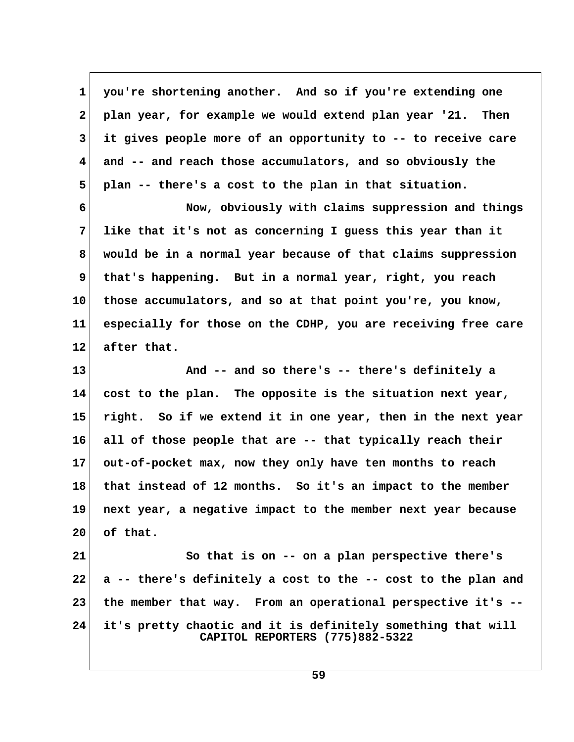**1 you're shortening another. And so if you're extending one 2 plan year, for example we would extend plan year '21. Then 3 it gives people more of an opportunity to -- to receive care 4 and -- and reach those accumulators, and so obviously the 5 plan -- there's a cost to the plan in that situation.**

 **6 Now, obviously with claims suppression and things 7 like that it's not as concerning I guess this year than it 8 would be in a normal year because of that claims suppression 9 that's happening. But in a normal year, right, you reach 10 those accumulators, and so at that point you're, you know, 11 especially for those on the CDHP, you are receiving free care** 12 after that.

**13 And -- and so there's -- there's definitely a 14 cost to the plan. The opposite is the situation next year, 15 right. So if we extend it in one year, then in the next year 16 all of those people that are -- that typically reach their 17 out-of-pocket max, now they only have ten months to reach 18 that instead of 12 months. So it's an impact to the member 19 next year, a negative impact to the member next year because 20 of that.**

**21 So that is on -- on a plan perspective there's 22 a -- there's definitely a cost to the -- cost to the plan and 23 the member that way. From an operational perspective it's -- 24 it's pretty chaotic and it is definitely something that will CAPITOL REPORTERS (775)882-5322**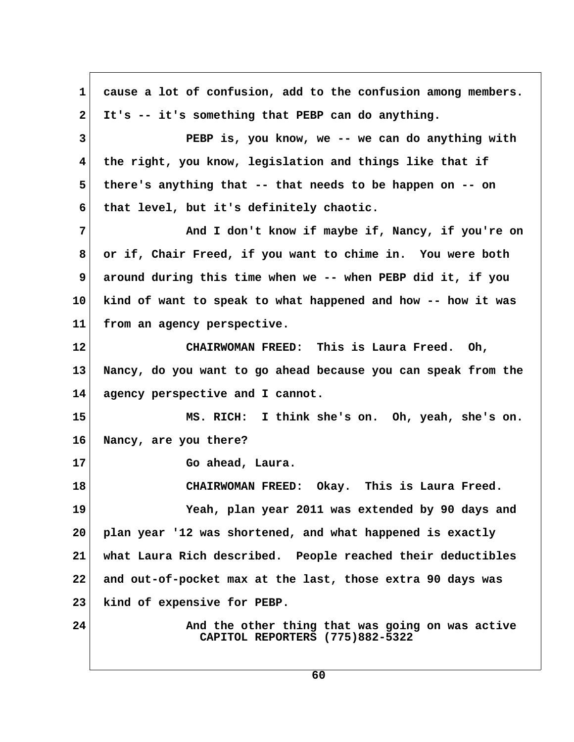**1 cause a lot of confusion, add to the confusion among members. 2 It's -- it's something that PEBP can do anything. 3 PEBP is, you know, we -- we can do anything with 4 the right, you know, legislation and things like that if 5 there's anything that -- that needs to be happen on -- on 6 that level, but it's definitely chaotic. 7** And I don't know if maybe if, Nancy, if you're on  **8 or if, Chair Freed, if you want to chime in. You were both 9 around during this time when we -- when PEBP did it, if you 10 kind of want to speak to what happened and how -- how it was 11 from an agency perspective. 12 CHAIRWOMAN FREED: This is Laura Freed. Oh, 13 Nancy, do you want to go ahead because you can speak from the 14 agency perspective and I cannot. 15 MS. RICH: I think she's on. Oh, yeah, she's on. 16 Nancy, are you there? 17 Go ahead, Laura. 18 CHAIRWOMAN FREED: Okay. This is Laura Freed. 19 Yeah, plan year 2011 was extended by 90 days and 20 plan year '12 was shortened, and what happened is exactly 21 what Laura Rich described. People reached their deductibles 22 and out-of-pocket max at the last, those extra 90 days was 23 kind of expensive for PEBP. 24 And the other thing that was going on was active CAPITOL REPORTERS (775)882-5322**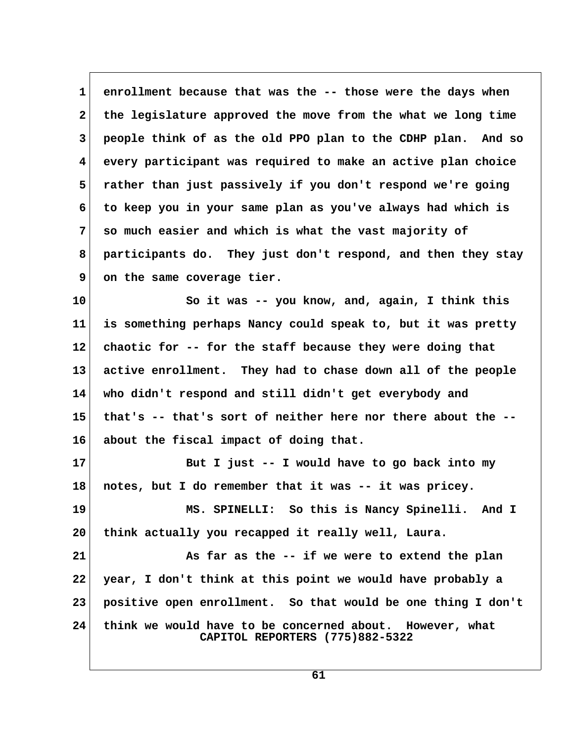1 enrollment because that was the -- those were the days when  **2 the legislature approved the move from the what we long time 3 people think of as the old PPO plan to the CDHP plan. And so 4 every participant was required to make an active plan choice 5 rather than just passively if you don't respond we're going 6 to keep you in your same plan as you've always had which is 7 so much easier and which is what the vast majority of 8 participants do. They just don't respond, and then they stay** 9 on the same coverage tier.

**10 So it was -- you know, and, again, I think this 11 is something perhaps Nancy could speak to, but it was pretty 12 chaotic for -- for the staff because they were doing that 13 active enrollment. They had to chase down all of the people 14 who didn't respond and still didn't get everybody and 15 that's -- that's sort of neither here nor there about the -- 16 about the fiscal impact of doing that.**

**17 But I just -- I would have to go back into my 18 notes, but I do remember that it was -- it was pricey. 19 MS. SPINELLI: So this is Nancy Spinelli. And I 20 think actually you recapped it really well, Laura.**

**21 As far as the -- if we were to extend the plan 22 year, I don't think at this point we would have probably a 23 positive open enrollment. So that would be one thing I don't 24 think we would have to be concerned about. However, what CAPITOL REPORTERS (775)882-5322**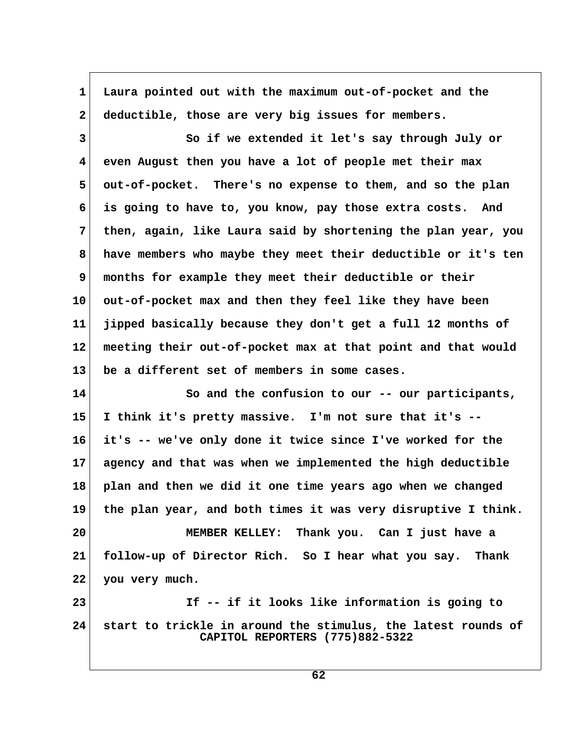| $\mathbf 1$  | Laura pointed out with the maximum out-of-pocket and the                                         |  |
|--------------|--------------------------------------------------------------------------------------------------|--|
| $\mathbf{2}$ | deductible, those are very big issues for members.                                               |  |
| $\mathbf{3}$ | So if we extended it let's say through July or                                                   |  |
| 4            | even August then you have a lot of people met their max                                          |  |
| 5            | out-of-pocket. There's no expense to them, and so the plan                                       |  |
| 6            | is going to have to, you know, pay those extra costs. And                                        |  |
| 7            | then, again, like Laura said by shortening the plan year, you                                    |  |
| 8            | have members who maybe they meet their deductible or it's ten                                    |  |
| 9            | months for example they meet their deductible or their                                           |  |
| 10           | out-of-pocket max and then they feel like they have been                                         |  |
| 11           | jipped basically because they don't get a full 12 months of                                      |  |
| 12           | meeting their out-of-pocket max at that point and that would                                     |  |
| 13           | be a different set of members in some cases.                                                     |  |
| 14           | So and the confusion to our -- our participants,                                                 |  |
| 15           | I think it's pretty massive. I'm not sure that it's --                                           |  |
| 16           | it's -- we've only done it twice since I've worked for the                                       |  |
| $17 \,$      | agency and that was when we implemented the high deductible                                      |  |
| 18           | plan and then we did it one time years ago when we changed                                       |  |
| 19           | the plan year, and both times it was very disruptive I think.                                    |  |
| 20           | MEMBER KELLEY: Thank you. Can I just have a                                                      |  |
| 21           | follow-up of Director Rich. So I hear what you say. Thank                                        |  |
| 22           | you very much.                                                                                   |  |
| 23           | If -- if it looks like information is going to                                                   |  |
| 24           | start to trickle in around the stimulus, the latest rounds of<br>CAPITOL REPORTERS (775)882-5322 |  |

 $\overline{\phantom{a}}$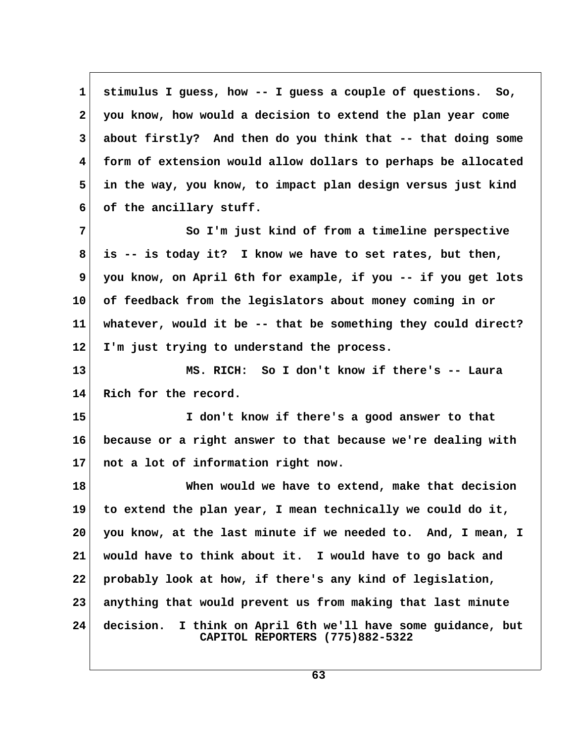**1 stimulus I guess, how -- I guess a couple of questions. So, 2 you know, how would a decision to extend the plan year come 3 about firstly? And then do you think that -- that doing some 4 form of extension would allow dollars to perhaps be allocated 5 in the way, you know, to impact plan design versus just kind 6 of the ancillary stuff. 7 So I'm just kind of from a timeline perspective 8 is -- is today it? I know we have to set rates, but then, 9 you know, on April 6th for example, if you -- if you get lots 10 of feedback from the legislators about money coming in or 11 whatever, would it be -- that be something they could direct? 12 I'm just trying to understand the process. 13 MS. RICH: So I don't know if there's -- Laura 14 Rich for the record. 15 I don't know if there's a good answer to that 16 because or a right answer to that because we're dealing with 17 not a lot of information right now. 18 When would we have to extend, make that decision 19 to extend the plan year, I mean technically we could do it, 20 you know, at the last minute if we needed to. And, I mean, I 21 would have to think about it. I would have to go back and 22 probably look at how, if there's any kind of legislation, 23 anything that would prevent us from making that last minute 24 decision. I think on April 6th we'll have some guidance, but CAPITOL REPORTERS (775)882-5322**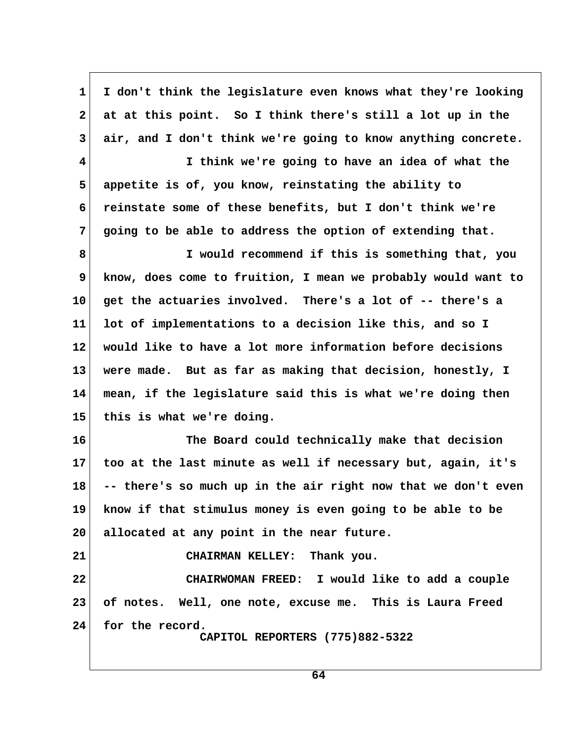**1 I don't think the legislature even knows what they're looking 2 at at this point. So I think there's still a lot up in the 3 air, and I don't think we're going to know anything concrete. 4 I think we're going to have an idea of what the 5 appetite is of, you know, reinstating the ability to 6 reinstate some of these benefits, but I don't think we're 7 going to be able to address the option of extending that. 8 I would recommend if this is something that, you 9 know, does come to fruition, I mean we probably would want to 10 get the actuaries involved. There's a lot of -- there's a 11 lot of implementations to a decision like this, and so I 12 would like to have a lot more information before decisions 13 were made. But as far as making that decision, honestly, I 14 mean, if the legislature said this is what we're doing then 15 this is what we're doing. 16 The Board could technically make that decision 17 too at the last minute as well if necessary but, again, it's 18 -- there's so much up in the air right now that we don't even 19 know if that stimulus money is even going to be able to be 20 allocated at any point in the near future. 21 CHAIRMAN KELLEY: Thank you. 22 CHAIRWOMAN FREED: I would like to add a couple 23 of notes. Well, one note, excuse me. This is Laura Freed 24 for the record. CAPITOL REPORTERS (775)882-5322**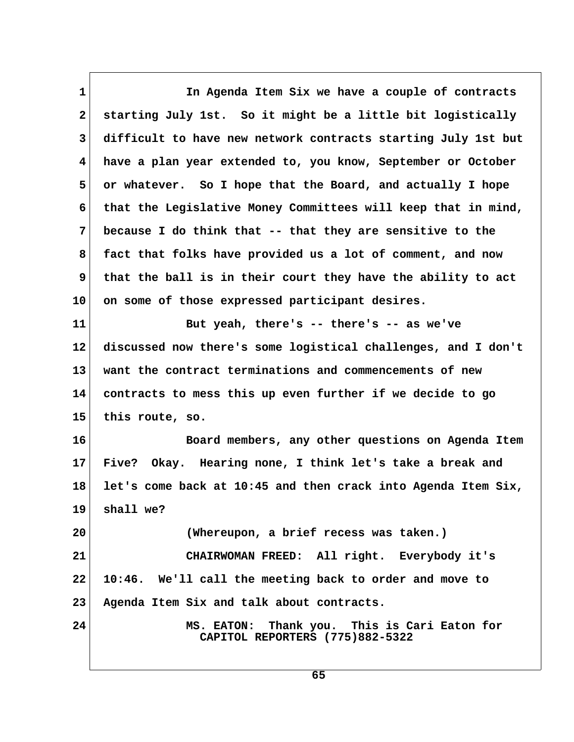1 **1** In Agenda Item Six we have a couple of contracts  **2 starting July 1st. So it might be a little bit logistically 3 difficult to have new network contracts starting July 1st but 4 have a plan year extended to, you know, September or October 5 or whatever. So I hope that the Board, and actually I hope 6 that the Legislative Money Committees will keep that in mind, 7 because I do think that -- that they are sensitive to the 8 fact that folks have provided us a lot of comment, and now 9 that the ball is in their court they have the ability to act 10 on some of those expressed participant desires. 11 But yeah, there's -- there's -- as we've 12 discussed now there's some logistical challenges, and I don't 13 want the contract terminations and commencements of new 14 contracts to mess this up even further if we decide to go 15 this route, so. 16 Board members, any other questions on Agenda Item 17 Five? Okay. Hearing none, I think let's take a break and 18 let's come back at 10:45 and then crack into Agenda Item Six, 19 shall we? 20 (Whereupon, a brief recess was taken.) 21 CHAIRWOMAN FREED: All right. Everybody it's 22 10:46. We'll call the meeting back to order and move to 23 Agenda Item Six and talk about contracts. 24 MS. EATON: Thank you. This is Cari Eaton for CAPITOL REPORTERS (775)882-5322**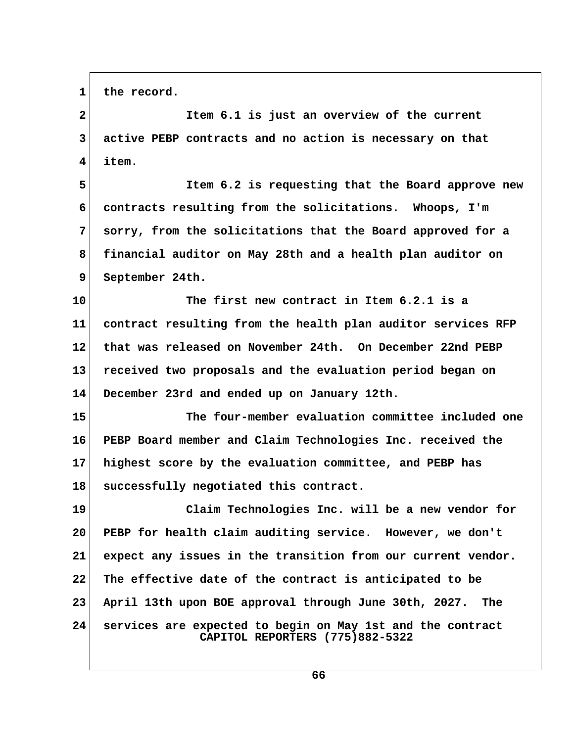**1 the record.**

 **2 Item 6.1 is just an overview of the current 3 active PEBP contracts and no action is necessary on that 4 item. 5 Item 6.2 is requesting that the Board approve new 6 contracts resulting from the solicitations. Whoops, I'm 7 sorry, from the solicitations that the Board approved for a 8 financial auditor on May 28th and a health plan auditor on 9 September 24th. 10 The first new contract in Item 6.2.1 is a 11 contract resulting from the health plan auditor services RFP 12 that was released on November 24th. On December 22nd PEBP 13 received two proposals and the evaluation period began on 14 December 23rd and ended up on January 12th. 15 The four-member evaluation committee included one 16 PEBP Board member and Claim Technologies Inc. received the 17 highest score by the evaluation committee, and PEBP has 18 successfully negotiated this contract. 19 Claim Technologies Inc. will be a new vendor for 20 PEBP for health claim auditing service. However, we don't 21 expect any issues in the transition from our current vendor. 22 The effective date of the contract is anticipated to be 23 April 13th upon BOE approval through June 30th, 2027. The 24 services are expected to begin on May 1st and the contract CAPITOL REPORTERS (775)882-5322**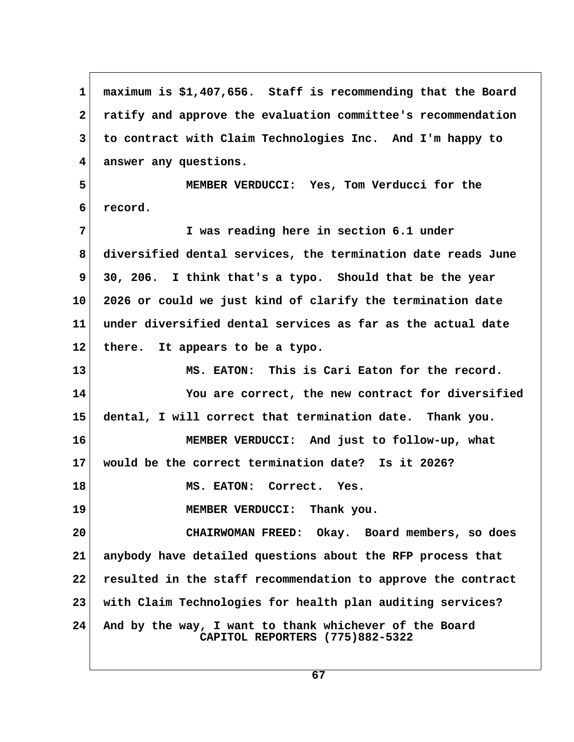**1 maximum is \$1,407,656. Staff is recommending that the Board 2 ratify and approve the evaluation committee's recommendation 3 to contract with Claim Technologies Inc. And I'm happy to 4 answer any questions. 5 MEMBER VERDUCCI: Yes, Tom Verducci for the 6 record. 7 I was reading here in section 6.1 under 8 diversified dental services, the termination date reads June 9 30, 206. I think that's a typo. Should that be the year 10 2026 or could we just kind of clarify the termination date 11 under diversified dental services as far as the actual date 12 there. It appears to be a typo. 13 MS. EATON: This is Cari Eaton for the record. 14 You are correct, the new contract for diversified 15 dental, I will correct that termination date. Thank you. 16 MEMBER VERDUCCI: And just to follow-up, what 17 would be the correct termination date? Is it 2026? 18 MS. EATON: Correct. Yes. 19 MEMBER VERDUCCI: Thank you. 20 CHAIRWOMAN FREED: Okay. Board members, so does 21 anybody have detailed questions about the RFP process that 22 resulted in the staff recommendation to approve the contract 23 with Claim Technologies for health plan auditing services? 24 And by the way, I want to thank whichever of the Board CAPITOL REPORTERS (775)882-5322**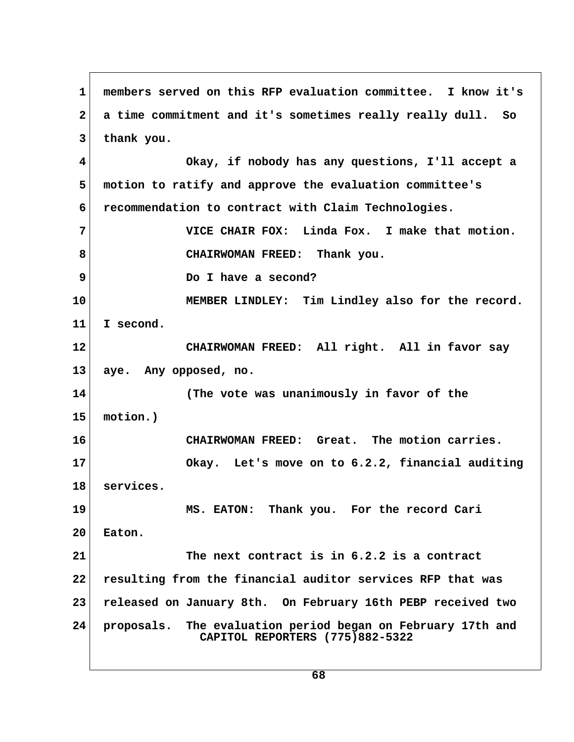**1 members served on this RFP evaluation committee. I know it's 2 a time commitment and it's sometimes really really dull. So 3 thank you. 4 Okay, if nobody has any questions, I'll accept a 5 motion to ratify and approve the evaluation committee's 6 recommendation to contract with Claim Technologies. 7 VICE CHAIR FOX: Linda Fox. I make that motion. 8 CHAIRWOMAN FREED: Thank you. 9** Do I have a second? **10 MEMBER LINDLEY: Tim Lindley also for the record. 11 I second. 12 CHAIRWOMAN FREED: All right. All in favor say 13 aye. Any opposed, no. 14 (The vote was unanimously in favor of the 15 motion.) 16 CHAIRWOMAN FREED: Great. The motion carries. 17 Okay. Let's move on to 6.2.2, financial auditing 18 services. 19 MS. EATON: Thank you. For the record Cari 20 Eaton. 21 The next contract is in 6.2.2 is a contract 22 resulting from the financial auditor services RFP that was 23 released on January 8th. On February 16th PEBP received two 24 proposals. The evaluation period began on February 17th and CAPITOL REPORTERS (775)882-5322**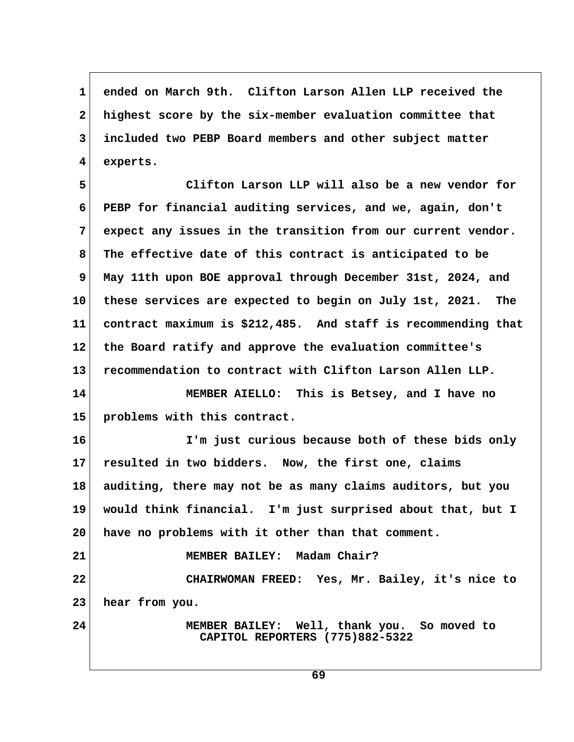**1 ended on March 9th. Clifton Larson Allen LLP received the 2 highest score by the six-member evaluation committee that 3 included two PEBP Board members and other subject matter 4 experts.**

 **5 Clifton Larson LLP will also be a new vendor for 6 PEBP for financial auditing services, and we, again, don't 7 expect any issues in the transition from our current vendor. 8 The effective date of this contract is anticipated to be 9 May 11th upon BOE approval through December 31st, 2024, and 10 these services are expected to begin on July 1st, 2021. The 11 contract maximum is \$212,485. And staff is recommending that 12 the Board ratify and approve the evaluation committee's 13 recommendation to contract with Clifton Larson Allen LLP.**

**14 MEMBER AIELLO: This is Betsey, and I have no 15 problems with this contract.**

**16 I'm just curious because both of these bids only 17 resulted in two bidders. Now, the first one, claims 18 auditing, there may not be as many claims auditors, but you 19 would think financial. I'm just surprised about that, but I 20 have no problems with it other than that comment.**

**21 MEMBER BAILEY: Madam Chair? 22 CHAIRWOMAN FREED: Yes, Mr. Bailey, it's nice to 23 hear from you.**

**24 MEMBER BAILEY: Well, thank you. So moved to CAPITOL REPORTERS (775)882-5322**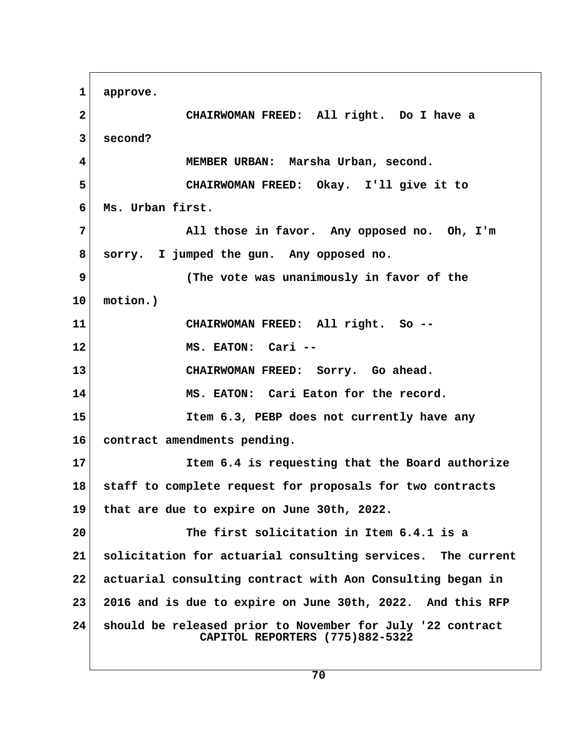**1 approve. 2 CHAIRWOMAN FREED: All right. Do I have a 3 second? 4 MEMBER URBAN: Marsha Urban, second. 5 CHAIRWOMAN FREED: Okay. I'll give it to 6 Ms. Urban first. 7 All those in favor. Any opposed no. Oh, I'm 8 sorry. I jumped the gun. Any opposed no. 9 (The vote was unanimously in favor of the 10 motion.) 11 CHAIRWOMAN FREED: All right. So -- 12 MS. EATON: Cari -- 13 CHAIRWOMAN FREED: Sorry. Go ahead. 14 MS. EATON: Cari Eaton for the record. 15 Item 6.3, PEBP does not currently have any 16 contract amendments pending. 17 Item 6.4 is requesting that the Board authorize 18 staff to complete request for proposals for two contracts 19 that are due to expire on June 30th, 2022. 20 The first solicitation in Item 6.4.1 is a 21 solicitation for actuarial consulting services. The current 22 actuarial consulting contract with Aon Consulting began in 23 2016 and is due to expire on June 30th, 2022. And this RFP 24 should be released prior to November for July '22 contract CAPITOL REPORTERS (775)882-5322**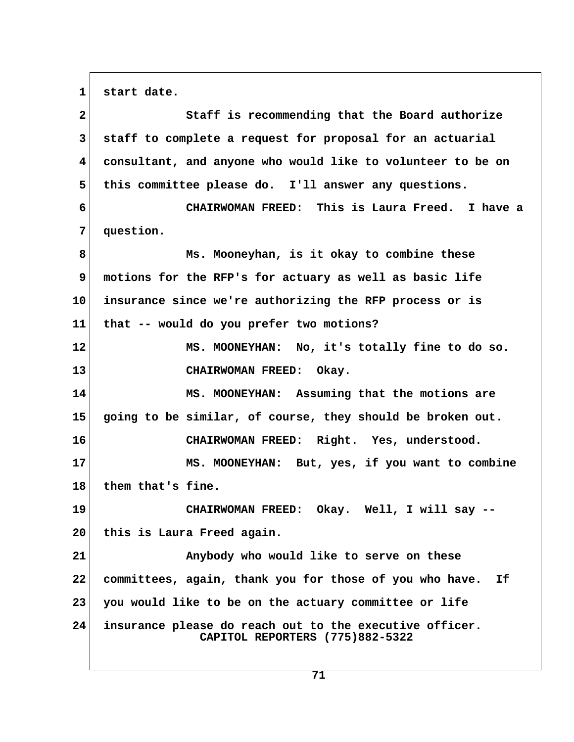1 start date.

| $\mathbf{2}$ | Staff is recommending that the Board authorize                                             |
|--------------|--------------------------------------------------------------------------------------------|
| 3            | staff to complete a request for proposal for an actuarial                                  |
| 4            | consultant, and anyone who would like to volunteer to be on                                |
| 5            | this committee please do. I'll answer any questions.                                       |
| 6            | CHAIRWOMAN FREED: This is Laura Freed. I have a                                            |
| 7            | question.                                                                                  |
| 8            | Ms. Mooneyhan, is it okay to combine these                                                 |
| 9            | motions for the RFP's for actuary as well as basic life                                    |
| 10           | insurance since we're authorizing the RFP process or is                                    |
| 11           | that -- would do you prefer two motions?                                                   |
| 12           | MS. MOONEYHAN: No, it's totally fine to do so.                                             |
| 13           | CHAIRWOMAN FREED: Okay.                                                                    |
| 14           | MS. MOONEYHAN: Assuming that the motions are                                               |
| 15           | going to be similar, of course, they should be broken out.                                 |
| 16           | CHAIRWOMAN FREED: Right. Yes, understood.                                                  |
| 17           | MS. MOONEYHAN: But, yes, if you want to combine                                            |
| 18           | them that's fine.                                                                          |
| 19           | CHAIRWOMAN FREED: Okay. Well, I will say --                                                |
| 20           | this is Laura Freed again.                                                                 |
| 21           | Anybody who would like to serve on these                                                   |
| 22           | committees, again, thank you for those of you who have. If                                 |
| 23           | you would like to be on the actuary committee or life                                      |
| 24           | insurance please do reach out to the executive officer.<br>CAPITOL REPORTERS (775)882-5322 |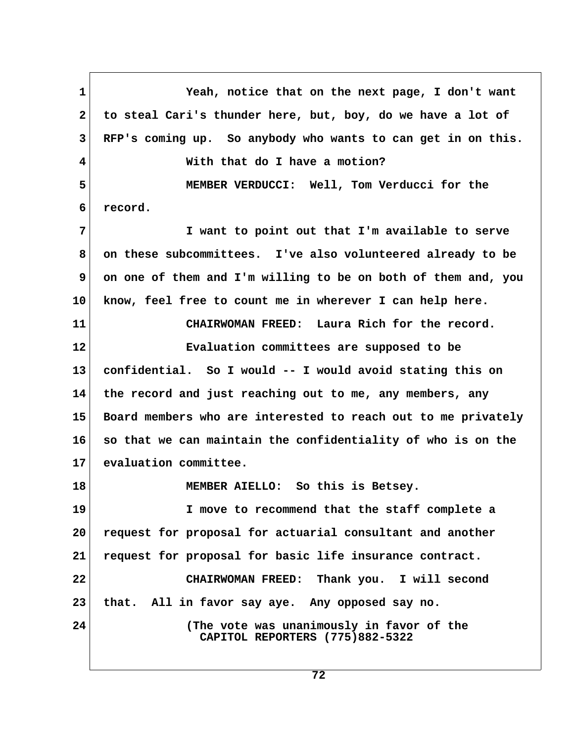**1 Yeah, notice that on the next page, I don't want 2 to steal Cari's thunder here, but, boy, do we have a lot of 3 RFP's coming up. So anybody who wants to can get in on this. 4 With that do I have a motion? 5 MEMBER VERDUCCI: Well, Tom Verducci for the 6 record. 7 I want to point out that I'm available to serve 8 on these subcommittees. I've also volunteered already to be 9 on one of them and I'm willing to be on both of them and, you 10 know, feel free to count me in wherever I can help here. 11 CHAIRWOMAN FREED: Laura Rich for the record. 12 Evaluation committees are supposed to be 13 confidential. So I would -- I would avoid stating this on 14 the record and just reaching out to me, any members, any 15 Board members who are interested to reach out to me privately 16 so that we can maintain the confidentiality of who is on the 17 evaluation committee. 18 MEMBER AIELLO: So this is Betsey. 19 I move to recommend that the staff complete a 20 request for proposal for actuarial consultant and another 21 request for proposal for basic life insurance contract. 22 CHAIRWOMAN FREED: Thank you. I will second 23 that. All in favor say aye. Any opposed say no. 24 (The vote was unanimously in favor of the CAPITOL REPORTERS (775)882-5322**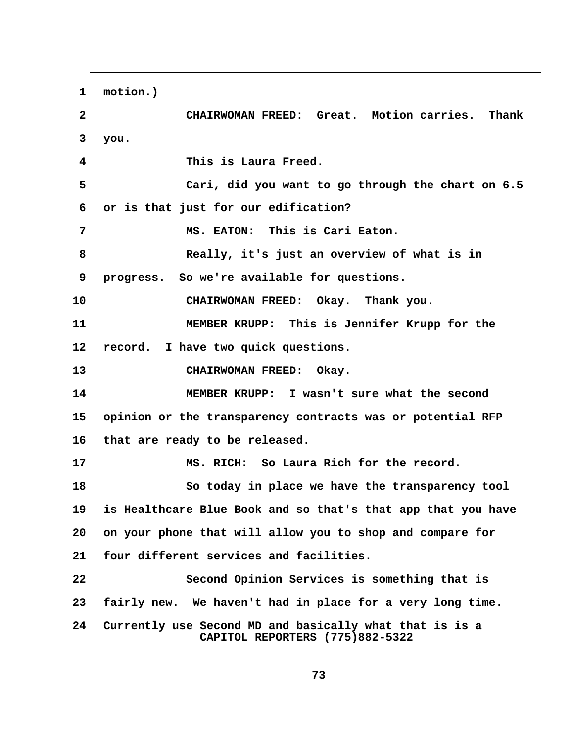**1 motion.) 2 CHAIRWOMAN FREED: Great. Motion carries. Thank 3 you. 4 This is Laura Freed. 5 Cari, did you want to go through the chart on 6.5 6 or is that just for our edification? 7 MS. EATON: This is Cari Eaton. 8 Really, it's just an overview of what is in 9 progress. So we're available for questions. 10 CHAIRWOMAN FREED: Okay. Thank you. 11 MEMBER KRUPP: This is Jennifer Krupp for the 12 record. I have two quick questions. 13 CHAIRWOMAN FREED: Okay. 14 MEMBER KRUPP: I wasn't sure what the second 15 opinion or the transparency contracts was or potential RFP 16 that are ready to be released. 17 MS. RICH: So Laura Rich for the record. 18 So today in place we have the transparency tool 19 is Healthcare Blue Book and so that's that app that you have 20 on your phone that will allow you to shop and compare for 21 four different services and facilities. 22 Second Opinion Services is something that is 23 fairly new. We haven't had in place for a very long time. 24 Currently use Second MD and basically what that is is a CAPITOL REPORTERS (775)882-5322**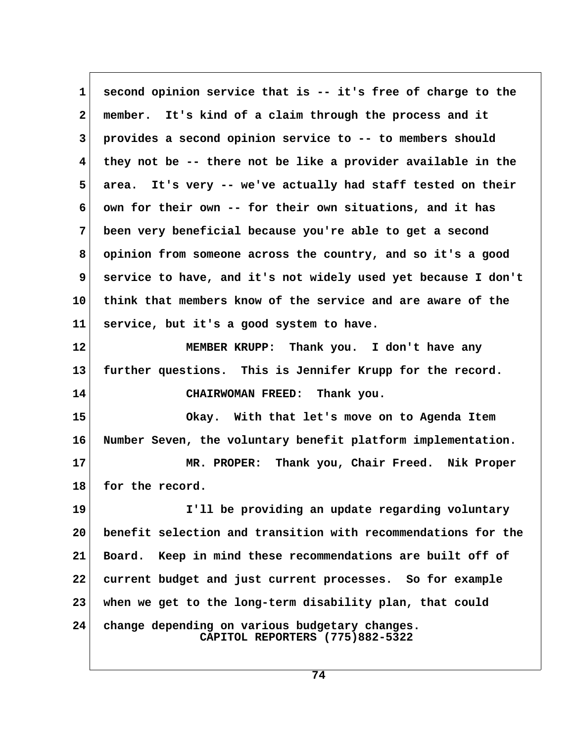**1 second opinion service that is -- it's free of charge to the 2 member. It's kind of a claim through the process and it 3 provides a second opinion service to -- to members should 4 they not be -- there not be like a provider available in the 5 area. It's very -- we've actually had staff tested on their 6 own for their own -- for their own situations, and it has 7 been very beneficial because you're able to get a second 8 opinion from someone across the country, and so it's a good 9 service to have, and it's not widely used yet because I don't 10 think that members know of the service and are aware of the 11 service, but it's a good system to have. 12 MEMBER KRUPP: Thank you. I don't have any 13 further questions. This is Jennifer Krupp for the record. 14 CHAIRWOMAN FREED: Thank you. 15 Okay. With that let's move on to Agenda Item 16 Number Seven, the voluntary benefit platform implementation. 17 MR. PROPER: Thank you, Chair Freed. Nik Proper** 18 for the record. **19 I'll be providing an update regarding voluntary 20 benefit selection and transition with recommendations for the 21 Board. Keep in mind these recommendations are built off of 22 current budget and just current processes. So for example 23 when we get to the long-term disability plan, that could 24 change depending on various budgetary changes. CAPITOL REPORTERS (775)882-5322**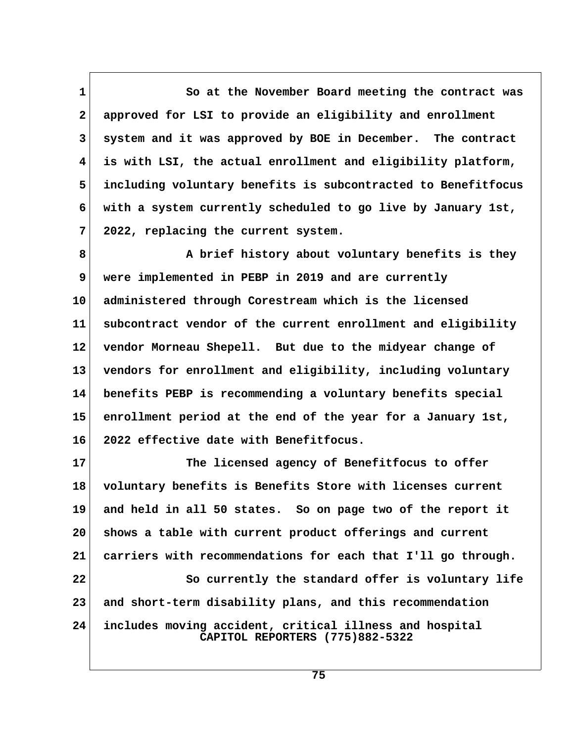**1 So at the November Board meeting the contract was 2 approved for LSI to provide an eligibility and enrollment 3 system and it was approved by BOE in December. The contract 4 is with LSI, the actual enrollment and eligibility platform, 5 including voluntary benefits is subcontracted to Benefitfocus 6 with a system currently scheduled to go live by January 1st, 7 2022, replacing the current system.**

 **8 A brief history about voluntary benefits is they 9 were implemented in PEBP in 2019 and are currently 10 administered through Corestream which is the licensed 11 subcontract vendor of the current enrollment and eligibility 12 vendor Morneau Shepell. But due to the midyear change of 13 vendors for enrollment and eligibility, including voluntary 14 benefits PEBP is recommending a voluntary benefits special 15 enrollment period at the end of the year for a January 1st, 16 2022 effective date with Benefitfocus.**

**17 The licensed agency of Benefitfocus to offer 18 voluntary benefits is Benefits Store with licenses current 19 and held in all 50 states. So on page two of the report it 20 shows a table with current product offerings and current 21 carriers with recommendations for each that I'll go through. 22 So currently the standard offer is voluntary life 23 and short-term disability plans, and this recommendation 24 includes moving accident, critical illness and hospital CAPITOL REPORTERS (775)882-5322**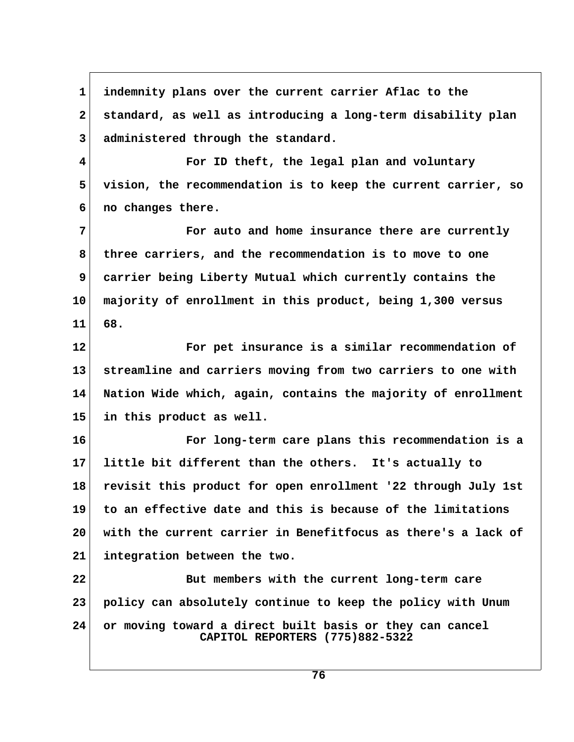**1 indemnity plans over the current carrier Aflac to the 2 standard, as well as introducing a long-term disability plan 3 administered through the standard. 4 For ID theft, the legal plan and voluntary 5 vision, the recommendation is to keep the current carrier, so 6 no changes there. 7 For auto and home insurance there are currently 8 three carriers, and the recommendation is to move to one 9 carrier being Liberty Mutual which currently contains the 10 majority of enrollment in this product, being 1,300 versus 11 68. 12 For pet insurance is a similar recommendation of 13 streamline and carriers moving from two carriers to one with 14 Nation Wide which, again, contains the majority of enrollment 15 in this product as well. 16 For long-term care plans this recommendation is a 17 little bit different than the others. It's actually to 18 revisit this product for open enrollment '22 through July 1st 19 to an effective date and this is because of the limitations 20 with the current carrier in Benefitfocus as there's a lack of 21 integration between the two. 22 But members with the current long-term care 23 policy can absolutely continue to keep the policy with Unum 24 or moving toward a direct built basis or they can cancel CAPITOL REPORTERS (775)882-5322**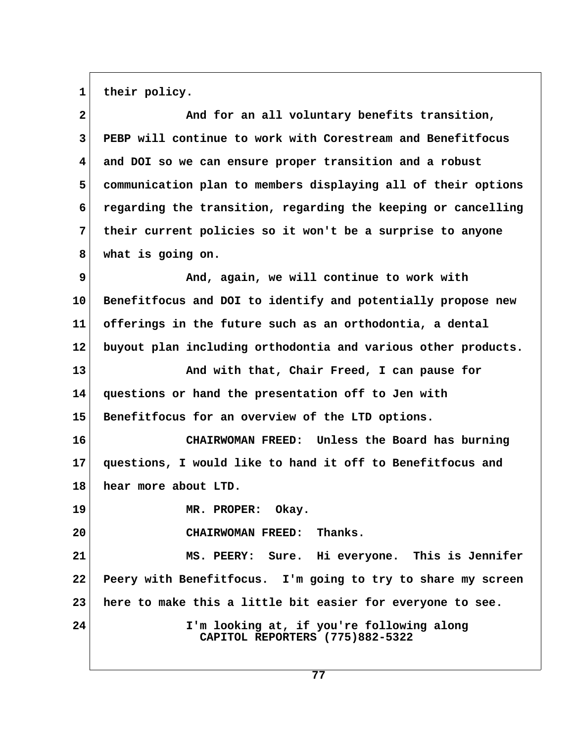1 their policy.

| $\mathbf{2}$            | And for an all voluntary benefits transition,                                |  |
|-------------------------|------------------------------------------------------------------------------|--|
| 3                       | PEBP will continue to work with Corestream and Benefitfocus                  |  |
| $\overline{\mathbf{4}}$ | and DOI so we can ensure proper transition and a robust                      |  |
| 5                       | communication plan to members displaying all of their options                |  |
| 6                       | regarding the transition, regarding the keeping or cancelling                |  |
| 7                       | their current policies so it won't be a surprise to anyone                   |  |
| 8                       | what is going on.                                                            |  |
| 9                       | And, again, we will continue to work with                                    |  |
| 10                      | Benefitfocus and DOI to identify and potentially propose new                 |  |
| 11                      | offerings in the future such as an orthodontia, a dental                     |  |
| $12 \,$                 | buyout plan including orthodontia and various other products.                |  |
| 13                      | And with that, Chair Freed, I can pause for                                  |  |
| 14                      | questions or hand the presentation off to Jen with                           |  |
| 15                      | Benefitfocus for an overview of the LTD options.                             |  |
| 16                      | CHAIRWOMAN FREED: Unless the Board has burning                               |  |
| 17                      | questions, I would like to hand it off to Benefitfocus and                   |  |
| 18                      | hear more about LTD.                                                         |  |
| 19                      | MR. PROPER:<br>Okay.                                                         |  |
| 20                      | Thanks.<br><b>CHAIRWOMAN FREED:</b>                                          |  |
| 21                      | MS. PEERY: Sure. Hi everyone. This is Jennifer                               |  |
| 22                      | Peery with Benefitfocus. I'm going to try to share my screen                 |  |
| 23                      | here to make this a little bit easier for everyone to see.                   |  |
| 24                      | I'm looking at, if you're following along<br>CAPITOL REPORTERS (775)882-5322 |  |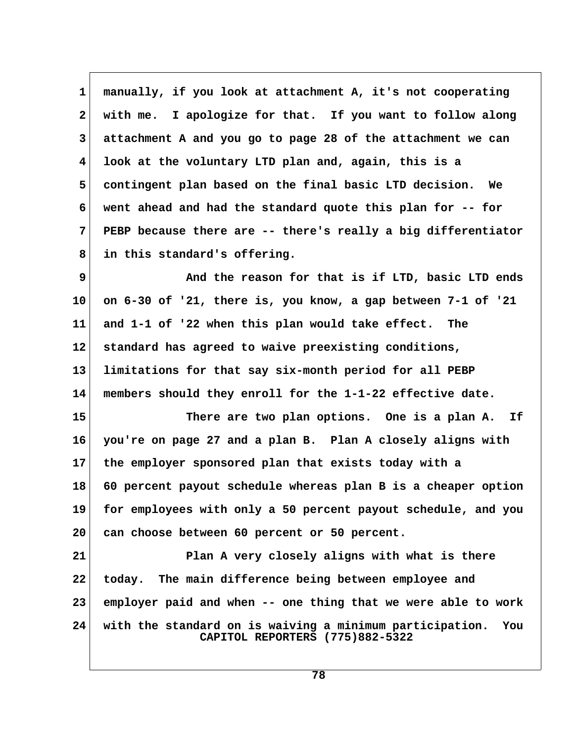**1 manually, if you look at attachment A, it's not cooperating 2 with me. I apologize for that. If you want to follow along 3 attachment A and you go to page 28 of the attachment we can 4 look at the voluntary LTD plan and, again, this is a 5 contingent plan based on the final basic LTD decision. We 6 went ahead and had the standard quote this plan for -- for 7 PEBP because there are -- there's really a big differentiator 8 in this standard's offering.**

 **9 And the reason for that is if LTD, basic LTD ends 10 on 6-30 of '21, there is, you know, a gap between 7-1 of '21 11 and 1-1 of '22 when this plan would take effect. The 12 standard has agreed to waive preexisting conditions, 13 limitations for that say six-month period for all PEBP 14 members should they enroll for the 1-1-22 effective date.**

**15 There are two plan options. One is a plan A. If 16 you're on page 27 and a plan B. Plan A closely aligns with 17 the employer sponsored plan that exists today with a 18 60 percent payout schedule whereas plan B is a cheaper option 19 for employees with only a 50 percent payout schedule, and you 20 can choose between 60 percent or 50 percent.**

**21 Plan A very closely aligns with what is there 22 today. The main difference being between employee and 23 employer paid and when -- one thing that we were able to work 24 with the standard on is waiving a minimum participation. You CAPITOL REPORTERS (775)882-5322**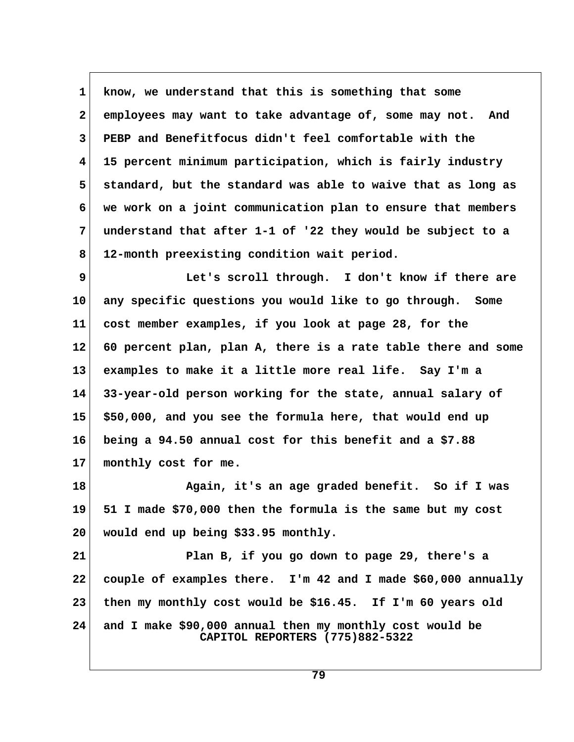**1 know, we understand that this is something that some 2 employees may want to take advantage of, some may not. And 3 PEBP and Benefitfocus didn't feel comfortable with the 4 15 percent minimum participation, which is fairly industry 5 standard, but the standard was able to waive that as long as 6 we work on a joint communication plan to ensure that members 7 understand that after 1-1 of '22 they would be subject to a 8 12-month preexisting condition wait period.**

 **9 Let's scroll through. I don't know if there are 10 any specific questions you would like to go through. Some 11 cost member examples, if you look at page 28, for the 12 60 percent plan, plan A, there is a rate table there and some 13 examples to make it a little more real life. Say I'm a 14 33-year-old person working for the state, annual salary of 15 \$50,000, and you see the formula here, that would end up 16 being a 94.50 annual cost for this benefit and a \$7.88 17 monthly cost for me.**

**18 Again, it's an age graded benefit. So if I was 19 51 I made \$70,000 then the formula is the same but my cost 20 would end up being \$33.95 monthly.**

**21 Plan B, if you go down to page 29, there's a 22 couple of examples there. I'm 42 and I made \$60,000 annually 23 then my monthly cost would be \$16.45. If I'm 60 years old 24 and I make \$90,000 annual then my monthly cost would be CAPITOL REPORTERS (775)882-5322**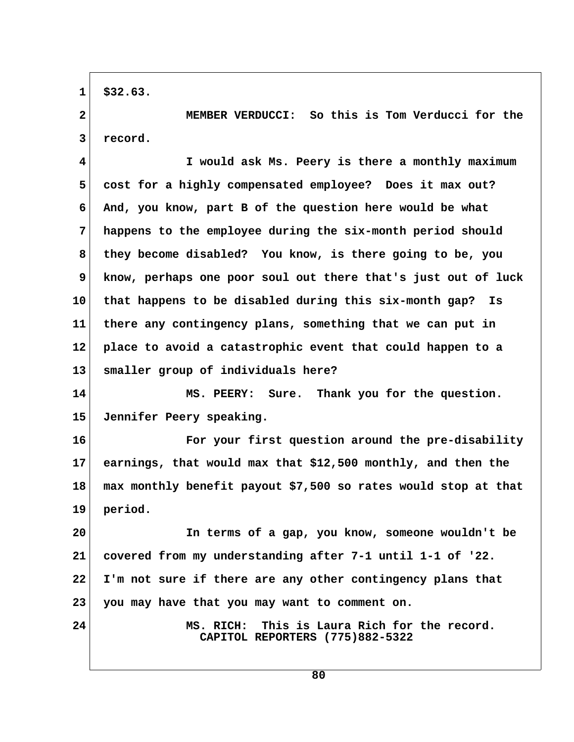**1 \$32.63.**

 **2 MEMBER VERDUCCI: So this is Tom Verducci for the 3 record.**

 **4 I would ask Ms. Peery is there a monthly maximum 5 cost for a highly compensated employee? Does it max out? 6 And, you know, part B of the question here would be what 7 happens to the employee during the six-month period should 8 they become disabled? You know, is there going to be, you 9 know, perhaps one poor soul out there that's just out of luck 10 that happens to be disabled during this six-month gap? Is 11 there any contingency plans, something that we can put in 12 place to avoid a catastrophic event that could happen to a 13 smaller group of individuals here?**

**14 MS. PEERY: Sure. Thank you for the question. 15 Jennifer Peery speaking.**

**16 For your first question around the pre-disability 17 earnings, that would max that \$12,500 monthly, and then the 18 max monthly benefit payout \$7,500 so rates would stop at that 19 period.**

**20 In terms of a gap, you know, someone wouldn't be 21 covered from my understanding after 7-1 until 1-1 of '22. 22 I'm not sure if there are any other contingency plans that 23 you may have that you may want to comment on.**

**24 MS. RICH: This is Laura Rich for the record. CAPITOL REPORTERS (775)882-5322**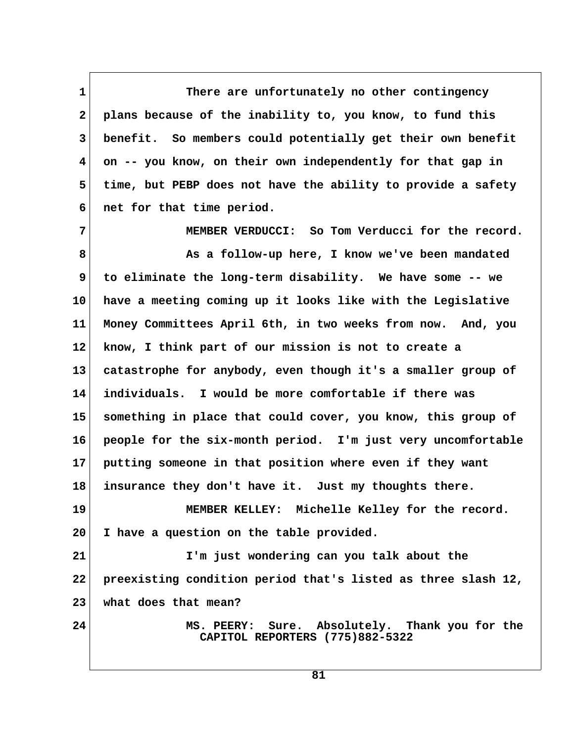1 There are unfortunately no other contingency  **2 plans because of the inability to, you know, to fund this 3 benefit. So members could potentially get their own benefit 4 on -- you know, on their own independently for that gap in 5 time, but PEBP does not have the ability to provide a safety 6 net for that time period.**

 **7 MEMBER VERDUCCI: So Tom Verducci for the record. 8 As a follow-up here, I know we've been mandated 9 to eliminate the long-term disability. We have some -- we 10 have a meeting coming up it looks like with the Legislative 11 Money Committees April 6th, in two weeks from now. And, you 12 know, I think part of our mission is not to create a 13 catastrophe for anybody, even though it's a smaller group of 14 individuals. I would be more comfortable if there was 15 something in place that could cover, you know, this group of 16 people for the six-month period. I'm just very uncomfortable 17 putting someone in that position where even if they want 18 insurance they don't have it. Just my thoughts there. 19 MEMBER KELLEY: Michelle Kelley for the record. 20 I have a question on the table provided. 21 I'm just wondering can you talk about the 22 preexisting condition period that's listed as three slash 12, 23 what does that mean? 24 MS. PEERY: Sure. Absolutely. Thank you for the CAPITOL REPORTERS (775)882-5322**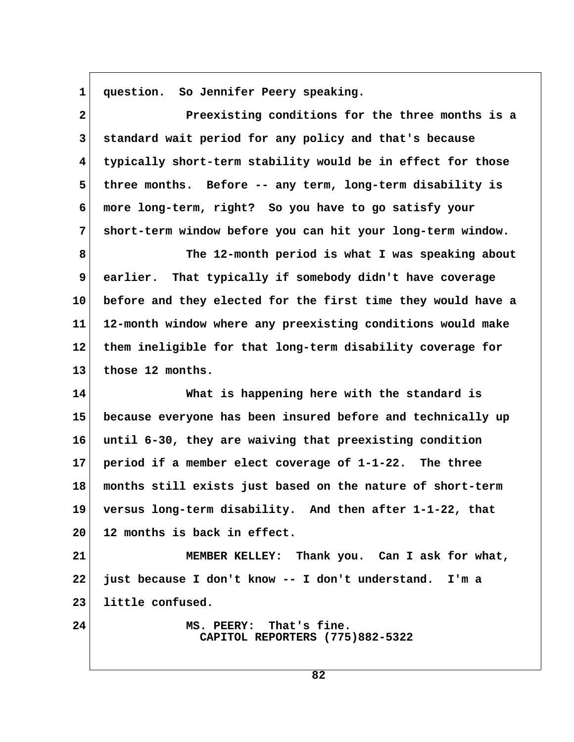**1 question. So Jennifer Peery speaking.**

 **2 Preexisting conditions for the three months is a 3 standard wait period for any policy and that's because 4 typically short-term stability would be in effect for those** 5 three months. Before -- any term, long-term disability is  **6 more long-term, right? So you have to go satisfy your 7 short-term window before you can hit your long-term window. 8 The 12-month period is what I was speaking about 9 earlier. That typically if somebody didn't have coverage 10 before and they elected for the first time they would have a 11 12-month window where any preexisting conditions would make 12 them ineligible for that long-term disability coverage for 13 those 12 months. 14 What is happening here with the standard is 15 because everyone has been insured before and technically up 16 until 6-30, they are waiving that preexisting condition 17 period if a member elect coverage of 1-1-22. The three 18 months still exists just based on the nature of short-term 19 versus long-term disability. And then after 1-1-22, that 20 12 months is back in effect. 21 MEMBER KELLEY: Thank you. Can I ask for what, 22 just because I don't know -- I don't understand. I'm a 23 little confused. 24 MS. PEERY: That's fine. CAPITOL REPORTERS (775)882-5322**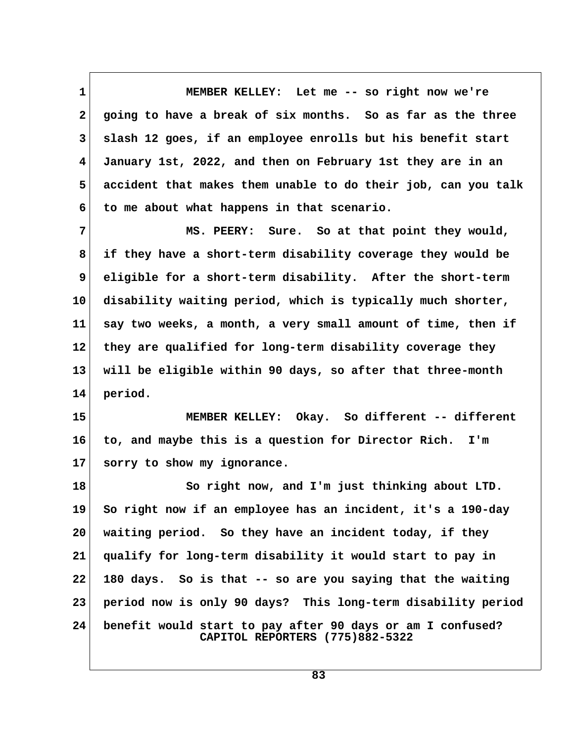**1 MEMBER KELLEY: Let me -- so right now we're 2 going to have a break of six months. So as far as the three 3 slash 12 goes, if an employee enrolls but his benefit start 4 January 1st, 2022, and then on February 1st they are in an 5 accident that makes them unable to do their job, can you talk 6 to me about what happens in that scenario.**

7 MS. PEERY: Sure. So at that point they would,  **8 if they have a short-term disability coverage they would be 9 eligible for a short-term disability. After the short-term 10 disability waiting period, which is typically much shorter, 11 say two weeks, a month, a very small amount of time, then if 12 they are qualified for long-term disability coverage they 13 will be eligible within 90 days, so after that three-month 14 period.**

**15 MEMBER KELLEY: Okay. So different -- different 16 to, and maybe this is a question for Director Rich. I'm 17 sorry to show my ignorance.**

18 So right now, and I'm just thinking about LTD. **19 So right now if an employee has an incident, it's a 190-day 20 waiting period. So they have an incident today, if they 21 qualify for long-term disability it would start to pay in 22 180 days. So is that -- so are you saying that the waiting 23 period now is only 90 days? This long-term disability period 24 benefit would start to pay after 90 days or am I confused? CAPITOL REPORTERS (775)882-5322**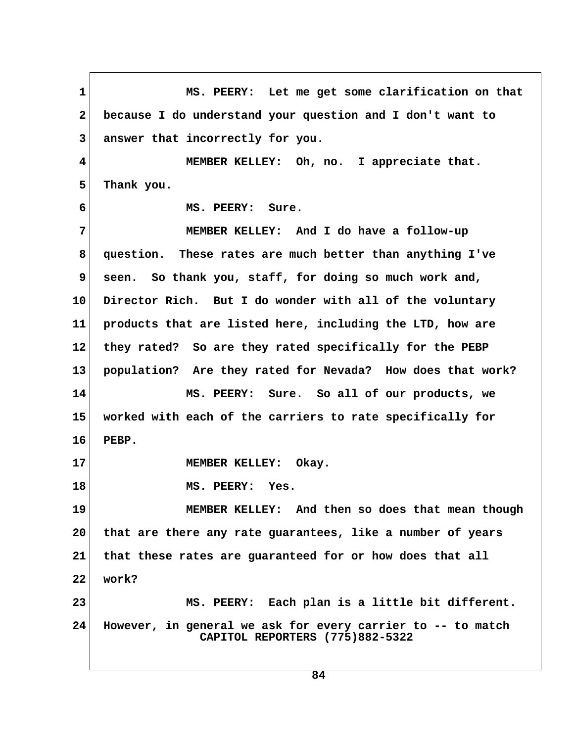1 MS. PEERY: Let me get some clarification on that  **2 because I do understand your question and I don't want to 3 answer that incorrectly for you. 4 MEMBER KELLEY: Oh, no. I appreciate that. 5 Thank you. 6 MS. PEERY: Sure. 7 MEMBER KELLEY: And I do have a follow-up 8 question. These rates are much better than anything I've 9 seen. So thank you, staff, for doing so much work and, 10 Director Rich. But I do wonder with all of the voluntary 11 products that are listed here, including the LTD, how are 12 they rated? So are they rated specifically for the PEBP 13 population? Are they rated for Nevada? How does that work? 14 MS. PEERY: Sure. So all of our products, we 15 worked with each of the carriers to rate specifically for 16 PEBP. 17 MEMBER KELLEY: Okay. 18 MS. PEERY: Yes. 19 MEMBER KELLEY: And then so does that mean though 20 that are there any rate guarantees, like a number of years 21 that these rates are guaranteed for or how does that all 22 work? 23 MS. PEERY: Each plan is a little bit different. 24 However, in general we ask for every carrier to -- to match CAPITOL REPORTERS (775)882-5322**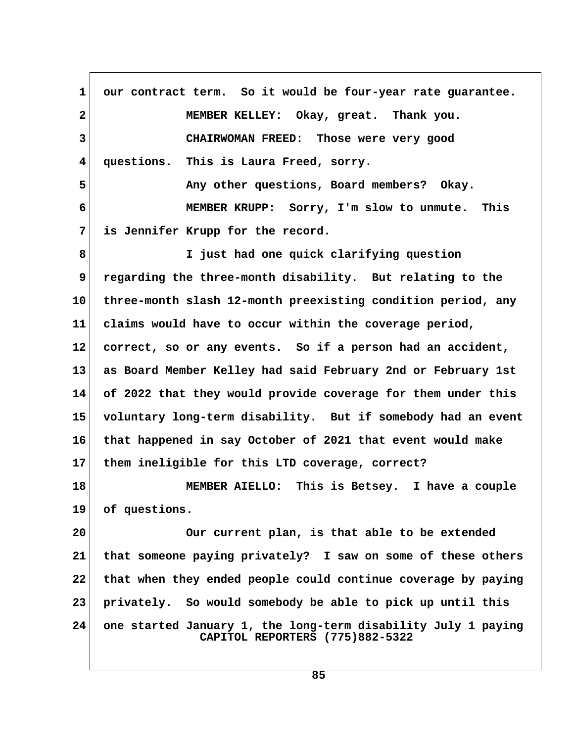1 our contract term. So it would be four-year rate guarantee.  **2 MEMBER KELLEY: Okay, great. Thank you. 3 CHAIRWOMAN FREED: Those were very good 4 questions. This is Laura Freed, sorry. 5 Any other questions, Board members? Okay. 6 MEMBER KRUPP: Sorry, I'm slow to unmute. This 7 is Jennifer Krupp for the record. 8 I just had one quick clarifying question 9 regarding the three-month disability. But relating to the 10 three-month slash 12-month preexisting condition period, any 11 claims would have to occur within the coverage period, 12 correct, so or any events. So if a person had an accident, 13 as Board Member Kelley had said February 2nd or February 1st 14 of 2022 that they would provide coverage for them under this 15 voluntary long-term disability. But if somebody had an event 16 that happened in say October of 2021 that event would make 17 them ineligible for this LTD coverage, correct? 18 MEMBER AIELLO: This is Betsey. I have a couple 19 of questions. 20 Our current plan, is that able to be extended 21 that someone paying privately? I saw on some of these others 22 that when they ended people could continue coverage by paying 23 privately. So would somebody be able to pick up until this 24 one started January 1, the long-term disability July 1 paying CAPITOL REPORTERS (775)882-5322**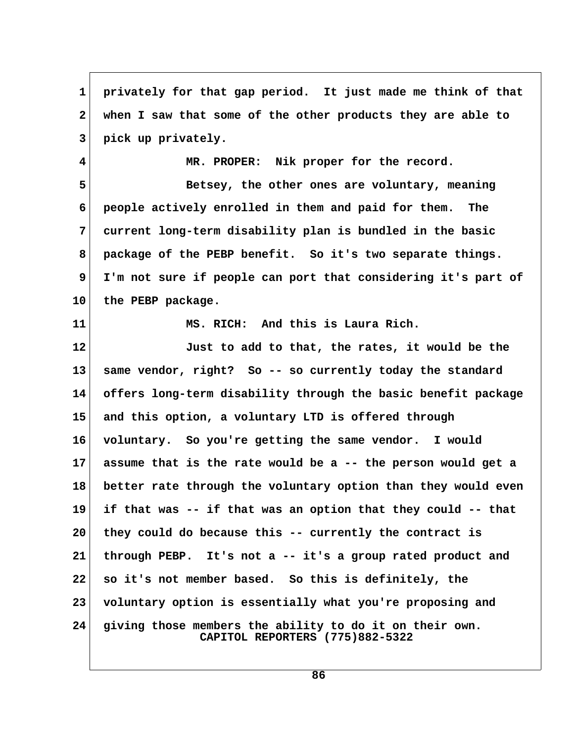**1 privately for that gap period. It just made me think of that 2 when I saw that some of the other products they are able to 3 pick up privately.**

 **4 MR. PROPER: Nik proper for the record.**

**5** Betsey, the other ones are voluntary, meaning  **6 people actively enrolled in them and paid for them. The 7 current long-term disability plan is bundled in the basic 8 package of the PEBP benefit. So it's two separate things. 9 I'm not sure if people can port that considering it's part of 10 the PEBP package.**

**11 MS. RICH: And this is Laura Rich.**

**12 Just to add to that, the rates, it would be the 13 same vendor, right? So -- so currently today the standard 14 offers long-term disability through the basic benefit package 15 and this option, a voluntary LTD is offered through 16 voluntary. So you're getting the same vendor. I would 17 assume that is the rate would be a -- the person would get a 18 better rate through the voluntary option than they would even 19 if that was -- if that was an option that they could -- that 20 they could do because this -- currently the contract is 21 through PEBP. It's not a -- it's a group rated product and 22 so it's not member based. So this is definitely, the 23 voluntary option is essentially what you're proposing and 24 giving those members the ability to do it on their own. CAPITOL REPORTERS (775)882-5322**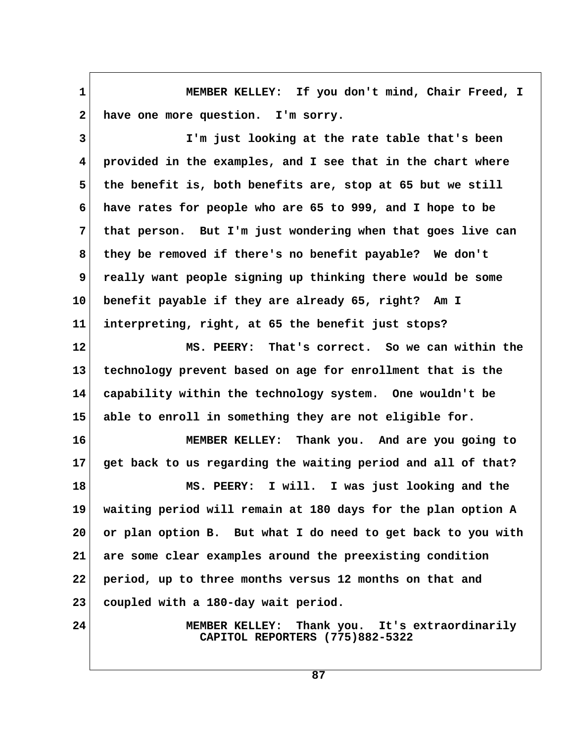**1 MEMBER KELLEY: If you don't mind, Chair Freed, I** 2 have one more question. I'm sorry.

 **3 I'm just looking at the rate table that's been 4 provided in the examples, and I see that in the chart where 5 the benefit is, both benefits are, stop at 65 but we still 6 have rates for people who are 65 to 999, and I hope to be 7 that person. But I'm just wondering when that goes live can 8 they be removed if there's no benefit payable? We don't 9 really want people signing up thinking there would be some 10 benefit payable if they are already 65, right? Am I 11 interpreting, right, at 65 the benefit just stops?**

**12 MS. PEERY: That's correct. So we can within the 13 technology prevent based on age for enrollment that is the 14 capability within the technology system. One wouldn't be 15 able to enroll in something they are not eligible for.**

**16 MEMBER KELLEY: Thank you. And are you going to 17 get back to us regarding the waiting period and all of that?**

**18 MS. PEERY: I will. I was just looking and the 19 waiting period will remain at 180 days for the plan option A 20 or plan option B. But what I do need to get back to you with 21 are some clear examples around the preexisting condition 22 period, up to three months versus 12 months on that and 23 coupled with a 180-day wait period.**

**24 MEMBER KELLEY: Thank you. It's extraordinarily CAPITOL REPORTERS (775)882-5322**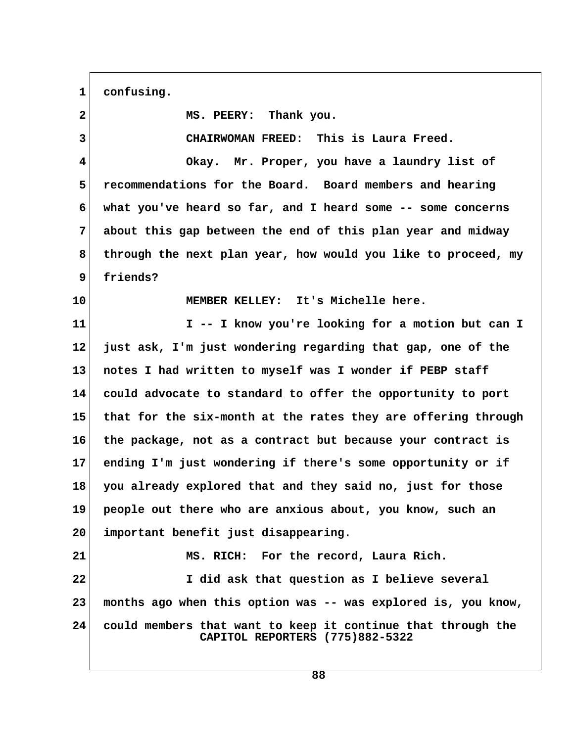1 confusing.

| $\overline{2}$ | MS. PEERY: Thank you.                                                                           |  |
|----------------|-------------------------------------------------------------------------------------------------|--|
| 3              | CHAIRWOMAN FREED: This is Laura Freed.                                                          |  |
| 4              | Okay. Mr. Proper, you have a laundry list of                                                    |  |
| 5              | recommendations for the Board. Board members and hearing                                        |  |
| 6              | what you've heard so far, and I heard some $-$ - some concerns                                  |  |
| 7              | about this gap between the end of this plan year and midway                                     |  |
| 8              | through the next plan year, how would you like to proceed, my                                   |  |
| 9              | friends?                                                                                        |  |
| 10             | MEMBER KELLEY: It's Michelle here.                                                              |  |
| 11             | I -- I know you're looking for a motion but can I                                               |  |
| 12             | just ask, I'm just wondering regarding that gap, one of the                                     |  |
| 13             | notes I had written to myself was I wonder if PEBP staff                                        |  |
| 14             | could advocate to standard to offer the opportunity to port                                     |  |
| 15             | that for the six-month at the rates they are offering through                                   |  |
| 16             | the package, not as a contract but because your contract is                                     |  |
| 17             | ending I'm just wondering if there's some opportunity or if                                     |  |
| 18             | you already explored that and they said no, just for those                                      |  |
| 19             | people out there who are anxious about, you know, such an                                       |  |
| 20             | important benefit just disappearing.                                                            |  |
| 21             | MS. RICH: For the record, Laura Rich.                                                           |  |
| 22             | I did ask that question as I believe several                                                    |  |
| 23             | months ago when this option was -- was explored is, you know,                                   |  |
| 24             | could members that want to keep it continue that through the<br>CAPITOL REPORTERS (775)882-5322 |  |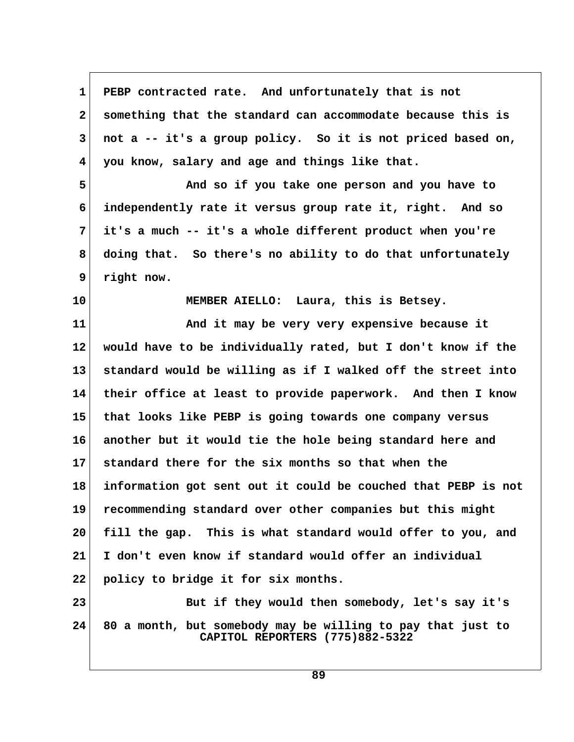**1 PEBP contracted rate. And unfortunately that is not 2 something that the standard can accommodate because this is 3 not a -- it's a group policy. So it is not priced based on, 4 you know, salary and age and things like that. 5 And so if you take one person and you have to 6 independently rate it versus group rate it, right. And so 7 it's a much -- it's a whole different product when you're 8 doing that. So there's no ability to do that unfortunately 9 right now. 10 MEMBER AIELLO: Laura, this is Betsey. 11 And it may be very very expensive because it 12 would have to be individually rated, but I don't know if the 13 standard would be willing as if I walked off the street into 14 their office at least to provide paperwork. And then I know 15 that looks like PEBP is going towards one company versus 16 another but it would tie the hole being standard here and 17 standard there for the six months so that when the 18 information got sent out it could be couched that PEBP is not**

**19 recommending standard over other companies but this might 20 fill the gap. This is what standard would offer to you, and**

**21 I don't even know if standard would offer an individual**

**22 policy to bridge it for six months.**

23 But if they would then somebody, let's say it's **24 80 a month, but somebody may be willing to pay that just to CAPITOL REPORTERS (775)882-5322**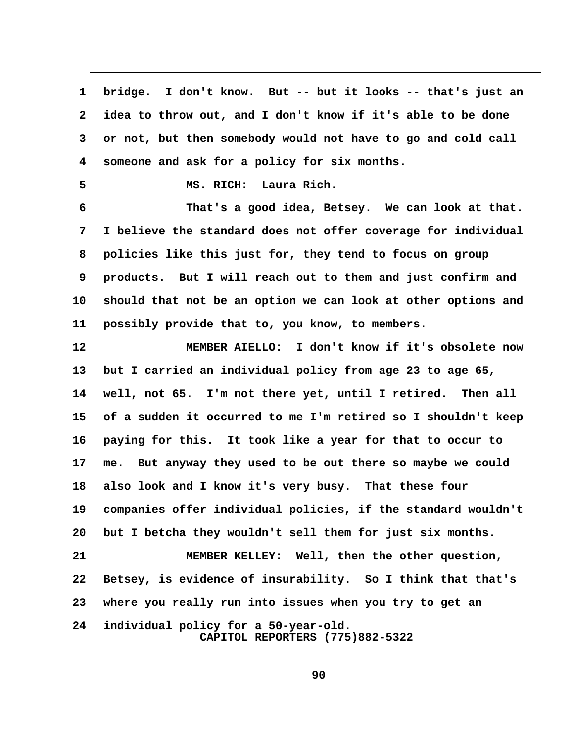**1 bridge. I don't know. But -- but it looks -- that's just an 2 idea to throw out, and I don't know if it's able to be done 3 or not, but then somebody would not have to go and cold call 4 someone and ask for a policy for six months. 5 MS. RICH: Laura Rich. 6 That's a good idea, Betsey. We can look at that. 7 I believe the standard does not offer coverage for individual 8 policies like this just for, they tend to focus on group 9 products. But I will reach out to them and just confirm and 10 should that not be an option we can look at other options and 11 possibly provide that to, you know, to members. 12 MEMBER AIELLO: I don't know if it's obsolete now 13 but I carried an individual policy from age 23 to age 65, 14 well, not 65. I'm not there yet, until I retired. Then all 15 of a sudden it occurred to me I'm retired so I shouldn't keep 16 paying for this. It took like a year for that to occur to 17 me. But anyway they used to be out there so maybe we could 18 also look and I know it's very busy. That these four 19 companies offer individual policies, if the standard wouldn't 20 but I betcha they wouldn't sell them for just six months. 21 MEMBER KELLEY: Well, then the other question, 22 Betsey, is evidence of insurability. So I think that that's 23 where you really run into issues when you try to get an 24 individual policy for a 50-year-old. CAPITOL REPORTERS (775)882-5322**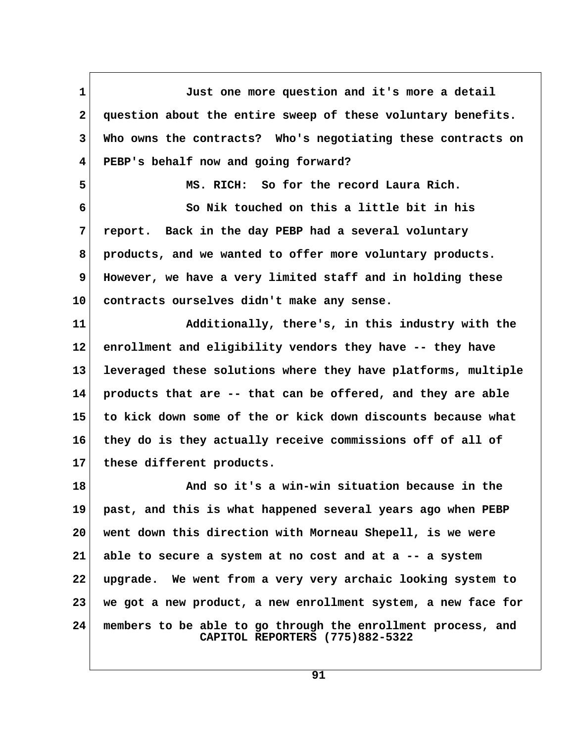**1 Just one more question and it's more a detail 2 question about the entire sweep of these voluntary benefits. 3 Who owns the contracts? Who's negotiating these contracts on 4 PEBP's behalf now and going forward? 5 MS. RICH: So for the record Laura Rich. 6 So Nik touched on this a little bit in his 7 report. Back in the day PEBP had a several voluntary 8 products, and we wanted to offer more voluntary products. 9 However, we have a very limited staff and in holding these 10 contracts ourselves didn't make any sense. 11 Additionally, there's, in this industry with the 12 enrollment and eligibility vendors they have -- they have 13 leveraged these solutions where they have platforms, multiple 14 products that are -- that can be offered, and they are able 15 to kick down some of the or kick down discounts because what 16 they do is they actually receive commissions off of all of 17 these different products. 18 And so it's a win-win situation because in the 19 past, and this is what happened several years ago when PEBP 20 went down this direction with Morneau Shepell, is we were 21 able to secure a system at no cost and at a -- a system 22 upgrade. We went from a very very archaic looking system to 23 we got a new product, a new enrollment system, a new face for 24 members to be able to go through the enrollment process, and CAPITOL REPORTERS (775)882-5322**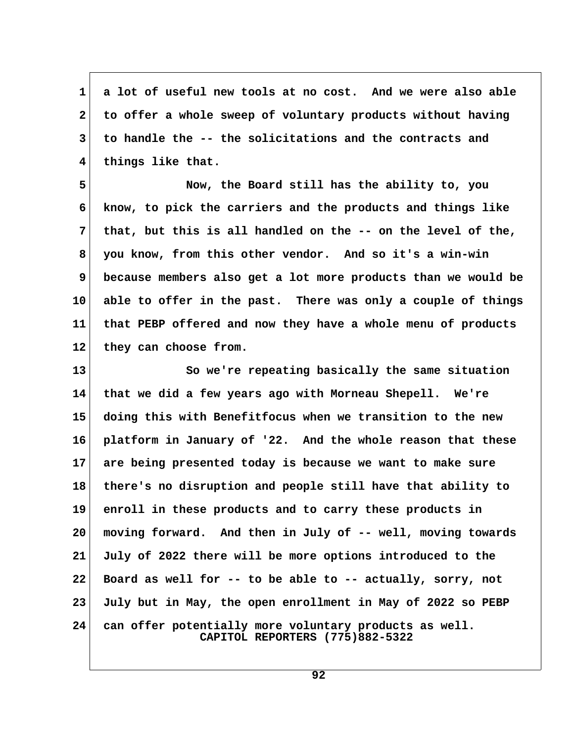**1 a lot of useful new tools at no cost. And we were also able 2 to offer a whole sweep of voluntary products without having 3 to handle the -- the solicitations and the contracts and 4 things like that.**

 **5 Now, the Board still has the ability to, you 6 know, to pick the carriers and the products and things like 7 that, but this is all handled on the -- on the level of the, 8 you know, from this other vendor. And so it's a win-win 9 because members also get a lot more products than we would be 10 able to offer in the past. There was only a couple of things 11 that PEBP offered and now they have a whole menu of products** 12 they can choose from.

**13 So we're repeating basically the same situation 14 that we did a few years ago with Morneau Shepell. We're 15 doing this with Benefitfocus when we transition to the new 16 platform in January of '22. And the whole reason that these 17 are being presented today is because we want to make sure 18 there's no disruption and people still have that ability to 19 enroll in these products and to carry these products in 20 moving forward. And then in July of -- well, moving towards 21 July of 2022 there will be more options introduced to the 22 Board as well for -- to be able to -- actually, sorry, not 23 July but in May, the open enrollment in May of 2022 so PEBP 24 can offer potentially more voluntary products as well. CAPITOL REPORTERS (775)882-5322**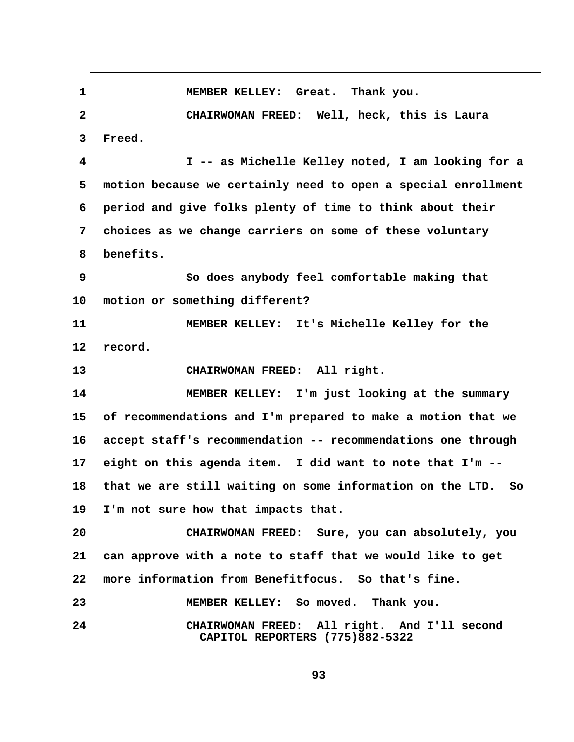1 MEMBER KELLEY: Great. Thank you.  **2 CHAIRWOMAN FREED: Well, heck, this is Laura 3 Freed. 4 I -- as Michelle Kelley noted, I am looking for a 5 motion because we certainly need to open a special enrollment 6 period and give folks plenty of time to think about their 7 choices as we change carriers on some of these voluntary 8 benefits. 9 So does anybody feel comfortable making that 10 motion or something different? 11 MEMBER KELLEY: It's Michelle Kelley for the** 12 record. **13 CHAIRWOMAN FREED: All right. 14 MEMBER KELLEY: I'm just looking at the summary 15 of recommendations and I'm prepared to make a motion that we 16 accept staff's recommendation -- recommendations one through 17 eight on this agenda item. I did want to note that I'm -- 18 that we are still waiting on some information on the LTD. So 19 I'm not sure how that impacts that. 20 CHAIRWOMAN FREED: Sure, you can absolutely, you 21 can approve with a note to staff that we would like to get 22 more information from Benefitfocus. So that's fine. 23 MEMBER KELLEY: So moved. Thank you. 24 CHAIRWOMAN FREED: All right. And I'll second CAPITOL REPORTERS (775)882-5322**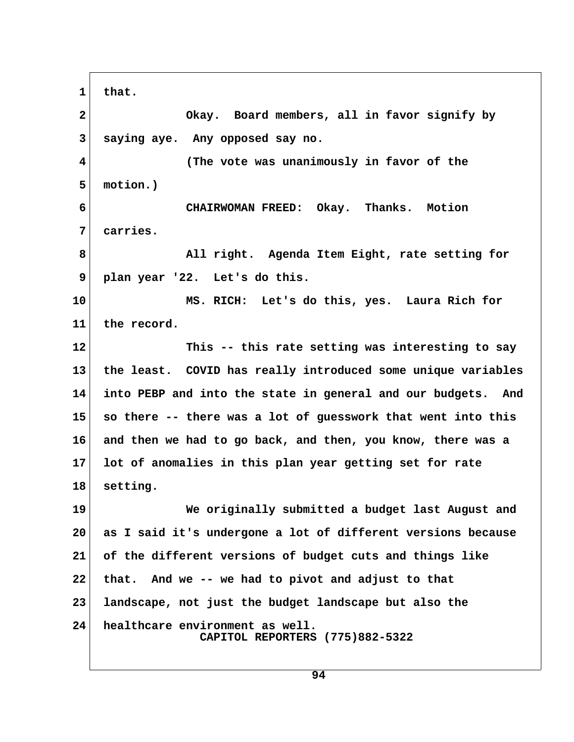**1 that. 2 Okay. Board members, all in favor signify by 3 saying aye. Any opposed say no. 4 (The vote was unanimously in favor of the 5 motion.) 6 CHAIRWOMAN FREED: Okay. Thanks. Motion 7 carries. 8 All right. Agenda Item Eight, rate setting for 9 plan year '22. Let's do this. 10 MS. RICH: Let's do this, yes. Laura Rich for 11 the record. 12 This -- this rate setting was interesting to say 13 the least. COVID has really introduced some unique variables 14 into PEBP and into the state in general and our budgets. And 15 so there -- there was a lot of guesswork that went into this 16 and then we had to go back, and then, you know, there was a 17 lot of anomalies in this plan year getting set for rate 18 setting. 19 We originally submitted a budget last August and 20 as I said it's undergone a lot of different versions because 21 of the different versions of budget cuts and things like 22 that. And we -- we had to pivot and adjust to that 23 landscape, not just the budget landscape but also the 24 healthcare environment as well. CAPITOL REPORTERS (775)882-5322**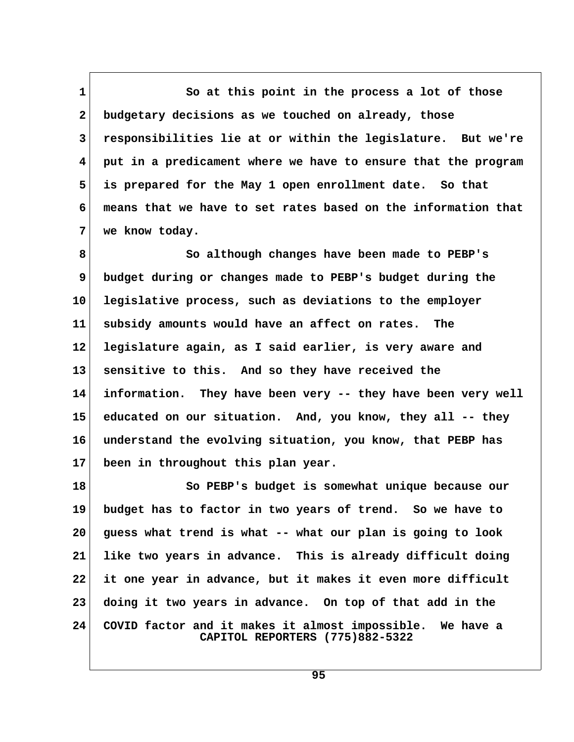1 So at this point in the process a lot of those  **2 budgetary decisions as we touched on already, those 3 responsibilities lie at or within the legislature. But we're 4 put in a predicament where we have to ensure that the program 5 is prepared for the May 1 open enrollment date. So that 6 means that we have to set rates based on the information that 7 we know today.**

 **8 So although changes have been made to PEBP's 9 budget during or changes made to PEBP's budget during the 10 legislative process, such as deviations to the employer 11 subsidy amounts would have an affect on rates. The 12 legislature again, as I said earlier, is very aware and 13 sensitive to this. And so they have received the 14 information. They have been very -- they have been very well 15 educated on our situation. And, you know, they all -- they 16 understand the evolving situation, you know, that PEBP has 17 been in throughout this plan year.**

**18 So PEBP's budget is somewhat unique because our 19 budget has to factor in two years of trend. So we have to 20 guess what trend is what -- what our plan is going to look 21 like two years in advance. This is already difficult doing 22 it one year in advance, but it makes it even more difficult 23 doing it two years in advance. On top of that add in the 24 COVID factor and it makes it almost impossible. We have a CAPITOL REPORTERS (775)882-5322**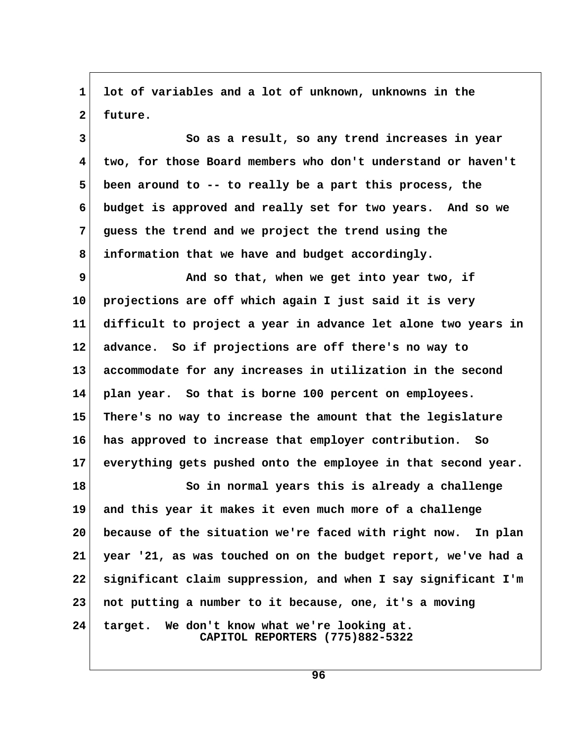**1 lot of variables and a lot of unknown, unknowns in the** 2 future.

 **3 So as a result, so any trend increases in year 4 two, for those Board members who don't understand or haven't 5 been around to -- to really be a part this process, the 6 budget is approved and really set for two years. And so we 7 guess the trend and we project the trend using the 8 information that we have and budget accordingly.**

**9** And so that, when we get into year two, if **10 projections are off which again I just said it is very 11 difficult to project a year in advance let alone two years in 12 advance. So if projections are off there's no way to 13 accommodate for any increases in utilization in the second 14 plan year. So that is borne 100 percent on employees. 15 There's no way to increase the amount that the legislature 16 has approved to increase that employer contribution. So 17 everything gets pushed onto the employee in that second year.**

**18 I** So in normal years this is already a challenge **19 and this year it makes it even much more of a challenge 20 because of the situation we're faced with right now. In plan 21 year '21, as was touched on on the budget report, we've had a 22 significant claim suppression, and when I say significant I'm 23 not putting a number to it because, one, it's a moving 24 target. We don't know what we're looking at.**

 **CAPITOL REPORTERS (775)882-5322**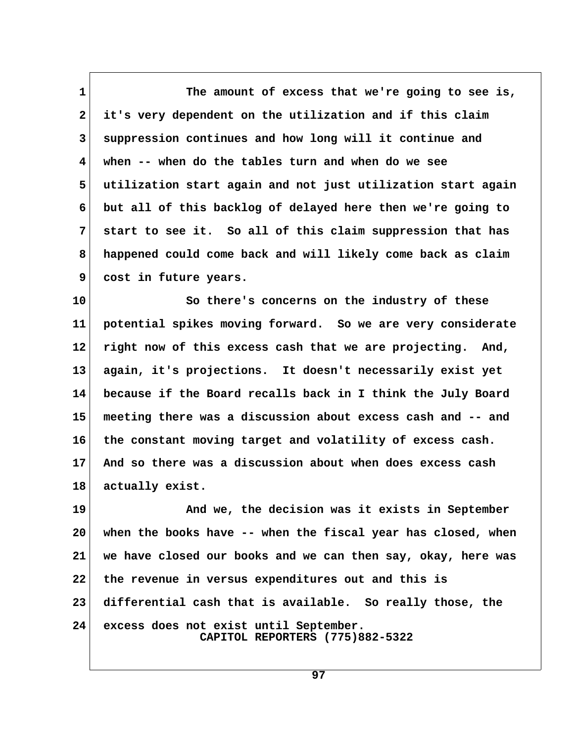1 The amount of excess that we're going to see is,  **2 it's very dependent on the utilization and if this claim 3 suppression continues and how long will it continue and 4 when -- when do the tables turn and when do we see 5 utilization start again and not just utilization start again 6 but all of this backlog of delayed here then we're going to 7 start to see it. So all of this claim suppression that has 8 happened could come back and will likely come back as claim 9 cost in future years.**

**10 So there's concerns on the industry of these 11 potential spikes moving forward. So we are very considerate 12 right now of this excess cash that we are projecting. And, 13 again, it's projections. It doesn't necessarily exist yet 14 because if the Board recalls back in I think the July Board 15 meeting there was a discussion about excess cash and -- and 16 the constant moving target and volatility of excess cash. 17 And so there was a discussion about when does excess cash 18 actually exist.**

**19 And we, the decision was it exists in September 20 when the books have -- when the fiscal year has closed, when 21 we have closed our books and we can then say, okay, here was 22 the revenue in versus expenditures out and this is 23 differential cash that is available. So really those, the 24 excess does not exist until September. CAPITOL REPORTERS (775)882-5322**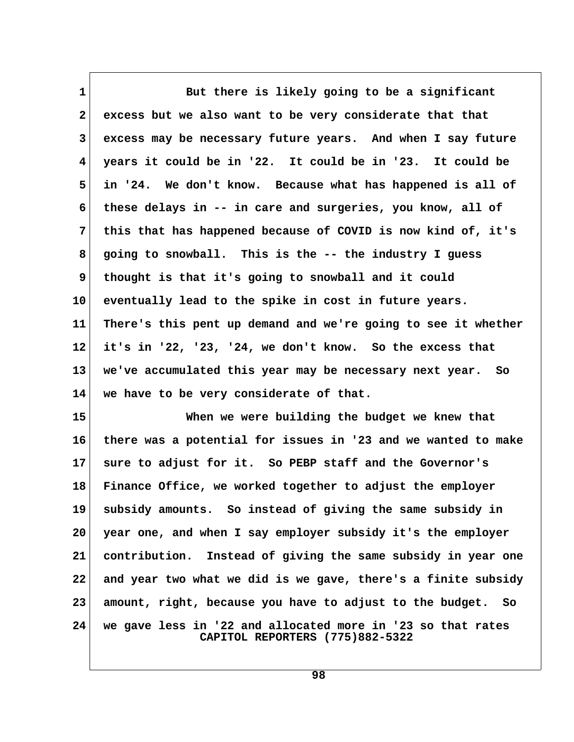1 But there is likely going to be a significant  **2 excess but we also want to be very considerate that that 3 excess may be necessary future years. And when I say future 4 years it could be in '22. It could be in '23. It could be 5 in '24. We don't know. Because what has happened is all of 6 these delays in -- in care and surgeries, you know, all of 7 this that has happened because of COVID is now kind of, it's 8 going to snowball. This is the -- the industry I guess 9 thought is that it's going to snowball and it could 10 eventually lead to the spike in cost in future years. 11 There's this pent up demand and we're going to see it whether 12 it's in '22, '23, '24, we don't know. So the excess that 13 we've accumulated this year may be necessary next year. So 14 we have to be very considerate of that.**

**15 When we were building the budget we knew that 16 there was a potential for issues in '23 and we wanted to make 17 sure to adjust for it. So PEBP staff and the Governor's 18 Finance Office, we worked together to adjust the employer 19 subsidy amounts. So instead of giving the same subsidy in 20 year one, and when I say employer subsidy it's the employer 21 contribution. Instead of giving the same subsidy in year one 22 and year two what we did is we gave, there's a finite subsidy 23 amount, right, because you have to adjust to the budget. So 24 we gave less in '22 and allocated more in '23 so that rates CAPITOL REPORTERS (775)882-5322**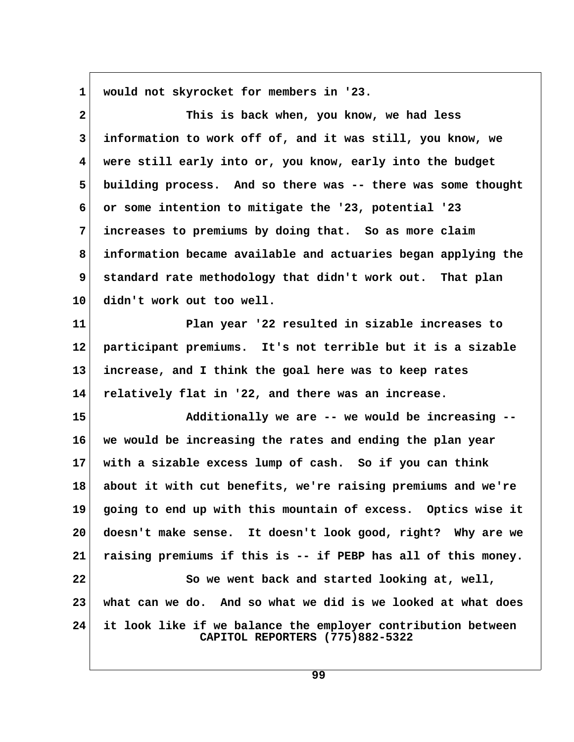**1 would not skyrocket for members in '23.**

 **2 This is back when, you know, we had less 3 information to work off of, and it was still, you know, we 4 were still early into or, you know, early into the budget 5 building process. And so there was -- there was some thought 6 or some intention to mitigate the '23, potential '23 7 increases to premiums by doing that. So as more claim 8 information became available and actuaries began applying the 9 standard rate methodology that didn't work out. That plan 10 didn't work out too well.**

**11 Plan year '22 resulted in sizable increases to 12 participant premiums. It's not terrible but it is a sizable 13 increase, and I think the goal here was to keep rates 14 relatively flat in '22, and there was an increase.**

**15 Additionally we are -- we would be increasing -- 16 we would be increasing the rates and ending the plan year 17 with a sizable excess lump of cash. So if you can think 18 about it with cut benefits, we're raising premiums and we're 19 going to end up with this mountain of excess. Optics wise it 20 doesn't make sense. It doesn't look good, right? Why are we 21 raising premiums if this is -- if PEBP has all of this money. 22 So we went back and started looking at, well, 23 what can we do. And so what we did is we looked at what does 24 it look like if we balance the employer contribution between CAPITOL REPORTERS (775)882-5322**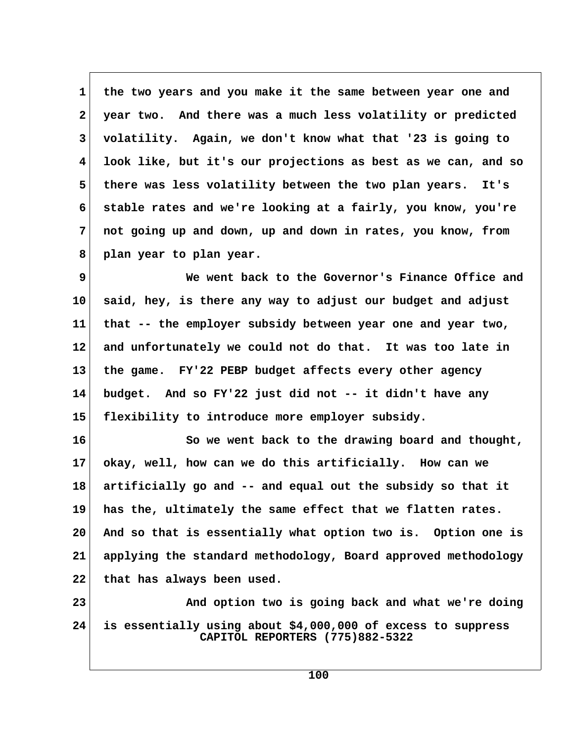**1 the two years and you make it the same between year one and 2 year two. And there was a much less volatility or predicted 3 volatility. Again, we don't know what that '23 is going to 4 look like, but it's our projections as best as we can, and so 5 there was less volatility between the two plan years. It's 6 stable rates and we're looking at a fairly, you know, you're 7 not going up and down, up and down in rates, you know, from 8 plan year to plan year.**

 **9 We went back to the Governor's Finance Office and 10 said, hey, is there any way to adjust our budget and adjust 11 that -- the employer subsidy between year one and year two, 12 and unfortunately we could not do that. It was too late in 13 the game. FY'22 PEBP budget affects every other agency 14 budget. And so FY'22 just did not -- it didn't have any 15 flexibility to introduce more employer subsidy.**

**16 So we went back to the drawing board and thought, 17 okay, well, how can we do this artificially. How can we 18 artificially go and -- and equal out the subsidy so that it 19 has the, ultimately the same effect that we flatten rates. 20 And so that is essentially what option two is. Option one is 21 applying the standard methodology, Board approved methodology 22 that has always been used.**

**23 And option two is going back and what we're doing 24 is essentially using about \$4,000,000 of excess to suppress CAPITOL REPORTERS (775)882-5322**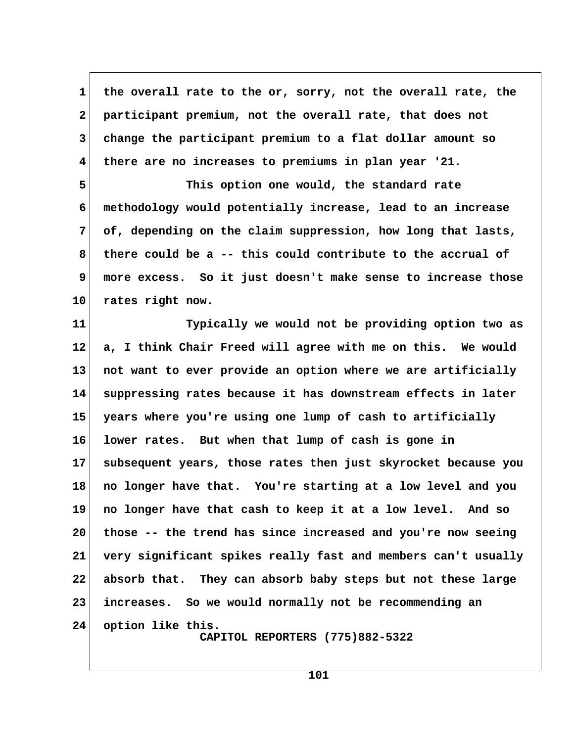1 the overall rate to the or, sorry, not the overall rate, the  **2 participant premium, not the overall rate, that does not 3 change the participant premium to a flat dollar amount so 4 there are no increases to premiums in plan year '21.**

 **5 This option one would, the standard rate 6 methodology would potentially increase, lead to an increase 7 of, depending on the claim suppression, how long that lasts, 8 there could be a -- this could contribute to the accrual of 9 more excess. So it just doesn't make sense to increase those 10 rates right now.**

**11 Typically we would not be providing option two as 12 a, I think Chair Freed will agree with me on this. We would 13 not want to ever provide an option where we are artificially 14 suppressing rates because it has downstream effects in later 15 years where you're using one lump of cash to artificially 16 lower rates. But when that lump of cash is gone in 17 subsequent years, those rates then just skyrocket because you 18 no longer have that. You're starting at a low level and you 19 no longer have that cash to keep it at a low level. And so 20 those -- the trend has since increased and you're now seeing 21 very significant spikes really fast and members can't usually 22 absorb that. They can absorb baby steps but not these large 23 increases. So we would normally not be recommending an 24 option like this. CAPITOL REPORTERS (775)882-5322**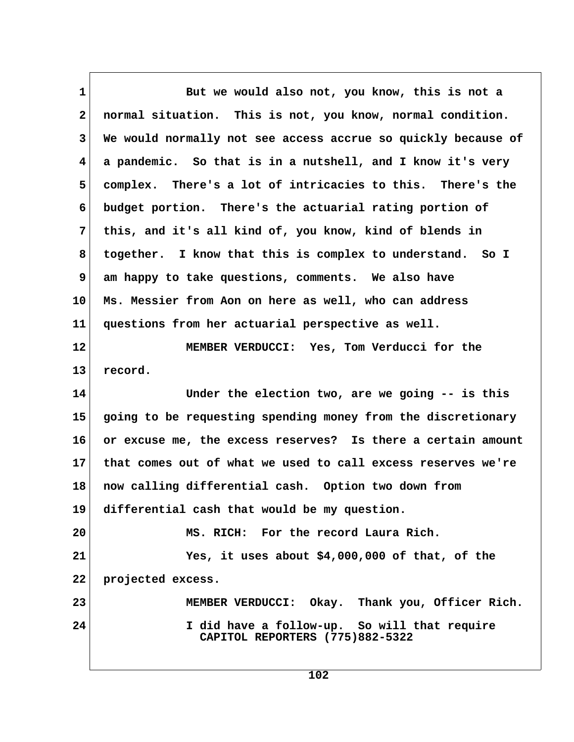1 But we would also not, you know, this is not a  **2 normal situation. This is not, you know, normal condition. 3 We would normally not see access accrue so quickly because of 4 a pandemic. So that is in a nutshell, and I know it's very 5 complex. There's a lot of intricacies to this. There's the 6 budget portion. There's the actuarial rating portion of 7 this, and it's all kind of, you know, kind of blends in 8 together. I know that this is complex to understand. So I 9 am happy to take questions, comments. We also have 10 Ms. Messier from Aon on here as well, who can address 11 questions from her actuarial perspective as well. 12 MEMBER VERDUCCI: Yes, Tom Verducci for the 13 record. 14 Under the election two, are we going -- is this 15 going to be requesting spending money from the discretionary 16 or excuse me, the excess reserves? Is there a certain amount 17 that comes out of what we used to call excess reserves we're 18 now calling differential cash. Option two down from 19 differential cash that would be my question. 20 MS. RICH: For the record Laura Rich. 21 Yes, it uses about \$4,000,000 of that, of the 22 projected excess. 23 MEMBER VERDUCCI: Okay. Thank you, Officer Rich. 24 I did have a follow-up. So will that require CAPITOL REPORTERS (775)882-5322**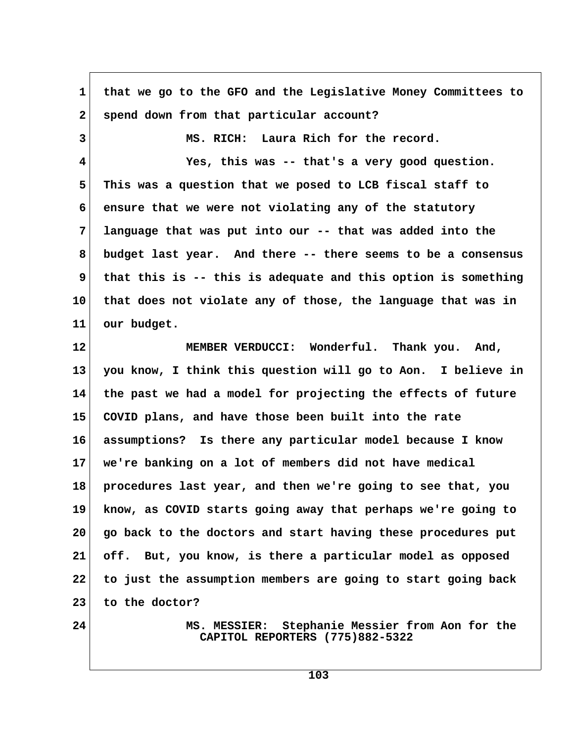| 1            | that we go to the GFO and the Legislative Money Committees to                         |
|--------------|---------------------------------------------------------------------------------------|
| $\mathbf{2}$ | spend down from that particular account?                                              |
| 3            | MS. RICH: Laura Rich for the record.                                                  |
| 4            | Yes, this was -- that's a very good question.                                         |
| 5            | This was a question that we posed to LCB fiscal staff to                              |
| 6            | ensure that we were not violating any of the statutory                                |
| 7            | language that was put into our -- that was added into the                             |
| 8            | budget last year. And there -- there seems to be a consensus                          |
| 9            | that this is -- this is adequate and this option is something                         |
| 10           | that does not violate any of those, the language that was in                          |
| 11           | our budget.                                                                           |
| 12           | MEMBER VERDUCCI: Wonderful. Thank you. And,                                           |
| 13           | you know, I think this question will go to Aon. I believe in                          |
| 14           | the past we had a model for projecting the effects of future                          |
| 15           | COVID plans, and have those been built into the rate                                  |
| 16           | assumptions? Is there any particular model because I know                             |
| 17           | we're banking on a lot of members did not have medical                                |
| 18           | procedures last year, and then we're going to see that, you                           |
| 19           | know, as COVID starts going away that perhaps we're going to                          |
| 20           | go back to the doctors and start having these procedures put                          |
| 21           | off. But, you know, is there a particular model as opposed                            |
| 22           | to just the assumption members are going to start going back                          |
| 23           | to the doctor?                                                                        |
| 24           | Stephanie Messier from Aon for the<br>MS. MESSIER:<br>CAPITOL REPORTERS (775)882-5322 |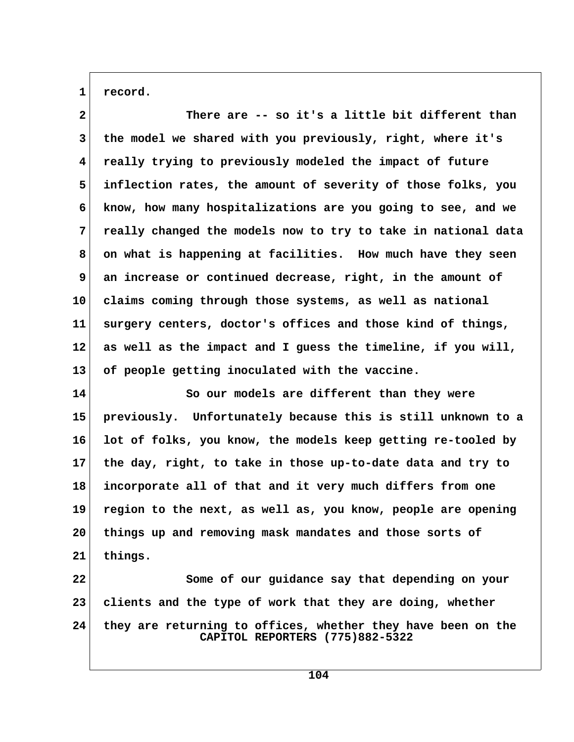1 record.

| $\mathbf{2}$ | There are -- so it's a little bit different than              |  |
|--------------|---------------------------------------------------------------|--|
| 3            | the model we shared with you previously, right, where it's    |  |
| 4            | really trying to previously modeled the impact of future      |  |
| 5            | inflection rates, the amount of severity of those folks, you  |  |
| 6            | know, how many hospitalizations are you going to see, and we  |  |
| 7            | really changed the models now to try to take in national data |  |
| 8            | on what is happening at facilities. How much have they seen   |  |
| 9            | an increase or continued decrease, right, in the amount of    |  |
| 10           | claims coming through those systems, as well as national      |  |
| 11           | surgery centers, doctor's offices and those kind of things,   |  |
| 12           | as well as the impact and I guess the timeline, if you will,  |  |
| 13           | of people getting inoculated with the vaccine.                |  |
| 14           | So our models are different than they were                    |  |
| 15           | previously. Unfortunately because this is still unknown to a  |  |
| 16           | lot of folks, you know, the models keep getting re-tooled by  |  |
| 17           | the day, right, to take in those up-to-date data and try to   |  |
| 18           | incorporate all of that and it very much differs from one     |  |
| 19           | region to the next, as well as, you know, people are opening  |  |
| 20           | things up and removing mask mandates and those sorts of       |  |
| 21           | things.                                                       |  |
| 22           | Some of our guidance say that depending on your               |  |
| 23           | clients and the type of work that they are doing, whether     |  |

**24 they are returning to offices, whether they have been on the CAPITOL REPORTERS (775)882-5322**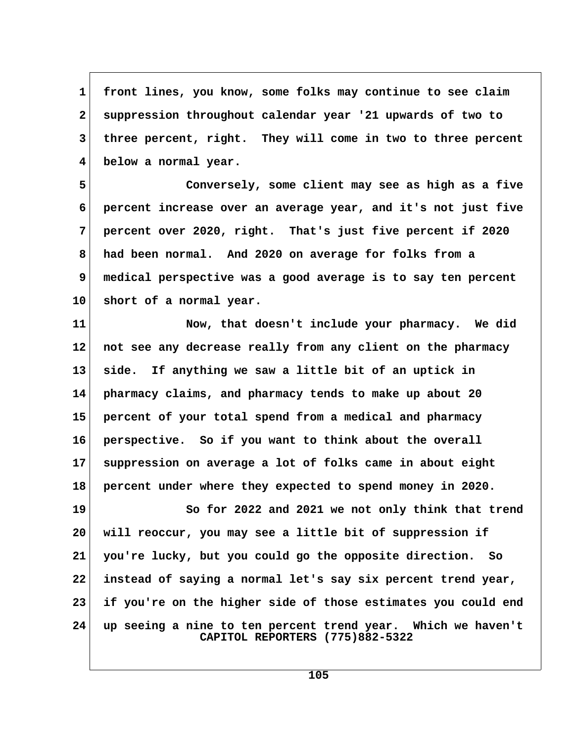1 front lines, you know, some folks may continue to see claim  **2 suppression throughout calendar year '21 upwards of two to 3 three percent, right. They will come in two to three percent 4 below a normal year.**

 **5 Conversely, some client may see as high as a five 6 percent increase over an average year, and it's not just five 7 percent over 2020, right. That's just five percent if 2020 8 had been normal. And 2020 on average for folks from a 9 medical perspective was a good average is to say ten percent 10 short of a normal year.**

**11 Now, that doesn't include your pharmacy. We did 12 not see any decrease really from any client on the pharmacy 13 side. If anything we saw a little bit of an uptick in 14 pharmacy claims, and pharmacy tends to make up about 20 15 percent of your total spend from a medical and pharmacy 16 perspective. So if you want to think about the overall 17 suppression on average a lot of folks came in about eight 18 percent under where they expected to spend money in 2020. 19 So for 2022 and 2021 we not only think that trend 20 will reoccur, you may see a little bit of suppression if 21 you're lucky, but you could go the opposite direction. So**

**22 instead of saying a normal let's say six percent trend year, 23 if you're on the higher side of those estimates you could end 24 up seeing a nine to ten percent trend year. Which we haven't CAPITOL REPORTERS (775)882-5322**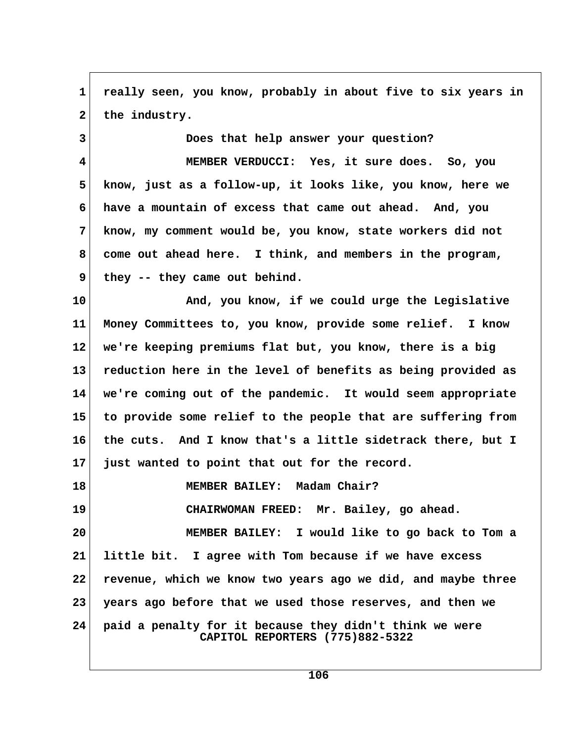**1 really seen, you know, probably in about five to six years in** 2 the industry.

 **3 Does that help answer your question?**

 **4 MEMBER VERDUCCI: Yes, it sure does. So, you 5 know, just as a follow-up, it looks like, you know, here we 6 have a mountain of excess that came out ahead. And, you 7 know, my comment would be, you know, state workers did not 8 come out ahead here. I think, and members in the program, 9 they -- they came out behind.**

**10 And, you know, if we could urge the Legislative 11 Money Committees to, you know, provide some relief. I know 12 we're keeping premiums flat but, you know, there is a big 13 reduction here in the level of benefits as being provided as 14 we're coming out of the pandemic. It would seem appropriate 15 to provide some relief to the people that are suffering from 16 the cuts. And I know that's a little sidetrack there, but I 17 just wanted to point that out for the record.**

**18 MEMBER BAILEY: Madam Chair? 19 CHAIRWOMAN FREED: Mr. Bailey, go ahead. 20 MEMBER BAILEY: I would like to go back to Tom a 21 little bit. I agree with Tom because if we have excess 22 revenue, which we know two years ago we did, and maybe three 23 years ago before that we used those reserves, and then we 24 paid a penalty for it because they didn't think we were CAPITOL REPORTERS (775)882-5322**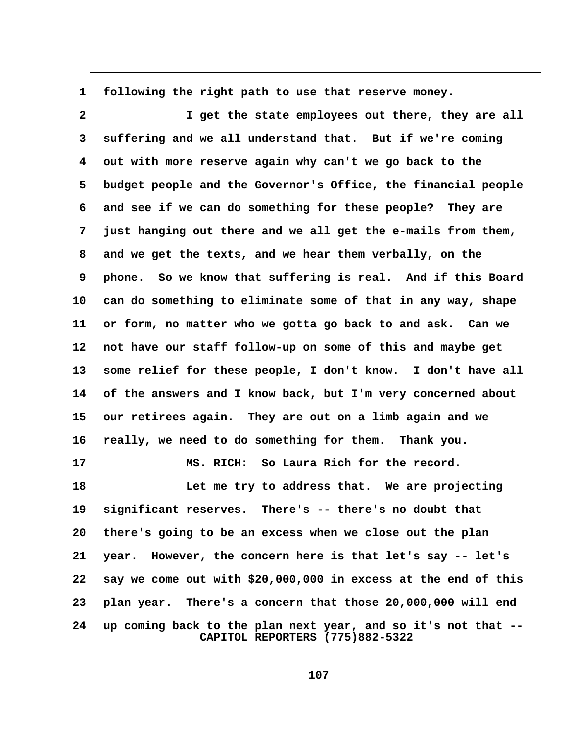**1 following the right path to use that reserve money.**

 **2 I get the state employees out there, they are all 3 suffering and we all understand that. But if we're coming 4 out with more reserve again why can't we go back to the 5 budget people and the Governor's Office, the financial people 6 and see if we can do something for these people? They are 7 just hanging out there and we all get the e-mails from them, 8 and we get the texts, and we hear them verbally, on the 9 phone. So we know that suffering is real. And if this Board 10 can do something to eliminate some of that in any way, shape 11 or form, no matter who we gotta go back to and ask. Can we 12 not have our staff follow-up on some of this and maybe get 13 some relief for these people, I don't know. I don't have all 14 of the answers and I know back, but I'm very concerned about 15 our retirees again. They are out on a limb again and we 16 really, we need to do something for them. Thank you. 17 MS. RICH: So Laura Rich for the record.** 18 **Let me try to address that.** We are projecting **19 significant reserves. There's -- there's no doubt that 20 there's going to be an excess when we close out the plan 21 year. However, the concern here is that let's say -- let's 22 say we come out with \$20,000,000 in excess at the end of this 23 plan year. There's a concern that those 20,000,000 will end**

**24 up coming back to the plan next year, and so it's not that -- CAPITOL REPORTERS (775)882-5322**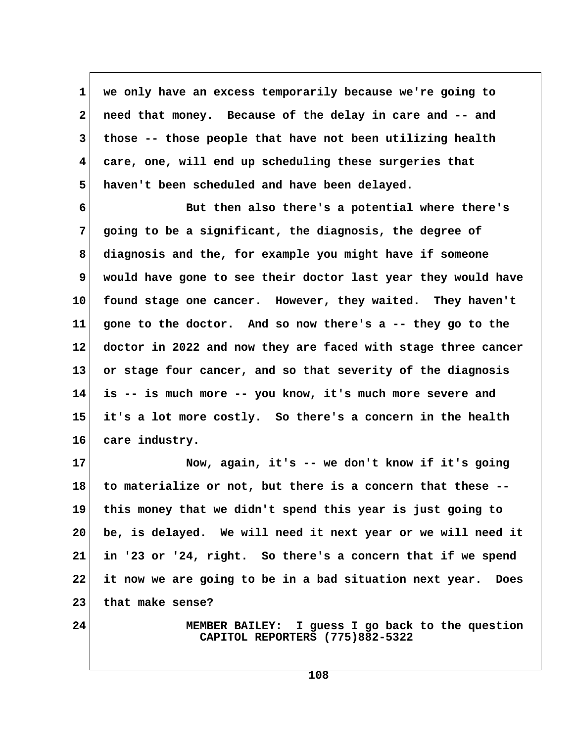**1 we only have an excess temporarily because we're going to 2 need that money. Because of the delay in care and -- and 3 those -- those people that have not been utilizing health 4 care, one, will end up scheduling these surgeries that 5 haven't been scheduled and have been delayed.**

 **6 But then also there's a potential where there's 7 going to be a significant, the diagnosis, the degree of 8 diagnosis and the, for example you might have if someone 9 would have gone to see their doctor last year they would have 10 found stage one cancer. However, they waited. They haven't 11 gone to the doctor. And so now there's a -- they go to the 12 doctor in 2022 and now they are faced with stage three cancer 13 or stage four cancer, and so that severity of the diagnosis 14 is -- is much more -- you know, it's much more severe and 15 it's a lot more costly. So there's a concern in the health 16 care industry.**

**17 Now, again, it's -- we don't know if it's going 18 to materialize or not, but there is a concern that these -- 19 this money that we didn't spend this year is just going to 20 be, is delayed. We will need it next year or we will need it 21 in '23 or '24, right. So there's a concern that if we spend 22 it now we are going to be in a bad situation next year. Does 23 that make sense?**

**24 MEMBER BAILEY: I guess I go back to the question CAPITOL REPORTERS (775)882-5322**

**108**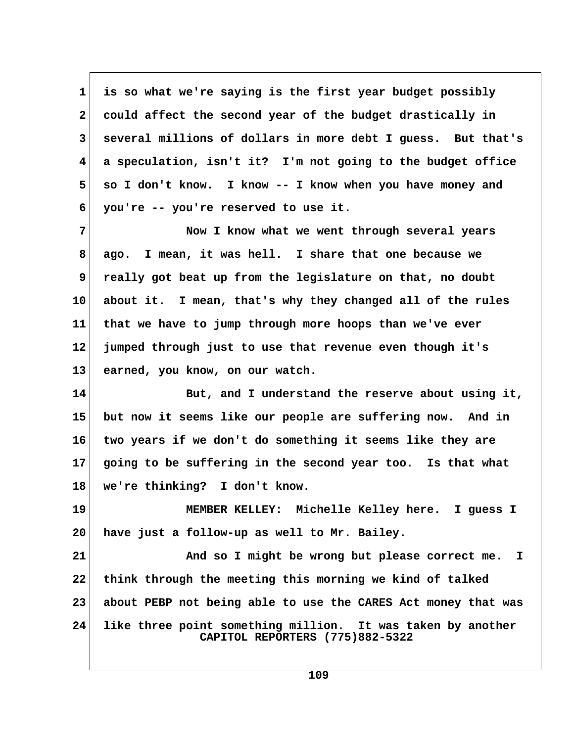**1 is so what we're saying is the first year budget possibly 2 could affect the second year of the budget drastically in 3 several millions of dollars in more debt I guess. But that's 4 a speculation, isn't it? I'm not going to the budget office 5 so I don't know. I know -- I know when you have money and 6 you're -- you're reserved to use it. 7 Now I know what we went through several years 8 ago. I mean, it was hell. I share that one because we 9 really got beat up from the legislature on that, no doubt 10 about it. I mean, that's why they changed all of the rules 11 that we have to jump through more hoops than we've ever 12 jumped through just to use that revenue even though it's 13 earned, you know, on our watch. 14 But, and I understand the reserve about using it, 15 but now it seems like our people are suffering now. And in 16 two years if we don't do something it seems like they are 17 going to be suffering in the second year too. Is that what 18 we're thinking? I don't know.**

**19 MEMBER KELLEY: Michelle Kelley here. I guess I 20 have just a follow-up as well to Mr. Bailey.**

**21 And so I might be wrong but please correct me. I 22 think through the meeting this morning we kind of talked 23 about PEBP not being able to use the CARES Act money that was 24 like three point something million. It was taken by another CAPITOL REPORTERS (775)882-5322**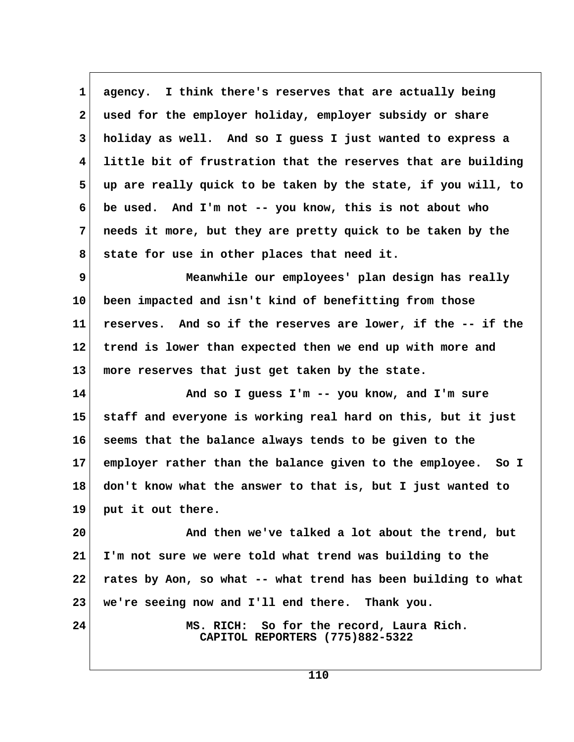1 agency. I think there's reserves that are actually being  **2 used for the employer holiday, employer subsidy or share 3 holiday as well. And so I guess I just wanted to express a 4 little bit of frustration that the reserves that are building 5 up are really quick to be taken by the state, if you will, to 6 be used. And I'm not -- you know, this is not about who 7 needs it more, but they are pretty quick to be taken by the 8 state for use in other places that need it. 9 Meanwhile our employees' plan design has really**

**10 been impacted and isn't kind of benefitting from those 11 reserves. And so if the reserves are lower, if the -- if the 12 trend is lower than expected then we end up with more and 13 more reserves that just get taken by the state.**

**14 And so I guess I'm -- you know, and I'm sure 15 staff and everyone is working real hard on this, but it just 16 seems that the balance always tends to be given to the 17 employer rather than the balance given to the employee. So I 18 don't know what the answer to that is, but I just wanted to 19 put it out there.**

**20 And then we've talked a lot about the trend, but 21 I'm not sure we were told what trend was building to the 22 rates by Aon, so what -- what trend has been building to what 23 we're seeing now and I'll end there. Thank you.**

**24 MS. RICH: So for the record, Laura Rich. CAPITOL REPORTERS (775)882-5322**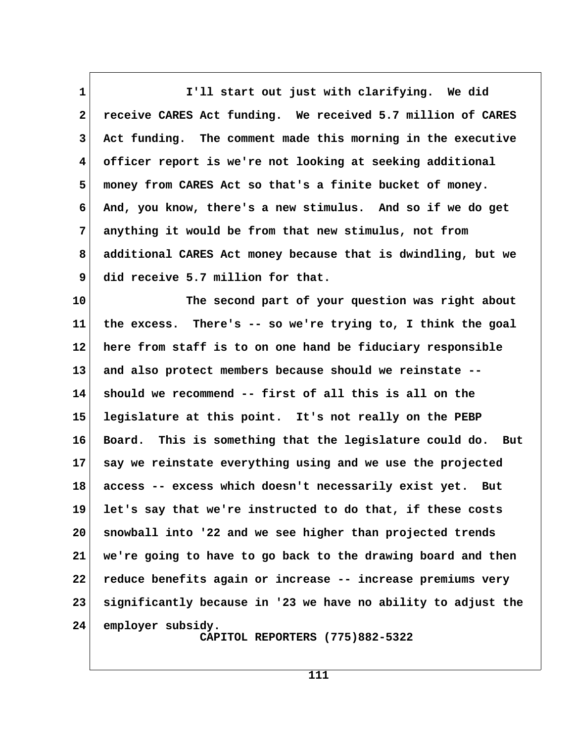**1 I'll start out just with clarifying. We did 2 receive CARES Act funding. We received 5.7 million of CARES 3 Act funding. The comment made this morning in the executive 4 officer report is we're not looking at seeking additional 5 money from CARES Act so that's a finite bucket of money. 6 And, you know, there's a new stimulus. And so if we do get 7 anything it would be from that new stimulus, not from 8 additional CARES Act money because that is dwindling, but we 9 did receive 5.7 million for that.**

**10 The second part of your question was right about 11 the excess. There's -- so we're trying to, I think the goal 12 here from staff is to on one hand be fiduciary responsible 13 and also protect members because should we reinstate -- 14 should we recommend -- first of all this is all on the 15 legislature at this point. It's not really on the PEBP 16 Board. This is something that the legislature could do. But 17 say we reinstate everything using and we use the projected 18 access -- excess which doesn't necessarily exist yet. But 19 let's say that we're instructed to do that, if these costs 20 snowball into '22 and we see higher than projected trends 21 we're going to have to go back to the drawing board and then 22 reduce benefits again or increase -- increase premiums very 23 significantly because in '23 we have no ability to adjust the 24 employer subsidy. CAPITOL REPORTERS (775)882-5322**

**111**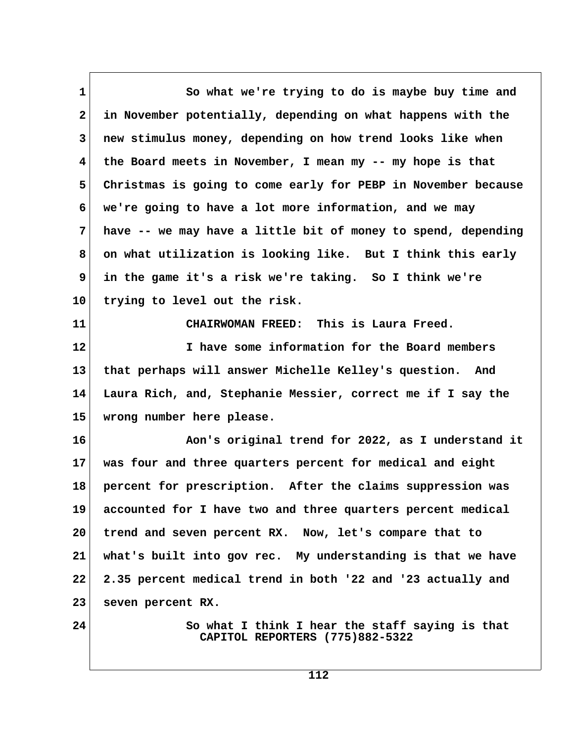1 So what we're trying to do is maybe buy time and  **2 in November potentially, depending on what happens with the 3 new stimulus money, depending on how trend looks like when 4 the Board meets in November, I mean my -- my hope is that 5 Christmas is going to come early for PEBP in November because 6 we're going to have a lot more information, and we may 7 have -- we may have a little bit of money to spend, depending 8 on what utilization is looking like. But I think this early 9 in the game it's a risk we're taking. So I think we're 10 trying to level out the risk. 11 CHAIRWOMAN FREED: This is Laura Freed. 12 I have some information for the Board members 13 that perhaps will answer Michelle Kelley's question. And 14 Laura Rich, and, Stephanie Messier, correct me if I say the 15 wrong number here please. 16 Aon's original trend for 2022, as I understand it 17 was four and three quarters percent for medical and eight 18 percent for prescription. After the claims suppression was 19 accounted for I have two and three quarters percent medical 20 trend and seven percent RX. Now, let's compare that to 21 what's built into gov rec. My understanding is that we have 22 2.35 percent medical trend in both '22 and '23 actually and 23 seven percent RX. 24 So what I think I hear the staff saying is that CAPITOL REPORTERS (775)882-5322**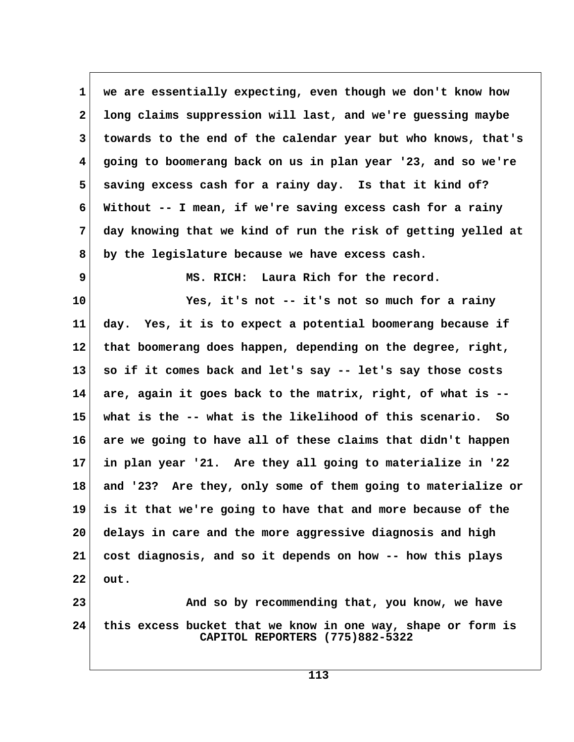**1 we are essentially expecting, even though we don't know how 2 long claims suppression will last, and we're guessing maybe 3 towards to the end of the calendar year but who knows, that's 4 going to boomerang back on us in plan year '23, and so we're 5 saving excess cash for a rainy day. Is that it kind of? 6 Without -- I mean, if we're saving excess cash for a rainy 7 day knowing that we kind of run the risk of getting yelled at 8 by the legislature because we have excess cash. 9 MS. RICH: Laura Rich for the record.**

**10 Yes, it's not -- it's not so much for a rainy 11 day. Yes, it is to expect a potential boomerang because if 12 that boomerang does happen, depending on the degree, right, 13 so if it comes back and let's say -- let's say those costs 14 are, again it goes back to the matrix, right, of what is -- 15 what is the -- what is the likelihood of this scenario. So 16 are we going to have all of these claims that didn't happen 17 in plan year '21. Are they all going to materialize in '22 18 and '23? Are they, only some of them going to materialize or 19 is it that we're going to have that and more because of the 20 delays in care and the more aggressive diagnosis and high 21 cost diagnosis, and so it depends on how -- how this plays 22 out.**

**23 And so by recommending that, you know, we have 24 this excess bucket that we know in one way, shape or form is CAPITOL REPORTERS (775)882-5322**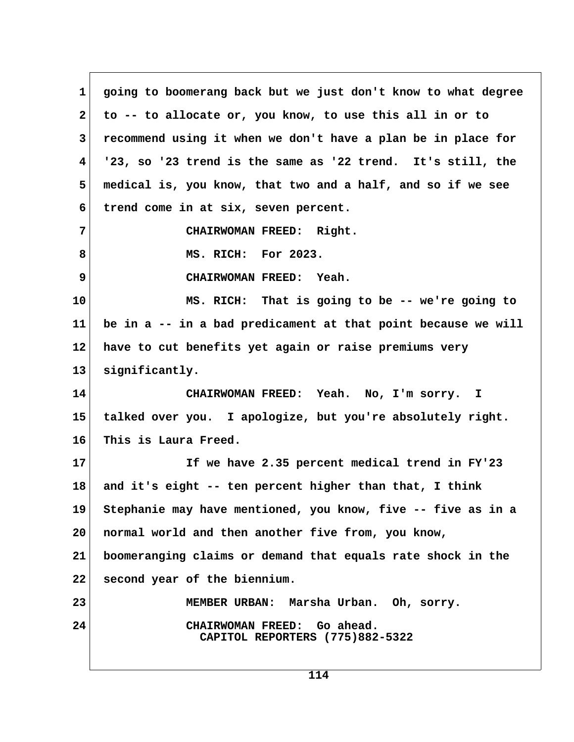**1 going to boomerang back but we just don't know to what degree 2 to -- to allocate or, you know, to use this all in or to 3 recommend using it when we don't have a plan be in place for 4 '23, so '23 trend is the same as '22 trend. It's still, the 5 medical is, you know, that two and a half, and so if we see 6 trend come in at six, seven percent. 7 CHAIRWOMAN FREED: Right. 8 MS. RICH: For 2023. 9 CHAIRWOMAN FREED: Yeah. 10 MS. RICH: That is going to be -- we're going to 11 be in a -- in a bad predicament at that point because we will 12 have to cut benefits yet again or raise premiums very 13 significantly. 14 CHAIRWOMAN FREED: Yeah. No, I'm sorry. I 15 talked over you. I apologize, but you're absolutely right. 16 This is Laura Freed. 17 If we have 2.35 percent medical trend in FY'23 18 and it's eight -- ten percent higher than that, I think 19 Stephanie may have mentioned, you know, five -- five as in a 20 normal world and then another five from, you know, 21 boomeranging claims or demand that equals rate shock in the 22 second year of the biennium. 23 MEMBER URBAN: Marsha Urban. Oh, sorry. 24 CHAIRWOMAN FREED: Go ahead. CAPITOL REPORTERS (775)882-5322**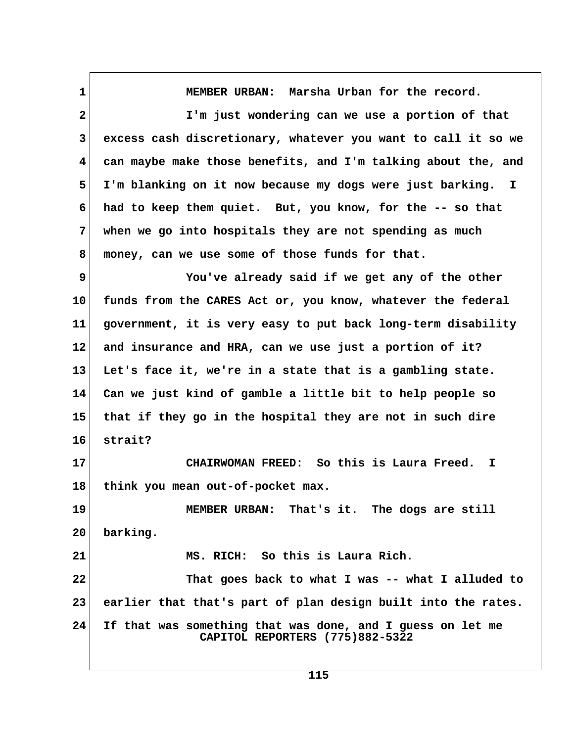**1 MEMBER URBAN: Marsha Urban for the record. 2 I'm just wondering can we use a portion of that 3 excess cash discretionary, whatever you want to call it so we 4 can maybe make those benefits, and I'm talking about the, and 5 I'm blanking on it now because my dogs were just barking. I 6 had to keep them quiet. But, you know, for the -- so that 7 when we go into hospitals they are not spending as much 8 money, can we use some of those funds for that. 9 You've already said if we get any of the other 10 funds from the CARES Act or, you know, whatever the federal 11 government, it is very easy to put back long-term disability 12 and insurance and HRA, can we use just a portion of it? 13 Let's face it, we're in a state that is a gambling state. 14 Can we just kind of gamble a little bit to help people so 15 that if they go in the hospital they are not in such dire 16 strait? 17 CHAIRWOMAN FREED: So this is Laura Freed. I 18 think you mean out-of-pocket max. 19 MEMBER URBAN: That's it. The dogs are still 20 barking. 21 MS. RICH: So this is Laura Rich. 22 That goes back to what I was -- what I alluded to 23 earlier that that's part of plan design built into the rates. 24 If that was something that was done, and I guess on let me CAPITOL REPORTERS (775)882-5322**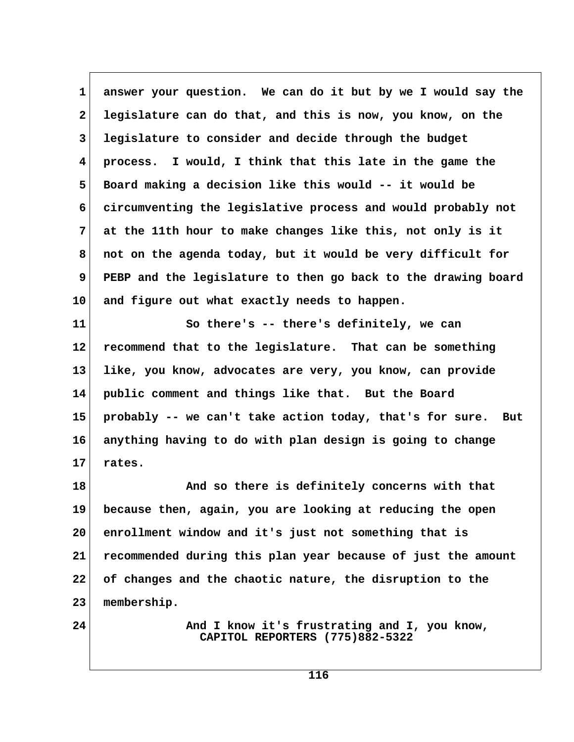**1 answer your question. We can do it but by we I would say the 2 legislature can do that, and this is now, you know, on the 3 legislature to consider and decide through the budget 4 process. I would, I think that this late in the game the 5 Board making a decision like this would -- it would be 6 circumventing the legislative process and would probably not 7 at the 11th hour to make changes like this, not only is it 8 not on the agenda today, but it would be very difficult for 9 PEBP and the legislature to then go back to the drawing board 10 and figure out what exactly needs to happen.**

**11 So there's -- there's definitely, we can 12 recommend that to the legislature. That can be something 13 like, you know, advocates are very, you know, can provide 14 public comment and things like that. But the Board 15 probably -- we can't take action today, that's for sure. But 16 anything having to do with plan design is going to change 17 rates.**

**18 And so there is definitely concerns with that 19 because then, again, you are looking at reducing the open 20 enrollment window and it's just not something that is 21 recommended during this plan year because of just the amount 22 of changes and the chaotic nature, the disruption to the 23 membership.**

**24 And I know it's frustrating and I, you know, CAPITOL REPORTERS (775)882-5322**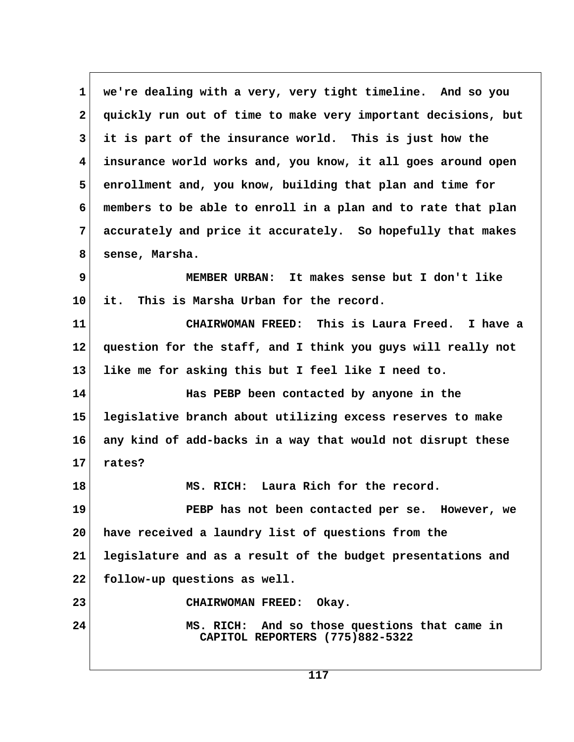**1 we're dealing with a very, very tight timeline. And so you 2 quickly run out of time to make very important decisions, but 3 it is part of the insurance world. This is just how the 4 insurance world works and, you know, it all goes around open 5 enrollment and, you know, building that plan and time for 6 members to be able to enroll in a plan and to rate that plan 7 accurately and price it accurately. So hopefully that makes 8 sense, Marsha. 9 MEMBER URBAN: It makes sense but I don't like 10 it. This is Marsha Urban for the record. 11 CHAIRWOMAN FREED: This is Laura Freed. I have a 12 question for the staff, and I think you guys will really not 13 like me for asking this but I feel like I need to. 14 Has PEBP been contacted by anyone in the 15 legislative branch about utilizing excess reserves to make 16 any kind of add-backs in a way that would not disrupt these 17 rates? 18 MS. RICH: Laura Rich for the record. 19 PEBP has not been contacted per se. However, we 20 have received a laundry list of questions from the 21 legislature and as a result of the budget presentations and 22 follow-up questions as well. 23 CHAIRWOMAN FREED: Okay. 24 MS. RICH: And so those questions that came in CAPITOL REPORTERS (775)882-5322**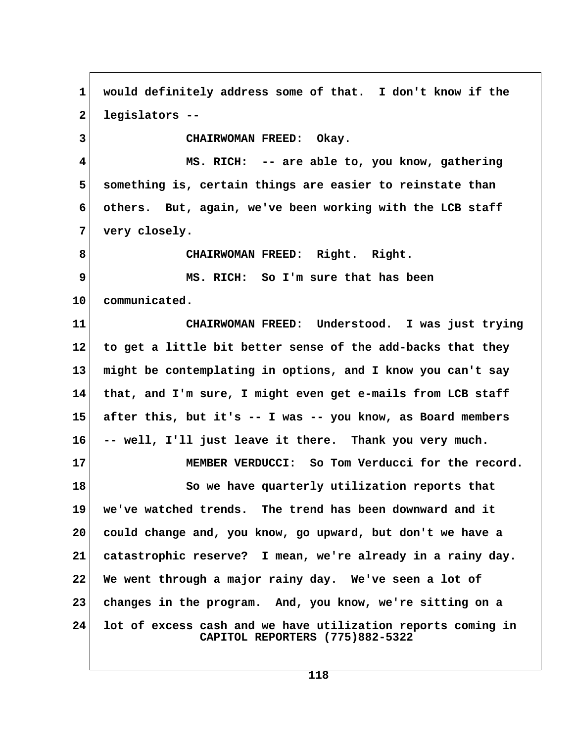**1 would definitely address some of that. I don't know if the 2 legislators -- 3 CHAIRWOMAN FREED: Okay. 4 MS. RICH: -- are able to, you know, gathering 5 something is, certain things are easier to reinstate than 6 others. But, again, we've been working with the LCB staff 7 very closely. 8 CHAIRWOMAN FREED: Right. Right. 9 MS. RICH: So I'm sure that has been 10 communicated. 11 CHAIRWOMAN FREED: Understood. I was just trying 12 to get a little bit better sense of the add-backs that they 13 might be contemplating in options, and I know you can't say 14 that, and I'm sure, I might even get e-mails from LCB staff 15 after this, but it's -- I was -- you know, as Board members 16 -- well, I'll just leave it there. Thank you very much. 17 MEMBER VERDUCCI: So Tom Verducci for the record. 18 So we have quarterly utilization reports that 19 we've watched trends. The trend has been downward and it 20 could change and, you know, go upward, but don't we have a 21 catastrophic reserve? I mean, we're already in a rainy day. 22 We went through a major rainy day. We've seen a lot of 23 changes in the program. And, you know, we're sitting on a 24 lot of excess cash and we have utilization reports coming in CAPITOL REPORTERS (775)882-5322**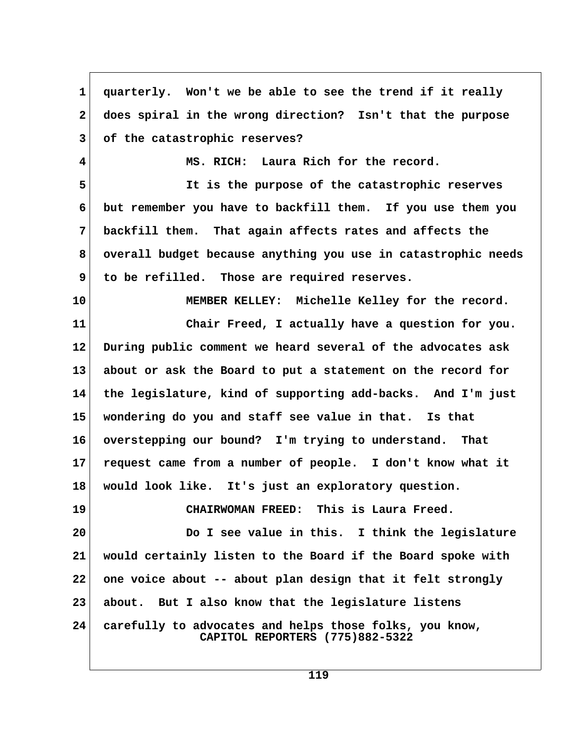1 quarterly. Won't we be able to see the trend if it really  **2 does spiral in the wrong direction? Isn't that the purpose 3 of the catastrophic reserves? 4 MS. RICH: Laura Rich for the record. 5 It is the purpose of the catastrophic reserves 6 but remember you have to backfill them. If you use them you 7 backfill them. That again affects rates and affects the 8 overall budget because anything you use in catastrophic needs 9 to be refilled. Those are required reserves. 10 MEMBER KELLEY: Michelle Kelley for the record. 11 Chair Freed, I actually have a question for you. 12 During public comment we heard several of the advocates ask 13 about or ask the Board to put a statement on the record for 14 the legislature, kind of supporting add-backs. And I'm just 15 wondering do you and staff see value in that. Is that 16 overstepping our bound? I'm trying to understand. That 17 request came from a number of people. I don't know what it 18 would look like. It's just an exploratory question. 19 CHAIRWOMAN FREED: This is Laura Freed. 20 Do I see value in this. I think the legislature 21 would certainly listen to the Board if the Board spoke with 22 one voice about -- about plan design that it felt strongly 23 about. But I also know that the legislature listens 24 carefully to advocates and helps those folks, you know, CAPITOL REPORTERS (775)882-5322**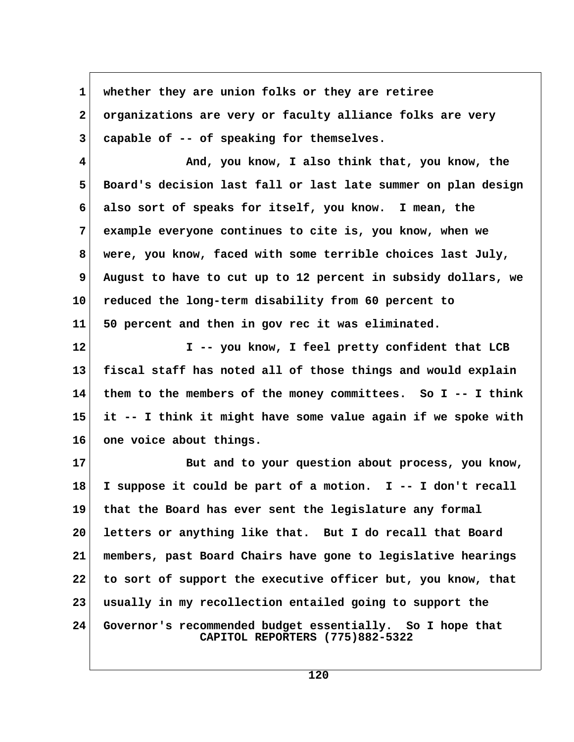| $\mathbf 1$     | whether they are union folks or they are retiree                                             |  |
|-----------------|----------------------------------------------------------------------------------------------|--|
| $\mathbf{2}$    | organizations are very or faculty alliance folks are very                                    |  |
| 3               | capable of -- of speaking for themselves.                                                    |  |
| 4               | And, you know, I also think that, you know, the                                              |  |
| 5               | Board's decision last fall or last late summer on plan design                                |  |
| 6               | also sort of speaks for itself, you know. I mean, the                                        |  |
| 7               | example everyone continues to cite is, you know, when we                                     |  |
| 8               | were, you know, faced with some terrible choices last July,                                  |  |
| 9               | August to have to cut up to 12 percent in subsidy dollars, we                                |  |
| 10 <sub>1</sub> | reduced the long-term disability from 60 percent to                                          |  |
| 11              | 50 percent and then in gov rec it was eliminated.                                            |  |
| 12              | I -- you know, I feel pretty confident that LCB                                              |  |
| 13              | fiscal staff has noted all of those things and would explain                                 |  |
| 14              | them to the members of the money committees. So I -- I think                                 |  |
| 15              | it -- I think it might have some value again if we spoke with                                |  |
| 16              | one voice about things.                                                                      |  |
| 17              | But and to your question about process, you know,                                            |  |
| 18              | I suppose it could be part of a motion. I -- I don't recall                                  |  |
| 19              | that the Board has ever sent the legislature any formal                                      |  |
| 20              | letters or anything like that. But I do recall that Board                                    |  |
| 21              | members, past Board Chairs have gone to legislative hearings                                 |  |
| 22              | to sort of support the executive officer but, you know, that                                 |  |
| 23              | usually in my recollection entailed going to support the                                     |  |
| 24              | Governor's recommended budget essentially. So I hope that<br>CAPITOL REPORTERS (775)882-5322 |  |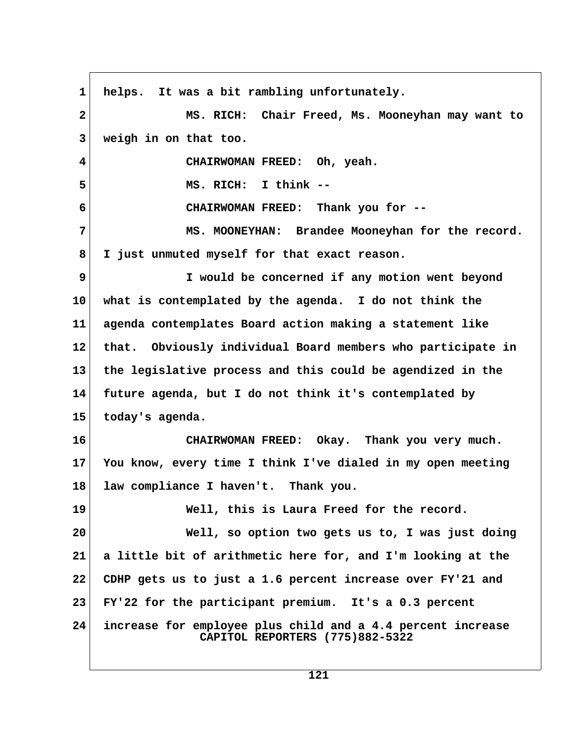**1 helps. It was a bit rambling unfortunately. 2 MS. RICH: Chair Freed, Ms. Mooneyhan may want to 3 weigh in on that too. 4 CHAIRWOMAN FREED: Oh, yeah. 5 MS. RICH: I think -- 6 CHAIRWOMAN FREED: Thank you for -- 7 MS. MOONEYHAN: Brandee Mooneyhan for the record. 8 I just unmuted myself for that exact reason. 9 I would be concerned if any motion went beyond 10 what is contemplated by the agenda. I do not think the 11 agenda contemplates Board action making a statement like 12 that. Obviously individual Board members who participate in 13 the legislative process and this could be agendized in the 14 future agenda, but I do not think it's contemplated by 15 today's agenda. 16 CHAIRWOMAN FREED: Okay. Thank you very much. 17 You know, every time I think I've dialed in my open meeting 18 law compliance I haven't. Thank you. 19 Well, this is Laura Freed for the record. 20 Well, so option two gets us to, I was just doing 21 a little bit of arithmetic here for, and I'm looking at the 22 CDHP gets us to just a 1.6 percent increase over FY'21 and 23 FY'22 for the participant premium. It's a 0.3 percent 24 increase for employee plus child and a 4.4 percent increase CAPITOL REPORTERS (775)882-5322**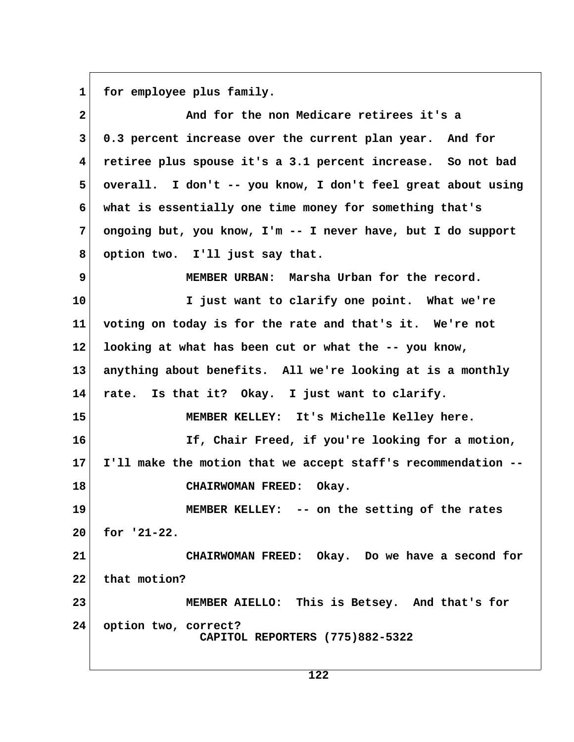1 for employee plus family.

| $\mathbf{2}$            | And for the non Medicare retirees it's a                      |  |
|-------------------------|---------------------------------------------------------------|--|
| $\mathbf{3}$            | 0.3 percent increase over the current plan year. And for      |  |
| $\overline{\mathbf{4}}$ | retiree plus spouse it's a 3.1 percent increase. So not bad   |  |
| 5                       | overall. I don't -- you know, I don't feel great about using  |  |
| 6                       | what is essentially one time money for something that's       |  |
| $7\phantom{.}$          | ongoing but, you know, I'm -- I never have, but I do support  |  |
| 8                       | option two. I'll just say that.                               |  |
| 9                       | MEMBER URBAN: Marsha Urban for the record.                    |  |
| 10                      | I just want to clarify one point. What we're                  |  |
| 11                      | voting on today is for the rate and that's it. We're not      |  |
| $12 \,$                 | looking at what has been cut or what the -- you know,         |  |
| 13 <sup>2</sup>         | anything about benefits. All we're looking at is a monthly    |  |
| 14                      | rate. Is that it? Okay. I just want to clarify.               |  |
| 15                      | MEMBER KELLEY: It's Michelle Kelley here.                     |  |
| 16                      | If, Chair Freed, if you're looking for a motion,              |  |
| 17 <sub>2</sub>         | I'll make the motion that we accept staff's recommendation -- |  |
| 18                      | CHAIRWOMAN FREED: Okay.                                       |  |
| 19                      | MEMBER KELLEY: -- on the setting of the rates                 |  |
| 20                      | for $'21-22$ .                                                |  |
| 21                      | CHAIRWOMAN FREED: Okay. Do we have a second for               |  |
| 22                      | that motion?                                                  |  |
| 23                      | MEMBER AIELLO: This is Betsey. And that's for                 |  |
| 24 <sup>1</sup>         | option two, correct?<br>CAPITOL REPORTERS (775)882-5322       |  |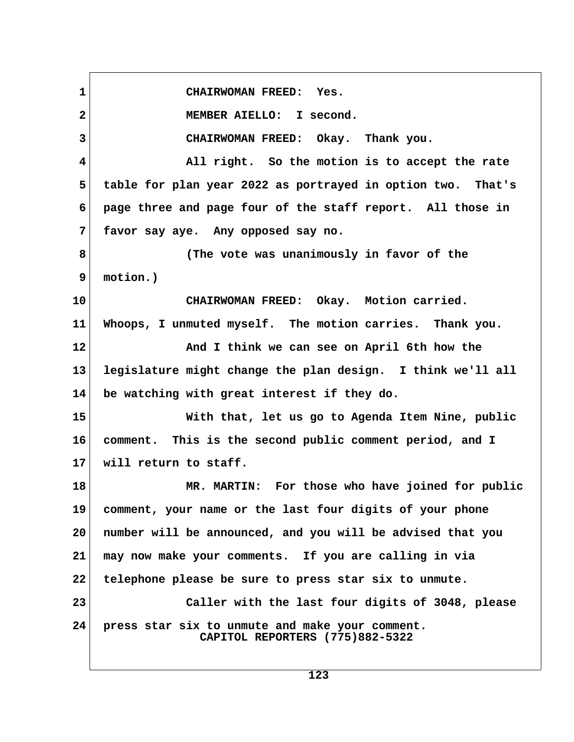**1 CHAIRWOMAN FREED: Yes. 2 MEMBER AIELLO: I second. 3 CHAIRWOMAN FREED: Okay. Thank you. 4 All right. So the motion is to accept the rate 5 table for plan year 2022 as portrayed in option two. That's 6 page three and page four of the staff report. All those in 7 favor say aye. Any opposed say no. 8 (The vote was unanimously in favor of the 9 motion.) 10 CHAIRWOMAN FREED: Okay. Motion carried. 11 Whoops, I unmuted myself. The motion carries. Thank you. 12 And I think we can see on April 6th how the 13 legislature might change the plan design. I think we'll all 14 be watching with great interest if they do. 15 With that, let us go to Agenda Item Nine, public 16 comment. This is the second public comment period, and I 17 will return to staff. 18 MR. MARTIN: For those who have joined for public 19 comment, your name or the last four digits of your phone 20 number will be announced, and you will be advised that you 21 may now make your comments. If you are calling in via 22 telephone please be sure to press star six to unmute. 23 Caller with the last four digits of 3048, please 24 press star six to unmute and make your comment. CAPITOL REPORTERS (775)882-5322**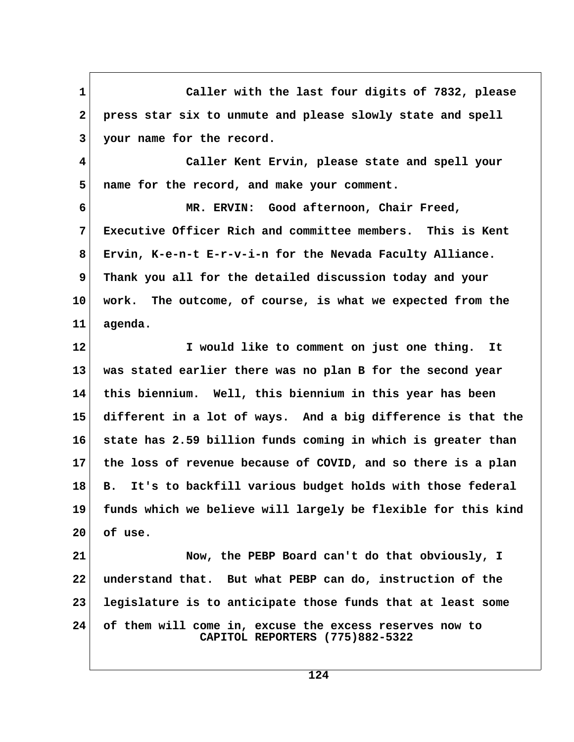**1 Caller with the last four digits of 7832, please 2 press star six to unmute and please slowly state and spell 3 your name for the record. 4 Caller Kent Ervin, please state and spell your 5 name for the record, and make your comment. 6 MR. ERVIN: Good afternoon, Chair Freed, 7 Executive Officer Rich and committee members. This is Kent 8 Ervin, K-e-n-t E-r-v-i-n for the Nevada Faculty Alliance. 9 Thank you all for the detailed discussion today and your 10 work. The outcome, of course, is what we expected from the 11 agenda. 12 I would like to comment on just one thing. It 13 was stated earlier there was no plan B for the second year 14 this biennium. Well, this biennium in this year has been 15 different in a lot of ways. And a big difference is that the 16 state has 2.59 billion funds coming in which is greater than 17 the loss of revenue because of COVID, and so there is a plan 18 B. It's to backfill various budget holds with those federal 19 funds which we believe will largely be flexible for this kind 20 of use. 21 Now, the PEBP Board can't do that obviously, I 22 understand that. But what PEBP can do, instruction of the 23 legislature is to anticipate those funds that at least some 24 of them will come in, excuse the excess reserves now to CAPITOL REPORTERS (775)882-5322**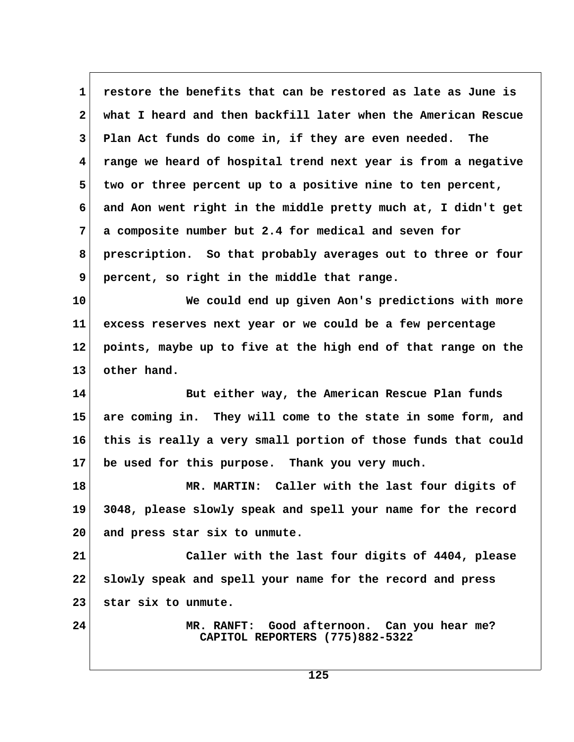**1 restore the benefits that can be restored as late as June is 2 what I heard and then backfill later when the American Rescue 3 Plan Act funds do come in, if they are even needed. The 4 range we heard of hospital trend next year is from a negative 5 two or three percent up to a positive nine to ten percent, 6 and Aon went right in the middle pretty much at, I didn't get 7 a composite number but 2.4 for medical and seven for 8 prescription. So that probably averages out to three or four 9 percent, so right in the middle that range. 10 We could end up given Aon's predictions with more 11 excess reserves next year or we could be a few percentage 12 points, maybe up to five at the high end of that range on the 13 other hand. 14 But either way, the American Rescue Plan funds 15 are coming in. They will come to the state in some form, and 16 this is really a very small portion of those funds that could 17 be used for this purpose. Thank you very much. 18 MR. MARTIN: Caller with the last four digits of 19 3048, please slowly speak and spell your name for the record 20 and press star six to unmute. 21 Caller with the last four digits of 4404, please 22 slowly speak and spell your name for the record and press 23 star six to unmute. 24 MR. RANFT: Good afternoon. Can you hear me? CAPITOL REPORTERS (775)882-5322**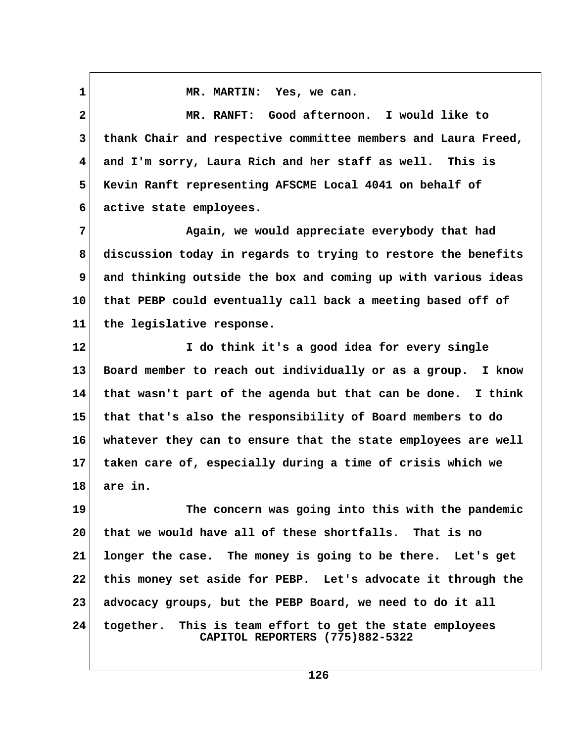1 MR. MARTIN: Yes, we can.  **2 MR. RANFT: Good afternoon. I would like to 3 thank Chair and respective committee members and Laura Freed, 4 and I'm sorry, Laura Rich and her staff as well. This is 5 Kevin Ranft representing AFSCME Local 4041 on behalf of 6 active state employees. 7 Again, we would appreciate everybody that had 8 discussion today in regards to trying to restore the benefits 9 and thinking outside the box and coming up with various ideas 10 that PEBP could eventually call back a meeting based off of 11 the legislative response. 12 I do think it's a good idea for every single 13 Board member to reach out individually or as a group. I know 14 that wasn't part of the agenda but that can be done. I think 15 that that's also the responsibility of Board members to do 16 whatever they can to ensure that the state employees are well 17 taken care of, especially during a time of crisis which we 18 are in. 19 The concern was going into this with the pandemic 20 that we would have all of these shortfalls. That is no 21 longer the case. The money is going to be there. Let's get 22 this money set aside for PEBP. Let's advocate it through the**

**24 together. This is team effort to get the state employees CAPITOL REPORTERS (775)882-5322**

**23 advocacy groups, but the PEBP Board, we need to do it all**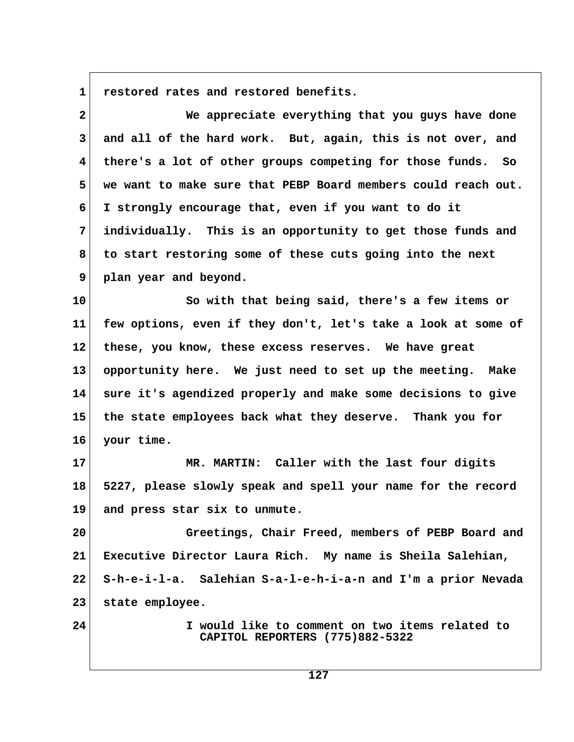1 restored rates and restored benefits.

| $\mathbf{2}$ | We appreciate everything that you guys have done                                   |  |
|--------------|------------------------------------------------------------------------------------|--|
| 3            | and all of the hard work. But, again, this is not over, and                        |  |
| 4            | there's a lot of other groups competing for those funds. So                        |  |
| 5            | we want to make sure that PEBP Board members could reach out.                      |  |
| 6            | I strongly encourage that, even if you want to do it                               |  |
| 7            | individually. This is an opportunity to get those funds and                        |  |
| 8            | to start restoring some of these cuts going into the next                          |  |
| 9            | plan year and beyond.                                                              |  |
| 10           | So with that being said, there's a few items or                                    |  |
| 11           | few options, even if they don't, let's take a look at some of                      |  |
| 12           | these, you know, these excess reserves. We have great                              |  |
| 13           | opportunity here. We just need to set up the meeting. Make                         |  |
| 14           | sure it's agendized properly and make some decisions to give                       |  |
| 15           | the state employees back what they deserve. Thank you for                          |  |
| 16           | your time.                                                                         |  |
| 17           | MR. MARTIN: Caller with the last four digits                                       |  |
| 18           | 5227, please slowly speak and spell your name for the record                       |  |
| 19           | and press star six to unmute.                                                      |  |
| 20           | Greetings, Chair Freed, members of PEBP Board and                                  |  |
| 21           | Executive Director Laura Rich. My name is Sheila Salehian,                         |  |
| 22           | S-h-e-i-l-a. Salehian S-a-l-e-h-i-a-n and I'm a prior Nevada                       |  |
| 23           | state employee.                                                                    |  |
| 24           | I would like to comment on two items related to<br>CAPITOL REPORTERS (775)882-5322 |  |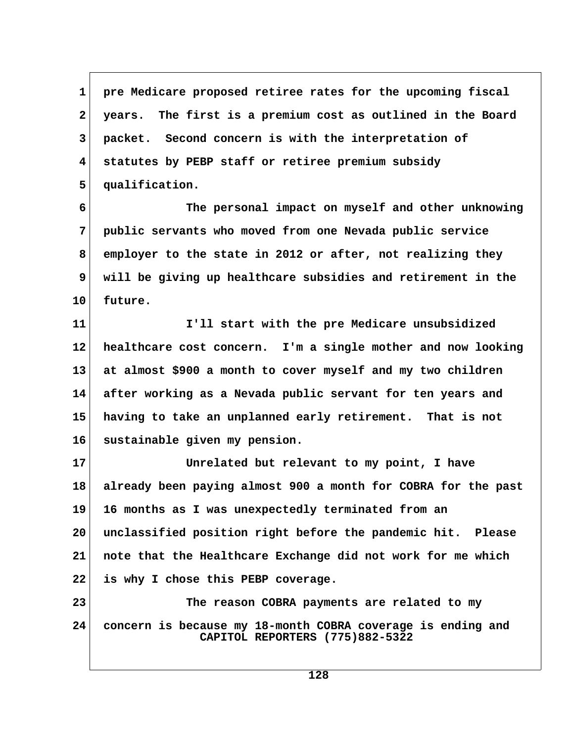**1 pre Medicare proposed retiree rates for the upcoming fiscal 2 years. The first is a premium cost as outlined in the Board 3 packet. Second concern is with the interpretation of 4 statutes by PEBP staff or retiree premium subsidy 5 qualification.**

 **6 The personal impact on myself and other unknowing 7 public servants who moved from one Nevada public service 8 employer to the state in 2012 or after, not realizing they 9 will be giving up healthcare subsidies and retirement in the 10 future.**

**11 I'll start with the pre Medicare unsubsidized 12 healthcare cost concern. I'm a single mother and now looking 13 at almost \$900 a month to cover myself and my two children 14 after working as a Nevada public servant for ten years and 15 having to take an unplanned early retirement. That is not 16 sustainable given my pension.**

**17 Unrelated but relevant to my point, I have 18 already been paying almost 900 a month for COBRA for the past 19 16 months as I was unexpectedly terminated from an 20 unclassified position right before the pandemic hit. Please 21 note that the Healthcare Exchange did not work for me which 22 is why I chose this PEBP coverage.**

**23 The reason COBRA payments are related to my 24 concern is because my 18-month COBRA coverage is ending and CAPITOL REPORTERS (775)882-5322**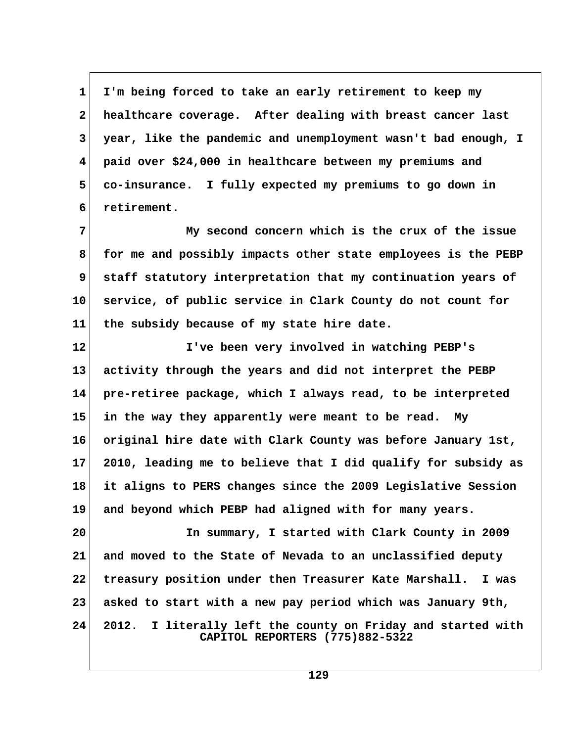**1 I'm being forced to take an early retirement to keep my 2 healthcare coverage. After dealing with breast cancer last 3 year, like the pandemic and unemployment wasn't bad enough, I 4 paid over \$24,000 in healthcare between my premiums and 5 co-insurance. I fully expected my premiums to go down in 6 retirement.**

 **7 My second concern which is the crux of the issue 8 for me and possibly impacts other state employees is the PEBP 9 staff statutory interpretation that my continuation years of 10 service, of public service in Clark County do not count for 11 the subsidy because of my state hire date.**

**12 I've been very involved in watching PEBP's 13 activity through the years and did not interpret the PEBP 14 pre-retiree package, which I always read, to be interpreted 15 in the way they apparently were meant to be read. My 16 original hire date with Clark County was before January 1st, 17 2010, leading me to believe that I did qualify for subsidy as 18 it aligns to PERS changes since the 2009 Legislative Session 19 and beyond which PEBP had aligned with for many years.**

**20 In summary, I started with Clark County in 2009 21 and moved to the State of Nevada to an unclassified deputy 22 treasury position under then Treasurer Kate Marshall. I was 23 asked to start with a new pay period which was January 9th, 24 2012. I literally left the county on Friday and started with CAPITOL REPORTERS (775)882-5322**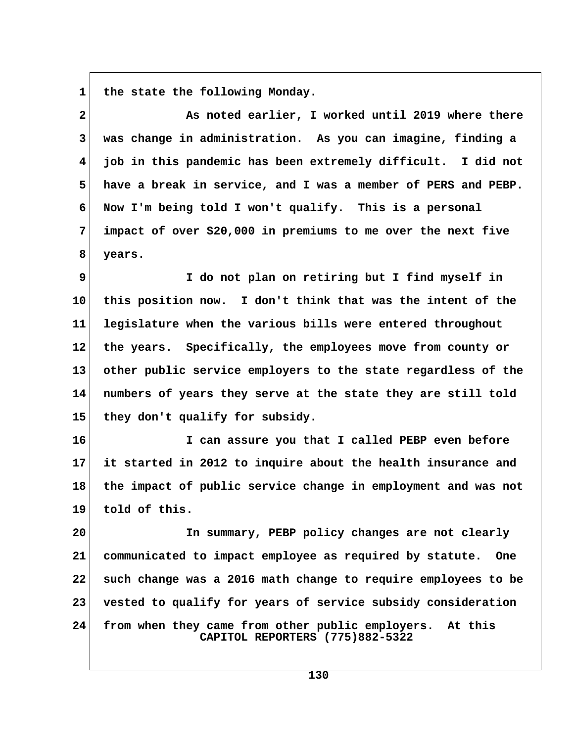1 the state the following Monday.

| $\mathbf{2}$            | As noted earlier, I worked until 2019 where there                                              |  |
|-------------------------|------------------------------------------------------------------------------------------------|--|
| 3                       | was change in administration. As you can imagine, finding a                                    |  |
| $\overline{\mathbf{4}}$ | job in this pandemic has been extremely difficult. I did not                                   |  |
| 5                       | have a break in service, and I was a member of PERS and PEBP.                                  |  |
| 6                       | Now I'm being told I won't qualify. This is a personal                                         |  |
| 7                       | impact of over \$20,000 in premiums to me over the next five                                   |  |
| 8                       | years.                                                                                         |  |
| 9                       | I do not plan on retiring but I find myself in                                                 |  |
| 10                      | this position now. I don't think that was the intent of the                                    |  |
| 11                      | legislature when the various bills were entered throughout                                     |  |
| 12                      | the years. Specifically, the employees move from county or                                     |  |
| 13                      | other public service employers to the state regardless of the                                  |  |
| 14                      | numbers of years they serve at the state they are still told                                   |  |
| 15                      | they don't qualify for subsidy.                                                                |  |
| 16                      | I can assure you that I called PEBP even before                                                |  |
| 17                      | it started in 2012 to inquire about the health insurance and                                   |  |
| 18                      | the impact of public service change in employment and was not                                  |  |
| 19                      | told of this.                                                                                  |  |
| 20                      | In summary, PEBP policy changes are not clearly                                                |  |
| 21                      | communicated to impact employee as required by statute.<br><b>One</b>                          |  |
| 22                      | such change was a 2016 math change to require employees to be                                  |  |
| 23                      | vested to qualify for years of service subsidy consideration                                   |  |
| 24                      | from when they came from other public employers.<br>At this<br>CAPITOL REPORTERS (775)882-5322 |  |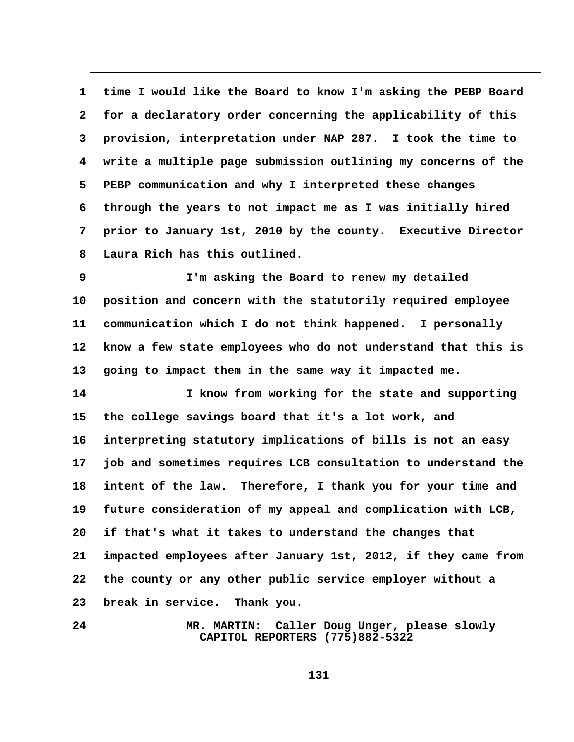**1 time I would like the Board to know I'm asking the PEBP Board 2 for a declaratory order concerning the applicability of this 3 provision, interpretation under NAP 287. I took the time to 4 write a multiple page submission outlining my concerns of the 5 PEBP communication and why I interpreted these changes 6 through the years to not impact me as I was initially hired 7 prior to January 1st, 2010 by the county. Executive Director 8 Laura Rich has this outlined.**

 **9 I'm asking the Board to renew my detailed 10 position and concern with the statutorily required employee 11 communication which I do not think happened. I personally 12 know a few state employees who do not understand that this is 13 going to impact them in the same way it impacted me.**

**14 I know from working for the state and supporting 15 the college savings board that it's a lot work, and 16 interpreting statutory implications of bills is not an easy 17 job and sometimes requires LCB consultation to understand the 18 intent of the law. Therefore, I thank you for your time and 19 future consideration of my appeal and complication with LCB, 20 if that's what it takes to understand the changes that 21 impacted employees after January 1st, 2012, if they came from 22 the county or any other public service employer without a 23 break in service. Thank you.**

**24 MR. MARTIN: Caller Doug Unger, please slowly CAPITOL REPORTERS (775)882-5322**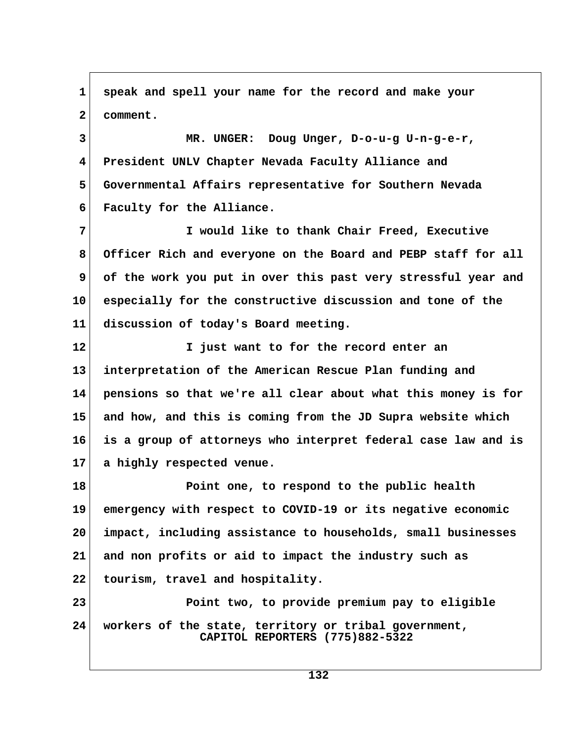**1 speak and spell your name for the record and make your 2 comment. 3 MR. UNGER: Doug Unger, D-o-u-g U-n-g-e-r, 4 President UNLV Chapter Nevada Faculty Alliance and 5 Governmental Affairs representative for Southern Nevada 6 Faculty for the Alliance. 7 I would like to thank Chair Freed, Executive 8 Officer Rich and everyone on the Board and PEBP staff for all 9 of the work you put in over this past very stressful year and 10 especially for the constructive discussion and tone of the 11 discussion of today's Board meeting. 12 I just want to for the record enter an 13 interpretation of the American Rescue Plan funding and 14 pensions so that we're all clear about what this money is for 15 and how, and this is coming from the JD Supra website which 16 is a group of attorneys who interpret federal case law and is 17 a highly respected venue. 18 Point one, to respond to the public health 19 emergency with respect to COVID-19 or its negative economic 20 impact, including assistance to households, small businesses 21 and non profits or aid to impact the industry such as 22 tourism, travel and hospitality. 23 Point two, to provide premium pay to eligible 24 workers of the state, territory or tribal government, CAPITOL REPORTERS (775)882-5322**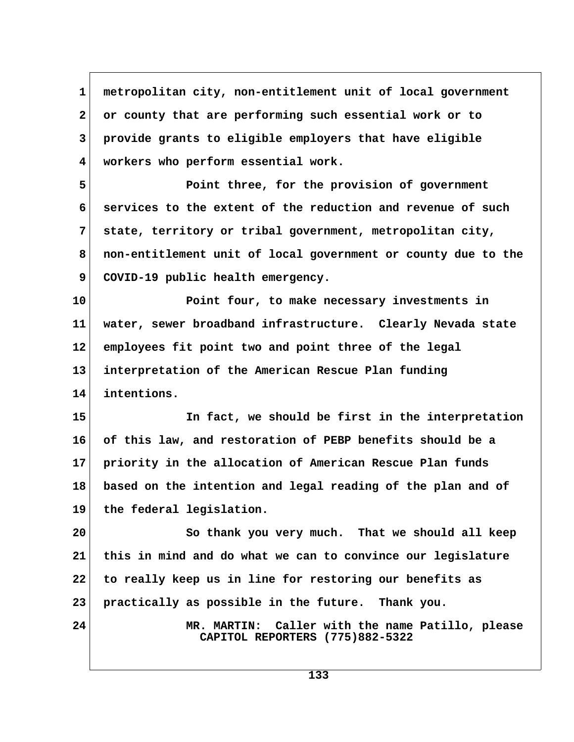**1 metropolitan city, non-entitlement unit of local government 2 or county that are performing such essential work or to 3 provide grants to eligible employers that have eligible 4 workers who perform essential work.**

 **5 Point three, for the provision of government 6 services to the extent of the reduction and revenue of such 7 state, territory or tribal government, metropolitan city, 8 non-entitlement unit of local government or county due to the** 9 COVID-19 public health emergency.

**10 Point four, to make necessary investments in 11 water, sewer broadband infrastructure. Clearly Nevada state 12 employees fit point two and point three of the legal 13 interpretation of the American Rescue Plan funding 14 intentions.**

**15 In fact, we should be first in the interpretation 16 of this law, and restoration of PEBP benefits should be a 17 priority in the allocation of American Rescue Plan funds 18 based on the intention and legal reading of the plan and of 19 the federal legislation.**

**20 So thank you very much. That we should all keep 21 this in mind and do what we can to convince our legislature 22 to really keep us in line for restoring our benefits as 23 practically as possible in the future. Thank you.**

**24 MR. MARTIN: Caller with the name Patillo, please CAPITOL REPORTERS (775)882-5322**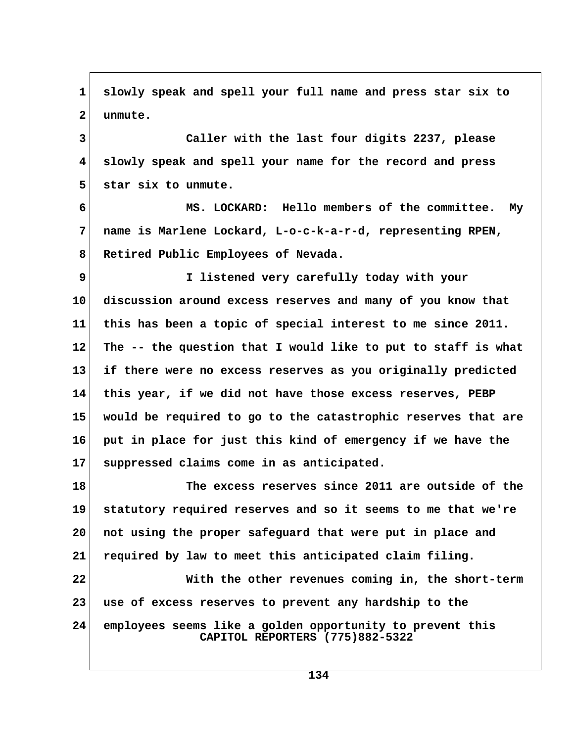**1 slowly speak and spell your full name and press star six to 2 unmute. 3 Caller with the last four digits 2237, please 4 slowly speak and spell your name for the record and press 5 star six to unmute. 6 MS. LOCKARD: Hello members of the committee. My 7 name is Marlene Lockard, L-o-c-k-a-r-d, representing RPEN, 8 Retired Public Employees of Nevada. 9 I listened very carefully today with your 10 discussion around excess reserves and many of you know that 11 this has been a topic of special interest to me since 2011. 12 The -- the question that I would like to put to staff is what 13 if there were no excess reserves as you originally predicted 14 this year, if we did not have those excess reserves, PEBP 15 would be required to go to the catastrophic reserves that are 16 put in place for just this kind of emergency if we have the 17 suppressed claims come in as anticipated. 18 The excess reserves since 2011 are outside of the 19 statutory required reserves and so it seems to me that we're 20 not using the proper safeguard that were put in place and 21 required by law to meet this anticipated claim filing. 22 With the other revenues coming in, the short-term 23 use of excess reserves to prevent any hardship to the 24 employees seems like a golden opportunity to prevent this CAPITOL REPORTERS (775)882-5322**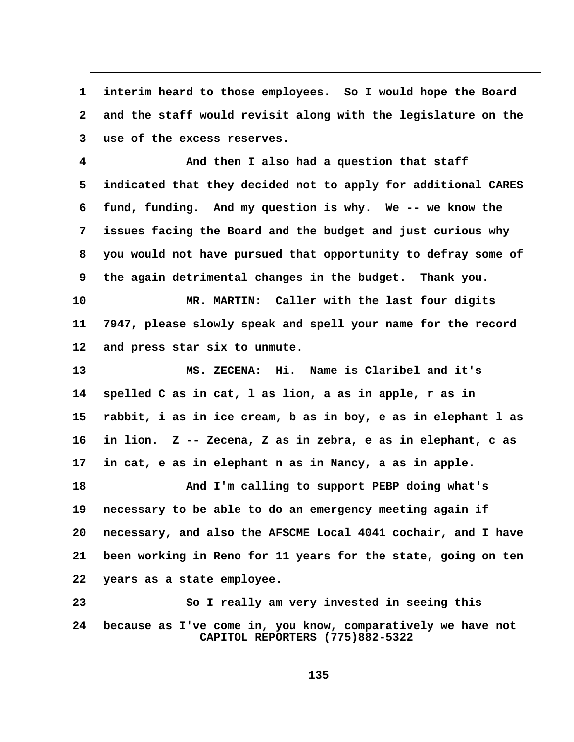**1 interim heard to those employees. So I would hope the Board 2 and the staff would revisit along with the legislature on the 3 use of the excess reserves.**

 **4 And then I also had a question that staff 5 indicated that they decided not to apply for additional CARES 6 fund, funding. And my question is why. We -- we know the 7 issues facing the Board and the budget and just curious why 8 you would not have pursued that opportunity to defray some of 9 the again detrimental changes in the budget. Thank you.**

**10 MR. MARTIN: Caller with the last four digits 11 7947, please slowly speak and spell your name for the record 12 and press star six to unmute.**

**13 MS. ZECENA: Hi. Name is Claribel and it's 14 spelled C as in cat, l as lion, a as in apple, r as in 15 rabbit, i as in ice cream, b as in boy, e as in elephant l as 16 in lion. Z -- Zecena, Z as in zebra, e as in elephant, c as 17 in cat, e as in elephant n as in Nancy, a as in apple.**

**18 And I'm calling to support PEBP doing what's 19 necessary to be able to do an emergency meeting again if 20 necessary, and also the AFSCME Local 4041 cochair, and I have 21 been working in Reno for 11 years for the state, going on ten 22 years as a state employee.**

**23** So I really am very invested in seeing this **24 because as I've come in, you know, comparatively we have not CAPITOL REPORTERS (775)882-5322**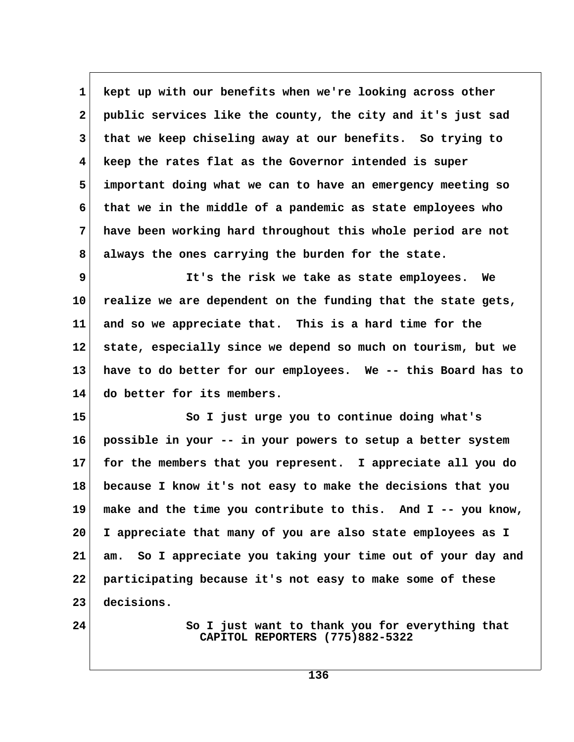**1 kept up with our benefits when we're looking across other 2 public services like the county, the city and it's just sad 3 that we keep chiseling away at our benefits. So trying to 4 keep the rates flat as the Governor intended is super 5 important doing what we can to have an emergency meeting so 6 that we in the middle of a pandemic as state employees who 7 have been working hard throughout this whole period are not 8 always the ones carrying the burden for the state.**

 **9 It's the risk we take as state employees. We 10 realize we are dependent on the funding that the state gets, 11 and so we appreciate that. This is a hard time for the 12 state, especially since we depend so much on tourism, but we 13 have to do better for our employees. We -- this Board has to 14 do better for its members.**

**15 So I just urge you to continue doing what's 16 possible in your -- in your powers to setup a better system 17 for the members that you represent. I appreciate all you do 18 because I know it's not easy to make the decisions that you 19 make and the time you contribute to this. And I -- you know, 20 I appreciate that many of you are also state employees as I 21 am. So I appreciate you taking your time out of your day and 22 participating because it's not easy to make some of these 23 decisions.**

**24** So I just want to thank you for everything that  **CAPITOL REPORTERS (775)882-5322**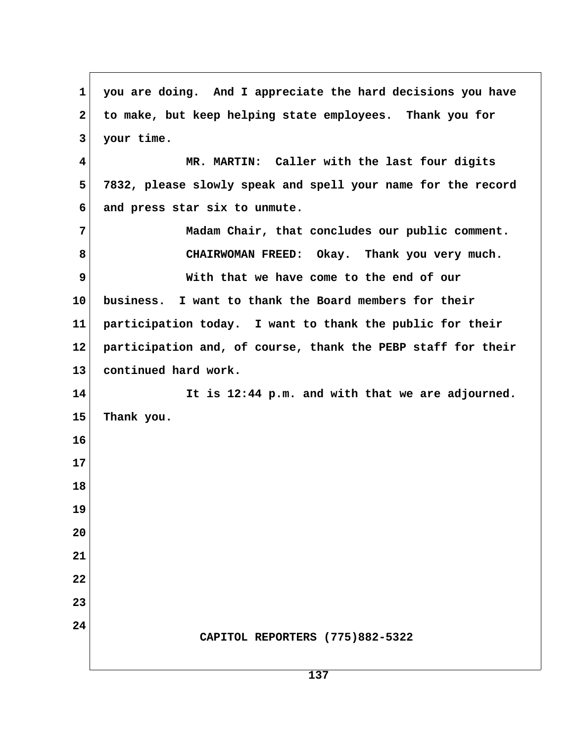**1 you are doing. And I appreciate the hard decisions you have 2 to make, but keep helping state employees. Thank you for 3 your time. 4 MR. MARTIN: Caller with the last four digits 5 7832, please slowly speak and spell your name for the record 6 and press star six to unmute. 7** Madam Chair, that concludes our public comment.  **8 CHAIRWOMAN FREED: Okay. Thank you very much. 9 With that we have come to the end of our 10 business. I want to thank the Board members for their 11 participation today. I want to thank the public for their 12 participation and, of course, thank the PEBP staff for their 13 continued hard work. 14 It is 12:44 p.m. and with that we are adjourned. 15 Thank you. 16 17 18 19 20 21 22 23 24 CAPITOL REPORTERS (775)882-5322**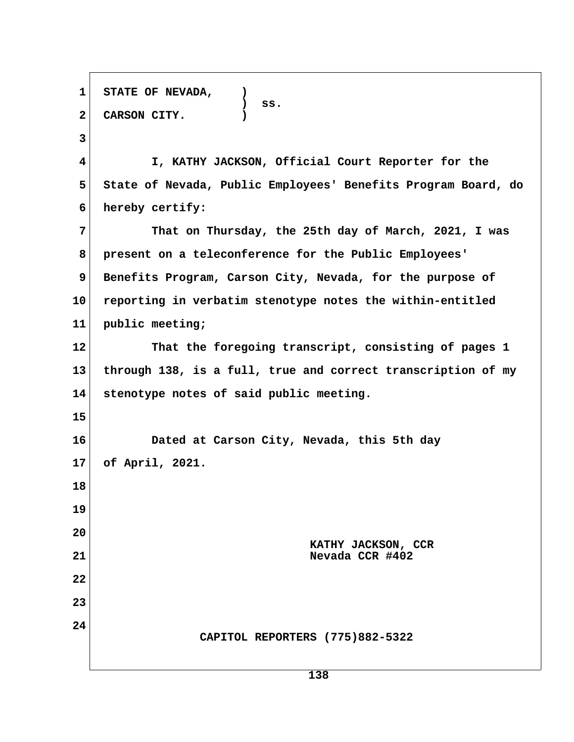**1 STATE OF NEVADA, ) ) ss. 2 CARSON CITY. ) 3 4 I, KATHY JACKSON, Official Court Reporter for the 5 State of Nevada, Public Employees' Benefits Program Board, do 6 hereby certify: 7 That on Thursday, the 25th day of March, 2021, I was 8 present on a teleconference for the Public Employees'** 9 Benefits Program, Carson City, Nevada, for the purpose of **10 reporting in verbatim stenotype notes the within-entitled 11 public meeting; 12 That the foregoing transcript, consisting of pages 1 13 through 138, is a full, true and correct transcription of my 14 stenotype notes of said public meeting. 15 16 Dated at Carson City, Nevada, this 5th day 17 of April, 2021. 18 19 20 KATHY JACKSON, CCR 21 Nevada CCR #402 22 23 24 CAPITOL REPORTERS (775)882-5322**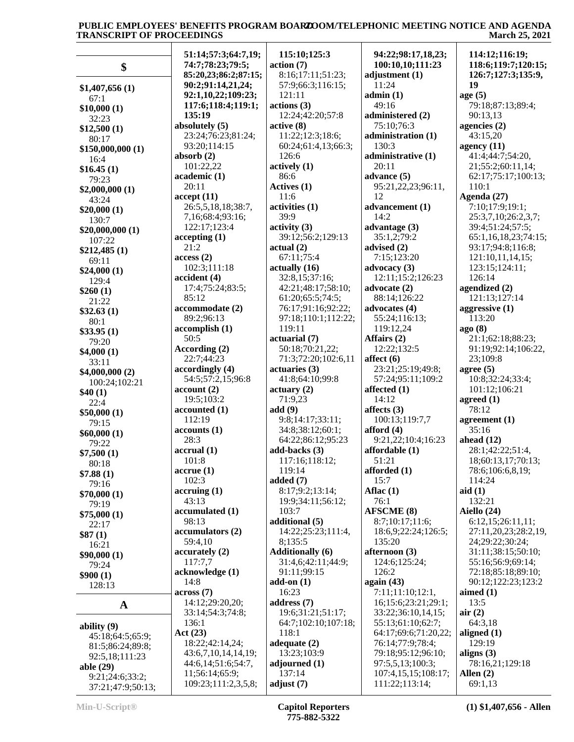| \$                                   | 51:14;57:3;64:7,19;<br>74:7;78:23;79:5; | 115:10;125:3<br>action (7) | 94:22;98:17,18,23;<br>100:10,10;111:23 | 114:12;116:19;<br>118:6;119:7;120:15; |
|--------------------------------------|-----------------------------------------|----------------------------|----------------------------------------|---------------------------------------|
|                                      | 85:20,23;86:2;87:15;                    | 8:16;17:11;51:23;          | adjustment (1)                         | 126:7;127:3;135:9,                    |
| \$1,407,656(1)                       | 90:2;91:14,21,24;                       | 57:9;66:3;116:15;          | 11:24                                  | 19                                    |
| 67:1                                 | 92:1,10,22;109:23;                      | 121:11                     | admin(1)                               | age(5)                                |
| \$10,000(1)                          | 117:6;118:4;119:1;                      | actions (3)                | 49:16                                  | 79:18;87:13;89:4;                     |
| 32:23                                | 135:19                                  | 12:24;42:20;57:8           | administered (2)                       | 90:13,13                              |
| \$12,500(1)                          | absolutely (5)                          | active(8)                  | 75:10;76:3                             | agencies $(2)$                        |
| 80:17                                | 23:24;76:23;81:24;                      | 11:22;12:3;18:6;           | administration (1)                     | 43:15,20                              |
| \$150,000,000(1)                     | 93:20;114:15                            | 60:24;61:4,13;66:3;        | 130:3                                  | agency $(11)$                         |
| 16:4                                 | absorb $(2)$                            | 126:6                      | administrative (1)                     | 41:4;44:7;54:20,                      |
| \$16.45(1)                           | 101:22,22                               | actively(1)                | 20:11                                  | 21;55:2;60:11,14;                     |
| 79:23                                | academic (1)                            | 86:6                       | advance (5)                            | 62:17;75:17;100:13;                   |
| \$2,000,000(1)                       | 20:11                                   | Actives (1)                | 95:21,22,23;96:11,                     | 110:1                                 |
| 43:24                                | accept(11)                              | 11:6                       | 12                                     | Agenda $(27)$                         |
| \$20,000(1)                          | 26:5,5,18,18;38:7,                      | activities (1)             | advancement (1)                        | 7:10;17:9;19:1;                       |
| 130:7                                | 7,16;68:4;93:16;                        | 39:9                       | 14:2                                   | 25:3,7,10;26:2,3,7;                   |
| \$20,000,000(1)                      | 122:17;123:4                            | $\text{activity (3)}$      | advantage (3)                          | 39:4;51:24;57:5;                      |
| 107:22                               | accepting(1)                            | 39:12;56:2;129:13          | 35:1,2;79:2                            | 65:1,16,18,23;74:15;                  |
| \$212,485(1)                         | 21:2                                    | actual(2)                  | advised (2)                            | 93:17;94:8;116:8;                     |
| 69:11                                | access(2)                               | 67:11;75:4                 | 7:15;123:20                            | 121:10,11,14,15;                      |
| \$24,000(1)                          | 102:3;111:18                            | actually(16)               | advocacy $(3)$                         | 123:15;124:11;                        |
| 129:4                                | accident (4)                            | 32:8,15;37:16;             | 12:11;15:2;126:23                      | 126:14                                |
| \$260(1)                             | 17:4;75:24;83:5;                        | 42:21;48:17;58:10;         | advocate (2)                           | agendized (2)                         |
| 21:22                                | 85:12                                   | 61:20;65:5;74:5;           | 88:14;126:22                           | 121:13;127:14                         |
| \$32.63(1)                           | accommodate (2)                         | 76:17;91:16;92:22;         | advocates (4)                          | aggressive $(1)$                      |
| 80:1                                 | 89:2;96:13                              | 97:18;110:1;112:22;        | 55:24;116:13;                          | 113:20                                |
| \$33.95(1)                           | accomplish(1)                           | 119:11                     | 119:12,24                              | ago(8)                                |
| 79:20                                | 50:5                                    | actuarial (7)              | Affairs (2)                            | 21:1;62:18;88:23;                     |
| \$4,000(1)                           | According (2)                           | 50:18;70:21,22;            | 12:22;132:5                            | 91:19;92:14;106:22,                   |
| 33:11                                | 22:7;44:23                              | 71:3;72:20;102:6,11        | affect $(6)$                           | 23;109:8                              |
| \$4,000,000(2)                       | accordingly (4)                         | actuaries (3)              | 23:21;25:19;49:8;                      | agree $(5)$                           |
| 100:24;102:21                        | 54:5;57:2,15;96:8                       | 41:8;64:10;99:8            | 57:24;95:11;109:2                      | 10:8;32:24;33:4;                      |
| \$40(1)                              | account(2)                              | actuary (2)                | affected (1)                           | 101:12;106:21                         |
| 22:4                                 | 19:5;103:2                              | 71:9,23                    | 14:12                                  | agreed $(1)$                          |
| \$50,000(1)                          | accounted (1)                           | add(9)                     | affects $(3)$                          | 78:12                                 |
| 79:15                                | 112:19                                  | 9:8;14:17;33:11;           | 100:13;119:7,7                         | agreement $(1)$                       |
| \$60,000(1)                          | accounts(1)                             | 34:8;38:12;60:1;           | afford $(4)$                           | 35:16                                 |
| 79:22                                | 28:3                                    | 64:22;86:12;95:23          | 9:21,22;10:4;16:23                     | ahead $(12)$                          |
| \$7,500(1)                           | accrual(1)                              | add-backs $(3)$            | affordable (1)                         | 28:1;42:22;51:4,                      |
| 80:18                                | 101:8                                   | 117:16;118:12;             | 51:21                                  | 18;60:13,17;70:13;                    |
| \$7.88(1)                            | $accru$ e $(1)$                         | 119:14                     | afforded $(1)$                         | 78:6;106:6,8,19;                      |
| 79:16                                | 102:3                                   | added $(7)$                | 15:7                                   | 114:24                                |
| \$70,000(1)                          | $\arctan(1)$                            | 8:17;9:2;13:14;            | Aflac $(1)$                            | aid(1)                                |
| 79:19                                | 43:13                                   | 19:9:34:11:56:12;          | 76:1                                   | 132:21                                |
| \$75,000(1)                          | accumulated (1)                         | 103:7                      | <b>AFSCME</b> (8)                      | Aiello (24)                           |
| 22:17                                | 98:13                                   | additional (5)             | 8:7;10:17;11:6;                        | 6:12,15;26:11,11;                     |
| \$87(1)                              | accumulators (2)                        | 14:22;25:23;111:4,         | 18:6,9;22:24;126:5;                    | 27:11,20,23;28:2,19,                  |
| 16:21                                | 59:4,10                                 | 8;135:5                    | 135:20                                 | 24;29:22;30:24;                       |
| \$90,000(1)                          | accurately (2)                          | <b>Additionally</b> (6)    | afternoon (3)                          | 31:11;38:15;50:10;                    |
| 79:24                                | 117:7,7                                 | 31:4,6;42:11;44:9;         | 124:6;125:24;                          | 55:16;56:9;69:14;                     |
| \$900(1)                             | acknowledge (1)                         | 91:11:99:15                | 126:2                                  | 72:18;85:18;89:10;                    |
| 128:13                               | 14:8                                    | add-on $(1)$               | again $(43)$                           | 90:12;122:23;123:2                    |
|                                      | across(7)                               | 16:23                      | 7:11;11:10;12:1,                       | aimed $(1)$                           |
| $\mathbf A$                          | 14:12;29:20,20;                         | address $(7)$              | 16;15:6;23:21;29:1;                    | 13:5                                  |
|                                      | 33:14;54:3;74:8;                        | 19:6;31:21;51:17;          | 33:22;36:10,14,15;                     | air(2)                                |
| ability $(9)$                        | 136:1                                   | 64:7;102:10;107:18;        | 55:13;61:10;62:7;                      | 64:3,18                               |
| 45:18;64:5;65:9;                     | Act(23)                                 | 118:1                      | 64:17;69:6;71:20,22;                   | aligned $(1)$                         |
| 81:5;86:24;89:8;                     | 18:22;42:14,24;                         | adequate $(2)$             | 76:14;77:9;78:4;                       | 129:19                                |
| 92:5,18;111:23                       | 43:6,7,10,14,14,19;                     | 13:23;103:9                | 79:18;95:12;96:10;                     | aligns $(3)$                          |
| able (29)                            | 44:6,14;51:6;54:7,                      | adjourned $(1)$            | 97:5,5,13;100:3;                       | 78:16,21;129:18                       |
| 9:21;24:6;33:2;<br>37:21;47:9;50:13; | 11;56:14;65:9;<br>109:23;111:2,3,5,8;   | 137:14<br>adjust $(7)$     | 107:4,15,15;108:17;<br>111:22;113:14;  | Allen $(2)$<br>69:1,13                |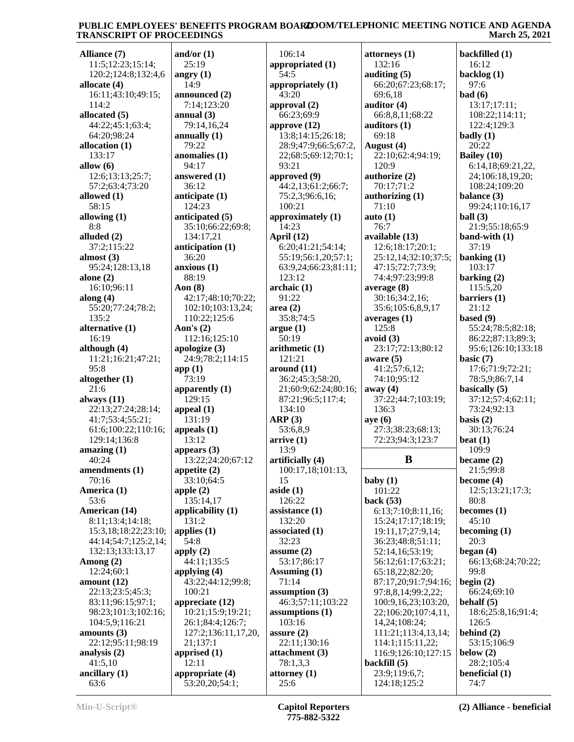**Alliance (7)** 11:5;12:23;15:14; 120:2;124:8;132:4,6 **allocate (4)** 16:11;43:10;49:15; 114:2 **allocated (5)** 44:22;45:1;63:4; 64:20;98:24 **allocation (1)** 133:17 **allow (6)** 12:6;13:13;25:7; 57:2;63:4;73:20 **allowed (1)** 58:15 **allowing (1)** 8:8 **alluded (2)** 37:2;115:22 **almost (3)** 95:24;128:13,18 **alone (2)** 16:10;96:11 **along (4)** 55:20;77:24;78:2; 135:2 **alternative (1)** 16:19 **although (4)** 11:21;16:21;47:21; 95:8 **altogether (1)** 21:6 **always (11)** 22:13;27:24;28:14; 41:7;53:4;55:21; 61:6;100:22;110:16; 129:14;136:8 **amazing (1)** 40:24 **amendments (1)** 70:16 **America (1)** 53:6 **American (14)** 8:11;13:4;14:18; 15:3,18;18:22;23:10; 44:14;54:7;125:2,14; 132:13;133:13,17 **Among (2)** 12:24;60:1 **amount (12)** 22:13;23:5;45:3; 83:11;96:15;97:1; 98:23;101:3;102:16; 104:5,9;116:21 **amounts (3)** 22:12;95:11;98:19 **analysis (2)** 41:5,10 **ancillary (1)** 63:6

**and/or (1)** 25:19 **angry (1)** 14:9 **announced (2)** 7:14;123:20 **annual (3)** 79:14,16,24 **annually (1)** 79:22 **anomalies (1)** 94:17 **answered (1)** 36:12 **anticipate (1)** 124:23 **anticipated (5)** 35:10;66:22;69:8; 134:17,21 **anticipation (1)** 36:20 **anxious (1)** 88:19 **Aon (8)** 42:17;48:10;70:22; 102:10;103:13,24; 110:22;125:6 **Aon's (2)** 112:16;125:10 **apologize (3)** 24:9;78:2;114:15 **app (1)** 73:19 **apparently (1)**  $129.15$ **appeal (1)** 131:19 **appeals (1)** 13:12 **appears (3)** 13:22;24:20;67:12 **appetite (2)** 33:10;64:5 **apple (2)** 135:14,17 **applicability (1)** 131:2 **applies (1)** 54:8 **apply (2)** 44:11;135:5 **applying (4)** 43:22;44:12;99:8; 100:21 **appreciate (12)** 10:21;15:9;19:21; 26:1;84:4;126:7; 127:2;136:11,17,20, 21;137:1 **apprised (1)** 12:11 **appropriate (4)** 53:20,20;54:1;

 106:14 **appropriated (1)** 54:5 **appropriately (1)**  $43:20$ **approval (2)** 66:23;69:9 **approve (12)** 13:8;14:15;26:18; 28:9;47:9;66:5;67:2, 22;68:5;69:12;70:1; 93:21 **approved (9)** 44:2,13;61:2;66:7; 75:2,3;96:6,16; 100:21 **approximately (1)** 14:23 **April (12)** 6:20;41:21;54:14; 55:19;56:1,20;57:1; 63:9,24;66:23;81:11; 123:12 **archaic (1)** 91:22 **area (2)** 35:8;74:5 **argue (1)** 50:19 **arithmetic (1)** 121:21 **around (11)** 36:2;45:3;58:20, 21;60:9;62:24;80:16; 87:21;96:5;117:4; 134:10 **ARP (3)** 53:6,8,9 **arrive (1)** 13:9 **artificially (4)** 100:17,18;101:13, 15 **aside (1)** 126:22 **assistance (1)** 132:20 **associated (1)** 32:23 **assume (2)** 53:17;86:17 **Assuming (1)** 71:14 **assumption (3)** 46:3;57:11;103:22 **assumptions (1)** 103:16 **assure (2)** 22:11;130:16 **attachment (3)** 78:1,3,3 **attorney (1)** 25:6

**attorneys (1)** 132:16 **auditing (5)** 66:20;67:23;68:17; 69:6,18 **auditor (4)** 66:8,8,11;68:22 **auditors (1)** 69:18 **August (4)** 22:10;62:4;94:19; 120:9 **authorize (2)** 70:17;71:2 **authorizing (1)** 71:10 **auto (1)** 76:7 **available (13)** 12:6;18:17;20:1; 25:12,14;32:10;37:5; 47:15;72:7;73:9; 74:4;97:23;99:8 **average (8)** 30:16;34:2,16; 35:6;105:6,8,9,17 **averages (1)** 125:8 **avoid (3)** 23:17;72:13;80:12 **aware (5)** 41:2;57:6,12; 74:10;95:12 **away (4)** 37:22;44:7;103:19; 136:3 **aye (6)** 27:3;38:23;68:13; 72:23;94:3;123:7 **baby (1)** 101:22 **back (53)** 6:13;7:10;8:11,16; 15:24;17:17;18:19; 19:11,17;27:9,14; 36:23;48:8;51:11; 52:14,16;53:19; 56:12;61:17;63:21; 65:18,22;82:20; 87:17,20;91:7;94:16; 97:8,8,14;99:2,22; 100:9,16,23;103:20, 22;106:20;107:4,11, 14,24;108:24; 111:21;113:4,13,14; 114:1;115:11,22; 116:9;126:10;127:15 **backfill (5)** 23:9;119:6,7; 124:18;125:2

**B became (2) backfilled (1)** 16:12 **backlog (1)** 97:6 **bad (6)** 13:17;17:11; 108:22;114:11; 122:4;129:3 **badly (1)** 20:22 **Bailey (10)** 6:14,18;69:21,22, 24;106:18,19,20; 108:24;109:20 **balance (3)** 99:24;110:16,17 **ball (3)** 21:9;55:18;65:9 **band-with (1)** 37:19 **banking (1)** 103:17 **barking (2)** 115:5,20 **barriers (1)** 21:12 **based (9)** 55:24;78:5;82:18; 86:22;87:13;89:3; 95:6;126:10;133:18 **basic (7)** 17:6;71:9;72:21; 78:5,9;86:7,14 **basically (5)** 37:12;57:4;62:11; 73:24;92:13 **basis (2)** 30:13;76:24 **beat (1)** 109:9 21:5;99:8 **become (4)** 12:5;13:21;17:3; 80:8 **becomes (1)** 45:10 **becoming (1)** 20:3 **began (4)** 66:13;68:24;70:22; 99:8 **begin (2)** 66:24;69:10 **behalf (5)** 18:6;25:8,16;91:4; 126:5 **behind (2)** 53:15;106:9 **below (2)** 28:2;105:4 **beneficial (1)**

74:7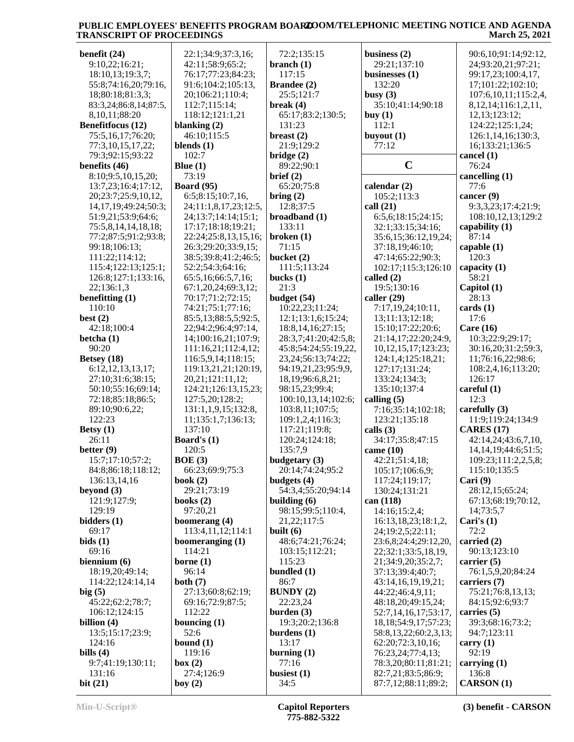| benefit $(24)$             | 22:1;34:9;37:3,16;    | 72:2;135:15             | business $(2)$             | 90:6,10;91:14;92:12,      |
|----------------------------|-----------------------|-------------------------|----------------------------|---------------------------|
| 9:10,22;16:21;             | 42:11;58:9;65:2;      | branch $(1)$            | 29:21;137:10               | 24;93:20,21;97:21;        |
| 18:10,13;19:3,7;           | 76:17;77:23;84:23;    | 117:15                  | businesses $(1)$           | 99:17,23;100:4,17,        |
|                            | 91:6;104:2;105:13,    | Brandee (2)             | 132:20                     | 17;101:22;102:10;         |
| 55:8;74:16,20;79:16,       |                       |                         |                            |                           |
| 18;80:18;81:3,3;           | 20;106:21;110:4;      | 25:5;121:7              | busy $(3)$                 | 107:6, 10, 11; 115:2, 4,  |
| 83:3,24;86:8,14;87:5,      | 112:7;115:14;         | break $(4)$             | 35:10;41:14;90:18          | 8, 12, 14; 116: 1, 2, 11, |
| 8, 10, 11; 88: 20          | 118:12;121:1,21       | 65:17;83:2;130:5;       | buy $(1)$                  | 12,13;123:12;             |
| <b>Benefitfocus</b> (12)   | blanking $(2)$        | 131:23                  | 112:1                      | 124:22;125:1,24;          |
| 75:5,16,17;76:20;          | 46:10;115:5           | breast $(2)$            | buyout $(1)$               | 126:1,14,16;130:3,        |
|                            |                       |                         |                            |                           |
| 77:3,10,15,17,22;          | blends $(1)$          | 21:9;129:2              | 77:12                      | 16;133:21;136:5           |
| 79:3;92:15;93:22           | 102:7                 | bridge $(2)$            |                            | cancel (1)                |
| benefits $(46)$            | Blue $(1)$            | 89:22;90:1              | $\mathbf C$                | 76:24                     |
| 8:10;9:5,10,15,20;         | 73:19                 | brief $(2)$             |                            | cancelling (1)            |
| 13:7,23;16:4;17:12,        | <b>Board</b> (95)     | 65:20;75:8              | calendar $(2)$             | 77:6                      |
| 20;23:7;25:9,10,12,        | 6:5;8:15;10:7,16,     | bring $(2)$             | 105:2;113:3                | cancer $(9)$              |
|                            |                       |                         |                            |                           |
| 14, 17, 19; 49: 24; 50: 3; | 24;11:1,8,17,23;12:5, | 12:8;37:5               | call $(21)$                | 9:3,3,23;17:4;21:9;       |
| 51:9,21;53:9;64:6;         | 24;13:7;14:14;15:1;   | broadband (1)           | 6:5,6;18:15;24:15;         | 108:10,12,13;129:2        |
| 75:5,8,14,14,18,18;        | 17:17;18:18;19:21;    | 133:11                  | 32:1;33:15;34:16;          | capability (1)            |
| 77:2;87:5;91:2;93:8;       | 22:24;25:8,13,15,16;  | broken(1)               | 35:6,15;36:12,19,24;       | 87:14                     |
| 99:18;106:13;              | 26:3;29:20;33:9,15;   | 71:15                   | 37:18,19;46:10;            | capable $(1)$             |
| 111:22;114:12;             |                       | bucket (2)              | 47:14;65:22;90:3;          | 120:3                     |
|                            | 38:5;39:8;41:2;46:5;  |                         |                            |                           |
| 115:4;122:13;125:1;        | 52:2;54:3;64:16;      | 111:5;113:24            | 102:17;115:3;126:10        | capacity (1)              |
| 126:8;127:1;133:16,        | 65:5,16;66:5,7,16;    | bucks $(1)$             | called $(2)$               | 58:21                     |
| 22;136:1,3                 | 67:1,20,24;69:3,12;   | 21:3                    | 19:5;130:16                | Capitol (1)               |
| benefitting $(1)$          | 70:17;71:2;72:15;     | budget (54)             | caller $(29)$              | 28:13                     |
| 110:10                     | 74:21;75:1;77:16;     | 10:22,23;11:24;         | 7:17,19,24;10:11,          | cards(1)                  |
| best $(2)$                 | 85:5,13;88:5,5;92:5,  | 12:1;13:1,6;15:24;      | 13;11:13;12:18;            | 17:6                      |
|                            |                       |                         |                            |                           |
| 42:18;100:4                | 22;94:2;96:4;97:14,   | 18:8, 14, 16; 27: 15;   | 15:10;17:22;20:6;          | Care $(16)$               |
| betcha $(1)$               | 14;100:16,21;107:9;   | 28:3,7;41:20;42:5,8;    | 21:14,17;22:20;24:9,       | 10:3;22:9;29:17;          |
| 90:20                      | 111:16,21;112:4,12;   | 45:8;54:24;55:19,22,    | 10, 12, 15, 17; 123: 23;   | 30:16,20;31:2;59:3,       |
| Betsey $(18)$              | 116:5,9,14;118:15;    | 23, 24; 56: 13; 74: 22; | 124:1,4;125:18,21;         | 11;76:16,22;98:6;         |
| 6:12, 12, 13, 13, 17;      | 119:13,21,21;120:19,  | 94:19,21,23;95:9,9,     | 127:17;131:24;             | 108:2,4,16;113:20;        |
| 27:10;31:6;38:15;          | 20,21;121:11,12;      | 18,19;96:6,8,21;        | 133:24;134:3;              | 126:17                    |
|                            |                       |                         |                            |                           |
| 50:10;55:16;69:14;         | 124:21;126:13,15,23;  | 98:15,23;99:4;          | 135:10;137:4               | careful $(1)$             |
| 72:18;85:18;86:5;          | 127:5,20;128:2;       | 100:10,13,14;102:6;     | calling $(5)$              | 12:3                      |
| 89:10;90:6,22;             | 131:1,1,9,15;132:8,   | 103:8,11;107:5;         | 7:16;35:14;102:18;         | carefully $(3)$           |
| 122:23                     | 11;135:1,7;136:13;    | 109:1,2,4;116:3;        | 123:21;135:18              | 11:9;119:24;134:9         |
| Betsy $(1)$                | 137:10                | 117:21;119:8;           | calls $(3)$                | <b>CARES</b> (17)         |
| 26:11                      | Board's (1)           | 120:24;124:18;          | 34:17;35:8;47:15           | 42:14,24;43:6,7,10,       |
|                            |                       | 135:7,9                 |                            | 14, 14, 19; 44: 6; 51: 5; |
| better $(9)$               | 120:5                 |                         | came $(10)$                |                           |
| 15:7;17:10;57:2;           | BOE(3)                | budgetary (3)           | 42:21;51:4,18;             | 109:23;111:2,2,5,8;       |
| 84:8;86:18;118:12;         | 66:23;69:9;75:3       | 20:14;74:24;95:2        | 105:17;106:6,9;            | 115:10;135:5              |
| 136:13,14,16               | book $(2)$            | budgets $(4)$           | 117:24;119:17;             | Cari $(9)$                |
| beyond $(3)$               | 29:21;73:19           | 54:3,4;55:20;94:14      | 130:24;131:21              | 28:12,15;65:24;           |
| 121:9;127:9;               | books $(2)$           | building $(6)$          | can (118)                  | 67:13;68:19;70:12,        |
| 129:19                     | 97:20,21              | 98:15;99:5;110:4,       | 14:16;15:2,4;              | 14,73:5,7                 |
|                            |                       |                         |                            |                           |
| bidders (1)                | boomerang (4)         | 21, 22; 117: 5          | 16:13,18,23;18:1,2,        | Cari's $(1)$              |
| 69:17                      | 113:4,11,12;114:1     | built $(6)$             | 24;19:2,5;22:11;           | 72:2                      |
| bids(1)                    | boomeranging $(1)$    | 48:6;74:21;76:24;       | 23:6,8;24:4;29:12,20,      | carried (2)               |
| 69:16                      | 114:21                | 103:15;112:21;          | 22;32:1;33:5,18,19,        | 90:13;123:10              |
| biennium $(6)$             | borne $(1)$           | 115:23                  | 21;34:9,20;35:2,7;         | carrier $(5)$             |
| 18:19,20;49:14;            | 96:14                 | bundled (1)             | 37:13;39:4;40:7;           | 76:1,5,9,20;84:24         |
| 114:22;124:14,14           | both $(7)$            | 86:7                    | 43:14,16,19,19,21;         | carriers (7)              |
|                            |                       |                         |                            |                           |
| big(5)                     | 27:13;60:8;62:19;     | <b>BUNDY</b> (2)        | 44:22;46:4,9,11;           | 75:21;76:8,13,13;         |
| 45:22;62:2;78:7;           | 69:16;72:9;87:5;      | 22:23,24                | 48:18,20;49:15,24;         | 84:15;92:6;93:7           |
| 106:12;124:15              | 112:22                | burden $(3)$            | 52:7, 14, 16, 17; 53: 17,  | carries $(5)$             |
| billion $(4)$              | bouncing $(1)$        | 19:3;20:2;136:8         | 18, 18; 54: 9, 17; 57: 23; | 39:3;68:16;73:2;          |
| 13:5;15:17;23:9;           | 52:6                  | burdens $(1)$           | 58:8,13,22;60:2,3,13;      | 94:7;123:11               |
| 124:16                     | bound $(1)$           | 13:17                   | 62:20;72:3,10,16;          | carry $(1)$               |
| bills $(4)$                | 119:16                |                         |                            | 92:19                     |
|                            |                       | burning $(1)$           | 76:23,24;77:4,13;          |                           |
| 9:7;41:19;130:11;          | box(2)                | 77:16                   | 78:3,20;80:11;81:21;       | carrying $(1)$            |
| 131:16                     | 27:4;126:9            | busiest $(1)$           | 82:7,21;83:5;86:9;         | 136:8                     |
| bit(21)                    | boy $(2)$             | 34:5                    | 87:7,12;88:11;89:2;        | <b>CARSON</b> (1)         |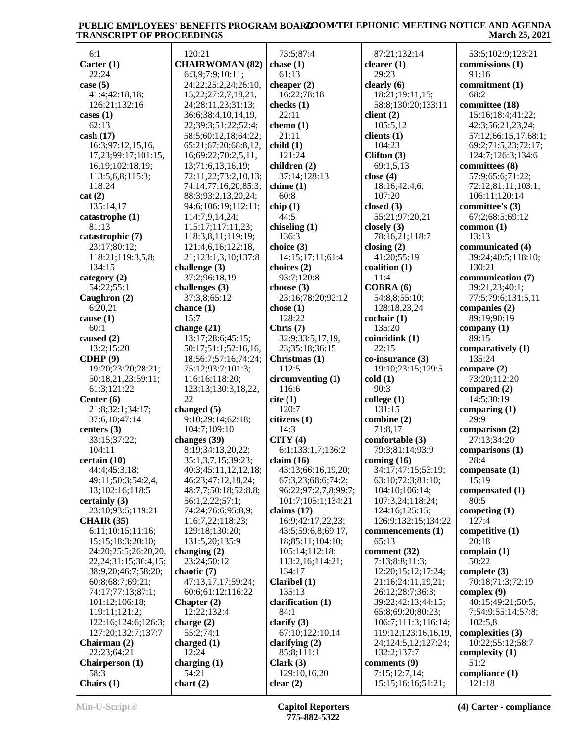| 6:1                        | 120:21                       | 73:5;87:4            | 87:21;132:14                | 53:5;102:9;123:21    |
|----------------------------|------------------------------|----------------------|-----------------------------|----------------------|
| Carter $(1)$               | <b>CHAIRWOMAN (82)</b>       | chase $(1)$          | clearer $(1)$               | commissions (1)      |
| 22:24                      | 6:3,9;7:9;10:11;             | 61:13                | 29:23                       | 91:16                |
|                            |                              |                      |                             |                      |
| case $(5)$                 | 24:22;25:2,24;26:10,         | cheaper $(2)$        | clearly $(6)$               | commitment (1)       |
| 41:4;42:18,18;             | 15,22;27:2,7,18,21,          | 16:22;78:18          | 18:21;19:11,15;             | 68:2                 |
| 126:21;132:16              | 24;28:11,23;31:13;           | checks $(1)$         | 58:8;130:20;133:11          | committee (18)       |
| cases $(1)$                | 36:6;38:4,10,14,19,          | 22:11                | client $(2)$                | 15:16;18:4;41:22;    |
| 62:13                      | 22;39:3;51:22;52:4;          | chemo $(1)$          | 105:5,12                    | 42:3;56:21,23,24;    |
| cash(17)                   | 58:5;60:12,18;64:22;         | 21:11                | clients $(1)$               | 57:12;66:15,17;68:1; |
| 16:3;97:12,15,16,          | 65:21;67:20;68:8,12,         | child(1)             | 104:23                      | 69:2;71:5,23;72:17;  |
| 17,23;99:17;101:15,        | 16;69:22;70:2,5,11,          | 121:24               | Clifton $(3)$               | 124:7;126:3;134:6    |
| 16,19;102:18,19;           | 13;71:6,13,16,19;            | children (2)         | 69:1,5,13                   | committees (8)       |
| 113:5,6,8;115:3;           | 72:11,22;73:2,10,13;         | 37:14;128:13         | close $(4)$                 | 57:9;65:6;71:22;     |
| 118:24                     | 74:14;77:16,20;85:3;         | chime(1)             | 18:16;42:4,6;               | 72:12;81:11;103:1;   |
| cat(2)                     | 88:3;93:2,13,20,24;          | 60:8                 | 107:20                      | 106:11;120:14        |
| 135:14,17                  | 94:6;106:19;112:11;          | chip(1)              | closed $(3)$                | committee's (3)      |
| catastrophe (1)            | 114:7,9,14,24;               | 44:5                 | 55:21;97:20,21              | 67:2;68:5;69:12      |
| 81:13                      | 115:17;117:11,23;            | chiseling $(1)$      | closely $(3)$               | common $(1)$         |
| catastrophic (7)           | 118:3,8,11;119:19;           | 136:3                | 78:16,21;118:7              | 13:13                |
| 23:17;80:12;               | 121:4,6,16;122:18,           | choice (3)           | closing $(2)$               | communicated (4)     |
| 118:21;119:3,5,8;          | 21;123:1,3,10;137:8          | 14:15;17:11;61:4     | 41:20;55:19                 | 39:24;40:5;118:10;   |
| 134:15                     | challenge (3)                | choices (2)          | coalition (1)               | 130:21               |
| category $(2)$             | 37:2;96:18,19                | 93:7;120:8           | 11:4                        | communication (7)    |
| 54:22;55:1                 | challenges (3)               | choose $(3)$         | COBRA(6)                    | 39:21,23;40:1;       |
| Caughron (2)               | 37:3,8;65:12                 | 23:16;78:20;92:12    | 54:8,8;55:10;               | 77:5;79:6;131:5,11   |
| 6:20,21                    |                              | chose $(1)$          | 128:18,23,24                |                      |
|                            | chance $(1)$                 |                      |                             | companies (2)        |
| cause $(1)$                | 15:7                         | 128:22               | $\operatorname{cochair}(1)$ | 89:19;90:19          |
| 60:1                       | change $(21)$                | Chris $(7)$          | 135:20                      | company $(1)$        |
| caused (2)                 | 13:17;28:6;45:15;            | 32:9;33:5,17,19,     | coincidink (1)              | 89:15                |
| 13:2;15:20                 | 50:17;51:1;52:16,16,         | 23;35:18;36:15       | 22:15                       | comparatively (1)    |
| CDHP(9)                    | 18;56:7;57:16;74:24;         | Christmas (1)        | co-insurance (3)            | 135:24               |
| 19:20;23:20;28:21;         | 75:12;93:7;101:3;            | 112:5                | 19:10;23:15;129:5           | compare (2)          |
| 50:18,21,23;59:11;         | 116:16;118:20;               | circumventing (1)    | cold(1)                     | 73:20;112:20         |
| 61:3;121:22                | 123:13;130:3,18,22,          | 116:6                | 90:3                        | compared (2)         |
| Center $(6)$               | 22                           | cite (1)             | $\text{college } (1)$       | 14:5;30:19           |
| 21:8;32:1;34:17;           | changed $(5)$                | 120:7                | 131:15                      | comparing $(1)$      |
| 37:6,10;47:14              | 9:10;29:14;62:18;            | citizens (1)         | combine (2)                 | 29:9                 |
| centers $(3)$              | 104:7;109:10                 | 14:3                 | 71:8,17                     | comparison (2)       |
| 33:15;37:22;               | changes (39)                 | CITY(4)              | comfortable (3)             | 27:13;34:20          |
| 104:11                     | 8:19;34:13,20,22;            | 6:1;133:1,7;136:2    | 79:3;81:14;93:9             | comparisons (1)      |
| certain(10)                | 35:1,3,7,15;39:23;           | claim $(16)$         | coming $(16)$               | 28:4                 |
| 44:4;45:3,18;              | 40:3;45:11,12,12,18;         | 43:13;66:16,19,20;   | 34:17;47:15;53:19;          | compensate (1)       |
| 49:11;50:3;54:2,4,         | 46:23;47:12,18,24;           | 67:3,23;68:6;74:2;   | 63:10;72:3;81:10;           | 15:19                |
| 13;102:16;118:5            | 48:7,7;50:18;52:8,8;         | 96:22;97:2,7,8;99:7; | 104:10;106:14;              | compensated (1)      |
| certainly (3)              | 56:1,2,22;57:1;              | 101:7;105:1;134:21   | 107:3,24;118:24;            | 80:5                 |
| 23:10;93:5;119:21          | 74:24;76:6;95:8,9;           | claims $(17)$        | 124:16;125:15;              | competing $(1)$      |
| <b>CHAIR (35)</b>          | 116:7,22;118:23;             | 16:9;42:17,22,23;    | 126:9;132:15;134:22         | 127:4                |
| 6:11;10:15;11:16;          | 129:18;130:20;               | 43:5;59:6,8;69:17,   | commencements (1)           | competitive (1)      |
| 15:15;18:3;20:10;          | 131:5,20;135:9               | 18;85:11;104:10;     | 65:13                       | 20:18                |
| 24:20;25:5;26:20,20,       | changing $(2)$               | 105:14;112:18;       | comment $(32)$              | complain (1)         |
| 22, 24; 31: 15; 36: 4, 15; | 23:24;50:12                  | 113:2,16;114:21;     | 7:13;8:8;11:3;              | 50:22                |
| 38:9,20;46:7;58:20;        | chaotic (7)                  | 134:17               | 12:20;15:12;17:24;          | complete $(3)$       |
| 60:8;68:7;69:21;           | 47:13,17,17;59:24;           | Claribel(1)          | 21:16;24:11,19,21;          | 70:18;71:3;72:19     |
| 74:17;77:13;87:1;          | 60:6;61:12;116:22            | 135:13               | 26:12;28:7;36:3;            | complex $(9)$        |
|                            |                              | clarification (1)    |                             | 40:15;49:21;50:5,    |
| 101:12;106:18;             | Chapter $(2)$<br>12:22;132:4 |                      | 39:22;42:13;44:15;          |                      |
| 119:11;121:2;              |                              | 84:1                 | 65:8;69:20;80:23;           | 7;54:9;55:14;57:8;   |
| 122:16;124:6;126:3;        | charge $(2)$                 | clarify $(3)$        | 106:7;111:3;116:14;         | 102:5,8              |
| 127:20;132:7;137:7         | 55:2;74:1                    | 67:10;122:10,14      | 119:12;123:16,16,19,        | complexities (3)     |
| Chairman (2)               | charged $(1)$                | clarifying $(2)$     | 24;124:5,12;127:24;         | 10:22;55:12;58:7     |
| 22:23;64:21                | 12:24                        | 85:8;111:1           | 132:2;137:7                 | complexity (1)       |
| <b>Chairperson</b> (1)     | charging $(1)$               | Clark $(3)$          | comments $(9)$              | 51:2                 |
| 58:3                       | 54:21                        | 129:10,16,20         | 7:15;12:7,14;               | compliance (1)       |
| Chairs (1)                 | chart(2)                     | clear $(2)$          | 15:15;16:16;51:21;          | 121:18               |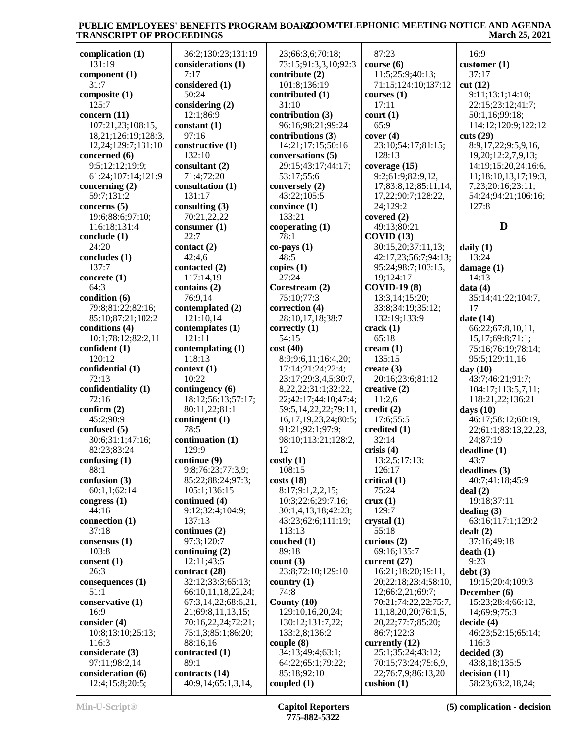| complication $(1)$  | 36:2;130:23;131:19  | 23;66:3,6;70:18;           | 87:23                  | 16:9                 |
|---------------------|---------------------|----------------------------|------------------------|----------------------|
| 131:19              | considerations (1)  | 73:15;91:3,3,10;92:3       | course(6)              | customer $(1)$       |
| component $(1)$     | 7:17                | contribute (2)             | 11:5;25:9;40:13;       | 37:17                |
| 31:7                | considered (1)      | 101:8;136:19               | 71:15;124:10;137:12    | cut(12)              |
| composite (1)       | 50:24               | contributed (1)            | courses $(1)$          | 9:11;13:1;14:10;     |
| 125:7               | considering $(2)$   | 31:10                      | 17:11                  | 22:15;23:12;41:7;    |
| concern (11)        | 12:1;86:9           | contribution (3)           | court (1)              | 50:1,16;99:18;       |
| 107:21,23;108:15,   | constant (1)        | 96:16;98:21;99:24          | 65:9                   | 114:12;120:9;122:12  |
| 18,21;126:19;128:3, | 97:16               | contributions (3)          | cover(4)               | cuts (29)            |
| 12,24;129:7;131:10  | constructive (1)    | 14:21;17:15;50:16          | 23:10;54:17;81:15;     | 8:9,17,22;9:5,9,16,  |
| concerned (6)       | 132:10              | conversations (5)          | 128:13                 | 19,20;12:2,7,9,13;   |
| 9:5;12:12;19:9;     | consultant (2)      | 29:15;43:17;44:17;         | coverage (15)          | 14:19;15:20,24;16:6, |
| 61:24;107:14;121:9  | 71:4:72:20          | 53:17;55:6                 | 9:2;61:9;82:9,12,      | 11;18:10,13,17;19:3, |
| concerning $(2)$    | consultation (1)    | conversely (2)             | 17;83:8,12;85:11,14,   | 7,23;20:16;23:11;    |
| 59:7;131:2          | 131:17              | 43:22;105:5                | 17,22;90:7;128:22,     | 54:24;94:21;106:16;  |
| concerns $(5)$      | consulting $(3)$    | convince (1)               | 24;129:2               | 127:8                |
| 19:6;88:6;97:10;    | 70:21,22,22         | 133:21                     | covered $(2)$          |                      |
| 116:18;131:4        | consumer (1)        | cooperating $(1)$          | 49:13;80:21            | D                    |
| conclude $(1)$      | 22:7                | 78:1                       | COVID(13)              |                      |
| 24:20               | contact (2)         | $co-pays(1)$               | 30:15,20;37:11,13;     | daily $(1)$          |
| concludes (1)       | 42:4,6              | 48:5                       | 42:17,23;56:7;94:13;   | 13:24                |
| 137:7               | contacted (2)       | copies $(1)$               | 95:24;98:7;103:15,     | damage $(1)$         |
| concrete $(1)$      | 117:14,19           | 27:24                      | 19;124:17              | 14:13                |
| 64:3                | contains (2)        | Corestream (2)             | <b>COVID-19 (8)</b>    | data(4)              |
| condition (6)       | 76:9,14             | 75:10;77:3                 | 13:3,14;15:20;         | 35:14:41:22:104:7.   |
| 79:8;81:22;82:16;   | contemplated (2)    | correction (4)             | 33:8;34:19;35:12;      | 17                   |
| 85:10;87:21;102:2   | 121:10,14           | 28:10,17,18;38:7           | 132:19;133:9           | date $(14)$          |
| conditions (4)      | contemplates (1)    | correctly $(1)$            | crack(1)               | 66:22;67:8,10,11,    |
| 10:1;78:12;82:2,11  | 121:11              | 54:15                      | 65:18                  | 15, 17; 69: 8; 71:1; |
| confident (1)       | contemplating (1)   | cost(40)                   | $c$ ream $(1)$         | 75:16;76:19;78:14;   |
| 120:12              | 118:13              | 8:9;9:6,11;16:4,20;        | 135:15                 | 95:5;129:11,16       |
| confidential (1)    | context(1)          | 17:14;21:24;22:4;          | create $(3)$           |                      |
| 72:13               | 10:22               |                            |                        | day $(10)$           |
|                     |                     | 23:17;29:3,4,5;30:7,       | 20:16;23:6;81:12       | 43:7;46:21;91:7;     |
| confidentiality (1) | contingency (6)     | 8, 22, 22; 31: 1; 32: 22,  | creative (2)           | 104:17;113:5,7,11;   |
| 72:16               | 18:12;56:13;57:17;  | 22;42:17;44:10;47:4;       | 11:2,6                 | 118:21,22;136:21     |
| confirm $(2)$       | 80:11,22;81:1       | 59:5,14,22,22;79:11,       | $\text{credit}(2)$     | days $(10)$          |
| 45:2;90:9           | contingent (1)      | 16, 17, 19, 23, 24; 80: 5; | 17:6;55:5              | 46:17;58:12;60:19,   |
| confused $(5)$      | 78:5                | 91:21;92:1;97:9;           | credited (1)           | 22;61:1;83:13,22,23, |
| 30:6;31:1;47:16;    | continuation (1)    | 98:10;113:21;128:2,        | 32:14                  | 24;87:19             |
| 82:23;83:24         | 129:9               | 12                         | crisis $(4)$           | deadline(1)          |
| confusing $(1)$     | continue (9)        | costly(1)                  | 13:2,5;17:13;          | 43:7                 |
| 88:1                | 9:8;76:23;77:3,9;   | 108:15                     | 126:17                 | deadlines(3)         |
| confusion $(3)$     | 85:22;88:24;97:3;   | costs(18)                  | critical (1)           | 40:7;41:18;45:9      |
| 60:1,1;62:14        | 105:1:136:15        | 8:17;9:1,2,2,15;           | 75:24                  | deal(2)              |
| congress $(1)$      | continued (4)       | 10:3;22:6;29:7,16;         | crux(1)                | 19:18;37:11          |
| 44:16               | 9:12;32:4;104:9;    | 30:1,4,13,18;42:23;        | 129:7                  | dealing $(3)$        |
| connection (1)      | 137:13              | 43:23;62:6;111:19;         | crystal(1)             | 63:16;117:1;129:2    |
| 37:18               | continues (2)       | 113:13                     | 55:18                  | dealt(2)             |
| consensus (1)       | 97:3;120:7          | couched $(1)$              | curious $(2)$          | 37:16;49:18          |
| 103:8               | continuing $(2)$    | 89:18                      | 69:16;135:7            | death(1)             |
| consent (1)         | 12:11;43:5          | count(3)                   | current $(27)$         | 9:23                 |
| 26:3                | contract (28)       | 23:8;72:10;129:10          | 16:21;18:20;19:11,     | debt(3)              |
| consequences (1)    | 32:12;33:3;65:13;   | country $(1)$              | 20;22:18;23:4;58:10,   | 19:15:20:4:109:3     |
| 51:1                | 66:10,11,18,22,24;  | 74:8                       | 12;66:2,21;69:7;       | December (6)         |
| conservative (1)    | 67:3,14,22;68:6,21, | County $(10)$              | 70:21;74:22,22;75:7,   | 15:23;28:4;66:12,    |
| 16:9                | 21;69:8,11,13,15;   | 129:10,16,20,24;           | 11,18,20,20;76:1,5,    | 14;69:9;75:3         |
| consider (4)        | 70:16,22,24;72:21;  | 130:12;131:7,22;           | 20, 22; 77: 7; 85: 20; | decide(4)            |
| 10:8;13:10;25:13;   | 75:1,3;85:1;86:20;  | 133:2,8;136:2              | 86:7;122:3             | 46:23;52:15;65:14;   |
| 116:3               | 88:16,16            | couple(8)                  | currently (12)         | 116:3                |
| considerate (3)     | contracted (1)      | 34:13;49:4;63:1;           | 25:1;35:24;43:12;      | decided(3)           |
| 97:11;98:2,14       | 89:1                | 64:22;65:1;79:22;          | 70:15;73:24;75:6,9,    | 43:8,18;135:5        |
| consideration (6)   | contracts (14)      | 85:18;92:10                | 22;76:7,9;86:13,20     | decision(11)         |
| 12:4;15:8;20:5;     | 40:9,14;65:1,3,14,  | coupled $(1)$              | cushion $(1)$          | 58:23;63:2,18,24;    |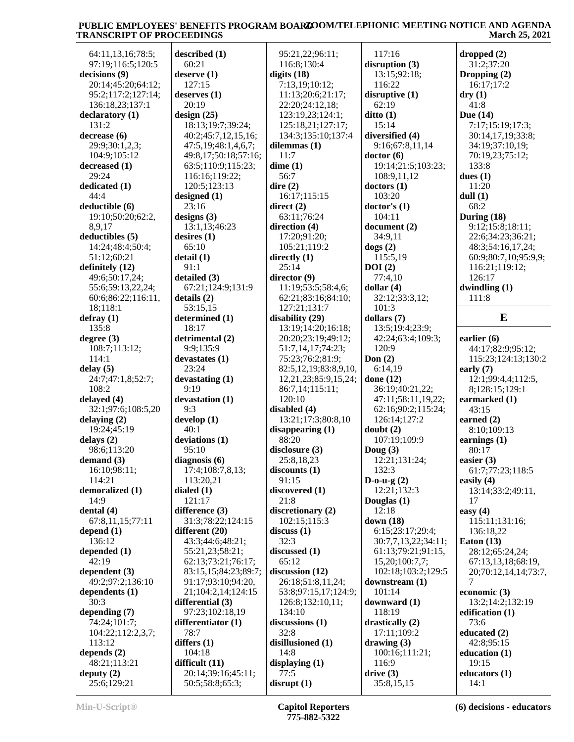| 64:11,13,16;78:5;                                    | described (1)                         | 95:21,22;96:11;           | 117:16                                   | dropped (2)                  |
|------------------------------------------------------|---------------------------------------|---------------------------|------------------------------------------|------------------------------|
| 97:19:116:5:120:5                                    | 60:21                                 | 116:8;130:4               | disruption $(3)$                         | 31:2;37:20                   |
| decisions (9)                                        | deserve $(1)$                         | digits $(18)$             | 13:15;92:18;                             | Dropping (2)                 |
| 20:14;45:20;64:12;                                   | 127:15                                | 7:13,19;10:12;            | 116:22                                   | 16:17;17:2                   |
| 95:2;117:2;127:14;                                   | deserves (1)                          | 11:13;20:6;21:17;         | disruptive(1)                            | $\mathbf{dry}\left(1\right)$ |
| 136:18,23;137:1                                      | 20:19                                 | 22:20;24:12,18;           | 62:19                                    | 41:8                         |
| declaratory (1)                                      | design $(25)$                         | 123:19,23;124:1;          | $\text{ditto}$ (1)                       | Due $(14)$                   |
| 131:2                                                | 18:13;19:7;39:24;                     | 125:18,21;127:17;         | 15:14                                    | 7:17;15:19;17:3;             |
| decrease (6)                                         | 40:2;45:7,12,15,16;                   | 134:3;135:10;137:4        | diversified (4)                          | 30:14,17,19;33:8;            |
| 29:9;30:1,2,3;                                       | 47:5,19;48:1,4,6,7;                   | dilemmas (1)              | 9:16;67:8,11,14                          | 34:19;37:10,19;              |
| 104:9;105:12                                         | 49:8,17;50:18;57:16;                  | 11:7                      | doctor(6)                                | 70:19,23;75:12;              |
| decreased(1)                                         | 63:5;110:9;115:23;                    | dime(1)                   | 19:14;21:5;103:23;                       | 133:8                        |
| 29:24                                                | 116:16;119:22;                        | 56:7                      | 108:9,11,12                              | dues $(1)$                   |
| dedicated (1)                                        | 120:5;123:13                          | dire $(2)$                | dotors(1)                                | 11:20                        |
| 44:4                                                 | designed $(1)$                        | 16:17;115:15              | 103:20                                   | dull $(1)$                   |
| deductible (6)                                       | 23:16                                 | direct $(2)$              | doctor's(1)                              | 68:2                         |
| 19:10;50:20;62:2,                                    | designs $(3)$                         | 63:11;76:24               | 104:11                                   | During $(18)$                |
| 8,9,17                                               | 13:1,13;46:23                         | direction (4)             | document $(2)$                           | 9:12;15:8;18:11;             |
| deductibles (5)                                      | desires $(1)$                         | 17:20;91:20;              | 34:9,11                                  | 22:6;34:23;36:21;            |
| 14:24;48:4;50:4;                                     | 65:10                                 | 105:21;119:2              | $\text{dogs}$ (2)                        | 48:3;54:16,17,24;            |
| 51:12;60:21                                          | delta(1)<br>91:1                      | directly $(1)$<br>25:14   | 115:5,19<br>DOI(2)                       | 60:9;80:7,10;95:9,9;         |
| definitely (12)<br>49:6;50:17,24;                    | detailed (3)                          | director (9)              | 77:4,10                                  | 116:21;119:12;<br>126:17     |
| 55:6;59:13,22,24;                                    | 67:21;124:9;131:9                     | 11:19;53:5;58:4,6;        | dollar $(4)$                             | dwindling (1)                |
| 60:6;86:22;116:11,                                   | details(2)                            | 62:21;83:16;84:10;        | 32:12;33:3,12;                           | 111:8                        |
| 18;118:1                                             | 53:15,15                              | 127:21;131:7              | 101:3                                    |                              |
| defray(1)                                            | determined (1)                        | disability (29)           | dollars $(7)$                            | E                            |
| 135:8                                                | 18:17                                 | 13:19;14:20;16:18;        | 13:5;19:4;23:9;                          |                              |
| degree $(3)$                                         | detrimental (2)                       | 20:20;23:19;49:12;        | 42:24;63:4;109:3;                        | earlier $(6)$                |
| 108:7;113:12;                                        | 9:9;135:9                             | 51:7,14,17;74:23;         | 120:9                                    | 44:17;82:9;95:12;            |
| 114:1                                                | devastates(1)                         | 75:23;76:2;81:9;          | Don $(2)$                                | 115:23;124:13;130:2          |
| delay(5)                                             | 23:24                                 | 82:5,12,19;83:8,9,10,     | 6:14,19                                  | early $(7)$                  |
|                                                      |                                       |                           |                                          |                              |
|                                                      |                                       |                           |                                          |                              |
| 24:7;47:1,8;52:7;                                    | devastating (1)                       | 12,21,23;85:9,15,24;      | done $(12)$                              | 12:1;99:4,4;112:5,           |
| 108:2                                                | 9:19                                  | 86:7,14;115:11;<br>120:10 | 36:19;40:21,22;                          | 8;128:15;129:1               |
| delayed (4)<br>32:1;97:6;108:5,20                    | devastation (1)<br>9:3                | disabled (4)              | 47:11;58:11,19,22;<br>62:16;90:2;115:24; | earmarked (1)<br>43:15       |
| delaying $(2)$                                       |                                       | 13:21;17:3;80:8,10        | 126:14;127:2                             |                              |
| 19:24;45:19                                          | develop (1)<br>40:1                   | disappearing $(1)$        | doubt(2)                                 | earned $(2)$<br>8:10;109:13  |
| delays $(2)$                                         | deviations (1)                        | 88:20                     | 107:19;109:9                             | earnings $(1)$               |
| 98:6;113:20                                          | 95:10                                 | disclosure $(3)$          | Doug $(3)$                               | 80:17                        |
|                                                      | diagnosis $(6)$                       | 25:8,18,23                | 12:21;131:24;                            | easier $(3)$                 |
| 16:10;98:11;                                         | 17:4;108:7,8,13;                      | discounts(1)              | 132:3                                    | 61:7;77:23;118:5             |
| 114:21                                               | 113:20,21                             | 91:15                     | $D-o-u-g(2)$                             | easily $(4)$                 |
| demoralized (1)                                      | dialed $(1)$                          | discovered (1)            | 12:21;132:3                              | 13:14;33:2;49:11,            |
| 14:9                                                 | 121:17                                | 21:8                      | Douglas (1)                              | 17                           |
| dental $(4)$                                         | difference (3)                        | discretionary (2)         | 12:18                                    | easy $(4)$                   |
| 67:8,11,15;77:11                                     | 31:3;78:22;124:15                     | 102:15;115:3              | down (18)                                | 115:11;131:16;               |
| depend $(1)$                                         | different $(20)$                      | discuss(1)                | 6:15;23:17;29:4;                         | 136:18,22                    |
| 136:12                                               | 43:3;44:6;48:21;                      | 32:3                      | 30:7,7,13,22;34:11;                      | Eaton $(13)$                 |
| depended (1)                                         | 55:21,23;58:21;                       | discussed (1)             | 61:13;79:21;91:15,                       | 28:12;65:24,24;              |
| 42:19                                                | 62:13;73:21;76:17;                    | 65:12                     | 15,20;100:7,7;                           | 67:13,13,18;68:19,           |
| dependent $(3)$                                      | 83:15,15;84:23;89:7;                  | discussion $(12)$         | 102:18;103:2;129:5                       | 20;70:12,14,14;73:7,         |
| 49:2;97:2;136:10                                     | 91:17;93:10;94:20,                    | 26:18;51:8,11,24;         | downstream $(1)$                         | 7                            |
| dependents (1)                                       | 21;104:2,14;124:15                    | 53:8;97:15,17;124:9;      | 101:14                                   | economic (3)                 |
| 30:3                                                 | differential (3)                      | 126:8;132:10,11;          | downward $(1)$                           | 13:2;14:2;132:19             |
|                                                      | 97:23;102:18,19                       | 134:10                    | 118:19                                   | edification (1)              |
| 74:24;101:7;                                         | differentiator (1)                    | discussions (1)           | drastically $(2)$                        | 73:6                         |
| demand $(3)$<br>depending $(7)$<br>104:22;112:2,3,7; | 78:7                                  | 32:8                      | 17:11;109:2                              | educated (2)                 |
| 113:12                                               | differs $(1)$                         | disillusioned (1)         | drawing $(3)$                            | 42:8;95:15                   |
|                                                      | 104:18                                | 14:8                      | 100:16;111:21;                           | education (1)                |
| depends $(2)$<br>48:21;113:21                        | difficult $(11)$                      | displaying $(1)$          | 116:9                                    | 19:15                        |
| deputy $(2)$<br>25:6;129:21                          | 20:14;39:16;45:11;<br>50:5;58:8;65:3; | 77:5<br>disrupt(1)        | drive(3)<br>35:8,15,15                   | educators (1)<br>14:1        |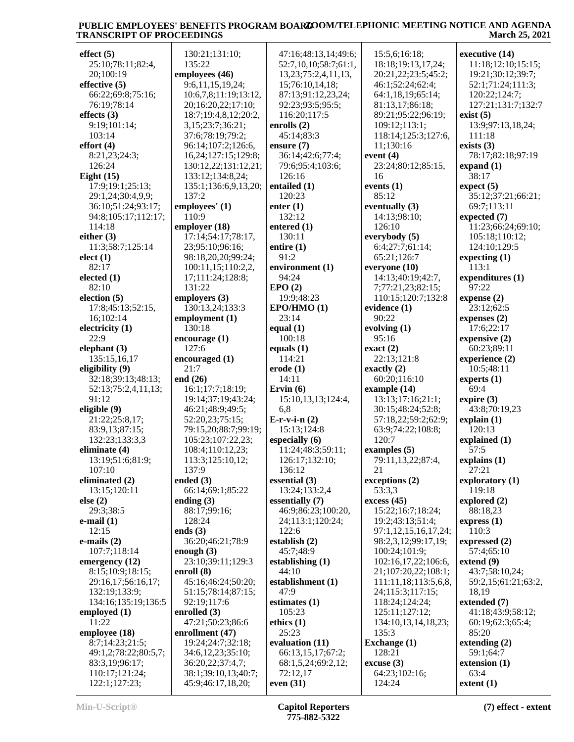| effect (5)           | 130:21;131:10;                | 47:16;48:13,14;49:6;      | 15:5,6;16:18;        | executive (14)      |
|----------------------|-------------------------------|---------------------------|----------------------|---------------------|
| 25:10;78:11;82:4,    | 135:22                        | 52:7,10,10;58:7;61:1,     | 18:18;19:13,17,24;   | 11:18;12:10;15:15;  |
| 20;100:19            | employees (46)                | 13, 23; 75: 2, 4, 11, 13, | 20:21,22;23:5;45:2;  | 19:21;30:12;39:7;   |
| effective $(5)$      | 9:6,11,15,19,24;              | 15;76:10,14,18;           | 46:1;52:24;62:4;     | 52:1;71:24;111:3;   |
| 66:22;69:8;75:16;    | 10:6,7,8;11:19;13:12,         | 87:13;91:12,23,24;        | 64:1,18,19;65:14;    | 120:22;124:7;       |
|                      |                               |                           |                      |                     |
| 76:19;78:14          | 20;16:20,22;17:10;            | 92:23;93:5;95:5;          | 81:13,17;86:18;      | 127:21;131:7;132:7  |
| effects $(3)$        | 18:7;19:4,8,12;20:2,          | 116:20;117:5              | 89:21;95:22;96:19;   | exist(5)            |
| 9:19;101:14;         | 3,15;23:7;36:21;              | enrolls $(2)$             | 109:12;113:1;        | 13:9;97:13,18,24;   |
| 103:14               | 37:6;78:19;79:2;              | 45:14;83:3                | 118:14;125:3;127:6,  | 111:18              |
| effort $(4)$         | 96:14;107:2;126:6,            | ensure $(7)$              | 11;130:16            | exists $(3)$        |
| 8:21,23;24:3;        | 16,24;127:15;129:8;           | 36:14;42:6;77:4;          | event $(4)$          | 78:17;82:18;97:19   |
| 126:24               | 130:12,22;131:12,21;          | 79:6;95:4;103:6;          | 23:24;80:12;85:15,   | expand $(1)$        |
| Eight $(15)$         | 133:12;134:8,24;              | 126:16                    | 16                   | 38:17               |
| 17:9;19:1;25:13;     |                               | entailed (1)              | events $(1)$         | expect (5)          |
|                      | 135:1;136:6,9,13,20;<br>137:2 |                           | 85:12                |                     |
| 29:1,24;30:4,9,9;    |                               | 120:23                    |                      | 35:12;37:21;66:21;  |
| 36:10;51:24;93:17;   | employees' (1)                | enter $(1)$               | eventually (3)       | 69:7;113:11         |
| 94:8;105:17;112:17;  | 110:9                         | 132:12                    | 14:13;98:10;         | expected $(7)$      |
| 114:18               | employer (18)                 | entered (1)               | 126:10               | 11:23;66:24;69:10;  |
| either $(3)$         | 17:14;54:17;78:17,            | 130:11                    | everybody (5)        | 105:18;110:12;      |
| 11:3;58:7;125:14     | 23;95:10;96:16;               | entire $(1)$              | 6:4;27:7;61:14;      | 124:10;129:5        |
| elect(1)             | 98:18,20,20;99:24;            | 91:2                      | 65:21;126:7          | expecting $(1)$     |
| 82:17                | 100:11,15;110:2,2,            | environment (1)           | everyone (10)        | 113:1               |
| elected $(1)$        | 17;111:24;128:8;              | 94:24                     | 14:13;40:19;42:7,    | expenditures (1)    |
| 82:10                | 131:22                        | EPO(2)                    | 7;77:21,23;82:15;    | 97:22               |
|                      |                               |                           |                      |                     |
| election $(5)$       | employers (3)                 | 19:9;48:23                | 110:15;120:7;132:8   | expense $(2)$       |
| 17:8;45:13;52:15,    | 130:13,24;133:3               | EPO/HMO(1)                | evidence (1)         | 23:12;62:5          |
| 16;102:14            | employment (1)                | 23:14                     | 90:22                | expenses $(2)$      |
| electricity $(1)$    | 130:18                        | equal $(1)$               | evolving (1)         | 17:6;22:17          |
| 22:9                 | encourage (1)                 | 100:18                    | 95:16                | expensive (2)       |
| elephant $(3)$       | 127:6                         | equals $(1)$              | $\text{exact}(2)$    | 60:23;89:11         |
| 135:15,16,17         | encouraged (1)                | 114:21                    | 22:13;121:8          | experience (2)      |
|                      |                               |                           |                      |                     |
|                      |                               |                           |                      |                     |
| eligibility (9)      | 21:7                          | $\text{erode}$ (1)        | exactly $(2)$        | 10:5;48:11          |
| 32:18;39:13;48:13;   | end $(26)$                    | 14:11                     | 60:20;116:10         | experts $(1)$       |
| 52:13;75:2,4,11,13;  | 16:1;17:7;18:19;              | Ervin $(6)$               | example (14)         | 69:4                |
| 91:12                | 19:14;37:19;43:24;            | 15:10,13,13;124:4,        | 13:13;17:16;21:1;    | expire $(3)$        |
| eligible (9)         | 46:21;48:9;49:5;              | 6,8                       | 30:15;48:24;52:8;    | 43:8;70:19,23       |
| 21:22;25:8,17;       | 52:20,23;75:15;               | $E-r-v-i-n(2)$            | 57:18,22;59:2;62:9;  | explain(1)          |
| 83:9,13;87:15;       | 79:15,20;88:7;99:19;          | 15:13;124:8               | 63:9;74:22;108:8;    | 120:13              |
| 132:23;133:3,3       | 105:23;107:22,23;             | especially (6)            | 120:7                | explained (1)       |
| eliminate (4)        |                               | 11:24;48:3;59:11;         | examples $(5)$       | 57:5                |
|                      | 108:4;110:12,23;              |                           |                      |                     |
| 13:19;51:6;81:9;     | 113:3;125:10,12;              | 126:17;132:10;            | 79:11,13,22;87:4,    | explains $(1)$      |
| 107:10               | 137:9                         | 136:12                    | 21                   | 27:21               |
| eliminated (2)       | ended $(3)$                   | essential (3)             | exceptions (2)       | exploratory $(1)$   |
| 13:15;120:11         | 66:14;69:1;85:22              | 13:24;133:2,4             | 53:3,3               | 119:18              |
| else (2)             | ending $(3)$                  | essentially (7)           | excess(45)           | explored $(2)$      |
| 29:3;38:5            | 88:17;99:16;                  | 46:9;86:23;100:20,        | 15:22;16:7;18:24;    | 88:18,23            |
| e-mail $(1)$         | 128:24                        | 24;113:1;120:24;          | 19:2;43:13;51:4;     | express $(1)$       |
| 12:15                | ends $(3)$                    | 122:6                     | 97:1,12,15,16,17,24; | 110:3               |
| e-mails $(2)$        | 36:20;46:21;78:9              | establish $(2)$           | 98:2,3,12;99:17,19;  | expressed (2)       |
| 107:7;118:14         | enough $(3)$                  | 45:7;48:9                 | 100:24;101:9;        | 57:4;65:10          |
| emergency (12)       | 23:10;39:11;129:3             | establishing $(1)$        | 102:16,17,22;106:6,  | extend(9)           |
| 8:15;10:9;18:15;     | enroll (8)                    | 44:10                     | 21;107:20,22;108:1;  | 43:7;58:10,24;      |
|                      |                               |                           |                      |                     |
| 29:16,17;56:16,17;   | 45:16;46:24;50:20;            | establishment (1)         | 111:11,18;113:5,6,8, | 59:2,15;61:21;63:2, |
| 132:19;133:9;        | 51:15;78:14;87:15;            | 47:9                      | 24;115:3;117:15;     | 18,19               |
| 134:16;135:19;136:5  | 92:19;117:6                   | estimates (1)             | 118:24;124:24;       | extended (7)        |
| employed $(1)$       | enrolled $(3)$                | 105:23                    | 125:11;127:12;       | 41:18;43:9;58:12;   |
| 11:22                | 47:21;50:23;86:6              | ethics $(1)$              | 134:10,13,14,18,23;  | 60:19;62:3;65:4;    |
| employee (18)        | enrollment (47)               | 25:23                     | 135:3                | 85:20               |
| 8:7;14:23;21:5;      | 19:24;24:7;32:18;             | evaluation (11)           | <b>Exchange</b> (1)  | extending $(2)$     |
| 49:1,2;78:22;80:5,7; | 34:6,12,23;35:10;             | 66:13,15,17;67:2;         | 128:21               | 59:1;64:7           |
| 83:3,19;96:17;       | 36:20,22;37:4,7;              | 68:1,5,24;69:2,12;        | $\csc{usc}$ (3)      | extension (1)       |
| 110:17;121:24;       | 38:1;39:10,13;40:7;           | 72:12,17                  | 64:23;102:16;        | 63:4                |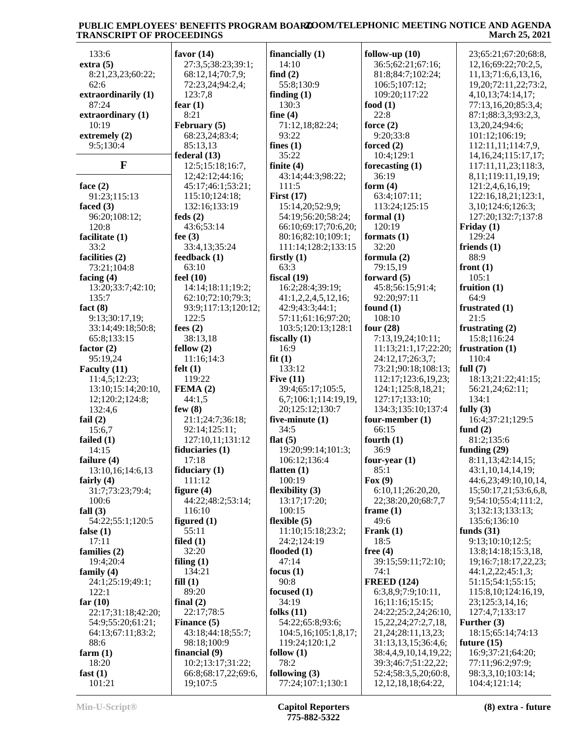| 133:6               | favor $(14)$        | financially $(1)$        | follow-up $(10)$          | 23;65:21;67:20;68:8,       |
|---------------------|---------------------|--------------------------|---------------------------|----------------------------|
| extra(5)            | 27:3,5;38:23;39:1;  | 14:10                    | 36:5;62:21;67:16;         | 12,16;69:22;70:2,5,        |
| 8:21,23,23;60:22;   | 68:12,14;70:7,9;    | find $(2)$               | 81:8;84:7;102:24;         | 11,13;71:6,6,13,16,        |
| 62:6                | 72:23,24;94:2,4;    | 55:8;130:9               | 106:5;107:12;             | 19, 20; 72: 11, 22; 73: 2, |
| extraordinarily (1) | 123:7,8             |                          | 109:20;117:22             |                            |
|                     |                     | finding $(1)$            |                           | 4, 10, 13; 74: 14, 17;     |
| 87:24               | fear $(1)$          | 130:3                    | food $(1)$                | 77:13,16,20;85:3,4;        |
| extraordinary (1)   | 8:21                | fine $(4)$               | 22:8                      | 87:1;88:3,3;93:2,3,        |
| 10:19               | February (5)        | 71:12,18;82:24;          | force $(2)$               | 13,20,24;94:6;             |
| extremely $(2)$     | 68:23,24;83:4;      | 93:22                    | 9:20;33:8                 | 101:12;106:19;             |
| 9:5;130:4           | 85:13,13            | fines $(1)$              | forced $(2)$              | 112:11,11;114:7,9,         |
|                     | federal (13)        | 35:22                    | 10:4;129:1                | 14, 16, 24; 115: 17, 17;   |
| F                   | 12:5;15:18;16:7,    | finite $(4)$             | forecasting $(1)$         | 117:11,11,23;118:3,        |
|                     | 12;42:12;44:16;     | 43:14;44:3;98:22;        | 36:19                     | 8,11;119:11,19,19;         |
| face $(2)$          | 45:17;46:1;53:21;   | 111:5                    | form $(4)$                | 121:2,4,6,16,19;           |
| 91:23;115:13        | 115:10;124:18;      | First $(17)$             | 63:4;107:11;              | 122:16,18,21;123:1,        |
| faced $(3)$         | 132:16;133:19       | 15:14,20;52:9,9;         | 113:24;125:15             | 3, 10; 124: 6; 126: 3;     |
| 96:20;108:12;       | feds $(2)$          | 54:19;56:20;58:24;       | formal $(1)$              | 127:20;132:7;137:8         |
| 120:8               | 43:6;53:14          | 66:10;69:17;70:6,20;     | 120:19                    | Friday $(1)$               |
| facilitate (1)      | fee $(3)$           | 80:16;82:10;109:1;       | formats $(1)$             | 129:24                     |
| 33:2                | 33:4,13;35:24       | 111:14;128:2;133:15      | 32:20                     | friends $(1)$              |
| facilities (2)      | feedback (1)        | firstly $(1)$            | formula (2)               | 88:9                       |
| 73:21;104:8         | 63:10               | 63:3                     | 79:15,19                  | front $(1)$                |
| facing $(4)$        | feel $(10)$         | fiscal $(19)$            | forward $(5)$             | 105:1                      |
| 13:20;33:7;42:10;   | 14:14;18:11;19:2;   | 16:2;28:4;39:19;         | 45:8;56:15;91:4;          | fruition $(1)$             |
| 135:7               | 62:10;72:10;79:3;   | 41:1,2,2,4,5,12,16;      | 92:20;97:11               | 64:9                       |
| fact $(8)$          | 93:9;117:13;120:12; |                          | found $(1)$               | frustrated (1)             |
|                     |                     | 42:9;43:3;44:1;          | 108:10                    |                            |
| 9:13;30:17,19;      | 122:5               | 57:11;61:16;97:20;       |                           | 21:5                       |
| 33:14;49:18;50:8;   | fees $(2)$          | 103:5;120:13;128:1       | four $(28)$               | frustrating $(2)$          |
| 65:8;133:15         | 38:13,18            | fiscally $(1)$           | 7:13,19,24;10:11;         | 15:8;116:24                |
| factor $(2)$        | fellow(2)           | 16:9                     | 11:13;21:1,17;22:20;      | frustration (1)            |
| 95:19,24            | 11:16;14:3          | fit(1)                   | 24:12,17;26:3,7;          | 110:4                      |
| Faculty (11)        | felt $(1)$          | 133:12                   | 73:21;90:18;108:13;       | full $(7)$                 |
| 11:4,5;12:23;       | 119:22              | Five $(11)$              | 112:17;123:6,19,23;       | 18:13;21:22;41:15;         |
| 13:10;15:14;20:10,  | FEMA(2)             | 39:4;65:17;105:5,        | 124:1;125:8,18,21;        | 56:21,24;62:11;            |
| 12;120:2;124:8;     | 44:1,5              | 6,7;106:1;114:19,19,     | 127:17;133:10;            | 134:1                      |
| 132:4,6             | few $(8)$           | 20;125:12;130:7          | 134:3;135:10;137:4        | fully $(3)$                |
| fail $(2)$          | 21:1;24:7;36:18;    | five-minute (1)          | four-member (1)           | 16:4;37:21;129:5           |
| 15:6,7              | 92:14;125:11;       | 34:5                     | 66:15                     | fund $(2)$                 |
| failed $(1)$        | 127:10,11;131:12    | flat $(5)$               | fourth $(1)$              | 81:2;135:6                 |
| 14:15               | fiduciaries $(1)$   | 19:20;99:14;101:3;       | 36:9                      | funding $(29)$             |
| failure $(4)$       | 17:18               | 106:12;136:4             | four-year $(1)$           | 8:11,13;42:14,15;          |
| 13:10,16;14:6,13    | fiduciary $(1)$     | flatten $(1)$            | 85:1                      | 43:1,10,14,14,19;          |
| fairly $(4)$        | 111:12              | 100:19                   | Fox $(9)$                 | 44:6,23;49:10,10,14,       |
| 31:7;73:23;79:4;    | figure $(4)$        | flexibility $(3)$        | 6:10,11;26:20,20,         | 15;50:17,21;53:6,6,8,      |
| 100:6               | 44:22;48:2;53:14;   | 13:17;17:20;             | 22;38:20,20;68:7,7        | 9;54:10;55:4;111:2,        |
| fall $(3)$          | 116:10              | 100:15                   | frame $(1)$               | 3;132:13;133:13;           |
| 54:22;55:1;120:5    | figured $(1)$       | flexible $(5)$           | 49:6                      | 135:6;136:10               |
| false $(1)$         | 55:11               | 11:10;15:18;23:2;        | Frank $(1)$               | funds $(31)$               |
| 17:11               | filed $(1)$         | 24:2;124:19              | 18:5                      | 9:13;10:10;12:5;           |
| families (2)        | 32:20               | flooded $(1)$            | free $(4)$                | 13:8;14:18;15:3,18,        |
| 19:4;20:4           | filing $(1)$        | 47:14                    | 39:15;59:11;72:10;        | 19;16:7;18:17,22,23;       |
| family $(4)$        | 134:21              | focus $(1)$              | 74:1                      | 44:1,2,22;45:1,3;          |
| 24:1;25:19;49:1;    | fill(1)             | 90:8                     | <b>FREED (124)</b>        | 51:15:54:1:55:15:          |
| 122:1               | 89:20               | focused $(1)$            | 6:3,8,9;7:9;10:11,        | 115:8, 10; 124: 16, 19,    |
|                     |                     |                          |                           |                            |
| far $(10)$          | final $(2)$         | 34:19                    | 16;11:16;15:15;           | 23;125:3,14,16;            |
| 22:17;31:18;42:20;  | 22:17;78:5          | folks $(11)$             | 24:22;25:2,24;26:10,      | 127:4,7;133:17             |
| 54:9;55:20;61:21;   | Finance (5)         | 54:22;65:8;93:6;         | 15, 22, 24, 27: 2, 7, 18, | Further $(3)$              |
| 64:13;67:11;83:2;   | 43:18;44:18;55:7;   | 104:5, 16; 105:1, 8, 17; | 21, 24; 28: 11, 13, 23;   | 18:15;65:14;74:13          |
| 88:6                | 98:18;100:9         | 119:24;120:1,2           | 31:13,13,15;36:4,6;       | future $(15)$              |
| farm $(1)$          | financial $(9)$     | follow $(1)$             | 38:4,4,9,10,14,19,22;     | 16:9;37:21;64:20;          |
| 18:20               | 10:2;13:17;31:22;   | 78:2                     | 39:3;46:7;51:22,22;       | 77:11;96:2;97:9;           |
| fast $(1)$          | 66:8;68:17,22;69:6, | following $(3)$          | 52:4;58:3,5,20;60:8,      | 98:3,3,10;103:14;          |
| 101:21              | 19;107:5            | 77:24;107:1;130:1        | 12, 12, 18, 18; 64: 22,   | 104:4;121:14;              |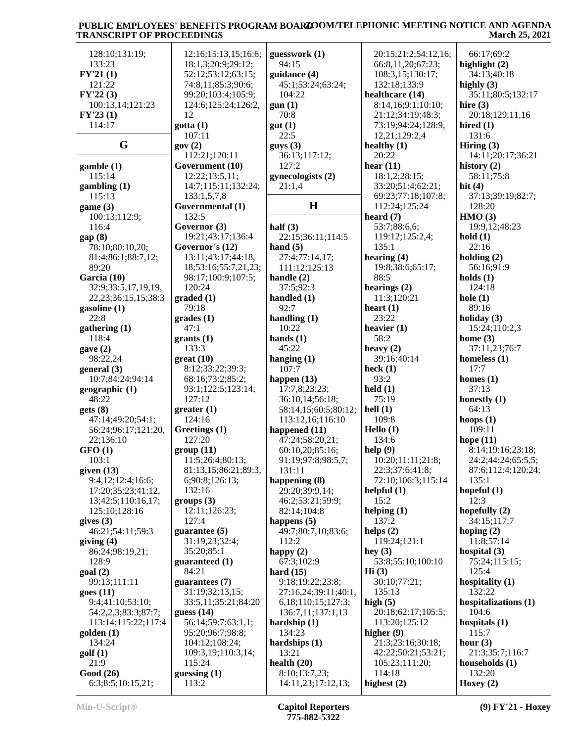| 128:10;131:19;                                                                                                                                      | 12:16;15:13,15;16:6;    | guesswork (1)                       | 20:15;21:2;54:12,16;    | 66:17;69:2            |
|-----------------------------------------------------------------------------------------------------------------------------------------------------|-------------------------|-------------------------------------|-------------------------|-----------------------|
| 133:23                                                                                                                                              | 18:1,3;20:9;29:12;      | 94:15                               | 66:8,11,20;67:23;       | highlight $(2)$       |
| FY'21(1)                                                                                                                                            | 52:12;53:12;63:15;      | guidance (4)                        | 108:3,15;130:17;        | 34:13:40:18           |
|                                                                                                                                                     |                         |                                     |                         |                       |
| 121:22                                                                                                                                              | 74:8,11;85:3;90:6;      | 45:1;53:24;63:24;                   | 132:18;133:9            | highly $(3)$          |
| FY'22(3)                                                                                                                                            | 99:20;103:4;105:9;      | 104:22                              | healthcare (14)         | 35:11;80:5;132:17     |
|                                                                                                                                                     |                         |                                     |                         |                       |
| 100:13,14;121:23                                                                                                                                    | 124:6;125:24;126:2,     | gun(1)                              | 8:14,16;9:1;10:10;      | hire $(3)$            |
| FY'23(1)                                                                                                                                            | 12                      | 70:8                                | 21:12;34:19;48:3;       | 20:18;129:11,16       |
|                                                                                                                                                     |                         |                                     |                         |                       |
| 114:17                                                                                                                                              | gotta (1)               | gut(1)                              | 73:19;94:24;128:9,      | hired $(1)$           |
|                                                                                                                                                     | 107:11                  | 22:5                                | 12,21;129:2,4           | 131:6                 |
|                                                                                                                                                     |                         |                                     |                         |                       |
| G                                                                                                                                                   | gov(2)                  | guys(3)                             | healthy $(1)$           | Hiring $(3)$          |
|                                                                                                                                                     | 112:21;120:11           | 36:13;117:12;                       | 20:22                   | 14:11;20:17;36:21     |
|                                                                                                                                                     |                         |                                     |                         |                       |
| $\text{qamble}(1)$                                                                                                                                  | Government (10)         | 127:2                               | hear $(11)$             | history $(2)$         |
| 115:14                                                                                                                                              | 12:22;13:5,11;          | gynecologists (2)                   | 18:1,2;28:15;           | 58:11;75:8            |
|                                                                                                                                                     |                         |                                     |                         |                       |
| $\gamma$ gambling $(1)$                                                                                                                             | 14:7;115:11;132:24;     | 21:1,4                              | 33:20;51:4;62:21;       | hit $(4)$             |
| 115:13                                                                                                                                              | 133:1,5,7,8             |                                     | 69:23;77:18;107:8;      | 37:13;39:19;82:7;     |
|                                                                                                                                                     |                         |                                     |                         |                       |
| game $(3)$                                                                                                                                          | Governmental (1)        | $\bf H$                             | 112:24;125:24           | 128:20                |
| 100:13;112:9;                                                                                                                                       | 132:5                   |                                     | heard $(7)$             | HMO(3)                |
|                                                                                                                                                     |                         |                                     |                         |                       |
| 116:4                                                                                                                                               | Governor (3)            | half $(3)$                          | 53:7;88:6,6;            | 19:9,12;48:23         |
| gap(8)                                                                                                                                              | 19:21;43:17;136:4       | 22:15;36:11;114:5                   | 119:12;125:2,4;         | hold(1)               |
|                                                                                                                                                     |                         |                                     |                         |                       |
| 78:10;80:10,20;                                                                                                                                     | Governor's (12)         | hand $(5)$                          | 135:1                   | 22:16                 |
| 81:4;86:1;88:7,12;                                                                                                                                  | 13:11;43:17;44:18,      | 27:4;77:14,17;                      | hearing $(4)$           | holding $(2)$         |
|                                                                                                                                                     |                         |                                     |                         |                       |
| 89:20                                                                                                                                               | 18;53:16;55:7,21,23;    | 111:12;125:13                       | 19:8;38:6;65:17;        | 56:16:91:9            |
| Garcia (10)                                                                                                                                         | 98:17;100:9;107:5;      | handle $(2)$                        | 88:5                    | holds $(1)$           |
|                                                                                                                                                     |                         |                                     |                         |                       |
| 32:9;33:5,17,19,19,                                                                                                                                 | 120:24                  | 37:5;92:3                           | hearings $(2)$          | 124:18                |
| 22, 23; 36: 15, 15; 38: 3                                                                                                                           | graded(1)               | handled $(1)$                       | 11:3;120:21             | hole $(1)$            |
|                                                                                                                                                     |                         |                                     |                         |                       |
| gasoline $(1)$                                                                                                                                      | 79:18                   | 92:7                                | heart $(1)$             | 89:16                 |
|                                                                                                                                                     |                         |                                     | 23:22                   |                       |
| 22:8                                                                                                                                                | grades(1)               | handling $(1)$                      |                         | holiday $(3)$         |
| $g$ athering $(1)$                                                                                                                                  | 47:1                    | 10:22                               | heavier $(1)$           | 15:24;110:2,3         |
|                                                                                                                                                     |                         |                                     | 58:2                    |                       |
| 118:4                                                                                                                                               | grants(1)               | hands $(1)$                         |                         | home $(3)$            |
| gave $(2)$                                                                                                                                          | 133:3                   | 45:22                               | heavy $(2)$             | 37:11,23;76:7         |
| 98:22,24                                                                                                                                            | $gr(10)$                | hanging $(1)$                       | 39:16;40:14             | homeless $(1)$        |
|                                                                                                                                                     |                         |                                     |                         |                       |
| general(3)                                                                                                                                          | 8:12;33:22;39:3;        | 107:7                               | heck $(1)$              | 17:7                  |
|                                                                                                                                                     | 68:16;73:2;85:2;        |                                     | 93:2                    | homes $(1)$           |
| 10:7;84:24;94:14                                                                                                                                    |                         | happen $(13)$                       |                         |                       |
| geographic (1)                                                                                                                                      | 93:1;122:5;123:14;      | 17:7,8;23:23;                       | $\text{held}(1)$        | 37:13                 |
|                                                                                                                                                     | 127:12                  |                                     | 75:19                   |                       |
| 48:22                                                                                                                                               |                         | 36:10,14;56:18;                     |                         | honestly $(1)$        |
| gets(8)                                                                                                                                             | greater(1)              | 58:14,15;60:5;80:12;                | hell(1)                 | 64:13                 |
|                                                                                                                                                     | 124:16                  | 113:12,16;116:10                    | 109:8                   | hoops $(1)$           |
| 47:14;49:20;54:1;                                                                                                                                   |                         |                                     |                         |                       |
| 56:24;96:17;121:20,                                                                                                                                 | Greetings (1)           | happened (11)                       | Hello (1)               | 109:11                |
| 22;136:10                                                                                                                                           | 127:20                  | 47:24;58:20,21;                     | 134:6                   | hope $(11)$           |
|                                                                                                                                                     |                         |                                     |                         |                       |
| GFO(1)                                                                                                                                              | group(11)               |                                     |                         |                       |
| 103:1                                                                                                                                               |                         | 60:10,20;85:16;                     |                         |                       |
|                                                                                                                                                     |                         |                                     | help(9)                 | 8:14;19:16;23:18;     |
|                                                                                                                                                     | 11:5;26:4;80:13;        | 91:19;97:8;98:5,7;                  | 10:20;11:11;21:8;       | 24:2;44:24;65:5,5;    |
|                                                                                                                                                     | 81:13,15;86:21;89:3,    | 131:11                              | 22:3;37:6;41:8;         | 87:6;112:4;120:24;    |
|                                                                                                                                                     |                         |                                     |                         |                       |
| 9:4,12;12:4;16:6;                                                                                                                                   | 6;90:8;126:13;          | happening $(8)$                     | 72:10;106:3;115:14      | 135:1                 |
| 17:20;35:23;41:12,                                                                                                                                  | 132:16                  | 29:20;39:9,14;                      | helpful $(1)$           | hopeful $(1)$         |
|                                                                                                                                                     |                         |                                     |                         |                       |
| 13;42:5;110:16,17;                                                                                                                                  | groups (3)              | 46:2;53:21;59:9;                    | 15:2                    | 12:3                  |
| 125:10;128:16                                                                                                                                       | 12:11;126:23;           | 82:14;104:8                         | helping $(1)$           | hopefully $(2)$       |
|                                                                                                                                                     |                         |                                     |                         |                       |
|                                                                                                                                                     | 127:4                   | happens $(5)$                       | 137:2                   | 34:15;117:7           |
| 46:21;54:11;59:3                                                                                                                                    | guarantee $(5)$         | 49:7;80:7,10;83:6;                  | helps $(2)$             | hoping $(2)$          |
|                                                                                                                                                     |                         |                                     |                         |                       |
|                                                                                                                                                     | 31:19,23;32:4;          | 112:2                               | 119:24;121:1            | 11:8;57:14            |
| 86:24;98:19,21;                                                                                                                                     | 35:20;85:1              | happy $(2)$                         | hey $(3)$               | hospital $(3)$        |
|                                                                                                                                                     |                         |                                     |                         |                       |
| 128:9                                                                                                                                               | guaranteed (1)          | 67:3;102:9                          | 53:8;55:10;100:10       | 75:24;115:15;         |
|                                                                                                                                                     | 84:21                   | hard $(15)$                         | $\mathbf{Hi}$ (3)       | 125:4                 |
|                                                                                                                                                     |                         |                                     |                         |                       |
| 99:13;111:11                                                                                                                                        | guarantees (7)          | 9:18;19:22;23:8;                    | 30:10;77:21;            | hospitality (1)       |
|                                                                                                                                                     | 31:19;32:13,15;         | 27:16,24;39:11;40:1,                | 135:13                  | 132:22                |
|                                                                                                                                                     |                         |                                     |                         |                       |
| 9:4;41:10;53:10;                                                                                                                                    | 33:5,11;35:21;84:20     | 6, 18; 110: 15; 127: 3;             | high $(5)$              | hospitalizations (1)  |
|                                                                                                                                                     |                         |                                     |                         | 104:6                 |
| 54:2,2,3;83:3;87:7;                                                                                                                                 | guess $(14)$            | 136:7,11;137:1,13                   | 20:18;62:17;105:5;      |                       |
| 113:14;115:22;117:4                                                                                                                                 | 56:14;59:7;63:1,1;      | hardship $(1)$                      | 113:20;125:12           | hospitals $(1)$       |
|                                                                                                                                                     |                         |                                     |                         |                       |
|                                                                                                                                                     | 95:20;96:7;98:8;        | 134:23                              | higher $(9)$            | 115:7                 |
| 134:24                                                                                                                                              | 104:12;108:24;          | hardships $(1)$                     | 21:3;23:16;30:18;       | hour $(3)$            |
|                                                                                                                                                     |                         |                                     |                         |                       |
|                                                                                                                                                     | 109:3,19;110:3,14;      | 13:21                               | 42:22;50:21;53:21;      | 21:3;35:7;116:7       |
| 21:9                                                                                                                                                | 115:24                  | health $(20)$                       | 105:23;111:20;          | households $(1)$      |
|                                                                                                                                                     |                         |                                     |                         |                       |
| given $(13)$<br>gives $(3)$<br>giving $(4)$<br>goal(2)<br>goes(11)<br>$\text{golden} \left( 1 \right)$<br>golf(1)<br>Good (26)<br>6:3;8:5;10:15,21; | guessing $(1)$<br>113:2 | 8:10;13:7,23;<br>14:11,23;17:12,13; | 114:18<br>highest $(2)$ | 132:20<br>Hoxey $(2)$ |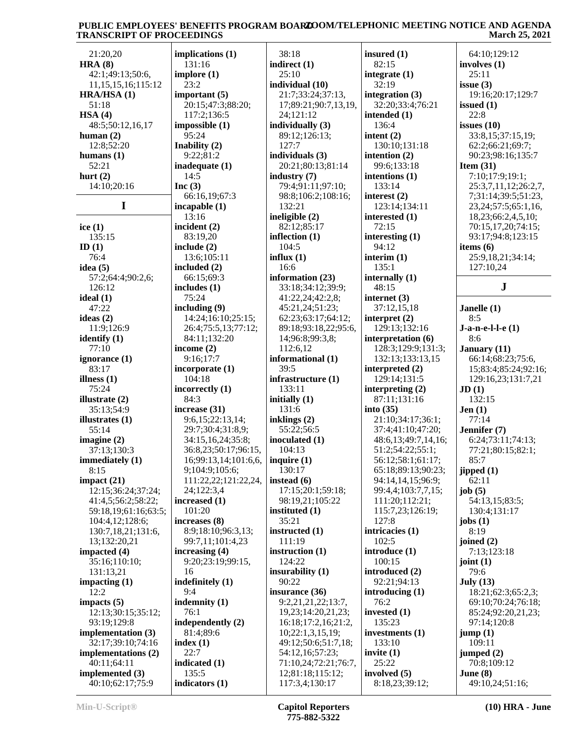| 21:20,20                                    | impli                    |
|---------------------------------------------|--------------------------|
| <b>HRA (8)</b>                              | 131                      |
| 42:1;49:13;50:6,<br>11, 15, 15, 16; 115: 12 | implo<br>23:             |
| HRA/HSA (1)                                 | impo                     |
| 51:18                                       | 20:                      |
| HSA(4)<br>48:5;50:12,16,17                  | 117                      |
| human $(2)$                                 | impo:<br>95:             |
| 12:8;52:20                                  | Inabi                    |
| humans $(1)$                                | 9:2                      |
| 52:21<br>hurt $(2)$                         | inade<br>14:             |
| 14:10;20:16                                 | Inc $(3)$                |
| I                                           | 66:<br>incap             |
|                                             | 13:                      |
| ice $(1)$                                   | incide                   |
| 135:15<br>ID(1)                             | 83:<br>inclue            |
| 76:4                                        | 13:                      |
| idea (5)                                    | inclu                    |
| 57:2;64:4;90:2,6;                           | 66:<br>inclue            |
| 126:12<br>ideal (1)                         | 75:                      |
| 47:22                                       | incluo                   |
| ideas (2)                                   | 14:                      |
| 11:9;126:9<br>identify (1)                  | 26:<br>84:               |
| 77:10                                       | incon                    |
| ignorance (1)                               | 9:1                      |
| 83:17<br>illness (1)                        | incor<br>10 <sup>2</sup> |
| 75:24                                       | incor                    |
| illustrate (2)                              | 84:                      |
| 35:13;54:9<br>illustrates (1)               | increa<br>9:6            |
| 55:14                                       | 29:                      |
| imagine $(2)$                               | 34:                      |
| 37:13;130:3<br>immediately (1)              | 36:<br>16;               |
| 8:15                                        | 9;1                      |
| impact (21)                                 | 111                      |
| 12:15;36:24;37:24;<br>41:4,5;56:2;58:22;    | 24;<br>incre             |
| 59:18,19;61:16;63:5;                        | 101                      |
| 104:4,12;128:6;                             | increa                   |
| 130:7,18,21;131:6,                          | 8:9                      |
| 13;132:20,21<br>impacted (4)                | 99:<br>increa            |
| 35:16;110:10;                               | 9:2                      |
| 131:13,21                                   | 16                       |
| impacting $(1)$<br>12:2                     | indefi<br>9:4            |
| impacts (5)                                 | inden                    |
| 12:13;30:15;35:12;                          | 76:                      |
| 93:19;129:8                                 | indep<br>81:             |
| implementation (3)<br>32:17;39:10;74:16     | index                    |
| implementations (2)                         | 22:                      |
| 40:11;64:11                                 | indica<br>135            |
| implemented (3)<br>40:10;62:17;75:9         | indica                   |
|                                             |                          |

**implications (1)** 131:16 **implore (1)** 23:2 **important (5)** 20:15;47:3;88:20; 117:2;136:5 **impossible (1)** 95:24 **Inability (2)** 9:22;81:2 **inadequate (1)** 14:5 **Inc (3)** 66:16,19;67:3 **incapable (1)** 13:16 **incident (2)** 83:19,20 **include (2)** 13:6;105:11 **included (2)** 66:15;69:3 **includes (1)** 75:24 **including (9)** 14:24;16:10;25:15; 26:4;75:5,13;77:12; 84:11;132:20 **income (2)** 9:16;17:7 **incorporate (1)** 104:18 **incorrectly (1)** 84:3 **increase (31)** 9:6,15;22:13,14; 29:7;30:4;31:8,9; 34:15,16,24;35:8; 36:8,23;50:17;96:15, 16;99:13,14;101:6,6, 9;104:9;105:6; 111:22,22;121:22,24, 24;122:3,4 **increased (1)** 101:20 **increases (8)** 8:9;18:10;96:3,13; 99:7,11;101:4,23 **increasing (4)** 9:20;23:19;99:15, 16 **indefinitely (1)** 9:4 **indemnity (1)** 76:1 **independently (2)** 81:4;89:6 **index (1)** 22:7 **indicated (1)** 135:5 **indicators (1)**

 38:18 **indirect (1)**  $25:10$ **individual (10)** 21:7;33:24;37:13, 17;89:21;90:7,13,19, 24;121:12 **individually (3)** 89:12;126:13; 127:7 **individuals (3)** 20:21;80:13;81:14 **industry (7)** 79:4;91:11;97:10; 98:8;106:2;108:16; 132:21 **ineligible (2)** 82:12;85:17 **inflection (1)** 104:5 **influx (1)** 16:6 **information (23)** 33:18;34:12;39:9; 41:22,24;42:2,8; 45:21,24;51:23; 62:23;63:17;64:12; 89:18;93:18,22;95:6, 14;96:8;99:3,8; 112:6,12 **informational (1)** 39:5 **infrastructure (1)** 133:11 **initially (1)** 131:6 **inklings (2)** 55:22;56:5 **inoculated (1)** 104:13 **inquire (1)** 130:17 **instead (6)** 17:15;20:1;59:18; 98:19,21;105:22 **instituted (1)** 35:21 **instructed (1)** 111:19 **instruction (1)** 124:22 **insurability (1)** 90:22 **insurance (36)** 9:2,21,21,22;13:7, 19,23;14:20,21,23; 16:18;17:2,16;21:2, 10;22:1,3,15,19; 49:12;50:6;51:7,18; 54:12,16;57:23; 71:10,24;72:21;76:7, 12;81:18;115:12; 117:3,4;130:17

**insured (1)** 82:15 **integrate (1)** 32:19 **integration (3)** 32:20;33:4;76:21 **intended (1)** 136:4 **intent (2)** 130:10;131:18 **intention (2)** 99:6;133:18 **intentions (1)** 133:14 **interest (2)** 123:14;134:11 **interested (1)** 72:15 **interesting (1)** 94:12 **interim (1)** 135:1 **internally (1)** 48:15 **internet (3)** 37:12,15,18 **interpret (2)** 129:13;132:16 **interpretation (6)** 128:3;129:9;131:3; 132:13;133:13,15 **interpreted (2)** 129:14;131:5 **interpreting (2)** 87:11;131:16 **into (35)** 21:10;34:17;36:1; 37:4;41:10;47:20; 48:6,13;49:7,14,16; 51:2;54:22;55:1; 56:12;58:1;61:17; 65:18;89:13;90:23; 94:14,14,15;96:9; 99:4,4;103:7,7,15; 111:20;112:21; 115:7,23;126:19; 127:8 **intricacies (1)** 102:5 **introduce (1)** 100:15 **introduced (2)** 92:21;94:13 **introducing (1)** 76:2 **invested (1)** 135:23 **investments (1)** 133:10 **invite (1)** 25:22 **involved (5)** 8:18,23;39:12;

 64:10;129:12 **involves (1)** 25:11 **issue (3)** 19:16;20:17;129:7 **issued (1)** 22:8 **issues (10)** 33:8,15;37:15,19; 62:2;66:21;69:7; 90:23;98:16;135:7 **Item (31)** 7:10;17:9;19:1; 25:3,7,11,12;26:2,7, 7;31:14;39:5;51:23, 23,24;57:5;65:1,16, 18,23;66:2,4,5,10; 70:15,17,20;74:15; 93:17;94:8;123:15 **items (6)** 25:9,18,21;34:14; 127:10,24 **J Janelle (1)** 8:5 **J-a-n-e-l-l-e (1)** 8:6 **January (11)** 66:14;68:23;75:6, 15;83:4;85:24;92:16; 129:16,23;131:7,21 **JD (1)** 132:15 **Jen (1)** 77:14 **Jennifer (7)** 6:24;73:11;74:13; 77:21;80:15;82:1; 85:7 **jipped (1)** 62:11 **job (5)** 54:13,15;83:5; 130:4;131:17 **jobs (1)** 8:19 **joined (2)** 7:13;123:18 **joint (1)** 79:6 **July (13)** 18:21;62:3;65:2,3; 69:10;70:24;76:18; 85:24;92:20,21,23; 97:14;120:8 **jump (1)** 109:11 **jumped (2)** 70:8;109:12 **June (8)**

49:10,24;51:16;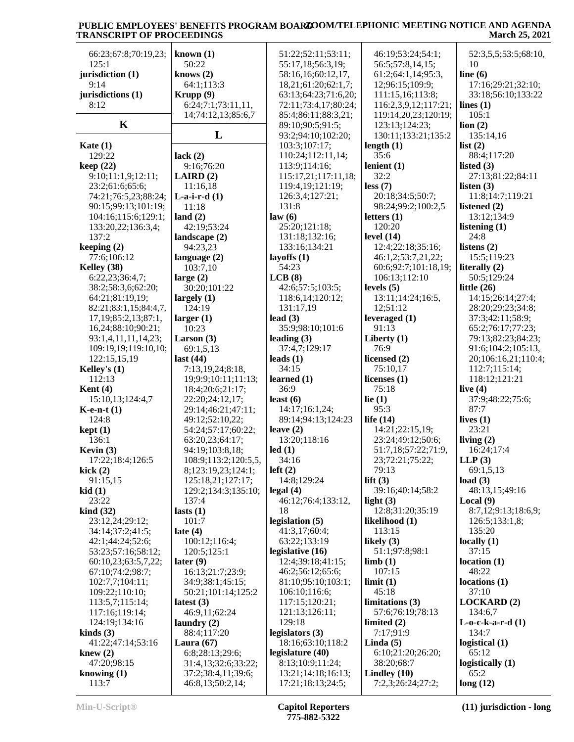| 66:23;67:8;70:19,23;        | known $(1)$                    | 51:22;52:11;53:11;             | 46:19;53:24;54:1;              | 52:3,5,5;53:5;68:10,          |
|-----------------------------|--------------------------------|--------------------------------|--------------------------------|-------------------------------|
| 125:1                       | 50:22                          | 55:17,18;56:3,19;              | 56:5;57:8,14,15;               | 10                            |
| jurisdiction (1)            | knows $(2)$                    | 58:16,16;60:12,17,             | 61:2;64:1,14;95:3,             | line $(6)$                    |
| 9:14                        | 64:1;113:3                     | 18,21;61:20;62:1,7;            | 12;96:15;109:9;                | 17:16;29:21;32:10;            |
| jurisdictions (1)           | Krupp (9)                      | 63:13;64:23;71:6,20;           | 111:15,16;113:8;               | 33:18;56:10;133:22            |
| 8:12                        | 6:24;7:1;73:11,11,             | 72:11;73:4,17;80:24;           | 116:2,3,9,12;117:21;           | lines $(1)$                   |
|                             | 14;74:12,13;85:6,7             | 85:4;86:11;88:3,21;            | 119:14,20,23;120:19;           | 105:1                         |
| $\mathbf K$                 |                                | 89:10;90:5;91:5;               | 123:13;124:23;                 | $\lim(2)$                     |
|                             | L                              | 93:2;94:10;102:20;             | 130:11;133:21;135:2            | 135:14,16                     |
| Kate $(1)$                  |                                | 103:3;107:17;                  | length $(1)$                   | list(2)                       |
| 129:22                      | lack $(2)$                     | 110:24;112:11,14;              | 35:6                           | 88:4;117:20                   |
| keep(22)                    | 9:16;76:20                     | 113:9;114:16;                  | lenient $(1)$                  | listed $(3)$                  |
| 9:10;11:1,9;12:11;          | LAIRD(2)                       | 115:17,21;117:11,18;           | 32:2                           | 27:13;81:22;84:11             |
| 23:2;61:6;65:6;             | 11:16,18                       | 119:4,19;121:19;               | less(7)                        | listen $(3)$                  |
| 74:21;76:5,23;88:24;        | $L-a-i-r-d(1)$                 | 126:3,4;127:21;                | 20:18;34:5;50:7;               | 11:8;14:7;119:21              |
| 90:15;99:13;101:19;         | 11:18                          | 131:8<br>law(6)                | 98:24;99:2;100:2,5             | listened $(2)$<br>13:12;134:9 |
| 104:16;115:6;129:1;         | land $(2)$                     | 25:20;121:18;                  | letters $(1)$<br>120:20        | listening (1)                 |
| 133:20,22;136:3,4;<br>137:2 | 42:19;53:24<br>landscape $(2)$ | 131:18;132:16;                 | level $(14)$                   | 24:8                          |
| keeping $(2)$               | 94:23,23                       | 133:16;134:21                  | 12:4;22:18;35:16;              | listens $(2)$                 |
| 77:6;106:12                 | language $(2)$                 | layoffs $(1)$                  | 46:1,2;53:7,21,22;             | 15:5;119:23                   |
| Kelley (38)                 | 103:7,10                       | 54:23                          | 60:6;92:7;101:18,19;           | literally (2)                 |
| 6:22,23;36:4,7;             | large $(2)$                    | LCB(8)                         | 106:13;112:10                  | 50:5;129:24                   |
| 38:2;58:3,6;62:20;          | 30:20;101:22                   | 42:6;57:5;103:5;               | levels $(5)$                   | little $(26)$                 |
| 64:21;81:19,19;             | largely $(1)$                  | 118:6,14;120:12;               | 13:11;14:24;16:5,              | 14:15;26:14;27:4;             |
| 82:21;83:1,15;84:4,7,       | 124:19                         | 131:17,19                      | 12;51:12                       | 28:20:29:23:34:8;             |
| 17, 19; 85: 2, 13; 87: 1,   | larger(1)                      | lead $(3)$                     | leveraged $(1)$                | 37:3;42:11;58:9;              |
| 16,24;88:10;90:21;          | 10:23                          | 35:9;98:10;101:6               | 91:13                          | 65:2;76:17;77:23;             |
| 93:1,4,11,11,14,23;         | Larson $(3)$                   | leading $(3)$                  | Liberty $(1)$                  | 79:13;82:23;84:23;            |
| 109:19,19;119:10,10;        | 69:1,5,13                      | 37:4,7;129:17                  | 76:9                           | 91:6;104:2;105:13,            |
| 122:15,15,19                | last $(44)$                    | leads $(1)$                    | licensed (2)                   | 20;106:16,21;110:4;           |
| Kelley's $(1)$              | 7:13,19,24;8:18,               | 34:15                          | 75:10,17                       | 112:7;115:14;                 |
| 112:13                      | 19;9:9;10:11;11:13;            | learned $(1)$                  | licenses $(1)$                 | 118:12;121:21                 |
| Kent $(4)$                  | 18:4;20:6;21:17;               | 36:9                           | 75:18                          | live $(4)$                    |
| 15:10,13;124:4,7            | 22:20;24:12,17;                | least $(6)$                    | lie $(1)$                      | 37:9;48:22;75:6;              |
| $K$ -e-n-t $(1)$            | 29:14;46:21;47:11;             | 14:17;16:1,24;                 | 95:3                           | 87:7                          |
| 124:8                       | 49:12;52:10,22;                | 89:14;94:13;124:23             | life $(14)$                    | lives $(1)$                   |
| kept(1)                     | 54:24;57:17;60:22;             | leave $(2)$                    | 14:21;22:15,19;                | 23:21                         |
| 136:1                       | 63:20,23;64:17;                | 13:20;118:16                   | 23:24;49:12;50:6;              | living $(2)$                  |
| Kevin $(3)$                 | 94:19;103:8,18;                | led(1)                         | 51:7,18;57:22;71:9,            | 16:24;17:4                    |
| 17:22;18:4;126:5            | 108:9;113:2;120:5,5,           | 34:16                          | 23;72:21;75:22;                | LLP(3)                        |
| kick $(2)$                  | 8;123:19,23;124:1;             | left(2)                        | 79:13                          | 69:1,5,13                     |
| 91:15,15<br>kid(1)          | 125:18,21;127:17;              | 14:8;129:24                    | lift $(3)$<br>39:16:40:14:58:2 | load $(3)$<br>48:13,15;49:16  |
| 23:22                       | 129:2;134:3;135:10;<br>137:4   | legal(4)<br>46:12;76:4;133:12, | light $(3)$                    | Local $(9)$                   |
| $\operatorname{kind}(32)$   | lasts $(1)$                    | 18                             | 12:8;31:20;35:19               | 8:7,12;9:13;18:6,9;           |
| 23:12,24;29:12;             | 101:7                          | legislation $(5)$              | likelihood (1)                 | 126:5;133:1,8;                |
| 34:14;37:2;41:5;            | late $(4)$                     | 41:3,17;60:4;                  | 113:15                         | 135:20                        |
| 42:1;44:24;52:6;            | 100:12;116:4;                  | 63:22;133:19                   | likely $(3)$                   | locally $(1)$                 |
| 53:23;57:16;58:12;          | 120:5;125:1                    | legislative (16)               | 51:1;97:8;98:1                 | 37:15                         |
| 60:10,23;63:5,7,22;         | later $(9)$                    | 12:4;39:18;41:15;              | limb(1)                        | location(1)                   |
| 67:10;74:2;98:7;            | 16:13;21:7;23:9;               | 46:2;56:12;65:6;               | 107:15                         | 48:22                         |
| 102:7,7;104:11;             | 34:9;38:1;45:15;               | 81:10;95:10;103:1;             | limit(1)                       | locations (1)                 |
| 109:22;110:10;              | 50:21;101:14;125:2             | 106:10;116:6;                  | 45:18                          | 37:10                         |
| 113:5,7;115:14;             | latest $(3)$                   | 117:15;120:21;                 | limitations (3)                | <b>LOCKARD</b> (2)            |
| 117:16;119:14;              | 46:9,11;62:24                  | 121:13;126:11;                 | 57:6;76:19;78:13               | 134:6,7                       |
| 124:19;134:16               | laundry $(2)$                  | 129:18                         | limited $(2)$                  | $L$ -o-c-k-a-r-d $(1)$        |
| kinds $(3)$                 | 88:4;117:20                    | legislators (3)                | 7:17;91:9                      | 134:7                         |
| 41:22;47:14;53:16           | Laura $(67)$                   | 18:16;63:10;118:2              | Linda $(5)$                    | logistical (1)                |
| knew $(2)$                  | 6:8;28:13;29:6;                | legislature (40)               | 6:10;21:20;26:20;              | 65:12                         |
| 47:20;98:15                 | 31:4,13;32:6;33:22;            | 8:13;10:9;11:24;               | 38:20;68:7                     | logistically (1)              |
| knowing $(1)$               | 37:2;38:4,11;39:6;             | 13:21;14:18;16:13;             | Lindley $(10)$                 | 65:2                          |
| 113:7                       | 46:8,13;50:2,14;               | 17:21;18:13;24:5;              | 7:2,3;26:24;27:2;              | long(12)                      |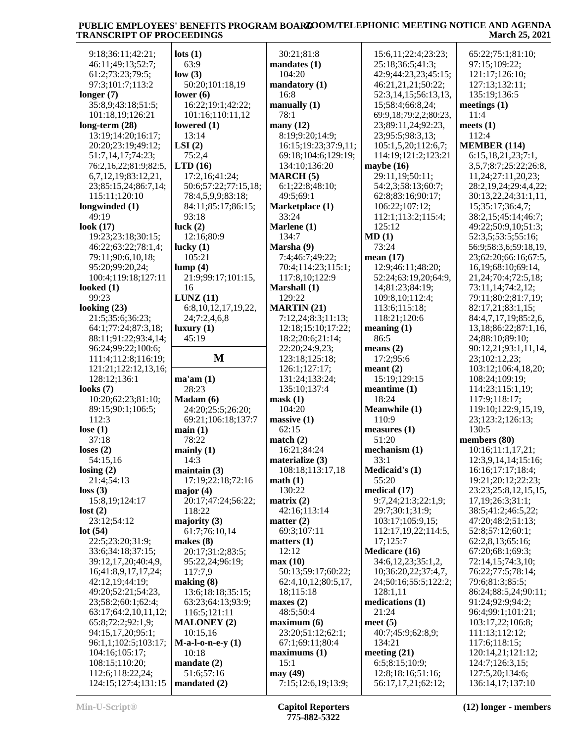| 9:18;36:11;42:21;                       | $\text{lots}$ (1)          | 30:21;81:8                       | 15:6,11;22:4;23:23;                     | 65:22;75:1;81:10;                   |
|-----------------------------------------|----------------------------|----------------------------------|-----------------------------------------|-------------------------------------|
| 46:11;49:13;52:7;                       | 63:9                       | mandates (1)                     | 25:18;36:5;41:3;                        | 97:15;109:22;                       |
| 61:2;73:23;79:5;                        | low(3)                     | 104:20                           | 42:9;44:23,23;45:15;                    | 121:17;126:10;                      |
| 97:3;101:7;113:2                        | 50:20;101:18,19            | mandatory (1)                    | 46:21,21,21;50:22;                      | 127:13;132:11;                      |
| longer $(7)$                            | lower $(6)$                | 16:8                             | 52:3,14,15;56:13,13,                    | 135:19;136:5                        |
| 35:8,9;43:18;51:5;                      | 16:22;19:1;42:22;          | manually $(1)$                   | 15;58:4;66:8,24;                        | meetings $(1)$                      |
| 101:18,19;126:21                        | 101:16;110:11,12           | 78:1                             | 69:9,18;79:2,2;80:23,                   | 11:4                                |
| $long-term (28)$                        | lowered $(1)$              | many $(12)$                      | 23;89:11,24;92:23,                      | meets $(1)$                         |
| 13:19;14:20;16:17;                      | 13:14                      | 8:19;9:20;14:9;                  | 23;95:5;98:3,13;                        | 112:4                               |
|                                         | LSI(2)                     | 16:15:19:23:37:9,11:             |                                         | <b>MEMBER (114)</b>                 |
| 20:20;23:19;49:12;                      | 75:2,4                     |                                  | 105:1,5,20;112:6,7;                     | 6:15,18,21,23;7:1,                  |
| 51:7,14,17;74:23;                       |                            | 69:18;104:6;129:19;              | 114:19:121:2:123:21                     |                                     |
| 76:2,16,22;81:9;82:5,                   | LTD(16)                    | 134:10;136:20                    | maybe $(16)$                            | 3,5,7;8:7;25:22;26:8,               |
| 6,7,12,19;83:12,21,                     | 17:2,16;41:24;             | MARCH(5)                         | 29:11,19;50:11;                         | 11,24;27:11,20,23;                  |
| 23;85:15,24;86:7,14;                    | 50:6;57:22;77:15,18;       | 6:1;22:8;48:10;                  | 54:2,3;58:13;60:7;                      | 28:2,19,24;29:4,4,22;               |
| 115:11;120:10                           | 78:4,5,9,9;83:18;          | 49:5;69:1                        | 62:8;83:16;90:17;                       | 30:13,22,24;31:1,11,                |
| longwinded (1)                          | 84:11;85:17;86:15;         | Marketplace (1)                  | 106:22;107:12;                          | 15;35:17;36:4,7;                    |
| 49:19                                   | 93:18                      | 33:24                            | 112:1;113:2;115:4;                      | 38:2,15;45:14;46:7;                 |
| look $(17)$                             | luck $(2)$                 | Marlene (1)                      | 125:12                                  | 49:22;50:9,10;51:3;                 |
| 19:23;23:18;30:15;                      | 12:16;80:9                 | 134:7                            | MD(1)                                   | 52:3,5;53:5;55:16;                  |
| 46:22;63:22;78:1,4;                     | lucky $(1)$                | Marsha (9)                       | 73:24                                   | 56:9;58:3,6;59:18,19,               |
| 79:11;90:6,10,18;                       | 105:21                     | 7:4;46:7;49:22;                  | mean $(17)$                             | 23;62:20;66:16;67:5,                |
| 95:20;99:20,24;                         | lump(4)                    | 70:4;114:23;115:1;               | 12:9;46:11;48:20;                       | 16,19;68:10;69:14,                  |
| 100:4;119:18;127:11                     | 21:9;99:17;101:15,         | 117:8,10;122:9                   | 52:24;63:19,20;64:9,                    | 21,24;70:4;72:5,18;                 |
| looked $(1)$                            | 16                         | Marshall (1)                     | 14;81:23;84:19;                         | 73:11,14;74:2,12;                   |
| 99:23                                   | LUNZ(11)                   | 129:22                           | 109:8,10;112:4;                         | 79:11;80:2;81:7,19;                 |
| looking $(23)$                          | 6:8, 10, 12, 17, 19, 22,   | <b>MARTIN</b> (21)               | 113:6;115:18;                           | 82:17,21;83:1,15;                   |
| 21:5;35:6;36:23;                        | 24;7:2,4,6,8               | 7:12,24;8:3;11:13;               | 118:21;120:6                            | 84:4,7,17,19;85:2,6,                |
| 64:1;77:24;87:3,18;                     | luxury(1)                  | 12:18;15:10;17:22;               | meaning(1)                              | 13, 18; 86: 22; 87: 1, 16,          |
| 88:11;91:22;93:4,14;                    | 45:19                      | 18:2;20:6;21:14;                 | 86:5                                    | 24;88:10;89:10;                     |
| 96:24;99:22;100:6;                      |                            | 22:20;24:9,23;                   | means $(2)$                             | 90:12,21;93:1,11,14,                |
| 111:4;112:8;116:19;                     | $\mathbf{M}$               | 123:18;125:18;                   | 17:2;95:6                               | 23;102:12,23;                       |
| 121:21;122:12,13,16;                    |                            | 126:1;127:17;                    | meant $(2)$                             | 103:12;106:4,18,20;                 |
| 128:12;136:1                            | ma'am(1)                   | 131:24;133:24;                   | 15:19;129:15                            | 108:24;109:19;                      |
| looks $(7)$                             | 28:23                      | 135:10;137:4                     | $meantime (1)$                          | 114:23;115:1,19;                    |
| 10:20;62:23;81:10;                      | Madam (6)                  | mask(1)                          | 18:24                                   | 117:9;118:17;                       |
|                                         |                            |                                  | <b>Meanwhile (1)</b>                    | 119:10;122:9,15,19,                 |
|                                         |                            |                                  |                                         |                                     |
| 89:15;90:1;106:5;                       | 24:20;25:5;26:20;          | 104:20                           |                                         |                                     |
| 112:3                                   | 69:21;106:18;137:7         | massive(1)                       | 110:9                                   | 23;123:2;126:13;                    |
| lose $(1)$                              | main(1)                    | 62:15                            | measures (1)                            | 130:5                               |
| 37:18                                   | 78:22                      | match(2)                         | 51:20                                   | members (80)                        |
| loses $(2)$                             | mainly(1)                  | 16:21;84:24                      | mechanism $(1)$                         | 10:16;11:1,17,21;                   |
| 54:15,16                                | 14:3                       | materialize (3)                  | 33:1                                    | 12:3,9,14,14;15:16;                 |
| $\text{losing} (2)$                     | maintain $(3)$             | 108:18;113:17,18                 | <b>Medicaid's (1)</b>                   | 16:16;17:17;18:4;                   |
| 21:4;54:13                              | 17:19;22:18;72:16          | math(1)                          | 55:20                                   | 19:21;20:12;22:23;                  |
| loss(3)                                 | major $(4)$                | 130:22                           | medical (17)                            | 23:23;25:8,12,15,15,                |
| 15:8,19;124:17                          | 20:17;47:24;56:22;         | matrix $(2)$                     | 9:7,24;21:3;22:1,9;                     | 17,19;26:3;31:1;                    |
|                                         | 118:22                     | 42:16;113:14                     | 29:7;30:1;31:9;                         | 38:5;41:2;46:5,22;                  |
| lost(2)<br>23:12:54:12                  | majority $(3)$             | matter $(2)$                     | 103:17;105:9,15;                        | 47:20;48:2;51:13;                   |
| lot(54)                                 | 61:7:76:10.14              | 69:3;107:11                      | 112:17, 19, 22; 114: 5,                 | 52:8;57:12;60:1;                    |
| 22:5;23:20;31:9;                        | makes $(8)$                | matters $(1)$                    | 17;125:7                                | 62:2,8,13;65:16;                    |
| 33:6;34:18;37:15;                       | 20:17;31:2;83:5;           | 12:12                            | Medicare (16)                           | 67:20;68:1;69:3;                    |
| 39:12,17,20;40:4,9,                     | 95:22,24;96:19;            | max(10)                          | 34:6, 12, 23; 35: 1, 2,                 | 72:14,15;74:3,10;                   |
| 16;41:8,9,17,17,24;                     | 117:7,9                    | 50:13;59:17;60:22;               | 10;36:20,22;37:4,7,                     | 76:22;77:5;78:14;                   |
| 42:12,19;44:19;                         | making (8)                 | 62:4,10,12;80:5,17,              | 24;50:16;55:5;122:2;                    | 79:6;81:3;85:5;                     |
| 49:20;52:21;54:23,                      | 13:6;18:18;35:15;          | 18;115:18                        | 128:1,11                                | 86:24;88:5,24;90:11;                |
| 23;58:2;60:1;62:4;                      | 63:23;64:13;93:9;          | maxes $(2)$                      | medications (1)                         | 91:24;92:9;94:2;                    |
| 63:17;64:2,10,11,12;                    | 116:5;121:11               | 48:5;50:4                        | 21:24                                   | 96:4;99:1;101:21;                   |
| 65:8;72:2;92:1,9;                       | <b>MALONEY (2)</b>         | maximum (6)                      | meet $(5)$                              | 103:17,22;106:8;                    |
| 94:15,17,20;95:1;                       | 10:15,16                   | 23:20;51:12;62:1;                | 40:7;45:9;62:8,9;                       | 111:13;112:12;                      |
| 96:1,1;102:5;103:17;                    | $M-a-l-o-n-e-y(1)$         | 67:1;69:11;80:4                  | 134:21                                  | 117:6;118:15;                       |
| 104:16;105:17;                          | 10:18                      | maximums(1)                      | meeting $(21)$                          | 120:14,21;121:12;                   |
| 108:15;110:20;                          | mandate $(2)$              | 15:1                             | 6:5;8:15;10:9;                          | 124:7;126:3,15;                     |
| 112:6;118:22,24;<br>124:15;127:4;131:15 | 51:6;57:16<br>mandated (2) | may $(49)$<br>7:15;12:6,19;13:9; | 12:8;18:16;51:16;<br>56:17,17,21;62:12; | 127:5,20;134:6;<br>136:14,17;137:10 |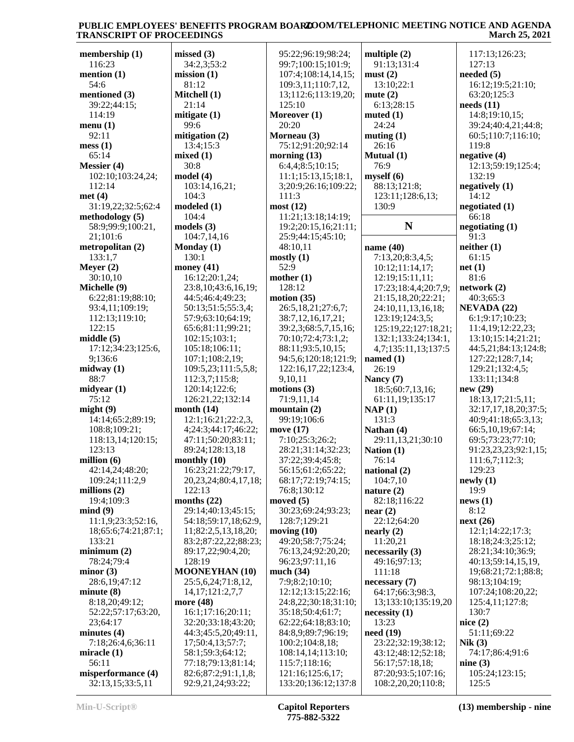| membership (1)      | missed(3)                  | 95:22;96:19;98:24;   | multiple $(2)$       | 117:13;126:23;       |
|---------------------|----------------------------|----------------------|----------------------|----------------------|
| 116:23              | 34:2,3;53:2                | 99:7;100:15;101:9;   | 91:13;131:4          | 127:13               |
| mention $(1)$       | mission(1)                 | 107:4;108:14,14,15;  | must(2)              | needed $(5)$         |
| 54:6                | 81:12                      | 109:3,11;110:7,12,   | 13:10;22:1           | 16:12;19:5;21:10;    |
| mentioned (3)       | Mitchell (1)               | 13;112:6;113:19,20;  | mute $(2)$           | 63:20;125:3          |
| 39:22;44:15;        | 21:14                      | 125:10               | 6:13;28:15           | needs (11)           |
| 114:19              | mitigate $(1)$             | Moreover (1)         | muted $(1)$          | 14:8;19:10,15;       |
| menu(1)             | 99:6                       | 20:20                | 24:24                | 39:24;40:4,21;44:8;  |
| 92:11               | mitigation $(2)$           |                      |                      |                      |
|                     |                            | Morneau (3)          | muting $(1)$         | 60:5;110:7;116:10;   |
| mess(1)             | 13:4;15:3                  | 75:12;91:20;92:14    | 26:16                | 119:8                |
| 65:14               | mixed(1)                   | morning $(13)$       | Mutual (1)           | negative (4)         |
| Messier (4)         | 30:8                       | 6:4,4;8:5;10:15;     | 76:9                 | 12:13;59:19;125:4;   |
| 102:10;103:24,24;   | model (4)                  | 11:1;15:13,15;18:1,  | myself(6)            | 132:19               |
| 112:14              | 103:14,16,21;              | 3;20:9;26:16;109:22; | 88:13;121:8;         | negatively (1)       |
| met(4)              | 104:3                      | 111:3                | 123:11;128:6,13;     | 14:12                |
| 31:19,22;32:5;62:4  | modeled (1)                | most(12)             | 130:9                | negotiated $(1)$     |
| methodology $(5)$   | 104:4                      | 11:21;13:18;14:19;   |                      | 66:18                |
| 58:9;99:9;100:21,   | models(3)                  | 19:2;20:15,16;21:11; | N                    | negotiating $(1)$    |
| 21;101:6            | 104:7,14,16                | 25:9;44:15;45:10;    |                      | 91:3                 |
| metropolitan (2)    | Monday (1)                 | 48:10,11             | name $(40)$          | neither(1)           |
| 133:1,7             | 130:1                      | mostly(1)            | 7:13,20;8:3,4,5;     | 61:15                |
| Meyer $(2)$         | money $(41)$               | 52:9                 | 10:12;11:14,17;      | net(1)               |
| 30:10,10            |                            |                      |                      | 81:6                 |
|                     | 16:12;20:1,24;             | mother $(1)$         | 12:19;15:11,11;      |                      |
| Michelle (9)        | 23:8, 10; 43:6, 16, 19;    | 128:12               | 17:23;18:4,4;20:7,9; | network(2)           |
| 6:22;81:19;88:10;   | 44:5;46:4;49:23;           | motion $(35)$        | 21:15,18,20;22:21;   | 40:3;65:3            |
| 93:4,11;109:19;     | 50:13;51:5;55:3,4;         | 26:5,18,21;27:6,7;   | 24:10,11,13,16,18;   | <b>NEVADA (22)</b>   |
| 112:13;119:10;      | 57:9;63:10;64:19;          | 38:7,12,16,17,21;    | 123:19;124:3,5;      | 6:1;9:17;10:23;      |
| 122:15              | 65:6;81:11;99:21;          | 39:2,3;68:5,7,15,16; | 125:19,22;127:18,21; | 11:4,19;12:22,23;    |
| middle $(5)$        | 102:15;103:1;              | 70:10;72:4;73:1,2;   | 132:1;133:24;134:1,  | 13:10;15:14;21:21;   |
| 17:12;34:23;125:6,  | 105:18;106:11;             | 88:11;93:5,10,15;    | 4,7;135:11,13;137:5  | 44:5,21;84:13;124:8; |
| 9;136:6             | 107:1;108:2,19;            | 94:5,6;120:18;121:9; | named $(1)$          | 127:22;128:7,14;     |
| midway $(1)$        | 109:5,23;111:5,5,8;        | 122:16,17,22;123:4,  | 26:19                | 129:21;132:4,5;      |
| 88:7                | 112:3,7;115:8;             | 9,10,11              | Nancy (7)            | 133:11;134:8         |
| midyear $(1)$       | 120:14;122:6;              | motions $(3)$        | 18:5;60:7,13,16;     | new (29)             |
| 75:12               | 126:21,22;132:14           | 71:9,11,14           |                      | 18:13,17;21:5,11;    |
|                     |                            |                      | 61:11,19;135:17      | 32:17,17,18,20;37:5; |
| might(9)            | month $(14)$               | mountain $(2)$       | NAP(1)               |                      |
| 14:14;65:2;89:19;   | 12:1;16:21;22:2,3,         | 99:19;106:6          | 131:3                | 40:9;41:18;65:3,13;  |
| 108:8;109:21;       | 4;24:3;44:17;46:22;        | move (17)            | Nathan (4)           | 66:5,10,19;67:14;    |
| 118:13,14;120:15;   | 47:11;50:20;83:11;         | 7:10;25:3;26:2;      | 29:11,13,21;30:10    | 69:5;73:23;77:10;    |
| 123:13              | 89:24;128:13,18            | 28:21;31:14;32:23;   | Nation (1)           | 91:23,23,23;92:1,15; |
| million $(6)$       | monthly $(10)$             | 37:22;39:4;45:8;     | 76:14                | 111:6,7;112:3;       |
| 42:14,24;48:20;     | 16:23;21:22;79:17,         | 56:15;61:2;65:22;    | national $(2)$       | 129:23               |
| 109:24;111:2,9      | 20, 23, 24; 80: 4, 17, 18; | 68:17;72:19;74:15;   | 104:7,10             | newly(1)             |
| millions $(2)$      | 122:13                     | 76:8;130:12          | nature $(2)$         | 19:9                 |
| 19:4;109:3          | months $(22)$              | moved $(5)$          | 82:18;116:22         | news(1)              |
| mind(9)             | 29:14;40:13;45:15;         | 30:23;69:24;93:23;   | near(2)              | 8:12                 |
| 11:1,9;23:3;52:16,  | 54:18;59:17,18;62:9,       | 128:7;129:21         | 22:12;64:20          | next(26)             |
| 18;65:6;74:21;87:1; | 11;82:2,5,13,18,20;        | moving $(10)$        | nearly (2)           | 12:1;14:22;17:3;     |
| 133:21              | 83:2;87:22,22;88:23;       | 49:20;58:7;75:24;    | 11:20,21             | 18:18;24:3;25:12;    |
| minimum(2)          | 89:17,22;90:4,20;          | 76:13,24;92:20,20;   | necessarily (3)      | 28:21;34:10;36:9;    |
|                     |                            |                      |                      |                      |
| 78:24;79:4          | 128:19                     | 96:23;97:11,16       | 49:16;97:13;         | 40:13;59:14,15,19,   |
| minor (3)           | <b>MOONEYHAN (10)</b>      | much $(34)$          | 111:18               | 19;68:21;72:1;88:8;  |
| 28:6,19;47:12       | 25:5,6,24;71:8,12,         | 7:9;8:2;10:10;       | necessary (7)        | 98:13;104:19;        |
| minute $(8)$        | 14, 17; 121: 2, 7, 7       | 12:12;13:15;22:16;   | 64:17;66:3;98:3,     | 107:24;108:20,22;    |
| 8:18,20;49:12;      | more (48)                  | 24:8,22;30:18;31:10; | 13;133:10;135:19,20  | 125:4,11;127:8;      |
| 52:22;57:17;63:20,  | 16:1;17:16;20:11;          | 35:18;50:4;61:7;     | necessity(1)         | 130:7                |
| 23;64:17            | 32:20;33:18;43:20;         | 62:22;64:18;83:10;   | 13:23                | nice(2)              |
| minutes $(4)$       | 44:3;45:5,20;49:11,        | 84:8,9;89:7;96:19;   | need(19)             | 51:11;69:22          |
| 7:18;26:4,6;36:11   | 17;50:4,13;57:7;           | 100:2;104:8,18;      | 23:22;32:19;38:12;   | Nik(3)               |
| miracle $(1)$       | 58:1;59:3;64:12;           | 108:14,14;113:10;    | 43:12;48:12;52:18;   | 74:17;86:4;91:6      |
| 56:11               | 77:18;79:13;81:14;         | 115:7;118:16;        | 56:17;57:18,18;      | nine $(3)$           |
| misperformance (4)  | 82:6;87:2;91:1,1,8;        | 121:16;125:6,17;     | 87:20;93:5;107:16;   | 105:24;123:15;       |
| 32:13,15;33:5,11    | 92:9,21,24;93:22;          | 133:20;136:12;137:8  | 108:2,20,20;110:8;   | 125:5                |
|                     |                            |                      |                      |                      |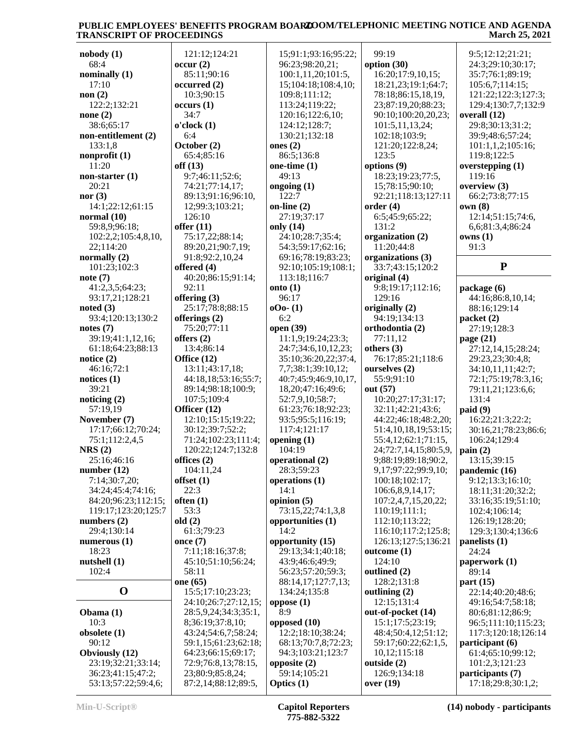| nobody(1)             | 121:12;124:21        | 15;91:1;93:16;95:22;  | 99:19                       | 9:5;12:12;21:21;     |
|-----------------------|----------------------|-----------------------|-----------------------------|----------------------|
| 68:4                  | occur(2)             | 96:23;98:20,21;       | option (30)                 | 24:3;29:10;30:17;    |
| nominally $(1)$       | 85:11;90:16          | 100:1,11,20;101:5,    | 16:20;17:9,10,15;           | 35:7;76:1;89:19;     |
| 17:10                 | occurred(2)          | 15;104:18;108:4,10;   | 18:21,23;19:1;64:7;         | 105:6,7;114:15;      |
| non(2)                | 10:3;90:15           | 109:8;111:12;         | 78:18;86:15,18,19,          | 121:22;122:3;127:3;  |
| 122:2;132:21          | occurs(1)            | 113:24;119:22;        | 23;87:19,20;88:23;          | 129:4;130:7,7;132:9  |
| none $(2)$            | 34:7                 | 120:16;122:6,10;      | 90:10;100:20,20,23;         | overall (12)         |
| 38:6;65:17            | o'clock(1)           | 124:12;128:7;         | 101:5,11,13,24;             | 29:8;30:13;31:2;     |
| non-entitlement (2)   | 6:4                  | 130:21;132:18         | 102:18;103:9;               | 39:9;48:6;57:24;     |
| 133:1,8               | October (2)          | ones $(2)$            | 121:20;122:8,24;            | 101:1,1,2;105:16;    |
| nonprofit $(1)$       | 65:4;85:16           | 86:5;136:8            | 123:5                       | 119:8;122:5          |
| 11:20                 | off(13)              | one-time $(1)$        | options (9)                 | overstepping $(1)$   |
| non-starter $(1)$     | 9:7;46:11;52:6;      | 49:13                 | 18:23;19:23;77:5,           | 119:16               |
| 20:21                 | 74:21;77:14,17;      | ongoing (1)           | 15;78:15;90:10;             | overview $(3)$       |
| nor $(3)$             | 89:13;91:16;96:10,   | 122:7                 | 92:21;118:13;127:11         | 66:2;73:8;77:15      |
| 14:1;22:12;61:15      | 12;99:3;103:21;      | on-line $(2)$         | order(4)                    | own(8)               |
| normal $(10)$         | 126:10               | 27:19;37:17           | 6:5;45:9;65:22;             | 12:14;51:15;74:6,    |
| 59:8,9;96:18;         | offer $(11)$         | only (14)             | 131:2                       | 6,6;81:3,4;86:24     |
| 102:2,2;105:4,8,10,   | 75:17,22;88:14;      | 24:10;28:7;35:4;      | organization (2)            | owns(1)              |
| 22;114:20             | 89:20,21;90:7,19;    | 54:3;59:17;62:16;     | 11:20;44:8                  | 91:3                 |
| normally (2)          | 91:8;92:2,10,24      | 69:16;78:19;83:23;    | organizations (3)           |                      |
| 101:23;102:3          | offered (4)          | 92:10;105:19;108:1;   | 33:7;43:15;120:2            | ${\bf P}$            |
| note(7)               | 40:20;86:15;91:14;   | 113:18;116:7          |                             |                      |
|                       |                      |                       | original (4)                |                      |
| 41:2,3,5;64:23;       | 92:11                | onto $(1)$<br>96:17   | 9:8;19:17;112:16;<br>129:16 | package (6)          |
| 93:17,21;128:21       | offering $(3)$       |                       |                             | 44:16;86:8,10,14;    |
| noted $(3)$           | 25:17;78:8;88:15     | $000 - (1)$           | originally (2)              | 88:16;129:14         |
| 93:4;120:13;130:2     | offerings (2)        | 6:2                   | 94:19;134:13                | packet (2)           |
| notes $(7)$           | 75:20;77:11          | open (39)             | orthodontia (2)             | 27:19;128:3          |
| 39:19;41:1,12,16;     | offers $(2)$         | 11:1,9;19:24;23:3;    | 77:11,12                    | page $(21)$          |
| 61:18;64:23;88:13     | 13:4;86:14           | 24:7;34:6,10,12,23;   | others $(3)$                | 27:12,14,15;28:24;   |
| notice $(2)$          | Office (12)          | 35:10;36:20,22;37:4,  | 76:17;85:21;118:6           | 29:23,23;30:4,8;     |
| 46:16;72:1            | 13:11;43:17,18;      | 7,7;38:1;39:10,12;    | ourselves (2)               | 34:10,11,11;42:7;    |
| notices $(1)$         | 44:18,18;53:16;55:7; | 40:7;45:9;46:9,10,17, | 55:9;91:10                  | 72:1;75:19;78:3,16;  |
| 39:21                 | 89:14;98:18;100:9;   | 18,20;47:16;49:6;     | out (57)                    | 79:11,21;123:6,6;    |
| noticing $(2)$        | 107:5;109:4          | 52:7,9,10;58:7;       | 10:20;27:17;31:17;          | 131:4                |
| 57:19.19              | Officer (12)         | 61:23;76:18;92:23;    | 32:11;42:21;43:6;           | paid(9)              |
| November (7)          | 12:10;15:15;19:22;   | 93:5;95:5;116:19;     | 44:22;46:18;48:2,20;        | 16:22;21:3;22:2;     |
| 17:17;66:12;70:24;    | 30:12;39:7;52:2;     | 117:4;121:17          | 51:4,10,18,19;53:15;        | 30:16,21;78:23;86:6; |
| 75:1;112:2,4,5        | 71:24;102:23;111:4;  | opening $(1)$         | 55:4,12;62:1;71:15,         | 106:24;129:4         |
| NRS(2)                | 120:22;124:7;132:8   | 104:19                | 24;72:7,14,15;80:5,9,       | $\text{pain}(2)$     |
| 25:16:46:16           | offices $(2)$        | operational (2)       | 9;88:19;89:18;90:2.         | 13:15;39:15          |
| number $(12)$         | 104:11,24            | 28:3;59:23            | 9,17;97:22;99:9,10;         | pandemic (16)        |
| 7:14;30:7,20;         | offset(1)            | operations $(1)$      | 100:18;102:17;              | 9:12;13:3;16:10;     |
| 34:24;45:4;74:16;     | 22:3                 | 14:1                  | 106:6,8,9,14,17;            | 18:11;31:20;32:2;    |
| 84:20;96:23;112:15;   | often $(1)$          | opinion $(5)$         | 107:2,4,7,15,20,22;         | 33:16;35:19;51:10;   |
| 119:17;123:20;125:7   | 53:3                 | 73:15,22;74:1,3,8     | 110:19;111:1;               | 102:4;106:14;        |
| numbers $(2)$         | old(2)               | opportunities (1)     | 112:10;113:22;              | 126:19;128:20;       |
| 29:4;130:14           | 61:3;79:23           | 14:2                  | 116:10;117:2;125:8;         | 129:3;130:4;136:6    |
| numerous $(1)$        | once $(7)$           | opportunity (15)      | 126:13;127:5;136:21         | panelists $(1)$      |
| 18:23                 | 7:11;18:16;37:8;     | 29:13;34:1;40:18;     | outcome(1)                  | 24:24                |
| nutshell(1)           | 45:10:51:10:56:24;   | 43:9;46:6;49:9;       | 124:10                      | paperwork (1)        |
| 102:4                 | 58:11                | 56:23;57:20;59:3;     | outlined (2)                | 89:14                |
|                       | one (65)             | 88:14,17;127:7,13;    | 128:2;131:8                 | part $(15)$          |
| $\mathbf 0$           | 15:5;17:10;23:23;    | 134:24;135:8          | outlining $(2)$             | 22:14;40:20;48:6;    |
|                       | 24:10;26:7;27:12,15; | oppose $(1)$          | 12:15:131:4                 | 49:16;54:7;58:18;    |
| Obama $(1)$           | 28:5,9,24;34:3;35:1, | 8:9                   | out-of-pocket (14)          | 80:6;81:12;86:9;     |
| 10:3                  | 8;36:19;37:8,10;     | opposed (10)          | 15:1;17:5;23:19;            | 96:5;111:10;115:23;  |
| obsolete (1)          | 43:24;54:6,7;58:24;  | 12:2;18:10;38:24;     | 48:4;50:4,12;51:12;         | 117:3;120:18;126:14  |
| 90:12                 | 59:1,15;61:23;62:18; | 68:13;70:7,8;72:23;   | 59:17;60:22;62:1,5,         | participant (6)      |
| <b>Obviously</b> (12) | 64:23;66:15;69:17;   | 94:3;103:21;123:7     | 10,12;115:18                | 61:4;65:10;99:12;    |
| 23:19;32:21;33:14;    | 72:9;76:8,13;78:15,  | opposite $(2)$        | outside (2)                 | 101:2,3;121:23       |
| 36:23;41:15;47:2;     | 23;80:9;85:8,24;     | 59:14;105:21          | 126:9;134:18                | participants (7)     |
| 53:13;57:22;59:4,6;   | 87:2,14;88:12;89:5,  | Optics $(1)$          | over(19)                    | 17:18;29:8;30:1,2;   |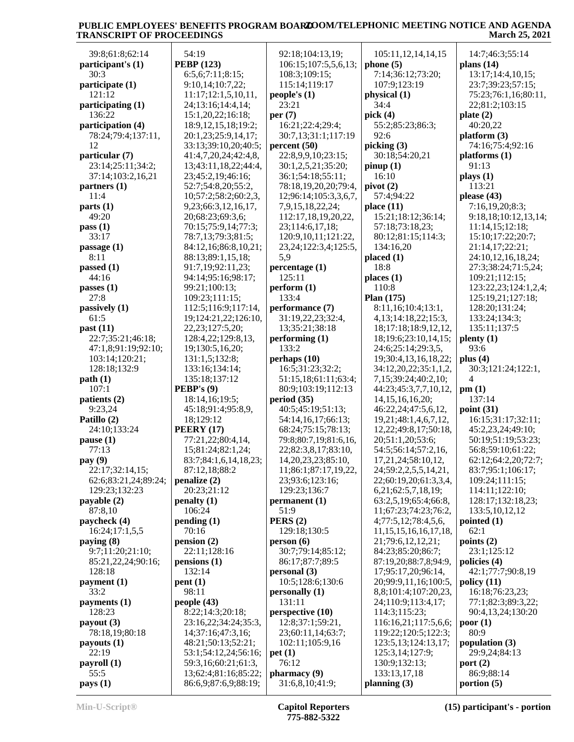|                                      | 54:19                                       |                                          |                                                   |                                 |
|--------------------------------------|---------------------------------------------|------------------------------------------|---------------------------------------------------|---------------------------------|
| 39:8;61:8;62:14<br>participant's (1) | <b>PEBP</b> (123)                           | 92:18;104:13,19;<br>106:15;107:5,5,6,13; | 105:11,12,14,14,15<br>phone(5)                    | 14:7;46:3;55:14<br>plans $(14)$ |
| 30:3                                 | 6:5,6;7:11;8:15;                            | 108:3;109:15;                            | 7:14;36:12;73:20;                                 | 13:17;14:4,10,15;               |
| participate (1)                      | 9:10,14;10:7,22;                            | 115:14;119:17                            | 107:9;123:19                                      | 23:7;39:23;57:15;               |
| 121:12                               | 11:17;12:1,5,10,11,                         | people's $(1)$                           | physical (1)                                      | 75:23;76:1,16;80:11,            |
| participating (1)                    | 24;13:16;14:4,14;                           | 23:21                                    | 34:4                                              | 22;81:2;103:15                  |
| 136:22                               | 15:1,20,22;16:18;                           | per $(7)$                                | pick $(4)$                                        | plate $(2)$                     |
| participation (4)                    | 18:9, 12, 15, 18; 19:2;                     | 16:21;22:4;29:4;                         | 55:2;85:23;86:3;                                  | 40:20,22                        |
| 78:24;79:4;137:11,                   | 20:1,23;25:9,14,17;                         | 30:7,13;31:1;117:19                      | 92:6                                              | platform (3)                    |
| 12                                   | 33:13;39:10,20;40:5;                        | percent(50)                              | picking(3)                                        | 74:16;75:4;92:16                |
| particular (7)                       | 41:4,7,20,24;42:4,8,                        | 22:8,9,9,10;23:15;                       | 30:18;54:20,21                                    | platforms (1)                   |
| 23:14;25:11;34:2;                    | 13;43:11,18,22;44:4,                        | 30:1,2,5,21;35:20;                       | pinup(1)                                          | 91:13                           |
| 37:14;103:2,16,21                    | 23;45:2,19;46:16;                           | 36:1;54:18;55:11;                        | 16:10                                             | plays (1)                       |
| partners $(1)$                       | 52:7;54:8,20;55:2,                          | 78:18,19,20,20;79:4,                     | pivot(2)                                          | 113:21                          |
| 11:4                                 | 10;57:2;58:2;60:2,3,                        | 12;96:14;105:3,3,6,7,                    | 57:4;94:22                                        | please $(43)$                   |
| parts(1)                             | 9,23;66:3,12,16,17,                         | 7,9,15,18,22,24;                         | place $(11)$                                      | 7:16,19,20;8:3;                 |
| 49:20                                | 20;68:23;69:3,6;                            | 112:17,18,19,20,22,                      | 15:21;18:12;36:14;                                | 9:18,18;10:12,13,14;            |
| pass(1)                              | 70:15;75:9,14;77:3;                         | 23;114:6,17,18;                          | 57:18;73:18,23;                                   | 11:14,15;12:18;                 |
| 33:17                                | 78:7,13;79:3;81:5;                          | 120:9, 10, 11; 121: 22,                  | 80:12;81:15;114:3;                                | 15:10;17:22;20:7;               |
| passage $(1)$                        | 84:12,16;86:8,10,21;                        | 23, 24; 122: 3, 4; 125: 5,               | 134:16,20                                         | 21:14,17;22:21;                 |
| 8:11                                 | 88:13;89:1,15,18;                           | 5,9                                      | placed (1)                                        | 24:10,12,16,18,24;              |
| passed (1)                           | 91:7,19;92:11,23;                           | percentage (1)                           | 18:8                                              | 27:3;38:24;71:5,24;             |
| 44:16                                | 94:14;95:16;98:17;                          | 125:11                                   | places(1)                                         | 109:21;112:15;                  |
| passes $(1)$                         | 99:21;100:13;                               | perform (1)                              | 110:8                                             | 123:22,23;124:1,2,4;            |
| 27:8                                 | 109:23;111:15;                              | 133:4                                    | Plan (175)<br>8:11,16;10:4;13:1,                  | 125:19,21;127:18;               |
| passively (1)                        | 112:5;116:9;117:14,                         | performance (7)                          |                                                   | 128:20;131:24;                  |
| 61:5<br>past $(11)$                  | 19;124:21,22;126:10,<br>22, 23; 127: 5, 20; | 31:19,22,23;32:4,<br>13;35:21;38:18      | 4, 13; 14: 18, 22; 15: 3,<br>18;17:18;18:9,12,12, | 133:24;134:3;<br>135:11;137:5   |
| 22:7;35:21;46:18;                    | 128:4,22;129:8,13,                          | performing (1)                           | 18;19:6;23:10,14,15;                              | $\mathbf{plenty}\left(1\right)$ |
| 47:1,8;91:19;92:10;                  | 19;130:5,16,20;                             | 133:2                                    | 24:6;25:14;29:3,5,                                | 93:6                            |
| 103:14;120:21;                       | 131:1,5;132:8;                              | perhaps $(10)$                           | 19;30:4,13,16,18,22;                              | plus $(4)$                      |
| 128:18;132:9                         | 133:16;134:14;                              | 16:5;31:23;32:2;                         | 34:12,20,22;35:1,1,2,                             | 30:3;121:24;122:1,              |
| path(1)                              | 135:18;137:12                               | 51:15,18;61:11;63:4;                     | 7,15;39:24;40:2,10;                               | 4                               |
| 107:1                                | <b>PEBP's <math>(9)</math></b>              | 80:9;103:19;112:13                       | 44:23;45:3,7,7,10,12,                             | pm(1)                           |
| patients (2)                         | 18:14,16;19:5;                              | period (35)                              | 14, 15, 16, 16, 20;                               | 137:14                          |
| 9:23,24                              | 45:18;91:4;95:8,9,                          | 40:5;45:19;51:13;                        | 46:22,24;47:5,6,12,                               | point $(31)$                    |
| Patillo (2)                          | 18;129:12                                   | 54:14,16,17;66:13;                       | 19,21;48:1,4,6,7,12,                              | 16:15;31:17;32:11;              |
| 24:10;133:24                         | <b>PEERY</b> (17)                           | 68:24;75:15;78:13;                       | 12, 22; 49: 8, 17; 50: 18,                        | 45:2,23,24;49:10;               |
| pause(1)                             | 77:21,22;80:4,14,                           | 79:8;80:7,19;81:6,16,                    | 20;51:1,20;53:6;                                  | 50:19;51:19;53:23;              |
| 77:13                                | 15;81:24;82:1,24;                           | 22;82:3,8,17;83:10,                      | 54:5;56:14;57:2,16,                               | 56:8;59:10;61:22;               |
| pay (9)                              | 83:7;84:1,6,14,18,23;                       | 14, 20, 23, 23; 85: 10,                  | 17, 21, 24; 58: 10, 12.                           | 62:12:64:2,20:72:7:             |
| 22:17;32:14,15;                      | 87:12,18;88:2                               | 11;86:1;87:17,19,22,                     | 24;59:2,2,5,5,14,21,                              | 83:7;95:1;106:17;               |
| 62:6;83:21,24;89:24;                 | penalize (2)                                | 23;93:6;123:16;                          | 22;60:19,20;61:3,3,4,                             | 109:24;111:15;                  |
| 129:23;132:23                        | 20:23;21:12                                 | 129:23;136:7                             | 6,21;62:5,7,18,19;                                | 114:11;122:10;                  |
| payable (2)                          | penalty (1)                                 | permanent (1)                            | 63:2,5,19;65:4;66:8,                              | 128:17;132:18,23;               |
| 87:8,10                              | 106:24                                      | 51:9                                     | 11;67:23;74:23;76:2,                              | 133:5, 10, 12, 12               |
| paycheck (4)                         | pending(1)                                  | PERS(2)                                  | 4;77:5,12;78:4,5,6,                               | pointed $(1)$                   |
| 16:24;17:1,5,5                       | 70:16                                       | 129:18;130:5                             | 11, 15, 15, 16, 16, 17, 18,                       | 62:1                            |
| paying $(8)$<br>9:7;11:20;21:10;     | pension(2)<br>22:11;128:16                  | person(6)<br>30:7;79:14;85:12;           | 21;79:6,12,12,21;<br>84:23;85:20;86:7;            | points $(2)$<br>23:1;125:12     |
| 85:21,22,24;90:16;                   | pensions (1)                                | 86:17;87:7;89:5                          | 87:19,20;88:7,8;94:9,                             | policies (4)                    |
| 128:18                               | 132:14                                      | personal(3)                              | 17;95:17,20;96:14,                                | 42:1;77:7;90:8,19               |
| payment (1)                          | pent(1)                                     | 10:5;128:6;130:6                         | 20;99:9,11,16;100:5,                              | policy(11)                      |
| 33:2                                 | 98:11                                       | personally(1)                            | 8,8;101:4;107:20,23,                              | 16:18;76:23,23;                 |
| payments (1)                         | people $(43)$                               | 131:11                                   | 24;110:9;113:4,17;                                | 77:1;82:3;89:3,22;              |
| 128:23                               | 8:22;14:3;20:18;                            | perspective (10)                         | 114:3;115:23;                                     | 90:4,13,24;130:20               |
| payout $(3)$                         | 23:16,22;34:24;35:3,                        | 12:8;37:1;59:21,                         | 116:16,21;117:5,6,6;                              | poor(1)                         |
| 78:18,19;80:18                       | 14;37:16;47:3,16;                           | 23;60:11,14;63:7;                        | 119:22;120:5;122:3;                               | 80:9                            |
| payouts $(1)$                        | 48:21;50:13;52:21;                          | 102:11;105:9,16                          | 123:5, 13; 124: 13, 17;                           | population (3)                  |
| 22:19                                | 53:1;54:12,24;56:16;                        | pet(1)                                   | 125:3,14;127:9;                                   | 29:9,24;84:13                   |
| payroll(1)                           | 59:3,16;60:21;61:3,                         | 76:12                                    | 130:9;132:13;                                     | port $(2)$                      |
| 55:5                                 | 13;62:4;81:16;85:22;                        | pharmacy (9)                             | 133:13,17,18                                      | 86:9;88:14                      |
| pays(1)                              | 86:6,9;87:6,9;88:19;                        | 31:6,8,10;41:9;                          | planning $(3)$                                    | portion $(5)$                   |
|                                      |                                             |                                          |                                                   |                                 |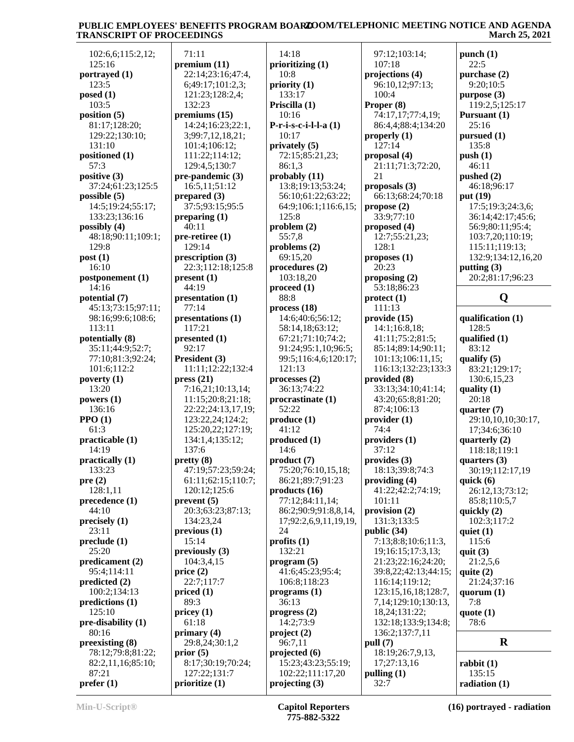| 102:6,6;115:2,12;  | 71:11              | 14:18                 | 97:12;103:14;            | punch $(1)$        |
|--------------------|--------------------|-----------------------|--------------------------|--------------------|
| 125:16             | premium (11)       | prioritizing (1)      | 107:18                   | 22:5               |
| portrayed (1)      | 22:14;23:16;47:4,  | 10:8                  | projections (4)          | purchase (2)       |
| 123:5              | 6;49:17;101:2,3;   | priority (1)          | 96:10,12;97:13;          | 9:20;10:5          |
| posed (1)          | 121:23;128:2,4;    | 133:17                | 100:4                    | purpose (3)        |
| 103:5              | 132:23             | Priscilla (1)         | Proper (8)               | 119:2,5;125:17     |
| position $(5)$     |                    |                       | 74:17,17;77:4,19;        |                    |
|                    | premiums $(15)$    | 10:16                 |                          | Pursuant $(1)$     |
| 81:17;128:20;      | 14:24;16:23;22:1,  | $P-r-i-s-c-i-l-a(1)$  | 86:4,4;88:4;134:20       | 25:16              |
| 129:22;130:10;     | 3;99:7,12,18,21;   | 10:17                 | properly $(1)$           | pursued(1)         |
| 131:10             | 101:4;106:12;      | privately (5)         | 127:14                   | 135:8              |
| positioned (1)     | 111:22;114:12;     | 72:15;85:21,23;       | proposal (4)             | push(1)            |
| 57:3               | 129:4,5;130:7      | 86:1,3                | 21:11;71:3;72:20,        | 46:11              |
| positive (3)       | pre-pandemic (3)   | probability(11)       | 21                       | pushed $(2)$       |
| 37:24;61:23;125:5  | 16:5,11;51:12      | 13:8;19:13;53:24;     | proposals (3)            | 46:18;96:17        |
| possible (5)       | prepared $(3)$     | 56:10;61:22;63:22;    | 66:13;68:24;70:18        | put (19)           |
| 14:5;19:24;55:17;  | 37:5;93:15;95:5    | 64:9;106:1;116:6,15;  | propose $(2)$            | 17:5;19:3;24:3,6;  |
| 133:23;136:16      | preparing $(1)$    | 125:8                 | 33:9;77:10               | 36:14;42:17;45:6;  |
| possibly (4)       | 40:11              | problem(2)            | proposed (4)             | 56:9;80:11;95:4;   |
| 48:18;90:11;109:1; | $pre-retiree(1)$   | 55:7,8                | 12:7;55:21,23;           | 103:7,20;110:19;   |
|                    | 129:14             | problems $(2)$        | 128:1                    |                    |
| 129:8              |                    |                       |                          | 115:11;119:13;     |
| post(1)            | prescription (3)   | 69:15,20              | proposes(1)              | 132:9;134:12,16,20 |
| 16:10              | 22:3;112:18;125:8  | procedures (2)        | 20:23                    | putting $(3)$      |
| postponement (1)   | present(1)         | 103:18,20             | proposing $(2)$          | 20:2;81:17:96:23   |
| 14:16              | 44:19              | proceed $(1)$         | 53:18;86:23              |                    |
| potential (7)      | presentation (1)   | 88:8                  | $\text{protect} (1)$     | Q                  |
| 45:13;73:15;97:11; | 77:14              | process(18)           | 111:13                   |                    |
| 98:16;99:6;108:6;  | presentations (1)  | 14:6;40:6;56:12;      | provide (15)             | qualification (1)  |
| 113:11             | 117:21             | 58:14,18;63:12;       | 14:1;16:8,18;            | 128:5              |
| potentially (8)    | presented (1)      | 67:21;71:10;74:2;     | 41:11;75:2;81:5;         | qualified (1)      |
| 35:11;44:9;52:7;   | 92:17              | 91:24;95:1,10;96:5;   | 85:14;89:14;90:11;       | 83:12              |
| 77:10;81:3;92:24;  | President (3)      | 99:5;116:4,6;120:17;  | 101:13;106:11,15;        | qualify $(5)$      |
| 101:6;112:2        | 11:11;12:22;132:4  | 121:13                | 116:13;132:23;133:3      |                    |
|                    |                    |                       |                          | 83:21;129:17;      |
| poverty (1)        | pres(21)           | processes(2)          | provided (8)             | 130:6, 15, 23      |
| 13:20              | 7:16,21;10:13,14;  | 36:13;74:22           | 33:13;34:10;41:14;       | quality $(1)$      |
| powers (1)         | 11:15;20:8;21:18;  | procrastinate (1)     | 43:20;65:8;81:20;        | 20:18              |
| 136:16             | 22:22;24:13,17,19; | 52:22                 | 87:4;106:13              | quarter $(7)$      |
| $PPO (1)$          | 123:22,24;124:2;   | produce (1)           | provider(1)              | 29:10,10,10;30:17, |
| 61:3               | 125:20,22;127:19;  | 41:12                 | 74:4                     | 17;34:6;36:10      |
| practicable (1)    | 134:1,4;135:12;    | produced (1)          | providers (1)            | quarterly $(2)$    |
| 14:19              | 137:6              | 14:6                  | 37:12                    | 118:18;119:1       |
| practically (1)    | pretty(8)          | product(7)            | provides (3)             | quarters $(3)$     |
| 133:23             | 47:19;57:23;59:24; | 75:20;76:10,15,18;    | 18:13;39:8;74:3          | 30:19;112:17,19    |
| pre(2)             | 61:11;62:15;110:7; | 86:21;89:7;91:23      | providing $(4)$          | quick $(6)$        |
| 128:1,11           | 120:12;125:6       |                       | 41:22;42:2;74:19;        |                    |
|                    |                    | products(16)          |                          | 26:12,13;73:12;    |
| precedence (1)     | prevent(5)         | 77:12;84:11,14;       | 101:11                   | 85:8;110:5,7       |
| 44:10              | 20:3;63:23;87:13;  | 86:2;90:9;91:8,8,14,  | provision $(2)$          | quickly (2)        |
| precisely (1)      | 134:23,24          | 17;92:2,6,9,11,19,19, | 131:3:133:5              | 102:3;117:2        |
| 23:11              | previous(1)        | 24                    | public $(34)$            | quiet $(1)$        |
| preclude (1)       | 15:14              | profits(1)            | 7:13;8:8;10:6;11:3,      | 115:6              |
| 25:20              | previously $(3)$   | 132:21                | 19;16:15;17:3,13;        | quit $(3)$         |
| predicament (2)    | 104:3,4,15         | program (5)           | 21:23;22:16;24:20;       | 21:2,5,6           |
| 95:4;114:11        | price $(2)$        | 41:6;45:23;95:4;      | 39:8,22;42:13;44:15;     | quite $(2)$        |
| predicted (2)      | 22:7;117:7         | 106:8;118:23          | 116:14;119:12;           | 21:24;37:16        |
| 100:2;134:13       | priced(1)          | programs(1)           | 123:15, 16, 18; 128:7,   | quorum $(1)$       |
| predictions (1)    | 89:3               | 36:13                 | 7, 14; 129: 10; 130: 13, | 7:8                |
| 125:10             |                    |                       |                          |                    |
|                    | pricey(1)          | progress (2)          | 18,24;131:22;            | quote $(1)$        |
| pre-disability (1) | 61:18              | 14:2;73:9             | 132:18;133:9;134:8;      | 78:6               |
| 80:16              | primary $(4)$      | project(2)            | 136:2;137:7,11           |                    |
| preexisting (8)    | 29:8,24;30:1,2     | 96:7,11               | pull (7)                 | $\mathbf R$        |
| 78:12;79:8;81:22;  | prior(5)           | projected (6)         | 18:19;26:7,9,13,         |                    |
| 82:2,11,16;85:10;  | 8:17;30:19;70:24;  | 15:23;43:23;55:19;    | 17;27:13,16              | rabbit(1)          |
| 87:21              | 127:22;131:7       | 102:22;111:17,20      | pulling $(1)$            | 135:15             |
|                    |                    |                       |                          |                    |

**prioritize (1)**

**prefer (1)**

**Min-U-Script® Capitol Reporters 775-882-5322**

32:7

**projecting (3)**

**radiation (1)**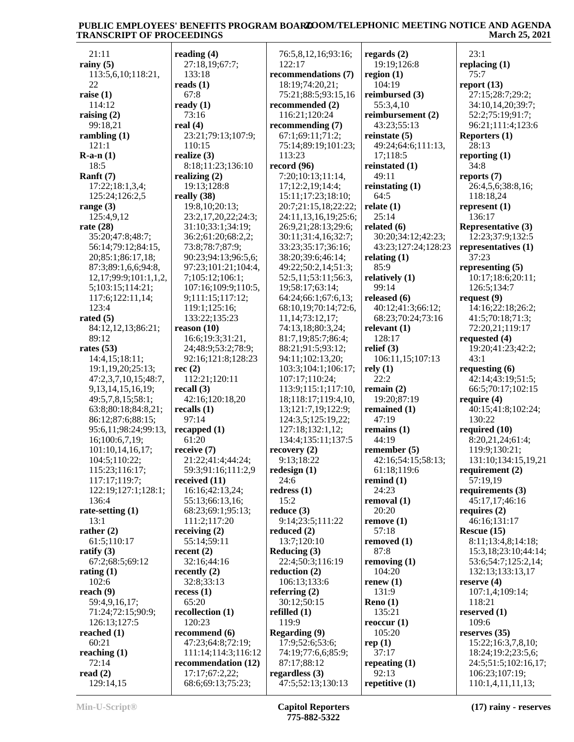| 21:11                        | reading $(4)$       | 76:5,8,12,16;93:16;  | regards $(2)$       | 23:1                      |
|------------------------------|---------------------|----------------------|---------------------|---------------------------|
| rainy $(5)$                  | 27:18,19;67:7;      | 122:17               | 19:19;126:8         | replacing $(1)$           |
| 113:5,6,10;118:21,           | 133:18              | recommendations (7)  | region $(1)$        | 75:7                      |
| 22                           | reads $(1)$         | 18:19;74:20,21;      | 104:19              | report $(13)$             |
| raise $(1)$                  | 67:8                | 75:21;88:5;93:15,16  | reimbursed (3)      | 27:15;28:7;29:2;          |
| 114:12                       | ready $(1)$         | recommended (2)      | 55:3,4,10           | 34:10,14,20;39:7;         |
| raising $(2)$                | 73:16               | 116:21;120:24        | reimbursement (2)   | 52:2;75:19;91:7;          |
| 99:18,21                     | real $(4)$          | recommending $(7)$   | 43:23;55:13         | 96:21;111:4;123:6         |
| rambling $(1)$               | 23:21;79:13;107:9;  | 67:1;69:11;71:2;     | reinstate $(5)$     | Reporters (1)             |
| 121:1                        | 110:15              | 75:14;89:19;101:23;  | 49:24;64:6;111:13,  | 28:13                     |
| $R-a-n(1)$                   | realize $(3)$       | 113:23               | 17;118:5            | reporting $(1)$           |
| 18:5                         | 8:18;11:23;136:10   | record (96)          | reinstated (1)      | 34:8                      |
| Ranft $(7)$                  | realizing $(2)$     | 7:20;10:13;11:14,    | 49:11               | reports $(7)$             |
| 17:22;18:1,3,4;              | 19:13;128:8         | 17;12:2,19;14:4;     | reinstating $(1)$   | 26:4,5,6;38:8,16;         |
| 125:24;126:2,5               | really $(38)$       | 15:11;17:23;18:10;   | 64:5                | 118:18,24                 |
|                              | 19:8, 10:20:13;     |                      |                     |                           |
| range $(3)$                  |                     | 20:7;21:15,18;22:22; | relate $(1)$        | represent $(1)$           |
| 125:4,9,12                   | 23:2,17,20,22;24:3; | 24:11,13,16,19;25:6; | 25:14               | 136:17                    |
| rate $(28)$                  | 31:10;33:1;34:19;   | 26:9,21;28:13;29:6;  | related $(6)$       | <b>Representative (3)</b> |
| 35:20;47:8;48:7;             | 36:2;61:20;68:2,2;  | 30:11;31:4,16;32:7;  | 30:20;34:12;42:23;  | 12:23;37:9;132:5          |
| 56:14;79:12;84:15,           | 73:8;78:7;87:9;     | 33:23;35:17;36:16;   | 43:23;127:24;128:23 | representatives (1)       |
| 20;85:1;86:17,18;            | 90:23;94:13;96:5,6; | 38:20;39:6;46:14;    | relating $(1)$      | 37:23                     |
| 87:3;89:1,6,6;94:8,          | 97:23;101:21;104:4, | 49:22;50:2,14;51:3;  | 85:9                | representing $(5)$        |
| 12, 17; 99: 9; 101: 1, 1, 2, | 7;105:12;106:1;     | 52:5,11:53:11:56:3,  | relatively (1)      | 10:17;18:6;20:11;         |
| 5;103:15;114:21;             | 107:16;109:9;110:5, | 19;58:17;63:14;      | 99:14               | 126:5;134:7               |
| 117:6;122:11,14;             | 9;111:15;117:12;    | 64:24;66:1;67:6,13;  | released (6)        | request $(9)$             |
| 123:4                        | 119:1;125:16;       | 68:10,19;70:14;72:6, | 40:12;41:3;66:12;   | 14:16;22:18;26:2;         |
| rated $(5)$                  | 133:22;135:23       | 11, 14; 73: 12, 17;  | 68:23;70:24;73:16   | 41:5;70:18;71:3;          |
| 84:12,12,13;86:21;           | reason (10)         | 74:13,18;80:3,24;    | relevant $(1)$      | 72:20,21;119:17           |
| 89:12                        | 16:6;19:3;31:21,    | 81:7,19;85:7;86:4;   | 128:17              | requested (4)             |
| rates $(53)$                 | 24;48:9;53:2;78:9;  | 88:21;91:5;93:12;    | relief $(3)$        | 19:20;41:23;42:2;         |
| 14:4,15;18:11;               | 92:16;121:8;128:23  | 94:11;102:13,20;     | 106:11,15;107:13    | 43:1                      |
| 19:1,19,20;25:13;            | rec(2)              | 103:3;104:1;106:17;  | rely(1)             | requesting (6)            |
|                              |                     |                      | 22:2                |                           |
| 47:2,3,7,10,15;48:7,         | 112:21;120:11       | 107:17;110:24;       |                     | 42:14;43:19;51:5;         |
| 9, 13, 14, 15, 16, 19;       | recall $(3)$        | 113:9;115:1;117:10,  | remain $(2)$        | 66:5;70:17;102:15         |
| 49:5,7,8,15;58:1;            | 42:16;120:18,20     | 18;118:17;119:4,10,  | 19:20;87:19         | require $(4)$             |
| 63:8;80:18;84:8,21;          | recalls $(1)$       | 13;121:7,19;122:9;   | remained (1)        | 40:15;41:8;102:24;        |
| 86:12;87:6;88:15;            | 97:14               | 124:3,5;125:19,22;   | 47:19               | 130:22                    |
| 95:6,11;98:24;99:13,         | recapped $(1)$      | 127:18;132:1,12;     | remains $(1)$       | required $(10)$           |
| 16;100:6,7,19;               | 61:20               | 134:4;135:11;137:5   | 44:19               | 8:20,21,24;61:4;          |
| 101:10,14,16,17;             | receive $(7)$       | recovery(2)          | remember $(5)$      | 119:9;130:21;             |
| 104:5;110:22;                | 21:22;41:4;44:24;   | 9:13;18:22           | 42:16;54:15;58:13;  | 131:10;134:15,19,21       |
| 115:23;116:17;               | 59:3;91:16;111:2,9  | redesign $(1)$       | 61:18;119:6         | requirement $(2)$         |
| 117:17;119:7;                | received $(11)$     | 24:6                 | remind $(1)$        | 57:19,19                  |
| 122:19;127:1;128:1;          | 16:16;42:13,24;     | redress $(1)$        | 24:23               | requirements (3)          |
| 136:4                        | 55:13;66:13,16;     | 15:2                 | removal (1)         | 45:17,17;46:16            |
| rate-setting $(1)$           | 68:23;69:1;95:13;   | reduce $(3)$         | 20:20               | requires $(2)$            |
| 13:1                         | 111:2;117:20        | 9:14;23:5;111:22     | remove(1)           | 46:16;131:17              |
| rather $(2)$                 | receiving $(2)$     | reduced $(2)$        | 57:18               | Rescue $(15)$             |
| 61:5;110:17                  | 55:14;59:11         | 13:7;120:10          | removed $(1)$       | 8:11;13:4,8;14:18;        |
| ratify $(3)$                 | recent $(2)$        | Reducing (3)         | 87:8                | 15:3,18;23:10;44:14;      |
| 67:2;68:5;69:12              | 32:16;44:16         | 22:4;50:3;116:19     | removing $(1)$      | 53:6;54:7;125:2,14;       |
|                              | recently $(2)$      | reduction $(2)$      | 104:20              | 132:13;133:13,17          |
| rating $(1)$                 |                     |                      |                     |                           |
| 102:6                        | 32:8;33:13          | 106:13;133:6         | renew $(1)$         | reserve $(4)$             |
| reach $(9)$                  | recess(1)           | referring $(2)$      | 131:9               | 107:1,4;109:14;           |
| 59:4,9,16,17;                | 65:20               | 30:12:50:15          | Reno $(1)$          | 118:21                    |
| 71:24;72:15;90:9;            | recollection (1)    | refilled $(1)$       | 135:21              | reserved $(1)$            |
| 126:13;127:5                 | 120:23              | 119:9                | reoccur $(1)$       | 109:6                     |
| reached $(1)$                | recommend (6)       | Regarding (9)        | 105:20              | reserves (35)             |
| 60:21                        | 47:23;64:8;72:19;   | 17:9;52:6;53:6;      | rep(1)              | 15:22;16:3,7,8,10;        |
| reaching $(1)$               | 111:14;114:3;116:12 | 74:19;77:6,6;85:9;   | 37:17               | 18:24;19:2;23:5,6;        |
| 72:14                        | recommendation (12) | 87:17;88:12          | repeating $(1)$     | 24:5;51:5;102:16,17;      |
| read $(2)$                   | 17:17;67:2,22;      | regardless $(3)$     | 92:13               | 106:23;107:19;            |
| 129:14,15                    | 68:6;69:13;75:23;   | 47:5;52:13;130:13    | repetitive $(1)$    | 110:1,4,11,11,13;         |
|                              |                     |                      |                     |                           |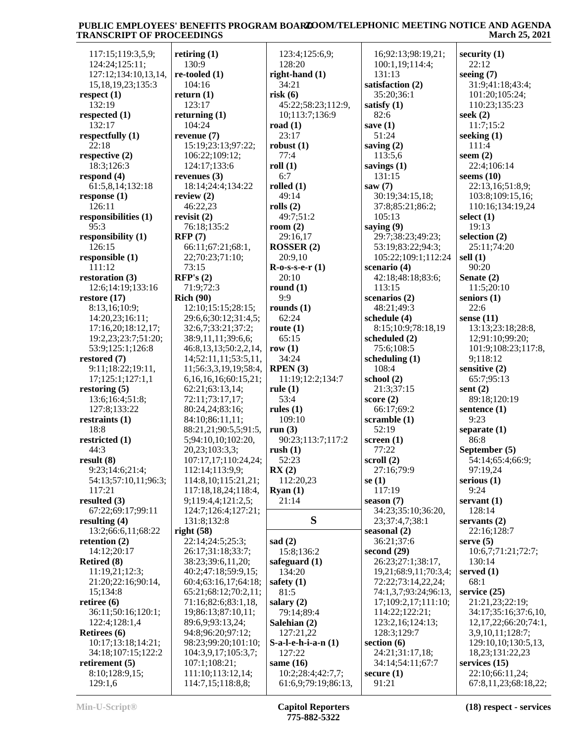| 117:15;119:3,5,9;        | retiring $(1)$             | 123:4;125:6,9;                 | 16;92:13;98:19,21;         | security $(1)$             |
|--------------------------|----------------------------|--------------------------------|----------------------------|----------------------------|
| 124:24;125:11;           | 130:9                      | 128:20                         | 100:1,19;114:4;            | 22:12                      |
| 127:12;134:10,13,14,     | $re$ -tooled $(1)$         | right-hand (1)                 | 131:13                     | seeing $(7)$               |
| 15, 18, 19, 23; 135: 3   | 104:16                     | 34:21                          | satisfaction (2)           | 31:9;41:18;43:4;           |
| respect $(1)$            | return $(1)$               | risk(6)                        | 35:20;36:1                 | 101:20;105:24;             |
| 132:19                   | 123:17                     | 45:22;58:23;112:9,             | satisfy $(1)$              | 110:23;135:23              |
| respected (1)            | returning $(1)$            | 10;113:7;136:9                 | 82:6                       | seek $(2)$                 |
| 132:17                   | 104:24                     | road $(1)$                     | save $(1)$                 | 11:7;15:2                  |
| respectfully (1)         | revenue $(7)$              | 23:17                          | 51:24                      | seeking $(1)$              |
| 22:18                    | 15:19;23:13;97:22;         | robust $(1)$                   | saving $(2)$               | 111:4                      |
| respective $(2)$         | 106:22;109:12;             | 77:4                           | 113:5,6                    | seem $(2)$                 |
| 18:3;126:3               | 124:17;133:6               | roll(1)                        | savings $(1)$              | 22:4;106:14                |
| respond $(4)$            | revenues $(3)$             | 6:7                            | 131:15                     | seems $(10)$               |
| 61:5,8,14;132:18         | 18:14;24:4;134:22          | rolled $(1)$                   | saw $(7)$                  | 22:13,16;51:8,9;           |
| response $(1)$           | review $(2)$               | 49:14                          | 30:19;34:15,18;            | 103:8;109:15,16;           |
| 126:11                   | 46:22,23                   | rolls $(2)$                    | 37:8;85:21;86:2;           | 110:16;134:19,24           |
| responsibilities (1)     | revisit $(2)$              | 49:7;51:2                      | 105:13                     | select $(1)$               |
| 95:3                     | 76:18;135:2                | room $(2)$                     | saying (9)                 | 19:13                      |
| responsibility (1)       | RFP(7)                     | 29:16,17                       | 29:7;38:23;49:23;          | selection $(2)$            |
| 126:15                   | 66:11;67:21;68:1,          | ROSSER(2)                      | 53:19;83:22;94:3;          | 25:11;74:20                |
| responsible (1)          | 22;70:23;71:10;            | 20:9,10                        | 105:22;109:1;112:24        | sell $(1)$                 |
| 111:12                   | 73:15                      | $R-0-S-S-e-r(1)$               | scenario (4)               | 90:20                      |
| restoration $(3)$        | RFP's(2)                   | 20:10                          | 42:18;48:18;83:6;          | Senate $(2)$               |
| 12:6;14:19;133:16        | 71:9;72:3                  | round $(1)$                    | 113:15                     | 11:5;20:10                 |
| restore $(17)$           | <b>Rich (90)</b>           | 9:9                            | scenarios (2)              | seniors $(1)$              |
| 8:13,16;10:9;            | 12:10;15:15;28:15;         | rounds $(1)$                   | 48:21;49:3                 | 22:6                       |
| 14:20,23;16:11;          | 29:6,6;30:12;31:4,5;       | 62:24                          | schedule (4)               | sense $(11)$               |
| 17:16,20;18:12,17;       | 32:6,7;33:21;37:2;         | route $(1)$                    | 8:15;10:9;78:18,19         | 13:13;23:18;28:8,          |
| 19:2,23;23:7;51:20;      | 38:9,11,11;39:6,6;         | 65:15                          | scheduled (2)              | 12;91:10;99:20;            |
| 53:9;125:1;126:8         | 46:8,13,13;50:2,2,14,      | row $(1)$                      | 75:6;108:5                 | 101:9;108:23;117:8,        |
| restored $(7)$           | 14;52:11,11;53:5,11,       | 34:24                          | scheduling $(1)$           | 9;118:12                   |
| 9:11;18:22;19:11,        | 11;56:3,3,19,19;58:4,      | RPEN(3)                        | 108:4                      | sensitive (2)              |
| 17;125:1;127:1,1         | 6, 16, 16, 16; 60: 15, 21; | 11:19;12:2;134:7               | school (2)                 | 65:7;95:13                 |
| restoring $(5)$          | 62:21;63:13,14;            | rule $(1)$                     | 21:3;37:15                 | sent $(2)$                 |
| 13:6;16:4;51:8;          | 72:11;73:17,17;            | 53:4                           | score $(2)$                | 89:18;120:19               |
|                          |                            |                                |                            |                            |
| 127:8;133:22             | 80:24,24;83:16;            | rules $(1)$<br>109:10          | 66:17;69:2<br>scramble (1) | sentence (1)<br>9:23       |
| restraints $(1)$<br>18:8 | 84:10;86:11,11;            |                                | 52:19                      |                            |
|                          | 88:21,21;90:5,5;91:5,      | run $(3)$<br>90:23;113:7;117:2 |                            | separate $(1)$<br>86:8     |
| restricted (1)           | 5;94:10,10;102:20,         |                                | screen $(1)$               |                            |
| 44:3                     | 20,23;103:3,3;             | rush(1)                        | 77:22                      | September (5)              |
| result(8)                | 107:17,17;110:24,24;       | 52:23                          | scroll $(2)$               | 54:14;65:4;66:9;           |
| 9:23;14:6;21:4;          | 112:14;113:9,9;            | RX(2)                          | 27:16;79:9                 | 97:19,24                   |
| 54:13;57:10,11;96:3;     | 114:8, 10; 115:21, 21;     | 112:20,23                      | se $(1)$                   | serious $(1)$              |
| 117:21                   | 117:18,18,24;118:4,        | $\mathbf{R}$ yan $(1)$         | 117:19                     | 9:24                       |
| resulted $(3)$           | 9;119:4,4;121:2,5;         | 21:14                          | season $(7)$               | servant $(1)$              |
| 67:22;69:17;99:11        | 124:7;126:4;127:21;        |                                | 34:23;35:10;36:20,         | 128:14                     |
| resulting $(4)$          | 131:8:132:8                | S                              | 23;37:4,7;38:1             | servants $(2)$             |
| 13:2;66:6,11;68:22       | right $(58)$               |                                | seasonal $(2)$             | 22:16;128:7                |
| retention $(2)$          | 22:14:24:5:25:3;           | sad $(2)$                      | 36:21;37:6                 | serve $(5)$                |
| 14:12;20:17              | 26:17;31:18;33:7;          | 15:8;136:2                     | second $(29)$              | 10:6,7;71:21;72:7;         |
| <b>Retired</b> (8)       | 38:23;39:6,11,20;          | safeguard $(1)$                | 26:23;27:1;38:17,          | 130:14                     |
| 11:19,21;12:3;           | 40:2;47:18;59:9,15;        | 134:20                         | 19,21;68:9,11;70:3,4;      | served $(1)$               |
| 21:20;22:16;90:14,       | 60:4;63:16,17;64:18;       | safety $(1)$                   | 72:22;73:14,22,24;         | 68:1                       |
| 15;134:8                 | 65:21;68:12;70:2,11;       | 81:5                           | 74:1,3,7;93:24;96:13,      | service $(25)$             |
| retiree $(6)$            | 71:16;82:6;83:1,18,        | salary $(2)$                   | 17;109:2,17;111:10;        | 21:21,23;22:19;            |
| 36:11;50:16;120:1;       | 19;86:13;87:10,11;         | 79:14;89:4                     | 114:22;122:21;             | 34:17;35:16;37:6,10,       |
| 122:4;128:1,4            | 89:6,9;93:13,24;           | Salehian (2)                   | 123:2,16;124:13;           | 12, 17, 22; 66: 20; 74: 1, |
| <b>Retirees</b> (6)      | 94:8;96:20;97:12;          | 127:21,22                      | 128:3;129:7                | 3,9,10,11;128:7;           |
| 10:17;13:18;14:21;       | 98:23;99:20;101:10;        | $S-a-l-e-h-i-a-n(1)$           | section $(6)$              | 129:10,10;130:5,13,        |
| 34:18;107:15;122:2       | 104:3,9,17;105:3,7;        | 127:22                         | 24:21;31:17,18;            | 18,23;131:22,23            |
| retirement $(5)$         | 107:1;108:21;              | same $(16)$                    | 34:14;54:11;67:7           | services $(15)$            |
| 8:10;128:9,15;           | 111:10;113:12,14;          | 10:2;28:4;42:7,7;              | secure $(1)$               | 22:10;66:11,24;            |
| 129:1,6                  | 114:7,15;118:8,8;          | 61:6,9;79:19;86:13,            | 91:21                      | 67:8,11,23;68:18,22;       |
|                          |                            |                                |                            |                            |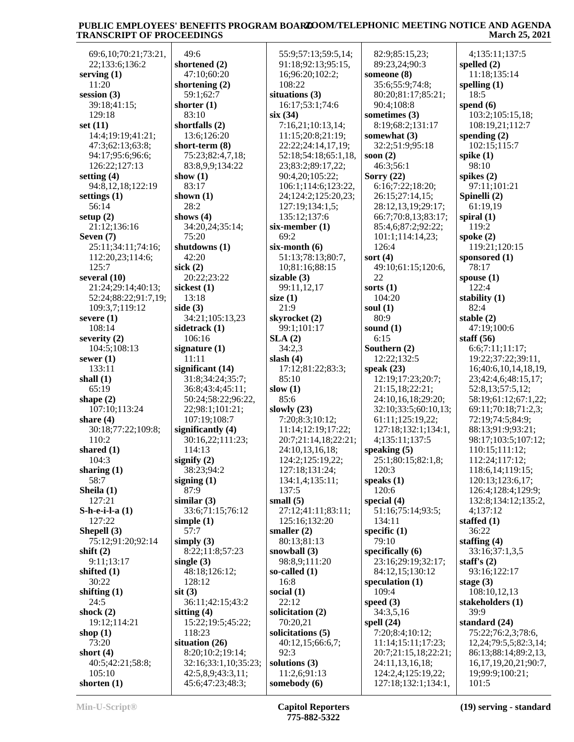69:6,10;70:21;73:21, 22;133:6;136:2 **serving (1)** 11:20 **session (3)** 39:18;41:15; 129:18 **set (11)** 14:4;19:19;41:21; 47:3;62:13;63:8; 94:17;95:6;96:6; 126:22;127:13 **setting (4)** 94:8,12,18;122:19 **settings (1)** 56:14 **setup (2)** 21:12;136:16 **Seven (7)** 25:11;34:11;74:16; 112:20,23;114:6; 125:7 **several (10)** 21:24;29:14;40:13; 52:24;88:22;91:7,19; 109:3,7;119:12 **severe (1)** 108:14 **severity (2)** 104:5;108:13 **sewer (1)** 133:11 **shall (1)** 65:19 **shape (2)** 107:10;113:24 **share (4)** 30:18;77:22;109:8; 110:2 **shared (1)** 104:3 **sharing (1)** 58:7 **Sheila (1)** 127:21 **S-h-e-i-l-a (1)** 127:22 **Shepell (3)** 75:12;91:20;92:14 **shift (2)** 9:11;13:17 **shifted (1)** 30:22 **shifting (1)** 24:5 **shock (2)** 19:12;114:21 **shop (1)** 73:20 **short (4)** 40:5;42:21;58:8; 105:10 **shorten (1)**

 49:6 **shortened (2)** 47:10;60:20 **shortening (2)** 59:1;62:7 **shorter (1)** 83:10 **shortfalls (2)** 13:6;126:20 **short-term (8)** 75:23;82:4,7,18; 83:8,9,9;134:22 **show (1)** 83:17 **shown (1)** 28:2 **shows (4)** 34:20,24;35:14; 75:20 **shutdowns (1)** 42:20 **sick (2)** 20:22;23:22 **sickest (1)** 13:18 **side (3)** 34:21;105:13,23 **sidetrack (1)** 106:16 **signature (1)** 11:11 **significant (14)** 31:8;34:24;35:7; 36:8;43:4;45:11; 50:24;58:22;96:22, 22;98:1;101:21; 107:19;108:7 **significantly (4)** 30:16,22;111:23; 114:13 **signify (2)** 38:23;94:2 **signing (1)** 87:9 **similar (3)** 33:6;71:15;76:12 **simple (1)** 57:7 **simply (3)** 8:22;11:8;57:23 **single (3)** 48:18;126:12; 128:12 **sit (3)** 36:11;42:15;43:2 **sitting (4)** 15:22;19:5;45:22; 118:23 **situation (26)** 8:20;10:2;19:14; 32:16;33:1,10;35:23; 42:5,8,9;43:3,11; 45:6;47:23;48:3;

 55:9;57:13;59:5,14; 91:18;92:13;95:15, 16;96:20;102:2; 108:22 **situations (3)** 16:17;53:1;74:6 **six (34)** 7:16,21;10:13,14; 11:15;20:8;21:19; 22:22;24:14,17,19; 52:18;54:18;65:1,18, 23;83:2;89:17,22; 90:4,20;105:22; 106:1;114:6;123:22, 24;124:2;125:20,23; 127:19;134:1,5; 135:12;137:6 **six-member (1)** 69:2 **six-month (6)** 51:13;78:13;80:7, 10;81:16;88:15 **sizable (3)** 99:11,12,17 **size (1)** 21:9 **skyrocket (2)** 99:1;101:17 **SLA (2)** 34:2,3 **slash (4)** 17:12;81:22;83:3; 85:10 **slow (1)** 85:6 **slowly (23)** 7:20;8:3;10:12; 11:14;12:19;17:22; 20:7;21:14,18;22:21; 24:10,13,16,18; 124:2;125:19,22; 127:18;131:24; 134:1,4;135:11; 137:5 **small (5)** 27:12;41:11;83:11; 125:16;132:20 **smaller (2)** 80:13;81:13 **snowball (3)** 98:8,9;111:20 **so-called (1)** 16:8 **social (1)** 22:12 **solicitation (2)** 70:20,21 **solicitations (5)** 40:12,15;66:6,7; 92:3 **solutions (3)** 11:2,6;91:13 **somebody (6)**

 82:9;85:15,23; 89:23,24;90:3 **someone (8)** 35:6;55:9;74:8; 80:20;81:17;85:21; 90:4;108:8 **sometimes (3)** 8:19;68:2;131:17 **somewhat (3)** 32:2;51:9;95:18 **soon (2)** 46:3;56:1 **Sorry (22)** 6:16;7:22;18:20; 26:15;27:14,15; 28:12,13,19;29:17; 66:7;70:8,13;83:17; 85:4,6;87:2;92:22; 101:1;114:14,23; 126:4 **sort (4)** 49:10;61:15;120:6, 22 **sorts (1)** 104:20 **soul (1)** 80:9 **sound (1)** 6:15 **Southern (2)** 12:22;132:5 **speak (23)** 12:19;17:23;20:7; 21:15,18;22:21; 24:10,16,18;29:20; 32:10;33:5;60:10,13; 61:11;125:19,22; 127:18;132:1;134:1, 4;135:11;137:5 **speaking (5)** 25:1;80:15;82:1,8; 120:3 **speaks (1)** 120:6 **special (4)** 51:16;75:14;93:5; 134:11 **specific (1)** 79:10 **specifically (6)** 23:16;29:19;32:17; 84:12,15;130:12 **speculation (1)** 109:4 **speed (3)** 34:3,5,16 **spell (24)** 7:20;8:4;10:12; 11:14;15:11;17:23; 20:7;21:15,18;22:21; 24:11,13,16,18; 124:2,4;125:19,22; 127:18;132:1;134:1,

 4;135:11;137:5 **spelled (2)** 11:18;135:14 **spelling (1)** 18:5 **spend (6)** 103:2;105:15,18; 108:19,21;112:7 **spending (2)** 102:15;115:7 **spike (1)** 98:10 **spikes (2)** 97:11;101:21 **Spinelli (2)** 61:19,19 **spiral (1)** 119:2 **spoke (2)** 119:21;120:15 **sponsored (1)** 78:17 **spouse (1)** 122:4 **stability (1)** 82:4 **stable (2)** 47:19;100:6 **staff (56)** 6:6;7:11;11:17; 19:22;37:22;39:11, 16;40:6,10,14,18,19, 23;42:4,6;48:15,17; 52:8,13;57:5,12; 58:19;61:12;67:1,22; 69:11;70:18;71:2,3; 72:19;74:5;84:9; 88:13;91:9;93:21; 98:17;103:5;107:12; 110:15;111:12; 112:24;117:12; 118:6,14;119:15; 120:13;123:6,17; 126:4;128:4;129:9; 132:8;134:12;135:2, 4;137:12 **staffed (1)** 36:22 **staffing (4)** 33:16;37:1,3,5 **staff's (2)** 93:16;122:17 **stage (3)** 108:10,12,13 **stakeholders (1)** 39:9 **standard (24)** 75:22;76:2,3;78:6, 12,24;79:5,5;82:3,14; 86:13;88:14;89:2,13, 16,17,19,20,21;90:7, 19;99:9;100:21; 101:5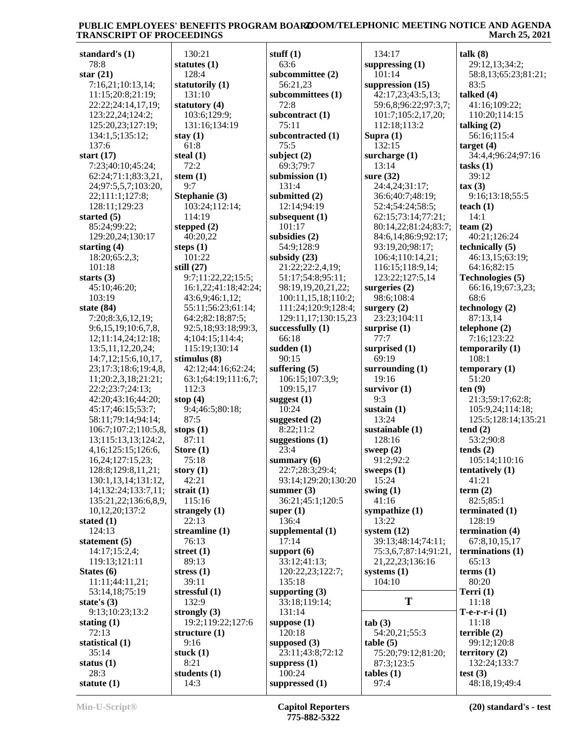| standard's (1)                              | $\mathbf{1}$                               |
|---------------------------------------------|--------------------------------------------|
| 78:8                                        | stat                                       |
| star $(21)$<br>7:16,21;10:13,14;            | 1<br>stat                                  |
| 11:15;20:8;21:19;                           | $\mathbf{1}$                               |
| 22:22;24:14,17,19;                          | stat                                       |
| 123:22,24;124:2;<br>125:20,23;127:19;       | 1<br>$\mathbf{1}$                          |
| 134:1,5;135:12;                             | stay                                       |
| 137:6                                       | 6                                          |
| start $(17)$<br>7:23;40:10;45:24;           | stea<br>7                                  |
| 62:24;71:1;83:3,21,                         | sten                                       |
| 24;97:5,5,7;103:20,                         | 9                                          |
| 22;111:1;127:8;<br>128:11;129:23            | Step<br>$1^{\scriptscriptstyle\mathsf{I}}$ |
| started (5)                                 | 1                                          |
| 85:24;99:22;                                | step                                       |
| 129:20,24;130:17                            | 4                                          |
| starting (4)<br>18:20;65:2,3;               | step<br>1                                  |
| 101:18                                      | still                                      |
| starts $(3)$                                | 9                                          |
| 45:10;46:20;                                | 1 <sub>0</sub>                             |
| 103:19<br>state (84)                        | $\overline{4}$<br>5.                       |
| 7:20;8:3,6,12,19;                           | 6                                          |
| 9:6,15,19;10:6,7,8,                         | 9                                          |
| 12;11:14,24;12:18;<br>13:5, 11, 12, 20, 24; | 4<br>1                                     |
| 14:7,12;15:6,10,17,                         | stin                                       |
| 23;17:3;18:6;19:4,8,                        | $\overline{4}$                             |
| 11;20:2,3,18;21:21;                         | 6                                          |
| 22:2;23:7;24:13;<br>42:20;43:16;44:20;      | $\mathbf{1}$<br>stop                       |
| 45:17;46:15;53:7;                           | 9                                          |
| 58:11;79:14;94:14;                          | 8                                          |
| 106:7;107:2;110:5,8,<br>13;115:13,13;124:2, | stop                                       |
| 4,16;125:15;126:6,                          | 8<br>Stor                                  |
| 16,24;127:15,23;                            | 7.                                         |
| 128:8;129:8,11,21;                          | stor                                       |
| 130:1,13,14;131:12,<br>14;132:24;133:7,11;  | 4<br>stra                                  |
| 135:21,22;136:6,8,9,                        | 1                                          |
| 10,12,20;137:2                              | stra                                       |
| stated (1)                                  | 2                                          |
| 124:13<br>statement (5)                     | stre<br>7                                  |
| 14:17;15:2,4;                               | stre                                       |
| 119:13;121:11                               | 8                                          |
| States (6)<br>11:11;44:11,21;               | stre<br>3                                  |
| 53:14,18;75:19                              | stre                                       |
| state's $(3)$                               | $1\overline{ }$                            |
| 9:13;10:23;13:2                             | stro                                       |
| stating $(1)$<br>72:13                      | $1^{\circ}$<br>stru                        |
| statistical (1)                             | 9                                          |
| 35:14                                       | stuc                                       |
| status $(1)$<br>28:3                        | 8<br>stud                                  |
| statute $(1)$                               | 1                                          |

 130:21 **statutes (1)** 128:4 **statutorily (1)** 131:10 **statutory (4)** 103:6;129:9; 131:16;134:19 **stay (1)** 61:8 **steal (1)** 72:2 **stem (1)** 9:7 **Stephanie (3)** 103:24;112:14; 114:19 **stepped (2)** 40:20,22 **steps (1)** 101:22 **still (27)** 9:7;11:22,22;15:5; 16:1,22;41:18;42:24; 43:6,9;46:1,12; 55:11;56:23;61:14; 64:2;82:18;87:5; 92:5,18;93:18;99:3, 4;104:15;114:4; 115:19;130:14 **stimulus (8)** 42:12;44:16;62:24; 63:1;64:19;111:6,7; 112:3 **stop (4)** 9:4;46:5;80:18; 87:5 **stops (1)** 87:11 **Store (1)** 75:18 **story (1)** 42:21 **strait (1)** 115:16 **strangely (1)** 22:13 **streamline (1)** 76:13 **street (1)** 89:13 **stress (1)** 39:11 **stressful (1)** 132:9 **strongly (3)** 19:2;119:22;127:6 **structure (1)** 9:16 **stuck (1)** 8:21 **students (1)** 14:3

**stuff (1)** 63:6 **subcommittee (2)** 56:21,23 **subcommittees (1)** 72:8 **subcontract (1)** 75:11 **subcontracted (1)** 75:5 **subject (2)** 69:3;79:7 **submission (1)** 131:4 **submitted (2)** 12:14;94:19 **subsequent (1)** 101:17 **subsidies (2)** 54:9;128:9 **subsidy (23)** 21:22;22:2,4,19; 51:17;54:8;95:11; 98:19,19,20,21,22; 100:11,15,18;110:2; 111:24;120:9;128:4; 129:11,17;130:15,23 **successfully (1)** 66:18 **sudden (1)** 90:15 **suffering (5)** 106:15;107:3,9; 109:15,17 **suggest (1)** 10:24 **suggested (2)** 8:22;11:2 **suggestions (1)** 23:4 **summary (6)** 22:7;28:3;29:4; 93:14;129:20;130:20 **summer (3)** 36:21;45:1;120:5 **super (1)** 136:4 **supplemental (1)** 17:14 **support (6)** 33:12;41:13; 120:22,23;122:7; 135:18 **supporting (3)** 33:18;119:14; 131:14 **suppose (1)** 120:18 **supposed (3)** 23:11;43:8;72:12 **suppress (1)** 100:24 **suppressed (1)**

 134:17 **suppressing (1)** 101:14 **suppression (15)** 42:17,23;43:5,13; 59:6,8;96:22;97:3,7; 101:7;105:2,17,20; 112:18;113:2 **Supra (1)** 132:15 **surcharge (1)** 13:14 **sure (32)** 24:4,24;31:17; 36:6;40:7;48:19; 52:4;54:24;58:5; 62:15;73:14;77:21; 80:14,22;81:24;83:7; 84:6,14;86:9;92:17; 93:19,20;98:17; 106:4;110:14,21; 116:15;118:9,14; 123:22;127:5,14 **surgeries (2)** 98:6;108:4 **surgery (2)** 23:23;104:11 **surprise (1)** 77:7 **surprised (1)** 69:19 **surrounding (1)** 19:16 **survivor (1)** 9:3 **sustain (1)** 13:24 **sustainable (1)** 128:16 **sweep (2)** 91:2;92:2 **sweeps (1)** 15:24 **swing (1)** 41:16 **sympathize (1)** 13:22 **system (12)** 39:13;48:14;74:11; 75:3,6,7;87:14;91:21, 21,22,23;136:16 **systems (1)** 104:10 **T tab (3)** 54:20,21;55:3 **table (5)** 75:20;79:12;81:20; 87:3;123:5 **tables (1)** 97:4

**talk (8)** 29:12,13;34:2; 58:8,13;65:23;81:21; 83:5 **talked (4)** 41:16;109:22; 110:20;114:15 **talking (2)** 56:16;115:4 **target (4)** 34:4,4;96:24;97:16 **tasks (1)** 39:12 **tax (3)** 9:16;13:18;55:5 **teach (1)** 14:1 **team (2)** 40:21;126:24 **technically (5)** 46:13,15;63:19; 64:16;82:15 **Technologies (5)** 66:16,19;67:3,23; 68:6 **technology (2)** 87:13,14 **telephone (2)** 7:16;123:22 **temporarily (1)** 108:1 **temporary (1)** 51:20 **ten (9)** 21:3;59:17;62:8; 105:9,24;114:18; 125:5;128:14;135:21 **tend (2)** 53:2;90:8 **tends (2)** 105:14;110:16 **tentatively (1)** 41:21 **term (2)** 82:5;85:1 **terminated (1)** 128:19 **termination (4)** 67:8,10,15,17 **terminations (1)** 65:13 **terms (1)** 80:20 **Terri (1)** 11:18 **T-e-r-r-i (1)** 11:18 **terrible (2)** 99:12;120:8 **territory (2)** 132:24;133:7 **test (3)** 48:18,19;49:4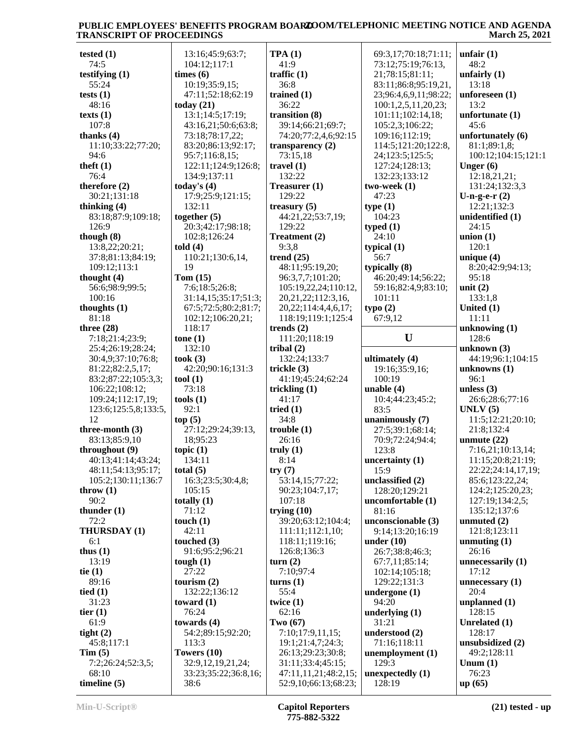| tested $(1)$         | 13:16;45:9;63:7;     | TPA(1)                    | 69:3,17;70:18;71:11;  | unfair $(1)$        |
|----------------------|----------------------|---------------------------|-----------------------|---------------------|
| 74:5                 | 104:12;117:1         | 41:9                      | 73:12;75:19;76:13,    | 48:2                |
| testifying $(1)$     | times (6)            | traffic $(1)$             | 21;78:15;81:11;       | unfairly $(1)$      |
| 55:24                | 10:19;35:9,15;       | 36:8                      | 83:11;86:8;95:19,21,  | 13:18               |
| tests $(1)$          | 47:11;52:18;62:19    | trained $(1)$             | 23;96:4,6,9,11;98:22; | unforeseen $(1)$    |
| 48:16                | today $(21)$         | 36:22                     | 100:1,2,5,11,20,23;   | 13:2                |
| texts $(1)$          | 13:1;14:5;17:19;     | transition (8)            | 101:11;102:14,18;     | unfortunate $(1)$   |
|                      |                      |                           |                       |                     |
| 107:8                | 43:16,21;50:6;63:8;  | 39:14;66:21;69:7;         | 105:2,3;106:22;       | 45:6                |
| thanks $(4)$         | 73:18;78:17,22;      | 74:20;77:2,4,6;92:15      | 109:16;112:19;        | unfortunately (6)   |
| 11:10;33:22;77:20;   | 83:20;86:13;92:17;   | transparency $(2)$        | 114:5;121:20;122:8,   | 81:1;89:1,8;        |
| 94:6                 | 95:7;116:8,15;       | 73:15,18                  | 24;123:5;125:5;       | 100:12;104:15;121:1 |
| theft $(1)$          | 122:11;124:9;126:8;  | travel $(1)$              | 127:24;128:13;        | Unger $(6)$         |
| 76:4                 | 134:9;137:11         | 132:22                    | 132:23;133:12         | 12:18,21,21;        |
| therefore $(2)$      | today's $(4)$        | Treasurer (1)             | two-week (1)          | 131:24;132:3,3      |
| 30:21;131:18         | 17:9;25:9;121:15;    | 129:22                    | 47:23                 | U-n-g-e- $r(2)$     |
| thinking $(4)$       | 132:11               | treasury $(5)$            | type(1)               | 12:21;132:3         |
| 83:18;87:9;109:18;   | together $(5)$       | 44:21,22;53:7,19;         | 104:23                | unidentified (1)    |
| 126:9                |                      | 129:22                    |                       | 24:15               |
|                      | 20:3;42:17;98:18;    |                           | typed $(1)$           |                     |
| though $(8)$         | 102:8;126:24         | Treatment (2)             | 24:10                 | union $(1)$         |
| 13:8,22;20:21;       | told(4)              | 9:3,8                     | typical $(1)$         | 120:1               |
| 37:8;81:13;84:19;    | 110:21;130:6,14,     | trend $(25)$              | 56:7                  | unique $(4)$        |
| 109:12;113:1         | 19                   | 48:11;95:19,20;           | typically (8)         | 8:20;42:9;94:13;    |
| thought $(4)$        | Tom $(15)$           | 96:3,7,7;101:20;          | 46:20;49:14;56:22;    | 95:18               |
| 56:6;98:9;99:5;      | 7:6;18:5;26:8;       | 105:19,22,24;110:12,      | 59:16;82:4,9;83:10;   | unit $(2)$          |
| 100:16               | 31:14,15;35:17;51:3; | 20, 21, 22; 112: 3, 16,   | 101:11                | 133:1,8             |
| thoughts $(1)$       | 67:5;72:5;80:2;81:7; | 20, 22; 114: 4, 4, 6, 17; | type(2)               | United $(1)$        |
| 81:18                | 102:12;106:20,21;    | 118:19;119:1;125:4        | 67:9,12               | 11:11               |
| three $(28)$         | 118:17               | trends $(2)$              |                       | unknowing $(1)$     |
|                      |                      |                           | U                     |                     |
| 7:18;21:4;23:9;      | tone(1)              | 111:20;118:19             |                       | 128:6               |
| 25:4;26:19;28:24;    | 132:10               | tribal $(2)$              |                       | unknown $(3)$       |
| 30:4,9;37:10;76:8;   | took(3)              | 132:24;133:7              | ultimately (4)        | 44:19;96:1;104:15   |
| 81:22;82:2,5,17;     | 42:20;90:16;131:3    | trickle $(3)$             | 19:16;35:9,16;        | unknowns $(1)$      |
| 83:2;87:22;105:3,3;  | tool (1)             | 41:19;45:24;62:24         | 100:19                | 96:1                |
| 106:22;108:12;       | 73:18                | trickling $(1)$           | unable $(4)$          | unless $(3)$        |
| 109:24;112:17,19;    | tools(1)             | 41:17                     | 10:4;44:23;45:2;      | 26:6;28:6;77:16     |
| 123:6;125:5,8;133:5, | 92:1                 | tried $(1)$               | 83:5                  | UNLV(5)             |
| 12                   | top(5)               | 34:8                      | unanimously (7)       | 11:5;12:21;20:10;   |
| three-month $(3)$    | 27:12;29:24;39:13,   | trouble(1)                | 27:5;39:1;68:14;      | 21:8;132:4          |
| 83:13;85:9,10        | 18;95:23             | 26:16                     | 70:9;72:24;94:4;      | unmute $(22)$       |
|                      |                      |                           |                       |                     |
| throughout (9)       | topic $(1)$          | truly $(1)$               | 123:8                 | 7:16,21;10:13,14;   |
| 40:13;41:14;43:24;   | 134:11               | 8:14                      | uncertainty $(1)$     | 11:15;20:8;21:19;   |
| 48:11;54:13;95:17;   | total $(5)$          | try(7)                    | 15:9                  | 22:22;24:14,17,19;  |
| 105:2;130:11;136:7   | 16:3;23:5;30:4,8;    | 53:14,15;77:22;           | unclassified (2)      | 85:6;123:22,24;     |
| throw $(1)$          | 105:15               | 90:23;104:7,17;           | 128:20;129:21         | 124:2;125:20,23;    |
| 90:2                 | totally $(1)$        | 107:18                    | uncomfortable (1)     | 127:19;134:2,5;     |
| thunder $(1)$        | 71:12                | trying $(10)$             | 81:16                 | 135:12;137:6        |
| 72:2                 | touch $(1)$          | 39:20;63:12;104:4;        | unconscionable (3)    | unmuted $(2)$       |
| THURSDAY (1)         | 42:11                | 111:11;112:1,10;          | 9:14;13:20;16:19      | 121:8;123:11        |
| 6:1                  | touched $(3)$        | 118:11;119:16;            | under $(10)$          | unmuting $(1)$      |
| thus $(1)$           | 91:6;95:2;96:21      | 126:8;136:3               | 26:7;38:8;46:3;       | 26:16               |
| 13:19                | tough $(1)$          | turn(2)                   | 67:7,11;85:14;        | unnecessarily $(1)$ |
|                      |                      |                           |                       |                     |
| tie $(1)$            | 27:22                | 7:10;97:4                 | 102:14;105:18;        | 17:12               |
| 89:16                | tourism $(2)$        | turns $(1)$               | 129:22;131:3          | unnecessary $(1)$   |
| tied $(1)$           | 132:22;136:12        | 55:4                      | undergone $(1)$       | 20:4                |
| 31:23                | toward $(1)$         | twice $(1)$               | 94:20                 | unplanned $(1)$     |
| tier $(1)$           | 76:24                | 62:16                     | underlying $(1)$      | 128:15              |
| 61:9                 | towards $(4)$        | Two $(67)$                | 31:21                 | Unrelated (1)       |
| tight $(2)$          | 54:2;89:15;92:20;    | 7:10;17:9,11,15;          | understood (2)        | 128:17              |
| 45:8;117:1           | 113:3                | 19:1;21:4,7;24:3;         | 71:16;118:11          | unsubsidized (2)    |
| Tim(5)               | Towers (10)          | 26:13;29:23;30:8;         | unemployment (1)      | 49:2;128:11         |
| 7:2;26:24;52:3,5;    | 32:9,12,19,21,24;    | 31:11;33:4;45:15;         | 129:3                 | Unum $(1)$          |
|                      |                      |                           |                       | 76:23               |
| 68:10                | 33:23;35:22;36:8,16; | 47:11,11,21;48:2,15;      | unexpectedly $(1)$    |                     |
| timeline $(5)$       | 38:6                 | 52:9,10;66:13;68:23;      | 128:19                | up(65)              |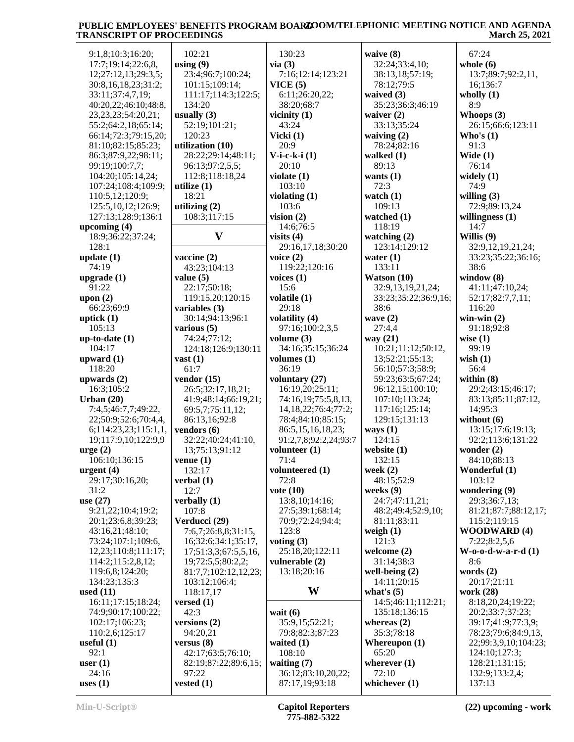| 9:1,8;10:3;16:20;       | 102:21               | 130:23                    | waive (8)            | 67:24                    |
|-------------------------|----------------------|---------------------------|----------------------|--------------------------|
| 17:7;19:14;22:6,8,      | using $(9)$          | via(3)                    | 32:24;33:4,10;       | whole $(6)$              |
| 12;27:12,13;29:3,5;     | 23:4;96:7;100:24;    | 7:16;12:14;123:21         | 38:13,18;57:19;      | 13:7;89:7;92:2,11,       |
|                         |                      |                           |                      |                          |
| 30:8,16,18,23;31:2;     | 101:15;109:14;       | VICE(5)                   | 78:12;79:5           | 16;136:7                 |
| 33:11;37:4,7,19;        | 111:17;114:3;122:5;  | 6:11;26:20,22;            | waived (3)           | wholly $(1)$             |
| 40:20,22;46:10;48:8,    | 134:20               | 38:20;68:7                | 35:23;36:3;46:19     | 8:9                      |
| 23, 23, 23; 54: 20, 21; | usually $(3)$        | vicinity $(1)$            | waiver $(2)$         | Whoops $(3)$             |
| 55:2;64:2,18;65:14;     | 52:19;101:21;        | 43:24                     | 33:13;35:24          | 26:15;66:6;123:11        |
| 66:14;72:3;79:15,20;    | 120:23               | Vicki $(1)$               | waiving $(2)$        | Who's $(1)$              |
| 81:10;82:15;85:23;      | utilization (10)     | 20:9                      | 78:24;82:16          | 91:3                     |
| 86:3;87:9,22;98:11;     | 28:22;29:14;48:11;   | $V$ -i-c-k-i $(1)$        | walked $(1)$         | Wide $(1)$               |
| 99:19;100:7,7;          | 96:13;97:2,5,5;      | 20:10                     | 89:13                | 76:14                    |
| 104:20;105:14,24;       | 112:8;118:18,24      | violate $(1)$             | wants $(1)$          | widely $(1)$             |
| 107:24;108:4;109:9;     | utilize $(1)$        | 103:10                    | 72:3                 | 74:9                     |
| 110:5,12;120:9;         | 18:21                | violating $(1)$           | watch $(1)$          | willing $(3)$            |
| 125:5,10,12;126:9;      | utilizing $(2)$      | 103:6                     | 109:13               | 72:9;89:13,24            |
| 127:13;128:9;136:1      | 108:3;117:15         | vision $(2)$              | watched $(1)$        | willingness $(1)$        |
| upcoming $(4)$          |                      | 14:6;76:5                 | 118:19               | 14:7                     |
| 18:9;36:22;37:24;       | $\mathbf{V}$         | visits $(4)$              | watching $(2)$       | Willis (9)               |
| 128:1                   |                      | 29:16,17,18;30:20         | 123:14;129:12        | 32:9,12,19,21,24;        |
| update $(1)$            | vaccine $(2)$        | voice $(2)$               | water $(1)$          | 33:23;35:22;36:16;       |
| 74:19                   | 43:23:104:13         | 119:22;120:16             | 133:11               | 38:6                     |
| upgrade $(1)$           | value $(5)$          | voices $(1)$              | Watson $(10)$        | window $(8)$             |
| 91:22                   | 22:17;50:18;         | 15:6                      | 32:9,13,19,21,24;    | 41:11;47:10,24;          |
| upon $(2)$              | 119:15,20;120:15     | volatile $(1)$            | 33:23;35:22;36:9,16; | 52:17;82:7,7,11;         |
|                         |                      | 29:18                     | 38:6                 | 116:20                   |
| 66:23;69:9              | variables (3)        |                           |                      |                          |
| uptick $(1)$            | 30:14;94:13;96:1     | volatility (4)            | wave $(2)$           | win-win $(2)$            |
| 105:13                  | various $(5)$        | 97:16;100:2,3,5           | 27:4,4               | 91:18;92:8               |
| $up-to-date (1)$        | 74:24;77:12;         | volume $(3)$              | way (21)             | wise $(1)$               |
| 104:17                  | 124:18;126:9;130:11  | 34:16;35:15;36:24         | 10:21;11:12;50:12,   | 99:19                    |
| upward $(1)$            | vast $(1)$           | volumes $(1)$             | 13;52:21;55:13;      | wish $(1)$               |
| 118:20                  | 61:7                 | 36:19                     | 56:10;57:3;58:9;     | 56:4                     |
| upwards $(2)$           | vendor $(15)$        | voluntary (27)            | 59:23;63:5;67:24;    | within $(8)$             |
| 16:3;105:2              | 26:5;32:17,18,21;    | 16:19,20;25:11;           | 96:12,15;100:10;     | 29:2;43:15;46:17;        |
| Urban $(20)$            | 41:9;48:14;66:19,21; | 74:16,19;75:5,8,13,       | 107:10;113:24;       | 83:13;85:11;87:12,       |
| 7:4,5;46:7,7;49:22,     | 69:5,7;75:11,12;     | 14, 18, 22; 76: 4; 77: 2; | 117:16;125:14;       | 14;95:3                  |
| 22;50:9;52:6;70:4,4,    | 86:13,16;92:8        | 78:4:84:10:85:15:         | 129:15;131:13        | without $(6)$            |
| 6;114:23,23;115:1,1,    | vendors (6)          | 86:5,15,16,18,23;         | ways $(1)$           | 13:15;17:6;19:13;        |
| 19;117:9,10;122:9,9     | 32:22;40:24;41:10,   | 91:2,7,8;92:2,24;93:7     | 124:15               | 92:2;113:6;131:22        |
| $\text{urge} (2)$       | 13;75:13;91:12       | volunteer $(1)$           | website $(1)$        | wonder $(2)$             |
| 106:10;136:15           | venue(1)             | 71:4                      | 132:15               | 84:10;88:13              |
| urgent $(4)$            | 132:17               | volunteered (1)           | week $(2)$           | Wonderful (1)            |
| 29:17;30:16,20;         | verbal $(1)$         | 72:8                      | 48:15;52:9           | 103:12                   |
| 31:2                    | 12:7                 | vote $(10)$               | weeks $(9)$          | wondering (9)            |
| use $(27)$              | verbally $(1)$       | 13:8,10;14:16;            | 24:7:47:11,21;       | 29:3;36:7,13;            |
| 9:21,22;10:4;19:2;      | 107:8                | 27:5;39:1;68:14;          | 48:2;49:4;52:9,10;   | 81:21;87:7;88:12,17;     |
| 20:1;23:6,8;39:23;      | Verducci (29)        | 70:9;72:24;94:4;          | 81:11;83:11          | 115:2;119:15             |
| 43:16,21;48:10;         | 7:6,7;26:8,8;31:15,  | 123:8                     | weigh $(1)$          | <b>WOODWARD (4)</b>      |
| 73:24;107:1;109:6,      | 16;32:6;34:1;35:17,  | voting $(3)$              | 121:3                | 7:22;8:2,5,6             |
| 12,23;110:8;111:17;     | 17;51:3,3;67:5,5,16, | 25:18,20;122:11           | welcome $(2)$        | $W$ -0-0-d-w-a-r-d $(1)$ |
| 114:2;115:2,8,12;       | 19;72:5,5;80:2,2;    | vulnerable (2)            | 31:14;38:3           | 8:6                      |
| 119:6,8;124:20;         | 81:7,7;102:12,12,23; | 13:18;20:16               | well-being $(2)$     | words (2)                |
| 134:23;135:3            | 103:12;106:4;        |                           | 14:11:20:15          | 20:17;21:11              |
| used $(11)$             | 118:17,17            | W                         | what's $(5)$         | work (28)                |
| 16:11;17:15;18:24;      |                      |                           |                      | 8:18,20,24;19:22;        |
|                         | versed $(1)$         |                           | 14:5;46:11;112:21;   |                          |
| 74:9;90:17;100:22;      | 42:3                 | wait $(6)$                | 135:18;136:15        | 20:2;33:7;37:23;         |
| 102:17;106:23;          | versions $(2)$       | 35:9,15;52:21;            | whereas $(2)$        | 39:17;41:9;77:3,9;       |
| 110:2,6;125:17          | 94:20,21             | 79:8;82:3;87:23           | 35:3;78:18           | 78:23;79:6;84:9,13,      |
| useful $(1)$            | versus $(8)$         | waited $(1)$              | Whereupon $(1)$      | 22;99:3,9,10;104:23;     |
| 92:1                    | 42:17;63:5;76:10;    | 108:10                    | 65:20                | 124:10;127:3;            |
| user $(1)$              | 82:19;87:22;89:6,15; | waiting $(7)$             | wherever $(1)$       | 128:21;131:15;           |
| 24:16                   | 97:22                | 36:12;83:10,20,22;        | 72:10                | 132:9;133:2,4;           |
| uses $(1)$              | vested $(1)$         | 87:17,19;93:18            | whichever $(1)$      | 137:13                   |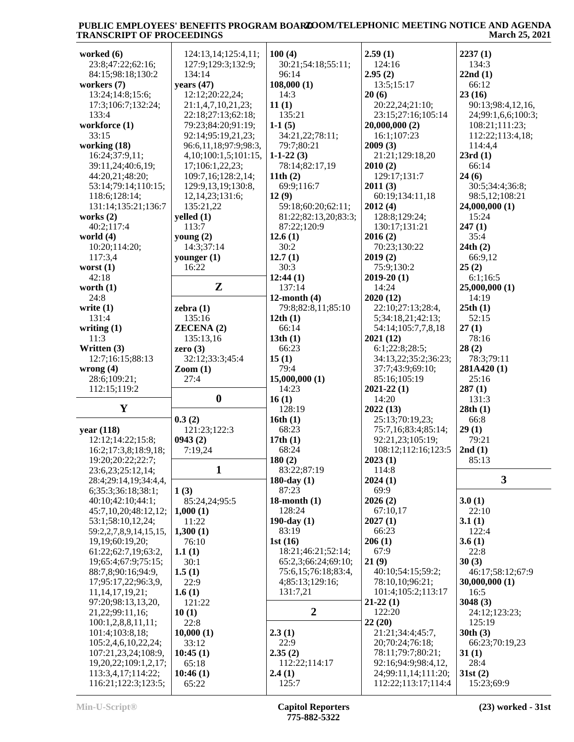| worked $(6)$                              | 124:13,14;125:4,11;           | 100(4)               | 2.59(1)                                    | 2237(1)               |
|-------------------------------------------|-------------------------------|----------------------|--------------------------------------------|-----------------------|
| 23:8;47:22;62:16;                         | 127:9;129:3;132:9;            | 30:21;54:18;55:11;   | 124:16                                     | 134:3                 |
| 84:15;98:18;130:2                         | 134:14                        | 96:14                | 2.95(2)                                    | 22nd(1)               |
| workers (7)                               | years (47)                    | 108,000(1)           | 13:5;15:17                                 | 66:12                 |
| 13:24;14:8;15:6;                          | 12:12;20:22,24;               | 14:3                 | 20(6)                                      | 23(16)                |
| 17:3;106:7;132:24;                        | 21:1,4,7,10,21,23;            | 11(1)                | 20:22,24;21:10;                            | 90:13;98:4,12,16,     |
| 133:4                                     | 22:18;27:13;62:18;            | 135:21               | 23:15;27:16;105:14                         | 24;99:1,6,6;100:3;    |
| workforce (1)                             | 79:23;84:20;91:19;            | $1-1(5)$             | 20,000,000(2)                              | 108:21;111:23;        |
| 33:15                                     | 92:14;95:19,21,23;            | 34:21,22;78:11;      | 16:1;107:23                                | 112:22;113:4,18;      |
| working (18)                              | 96:6,11,18;97:9;98:3,         | 79:7;80:21           | 2009(3)                                    | 114:4,4               |
| 16:24;37:9,11;                            | 4, 10; 100: 1, 5; 101: 15,    | $1-1-22(3)$          | 21:21;129:18,20                            | 23rd(1)               |
| 39:11,24;40:6,19;                         | 17;106:1,22,23;               | 78:14;82:17,19       | 2010(2)                                    | 66:14                 |
| 44:20,21;48:20;                           | 109:7,16;128:2,14;            | 11th $(2)$           | 129:17;131:7                               | 24(6)                 |
| 53:14;79:14;110:15;                       | 129:9,13,19;130:8,            | 69:9;116:7           | 2011(3)                                    | 30:5;34:4;36:8;       |
| 118:6;128:14;                             | 12, 14, 23; 131: 6;           | 12(9)                | 60:19;134:11,18                            | 98:5,12;108:21        |
| 131:14;135:21;136:7                       | 135:21,22                     | 59:18;60:20;62:11;   | 2012(4)                                    | 24,000,000 (1)        |
| works $(2)$                               | yelled $(1)$                  | 81:22;82:13,20;83:3; | 128:8;129:24;                              | 15:24                 |
| 40:2;117:4                                | 113:7                         | 87:22;120:9          | 130:17;131:21                              | 247(1)                |
| world $(4)$                               | young $(2)$                   | 12.6(1)              | 2016(2)                                    | 35:4                  |
| 10:20;114:20;                             | 14:3;37:14                    | 30:2                 | 70:23;130:22                               | 24th(2)               |
| 117:3,4                                   | younger $(1)$                 | 12.7(1)              | 2019(2)                                    | 66:9,12               |
| worst $(1)$                               | 16:22                         | 30:3                 | 75:9;130:2                                 | 25(2)                 |
| 42:18                                     |                               | 12:44(1)             | $2019 - 20(1)$                             | 6:1;16:5              |
| worth $(1)$                               | ${\bf z}$                     | 137:14               | 14:24                                      | 25,000,000 (1)        |
| 24:8                                      |                               | 12-month $(4)$       | 2020(12)                                   | 14:19                 |
| write $(1)$                               | zebra $(1)$                   | 79:8;82:8,11;85:10   | 22:10;27:13;28:4,                          | 25th(1)               |
| 131:4                                     | 135:16                        | 12th $(1)$           | 5;34:18,21;42:13;                          | 52:15                 |
| writing $(1)$                             | <b>ZECENA (2)</b>             | 66:14                | 54:14;105:7,7,8,18                         | 27(1)                 |
| 11:3                                      | 135:13,16                     | 13th(1)              | 2021(12)                                   | 78:16                 |
| Written (3)                               | zero $(3)$                    | 66:23                | 6:1;22:8;28:5;                             | 28(2)                 |
| 12:7;16:15;88:13                          | 32:12;33:3;45:4               | 15(1)                | 34:13,22;35:2;36:23;                       | 78:3;79:11            |
| wrong $(4)$                               | $\mathrm{Zoom}\left(1\right)$ | 79:4                 | 37:7;43:9;69:10;                           | 281A420(1)            |
|                                           |                               |                      |                                            |                       |
| 28:6;109:21;                              | 27:4                          | 15,000,000(1)        | 85:16;105:19                               | 25:16                 |
| 112:15;119:2                              |                               | 14:23                | $2021 - 22(1)$                             | 287(1)                |
|                                           | $\boldsymbol{0}$              | 16(1)                | 14:20                                      | 131:3                 |
| Y                                         |                               | 128:19               | 2022(13)                                   | 28th(1)               |
|                                           | 0.3(2)                        | 16th(1)              | 25:13;70:19,23;                            | 66:8                  |
| year (118)                                | 121:23;122:3                  | 68:23                | 75:7,16;83:4;85:14;                        | 29(1)                 |
| 12:12;14:22;15:8;                         | 0943(2)                       | 17th(1)              | 92:21,23;105:19;                           | 79:21                 |
| 16:2;17:3,8;18:9,18;                      | 7:19,24                       | 68:24                | 108:12;112:16;123:5                        | 2nd(1)                |
| 19:20;20:22;22:7;                         |                               | 180(2)               | 2023(1)                                    | 85:13                 |
| 23:6,23;25:12,14;                         | $\mathbf{1}$                  | 83:22;87:19          | 114:8                                      |                       |
| 28:4;29:14,19;34:4,4,                     |                               | 180-day $(1)$        | 2024(1)                                    | $\mathbf{3}$          |
| 6;35:3;36:18;38:1;                        | 1(3)                          | 87:23                | 69:9                                       |                       |
| 40:10;42:10;44:1;                         | 85:24,24;95:5                 | $18$ -month $(1)$    | 2026(2)                                    | 3.0(1)                |
| 45:7,10,20;48:12,12;                      | 1,000(1)                      | 128:24               | 67:10,17                                   | 22:10                 |
| 53:1;58:10,12,24;                         | 11:22                         | 190-day $(1)$        | 2027(1)                                    | 3.1(1)                |
| 59:2,2,7,8,9,14,15,15,                    | 1,300(1)                      | 83:19                | 66:23                                      | 122:4                 |
| 19,19;60:19,20;                           | 76:10                         | 1st $(16)$           | 206(1)                                     | 3.6(1)                |
| 61:22;62:7,19;63:2,                       | 1.1(1)                        | 18:21;46:21;52:14;   | 67:9                                       | 22:8                  |
| 19;65:4;67:9;75:15;                       | 30:1                          | 65:2,3;66:24;69:10;  | 21(9)                                      | 30(3)                 |
| 88:7,8;90:16;94:9,                        | 1.5(1)                        | 75:6,15;76:18;83:4,  | 40:10;54:15;59:2;                          | 46:17;58:12;67:9      |
| 17;95:17,22;96:3,9,                       | 22:9                          | 4;85:13;129:16;      | 78:10,10;96:21;                            | 30,000,000 (1)        |
| 11,14,17,19,21;                           | 1.6(1)                        | 131:7,21             | 101:4;105:2;113:17                         | 16:5                  |
| 97:20;98:13,13,20,                        | 121:22                        |                      | $21-22(1)$                                 | 3048(3)               |
| 21,22;99:11,16;                           | 10(1)                         | $\overline{2}$       | 122:20                                     | 24:12;123:23;         |
| 100:1,2,8,8,11,11;                        | 22:8                          |                      | 22(20)                                     | 125:19                |
| 101:4;103:8,18;                           | 10,000(1)                     | 2.3(1)               | 21:21;34:4;45:7,                           | 30th(3)               |
| 105:2,4,6,10,22,24;                       | 33:12                         | 22:9                 | 20;70:24;76:18;                            | 66:23;70:19,23        |
| 107:21,23,24;108:9,                       | 10:45(1)                      | 2.35(2)              | 78:11;79:7;80:21;                          | 31(1)                 |
| 19, 20, 22; 109: 1, 2, 17;                | 65:18                         | 112:22;114:17        | 92:16;94:9;98:4,12,                        | 28:4                  |
| 113:3,4,17;114:22;<br>116:21;122:3;123:5; | 10:46(1)<br>65:22             | 2.4(1)<br>125:7      | 24;99:11,14;111:20;<br>112:22;113:17;114:4 | 31st(2)<br>15:23;69:9 |